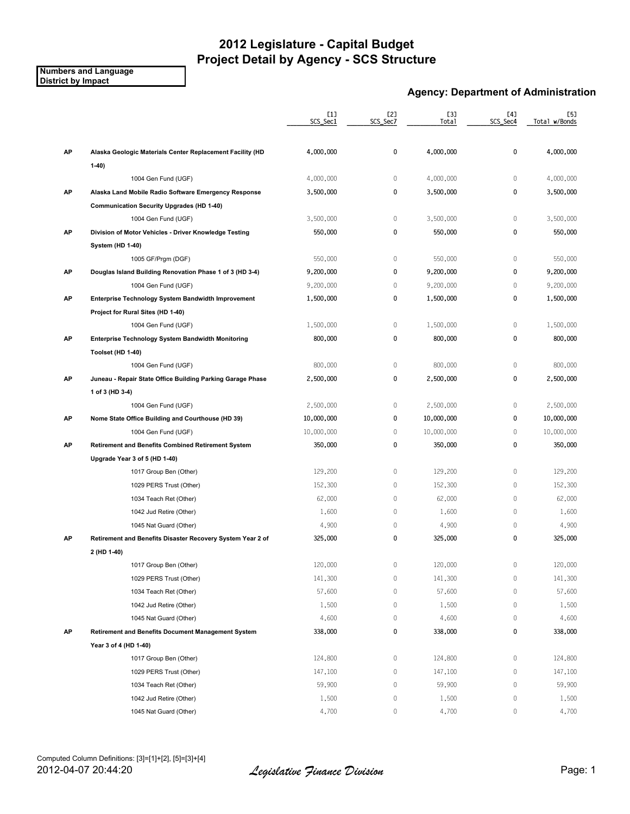**Numbers and Language District by Impact**

#### **Agency: Department of Administration**

|    |                                                            | [1]<br>SCS_Sec1 | [2]<br>SCS_Sec7 | [3]<br><b>Total</b> | [4]<br>SCS_Sec4 | [5]<br>Total w/Bonds |
|----|------------------------------------------------------------|-----------------|-----------------|---------------------|-----------------|----------------------|
| AP | Alaska Geologic Materials Center Replacement Facility (HD  | 4,000,000       | 0               | 4,000,000           | 0               | 4,000,000            |
|    | $1-40)$                                                    |                 |                 |                     |                 |                      |
|    | 1004 Gen Fund (UGF)                                        | 4,000,000       | 0               | 4,000,000           | $\mathbf 0$     | 4,000,000            |
| АP | Alaska Land Mobile Radio Software Emergency Response       | 3,500,000       | 0               | 3,500,000           | 0               | 3,500,000            |
|    | <b>Communication Security Upgrades (HD 1-40)</b>           |                 |                 |                     |                 |                      |
|    | 1004 Gen Fund (UGF)                                        | 3,500,000       | 0               | 3,500,000           | $\mathbf 0$     | 3,500,000            |
| AP | Division of Motor Vehicles - Driver Knowledge Testing      | 550,000         | 0               | 550,000             | $\pmb{0}$       | 550,000              |
|    | System (HD 1-40)                                           |                 |                 |                     |                 |                      |
|    | 1005 GF/Prgm (DGF)                                         | 550,000         | $\mathbb O$     | 550,000             | $\mathbb O$     | 550,000              |
| AP | Douglas Island Building Renovation Phase 1 of 3 (HD 3-4)   | 9,200,000       | 0               | 9,200,000           | $\pmb{0}$       | 9,200,000            |
|    | 1004 Gen Fund (UGF)                                        | 9,200,000       | $\mathbb O$     | 9,200,000           | $\mathbf 0$     | 9,200,000            |
| AP | Enterprise Technology System Bandwidth Improvement         | 1,500,000       | 0               | 1,500,000           | 0               | 1,500,000            |
|    | Project for Rural Sites (HD 1-40)                          |                 |                 |                     |                 |                      |
|    | 1004 Gen Fund (UGF)                                        | 1,500,000       | $\mathbb O$     | 1,500,000           | $\mathbf 0$     | 1,500,000            |
| АP | <b>Enterprise Technology System Bandwidth Monitoring</b>   | 800,000         | 0               | 800,000             | $\pmb{0}$       | 800,000              |
|    | Toolset (HD 1-40)                                          |                 |                 |                     |                 |                      |
|    | 1004 Gen Fund (UGF)                                        | 800,000         | $\mathbb O$     | 800,000             | $\mathbb O$     | 800,000              |
| АP | Juneau - Repair State Office Building Parking Garage Phase | 2,500,000       | 0               | 2,500,000           | 0               | 2,500,000            |
|    | 1 of 3 (HD 3-4)                                            |                 |                 |                     |                 |                      |
|    | 1004 Gen Fund (UGF)                                        | 2,500,000       | $\mathbb O$     | 2,500,000           | $\mathbf 0$     | 2,500,000            |
| AP | Nome State Office Building and Courthouse (HD 39)          | 10,000,000      | 0               | 10,000,000          | $\pmb{0}$       | 10,000,000           |
|    | 1004 Gen Fund (UGF)                                        | 10,000,000      | $\mathbb O$     | 10,000,000          | $\mathbb O$     | 10,000,000           |
| AP | <b>Retirement and Benefits Combined Retirement System</b>  | 350,000         | 0               | 350,000             | $\pmb{0}$       | 350,000              |
|    | Upgrade Year 3 of 5 (HD 1-40)                              |                 |                 |                     |                 |                      |
|    | 1017 Group Ben (Other)                                     | 129,200         | $\mathbb O$     | 129,200             | $\mathbb O$     | 129,200              |
|    | 1029 PERS Trust (Other)                                    | 152,300         | $\mathbb O$     | 152,300             | $\mathbb O$     | 152,300              |
|    | 1034 Teach Ret (Other)                                     | 62,000          | $\mathbb O$     | 62,000              | $\mathbf 0$     | 62,000               |
|    | 1042 Jud Retire (Other)                                    | 1,600           | 0               | 1,600               | $\mathbf 0$     | 1,600                |
|    | 1045 Nat Guard (Other)                                     | 4,900           | $\mathbb O$     | 4,900               | $\mathbf 0$     | 4,900                |
| AP | Retirement and Benefits Disaster Recovery System Year 2 of | 325,000         | 0               | 325,000             | 0               | 325,000              |
|    | 2 (HD 1-40)                                                |                 |                 |                     |                 |                      |
|    | 1017 Group Ben (Other)                                     | 120,000         | 0               | 120,000             | $\mathbb O$     | 120,000              |
|    | 1029 PERS Trust (Other)                                    | 141,300         | 0               | 141,300             | 0               | 141,300              |
|    | 1034 Teach Ret (Other)                                     | 57,600          | $\,0\,$         | 57,600              | $\mathbb O$     | 57,600               |
|    | 1042 Jud Retire (Other)                                    | 1,500           | $\,0\,$         | 1,500               | $\mathbb O$     | 1,500                |
|    | 1045 Nat Guard (Other)                                     | 4,600           | 0               | 4,600               | 0               | 4,600                |
| AP | Retirement and Benefits Document Management System         | 338,000         | 0               | 338,000             | 0               | 338,000              |
|    | Year 3 of 4 (HD 1-40)                                      |                 |                 |                     |                 |                      |
|    | 1017 Group Ben (Other)                                     | 124,800         | 0               | 124,800             | 0               | 124,800              |
|    | 1029 PERS Trust (Other)                                    | 147,100         | 0               | 147,100             | 0               | 147,100              |
|    | 1034 Teach Ret (Other)                                     | 59,900          | $\,0\,$         | 59,900              | $\mathbb O$     | 59,900               |
|    | 1042 Jud Retire (Other)                                    | 1,500           | 0               | 1,500               | 0               | 1,500                |
|    | 1045 Nat Guard (Other)                                     | 4,700           | 0               | 4,700               | 0               | 4,700                |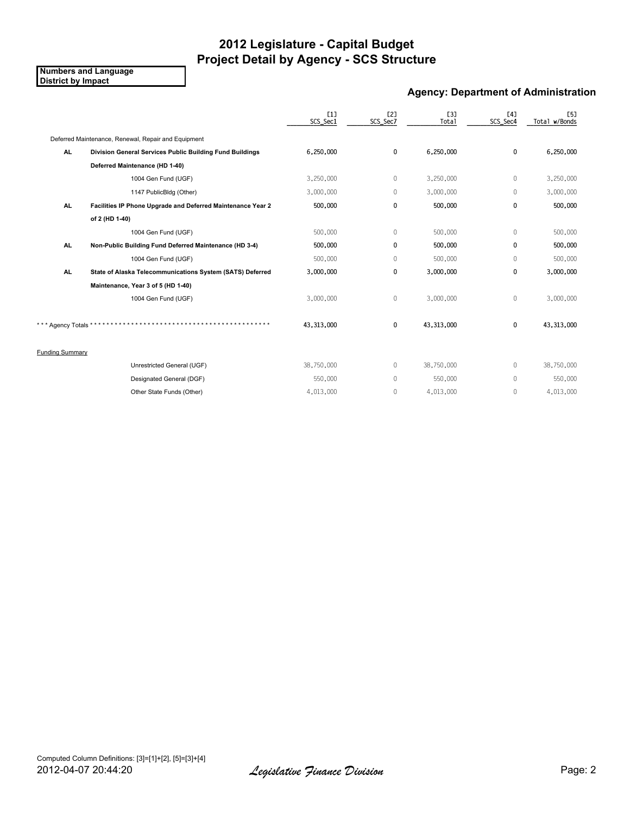**Numbers and Language District by Impact**

#### **Agency: Department of Administration**

|                        |                                                             | [1]<br>SCS_Sec1 | E2]<br>SCS_Sec7 | E31<br>Total | [4]<br>SCS_Sec4 | E51<br>Total w/Bonds |
|------------------------|-------------------------------------------------------------|-----------------|-----------------|--------------|-----------------|----------------------|
|                        | Deferred Maintenance, Renewal, Repair and Equipment         |                 |                 |              |                 |                      |
| AL.                    | Division General Services Public Building Fund Buildings    | 6,250,000       | 0               | 6,250,000    | $\mathbf 0$     | 6,250,000            |
|                        | Deferred Maintenance (HD 1-40)                              |                 |                 |              |                 |                      |
|                        | 1004 Gen Fund (UGF)                                         | 3,250,000       | $\mathbf{0}$    | 3,250,000    | $\mathbf{0}$    | 3,250,000            |
|                        | 1147 PublicBldg (Other)                                     | 3,000,000       | $\mathbf{0}$    | 3,000,000    | $\mathbf{0}$    | 3,000,000            |
| <b>AL</b>              | Facilities IP Phone Upgrade and Deferred Maintenance Year 2 | 500,000         | 0               | 500,000      | $\mathbf{0}$    | 500,000              |
|                        | of 2 (HD 1-40)                                              |                 |                 |              |                 |                      |
|                        | 1004 Gen Fund (UGF)                                         | 500,000         | $\mathbb O$     | 500,000      | 0               | 500,000              |
| AL.                    | Non-Public Building Fund Deferred Maintenance (HD 3-4)      | 500,000         | 0               | 500,000      | $\mathbf{0}$    | 500,000              |
|                        | 1004 Gen Fund (UGF)                                         | 500,000         | $\mathbf{0}$    | 500,000      | $\Omega$        | 500,000              |
| AL.                    | State of Alaska Telecommunications System (SATS) Deferred   | 3,000,000       | 0               | 3,000,000    | 0               | 3,000,000            |
|                        | Maintenance, Year 3 of 5 (HD 1-40)                          |                 |                 |              |                 |                      |
|                        | 1004 Gen Fund (UGF)                                         | 3,000,000       | $\mathbb O$     | 3,000,000    | $\mathbb O$     | 3,000,000            |
|                        |                                                             |                 |                 |              |                 |                      |
| Agency Totals*         |                                                             | 43,313,000      | 0               | 43,313,000   | $\mathbf 0$     | 43,313,000           |
|                        |                                                             |                 |                 |              |                 |                      |
| <b>Funding Summary</b> |                                                             |                 |                 |              |                 |                      |
|                        | Unrestricted General (UGF)                                  | 38,750,000      | $\mathbf{0}$    | 38,750,000   | $\Omega$        | 38,750,000           |
|                        | Designated General (DGF)                                    | 550,000         | $\mathbf{0}$    | 550,000      | $\mathbf{0}$    | 550,000              |
|                        | Other State Funds (Other)                                   | 4,013,000       | $\mathbf{0}$    | 4,013,000    | $\mathbf{0}$    | 4,013,000            |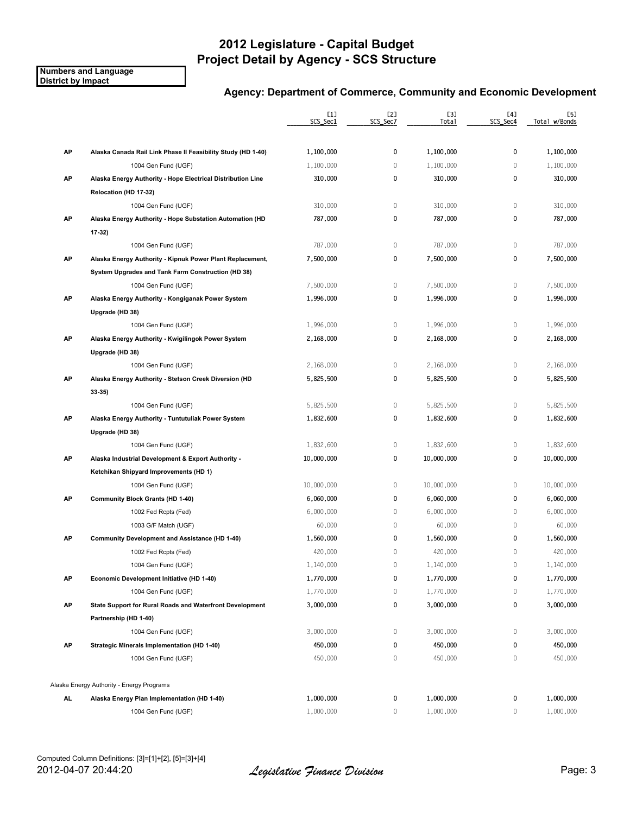**Numbers and Language District by Impact**

|     |                                                                                     | [1]<br>SCS_Sec1 | [2]<br>SCS_Sec7 | [3]<br>Total | [4]<br>SCS_Sec4 | [5]<br>Total w/Bonds |
|-----|-------------------------------------------------------------------------------------|-----------------|-----------------|--------------|-----------------|----------------------|
| AP  |                                                                                     | 1,100,000       | 0               | 1,100,000    | 0               | 1,100,000            |
|     | Alaska Canada Rail Link Phase II Feasibility Study (HD 1-40)<br>1004 Gen Fund (UGF) | 1,100,000       | $\mathbb O$     | 1,100,000    | 0               | 1,100,000            |
| АP  | Alaska Energy Authority - Hope Electrical Distribution Line                         | 310,000         | 0               | 310,000      | 0               | 310,000              |
|     |                                                                                     |                 |                 |              |                 |                      |
|     | Relocation (HD 17-32)<br>1004 Gen Fund (UGF)                                        | 310,000         | $\mathbb O$     | 310,000      | $\mathbb O$     | 310,000              |
| АP  |                                                                                     | 787,000         | 0               | 787,000      | 0               | 787,000              |
|     | Alaska Energy Authority - Hope Substation Automation (HD<br>$17-32$                 |                 |                 |              |                 |                      |
|     | 1004 Gen Fund (UGF)                                                                 | 787,000         | $\mathbb O$     | 787,000      | 0               | 787,000              |
| AP  | Alaska Energy Authority - Kipnuk Power Plant Replacement,                           | 7,500,000       | 0               | 7,500,000    | 0               | 7,500,000            |
|     | System Upgrades and Tank Farm Construction (HD 38)                                  |                 |                 |              |                 |                      |
|     | 1004 Gen Fund (UGF)                                                                 | 7,500,000       | $\mathbb O$     | 7,500,000    | $\mathbb O$     | 7,500,000            |
| AP  |                                                                                     | 1,996,000       | 0               | 1,996,000    | 0               | 1,996,000            |
|     | Alaska Energy Authority - Kongiganak Power System                                   |                 |                 |              |                 |                      |
|     | Upgrade (HD 38)<br>1004 Gen Fund (UGF)                                              |                 | $\mathbb O$     |              | $\mathbb O$     | 1,996,000            |
|     |                                                                                     | 1,996,000       |                 | 1,996,000    |                 |                      |
| AP  | Alaska Energy Authority - Kwigilingok Power System                                  | 2,168,000       | 0               | 2,168,000    | 0               | 2,168,000            |
|     | Upgrade (HD 38)                                                                     |                 |                 |              |                 |                      |
|     | 1004 Gen Fund (UGF)                                                                 | 2,168,000       | $\mathbb O$     | 2,168,000    | $\,0\,$         | 2,168,000            |
| AP  | Alaska Energy Authority - Stetson Creek Diversion (HD                               | 5,825,500       | 0               | 5,825,500    | 0               | 5,825,500            |
|     | $33-35$                                                                             |                 |                 |              |                 |                      |
|     | 1004 Gen Fund (UGF)                                                                 | 5,825,500       | $\mathbb O$     | 5,825,500    | $\mathbb O$     | 5,825,500            |
| AP  | Alaska Energy Authority - Tuntutuliak Power System                                  | 1,832,600       | 0               | 1,832,600    | 0               | 1,832,600            |
|     | Upgrade (HD 38)                                                                     |                 |                 |              |                 |                      |
|     | 1004 Gen Fund (UGF)                                                                 | 1,832,600       | $\mathbb O$     | 1,832,600    | $\,0\,$         | 1,832,600            |
| AP  | Alaska Industrial Development & Export Authority -                                  | 10,000,000      | 0               | 10,000,000   | 0               | 10,000,000           |
|     | Ketchikan Shipyard Improvements (HD 1)                                              |                 |                 |              |                 |                      |
|     | 1004 Gen Fund (UGF)                                                                 | 10,000,000      | $\mathbb O$     | 10,000,000   | $\mathbb O$     | 10,000,000           |
| AP  | <b>Community Block Grants (HD 1-40)</b>                                             | 6,060,000       | 0               | 6,060,000    | 0               | 6,060,000            |
|     | 1002 Fed Rcpts (Fed)                                                                | 6,000,000       | $\mathbf{0}$    | 6,000,000    | $\mathbf 0$     | 6,000,000            |
|     | 1003 G/F Match (UGF)                                                                | 60,000          | $\mathbb O$     | 60,000       | $\mathbb O$     | 60,000               |
| АP  | <b>Community Development and Assistance (HD 1-40)</b>                               | 1,560,000       | 0               | 1,560,000    | 0               | 1,560,000            |
|     | 1002 Fed Rcpts (Fed)                                                                | 420,000         | $\mathbb O$     | 420,000      | 0               | 420,000              |
|     | 1004 Gen Fund (UGF)                                                                 | 1,140,000       | $\mathbf 0$     | 1,140,000    | 0               | 1,140,000            |
| AP  | Economic Development Initiative (HD 1-40)                                           | 1,770,000       | 0               | 1,770,000    | 0               | 1,770,000            |
|     | 1004 Gen Fund (UGF)                                                                 | 1,770,000       | $\mathbb O$     | 1,770,000    | 0               | 1,770,000            |
| AP  | State Support for Rural Roads and Waterfront Development                            | 3,000,000       | 0               | 3,000,000    | 0               | 3,000,000            |
|     | Partnership (HD 1-40)                                                               |                 |                 |              |                 |                      |
|     | 1004 Gen Fund (UGF)                                                                 | 3,000,000       | 0               | 3,000,000    | $\mathbb O$     | 3,000,000            |
| AP  | Strategic Minerals Implementation (HD 1-40)                                         | 450,000         | 0               | 450,000      | 0               | 450,000              |
|     | 1004 Gen Fund (UGF)                                                                 | 450,000         | $\mathbb O$     | 450,000      | $\mathbb O$     | 450,000              |
|     | Alaska Energy Authority - Energy Programs                                           |                 |                 |              |                 |                      |
| AL. | Alaska Energy Plan Implementation (HD 1-40)                                         | 1,000,000       | 0               | 1,000,000    | 0               | 1,000,000            |
|     | 1004 Gen Fund (UGF)                                                                 | 1,000,000       | $\mathbf 0$     | 1,000,000    | 0               | 1,000,000            |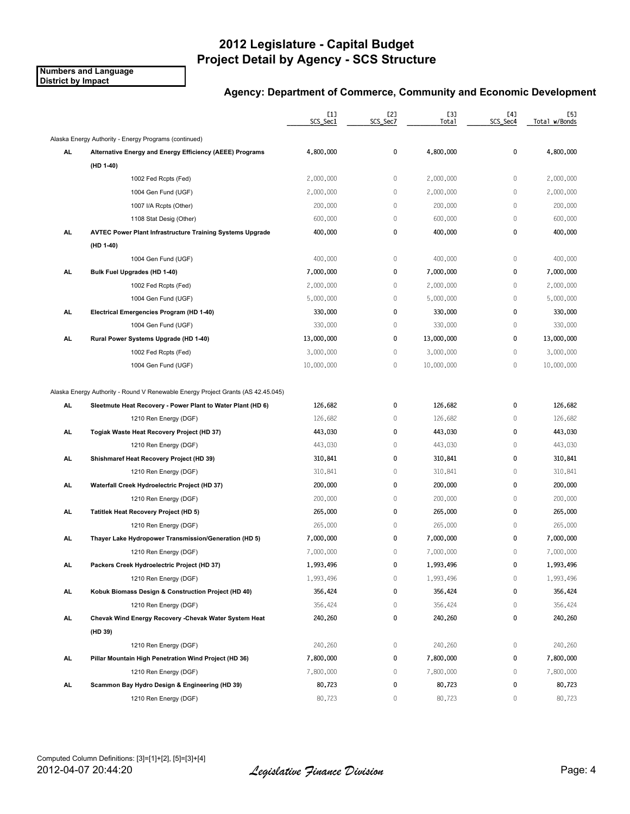**Numbers and Language District by Impact**

|           |                                                                                  | $[1]$<br>SCS_Sec1 | [2]<br>SCS_Sec7 | [3]<br>Total | [4]<br>SCS_Sec4 | [5]<br>Total w/Bonds |
|-----------|----------------------------------------------------------------------------------|-------------------|-----------------|--------------|-----------------|----------------------|
|           | Alaska Energy Authority - Energy Programs (continued)                            |                   |                 |              |                 |                      |
| AL        | Alternative Energy and Energy Efficiency (AEEE) Programs                         | 4,800,000         | 0               | 4,800,000    | 0               | 4,800,000            |
|           | (HD 1-40)                                                                        |                   |                 |              |                 |                      |
|           | 1002 Fed Rcpts (Fed)                                                             | 2,000,000         | $\,0\,$         | 2,000,000    | 0               | 2,000,000            |
|           | 1004 Gen Fund (UGF)                                                              | 2,000,000         | $\mathbb O$     | 2,000,000    | 0               | 2,000,000            |
|           | 1007 I/A Rcpts (Other)                                                           | 200,000           | 0               | 200,000      | 0               | 200,000              |
|           | 1108 Stat Desig (Other)                                                          | 600,000           | $\mathbb O$     | 600,000      | 0               | 600,000              |
| AL.       | <b>AVTEC Power Plant Infrastructure Training Systems Upgrade</b>                 | 400,000           | 0               | 400,000      | 0               | 400,000              |
|           | (HD 1-40)                                                                        |                   |                 |              |                 |                      |
|           | 1004 Gen Fund (UGF)                                                              | 400,000           | $\,0\,$         | 400,000      | $\mathbb O$     | 400,000              |
| AL        | Bulk Fuel Upgrades (HD 1-40)                                                     | 7,000,000         | 0               | 7,000,000    | 0               | 7,000,000            |
|           | 1002 Fed Rcpts (Fed)                                                             | 2,000,000         | 0               | 2,000,000    | 0               | 2,000,000            |
|           | 1004 Gen Fund (UGF)                                                              | 5,000,000         | 0               | 5,000,000    | 0               | 5,000,000            |
| AL.       | Electrical Emergencies Program (HD 1-40)                                         | 330,000           | 0               | 330,000      | 0               | 330,000              |
|           | 1004 Gen Fund (UGF)                                                              | 330,000           | $\mathbb O$     | 330,000      | 0               | 330,000              |
| AL        | Rural Power Systems Upgrade (HD 1-40)                                            | 13,000,000        | 0               | 13,000,000   | 0               | 13,000,000           |
|           | 1002 Fed Rcpts (Fed)                                                             | 3,000,000         | 0               | 3,000,000    | 0               | 3,000,000            |
|           | 1004 Gen Fund (UGF)                                                              | 10,000,000        | 0               | 10,000,000   | 0               | 10,000,000           |
|           | Alaska Energy Authority - Round V Renewable Energy Project Grants (AS 42.45.045) |                   |                 |              |                 |                      |
| <b>AL</b> | Sleetmute Heat Recovery - Power Plant to Water Plant (HD 6)                      | 126,682           | 0               | 126,682      | 0               | 126,682              |
|           | 1210 Ren Energy (DGF)                                                            | 126,682           | $\mathbb O$     | 126,682      | 0               | 126,682              |
| AL.       | Togiak Waste Heat Recovery Project (HD 37)                                       | 443,030           | 0               | 443,030      | 0               | 443,030              |
|           | 1210 Ren Energy (DGF)                                                            | 443,030           | 0               | 443,030      | 0               | 443,030              |
| AL        | Shishmaref Heat Recovery Project (HD 39)                                         | 310,841           | 0               | 310,841      | 0               | 310,841              |
|           | 1210 Ren Energy (DGF)                                                            | 310,841           | 0               | 310,841      | 0               | 310,841              |
| AL        | Waterfall Creek Hydroelectric Project (HD 37)                                    | 200,000           | 0               | 200,000      | 0               | 200,000              |
|           | 1210 Ren Energy (DGF)                                                            | 200,000           | 0               | 200,000      | 0               | 200,000              |
| AL.       | <b>Tatitlek Heat Recovery Project (HD 5)</b>                                     | 265,000           | 0               | 265,000      | 0               | 265,000              |
|           | 1210 Ren Energy (DGF)                                                            | 265,000           | 0               | 265,000      | 0               | 265,000              |
| AL.       | Thayer Lake Hydropower Transmission/Generation (HD 5)                            | 7,000,000         | 0               | 7,000,000    | 0               | 7,000,000            |
|           | 1210 Ren Energy (DGF)                                                            | 7,000,000         | 0               | 7,000,000    | 0               | 7,000,000            |
| AL        | Packers Creek Hydroelectric Project (HD 37)                                      | 1,993,496         | 0               | 1,993,496    | 0               | 1,993,496            |
|           | 1210 Ren Energy (DGF)                                                            | 1,993,496         | 0               | 1,993,496    | $\mathbb O$     | 1,993,496            |
| AL.       | Kobuk Biomass Design & Construction Project (HD 40)                              | 356,424           | 0               | 356,424      | 0               | 356,424              |
|           | 1210 Ren Energy (DGF)                                                            | 356,424           | 0               | 356,424      | 0               | 356,424              |
| AL.       | Chevak Wind Energy Recovery - Chevak Water System Heat                           | 240,260           | 0               | 240,260      | 0               | 240,260              |
|           | (HD 39)                                                                          |                   |                 |              |                 |                      |
|           | 1210 Ren Energy (DGF)                                                            | 240,260           | 0               | 240,260      | 0               | 240,260              |
| AL.       | Pillar Mountain High Penetration Wind Project (HD 36)                            | 7,800,000         | 0               | 7,800,000    | 0               | 7,800,000            |
|           | 1210 Ren Energy (DGF)                                                            | 7,800,000         | 0               | 7,800,000    | 0               | 7,800,000            |
| AL.       | Scammon Bay Hydro Design & Engineering (HD 39)                                   | 80,723            | 0               | 80,723       | 0               | 80,723               |
|           | 1210 Ren Energy (DGF)                                                            | 80,723            | $\mathbf{0}$    | 80,723       | 0               | 80,723               |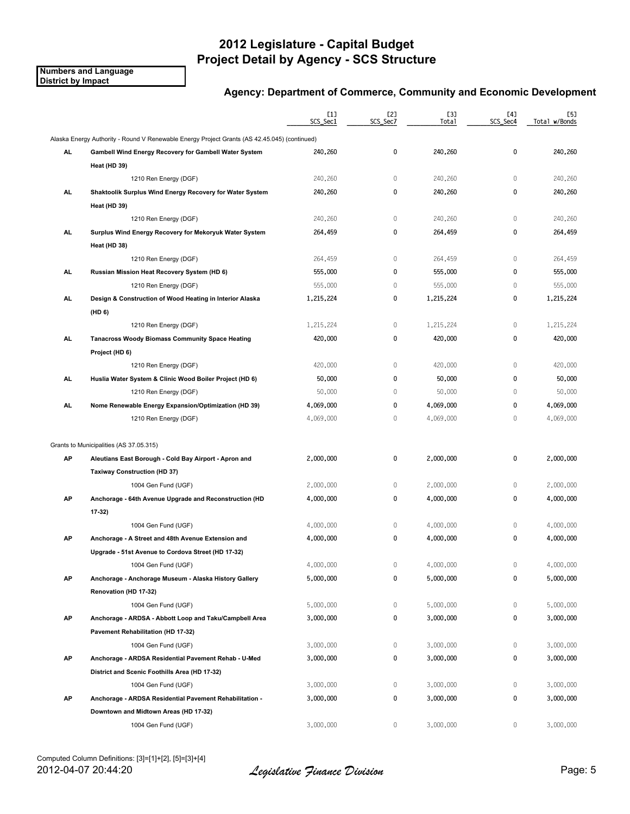**Numbers and Language District by Impact**

|     |                                                                                              | [1]<br>SCS_Sec1 | [2]<br>SCS_Sec7 | [3]<br>Total | [4]<br>SCS_Sec4 | [5]<br>Total w/Bonds |
|-----|----------------------------------------------------------------------------------------------|-----------------|-----------------|--------------|-----------------|----------------------|
|     | Alaska Energy Authority - Round V Renewable Energy Project Grants (AS 42.45.045) (continued) |                 |                 |              |                 |                      |
| AL  | Gambell Wind Energy Recovery for Gambell Water System                                        | 240,260         | 0               | 240,260      | 0               | 240,260              |
|     | Heat (HD 39)                                                                                 |                 |                 |              |                 |                      |
|     | 1210 Ren Energy (DGF)                                                                        | 240,260         | 0               | 240,260      | $\mathbb O$     | 240,260              |
| AL  | Shaktoolik Surplus Wind Energy Recovery for Water System                                     | 240,260         | 0               | 240,260      | 0               | 240,260              |
|     | Heat (HD 39)                                                                                 |                 |                 |              |                 |                      |
|     | 1210 Ren Energy (DGF)                                                                        | 240,260         | $\mathbb O$     | 240,260      | $\mathbb O$     | 240,260              |
| AL. | Surplus Wind Energy Recovery for Mekoryuk Water System                                       | 264,459         | 0               | 264,459      | 0               | 264,459              |
|     | Heat (HD 38)                                                                                 |                 |                 |              |                 |                      |
|     | 1210 Ren Energy (DGF)                                                                        | 264,459         | $\mathbb O$     | 264,459      | $\mathbf 0$     | 264,459              |
| AL. | Russian Mission Heat Recovery System (HD 6)                                                  | 555,000         | 0               | 555,000      | 0               | 555,000              |
|     | 1210 Ren Energy (DGF)                                                                        | 555,000         | 0               | 555,000      | 0               | 555,000              |
| AL  | Design & Construction of Wood Heating in Interior Alaska                                     | 1,215,224       | 0               | 1,215,224    | 0               | 1,215,224            |
|     | (HD 6)                                                                                       |                 |                 |              |                 |                      |
|     | 1210 Ren Energy (DGF)                                                                        | 1,215,224       | 0               | 1,215,224    | 0               | 1,215,224            |
| AL  | <b>Tanacross Woody Biomass Community Space Heating</b>                                       | 420,000         | 0               | 420,000      | 0               | 420,000              |
|     | Project (HD 6)                                                                               |                 |                 |              |                 |                      |
|     | 1210 Ren Energy (DGF)                                                                        | 420,000         | 0               | 420,000      | $\mathbb O$     | 420,000              |
| AL  | Huslia Water System & Clinic Wood Boiler Project (HD 6)                                      | 50,000          | 0               | 50,000       | 0               | 50,000               |
|     | 1210 Ren Energy (DGF)                                                                        | 50,000          | 0               | 50,000       | $\mathbf{0}$    | 50,000               |
| AL. | Nome Renewable Energy Expansion/Optimization (HD 39)                                         | 4,069,000       | 0               | 4,069,000    | 0               | 4,069,000            |
|     | 1210 Ren Energy (DGF)                                                                        | 4,069,000       | 0               | 4,069,000    | $\mathbf{0}$    | 4,069,000            |
|     | Grants to Municipalities (AS 37.05.315)                                                      |                 |                 |              |                 |                      |
| AP  | Aleutians East Borough - Cold Bay Airport - Apron and                                        | 2,000,000       | 0               | 2,000,000    | 0               | 2,000,000            |
|     | <b>Taxiway Construction (HD 37)</b>                                                          |                 |                 |              |                 |                      |
|     | 1004 Gen Fund (UGF)                                                                          | 2,000,000       | 0               | 2,000,000    | 0               | 2,000,000            |
| AP  | Anchorage - 64th Avenue Upgrade and Reconstruction (HD                                       | 4,000,000       | 0               | 4,000,000    | 0               | 4,000,000            |
|     | 17-32)                                                                                       |                 |                 |              |                 |                      |
|     | 1004 Gen Fund (UGF)                                                                          | 4,000,000       | 0               | 4,000,000    | $\mathbf 0$     | 4,000,000            |
| AP  | Anchorage - A Street and 48th Avenue Extension and                                           | 4,000,000       | 0               | 4,000,000    | 0               | 4,000,000            |
|     | Upgrade - 51st Avenue to Cordova Street (HD 17-32)                                           |                 |                 |              |                 |                      |
|     | 1004 Gen Fund (UGF)                                                                          | 4,000,000       | 0               | 4,000,000    | 0               | 4,000,000            |
| АP  | Anchorage - Anchorage Museum - Alaska History Gallery                                        | 5,000,000       | 0               | 5,000,000    | 0               | 5,000,000            |
|     | Renovation (HD 17-32)                                                                        |                 |                 |              |                 |                      |
|     | 1004 Gen Fund (UGF)                                                                          | 5,000,000       | 0               | 5,000,000    | $\mathbf 0$     | 5,000,000            |
| AP  | Anchorage - ARDSA - Abbott Loop and Taku/Campbell Area                                       | 3,000,000       | 0               | 3,000,000    | 0               | 3,000,000            |
|     | Pavement Rehabilitation (HD 17-32)                                                           |                 |                 |              |                 |                      |
|     | 1004 Gen Fund (UGF)                                                                          | 3,000,000       | 0               | 3,000,000    | 0               | 3,000,000            |
| AP  | Anchorage - ARDSA Residential Pavement Rehab - U-Med                                         | 3,000,000       | 0               | 3,000,000    | 0               | 3,000,000            |
|     | District and Scenic Foothills Area (HD 17-32)                                                |                 |                 |              |                 |                      |
|     | 1004 Gen Fund (UGF)                                                                          | 3,000,000       | 0               | 3,000,000    | 0               | 3,000,000            |
| AP  | Anchorage - ARDSA Residential Pavement Rehabilitation -                                      | 3,000,000       | 0               | 3,000,000    | 0               | 3,000,000            |
|     |                                                                                              |                 |                 |              |                 |                      |
|     | Downtown and Midtown Areas (HD 17-32)                                                        |                 |                 |              |                 |                      |
|     | 1004 Gen Fund (UGF)                                                                          | 3,000,000       | 0               | 3,000,000    | 0               | 3,000,000            |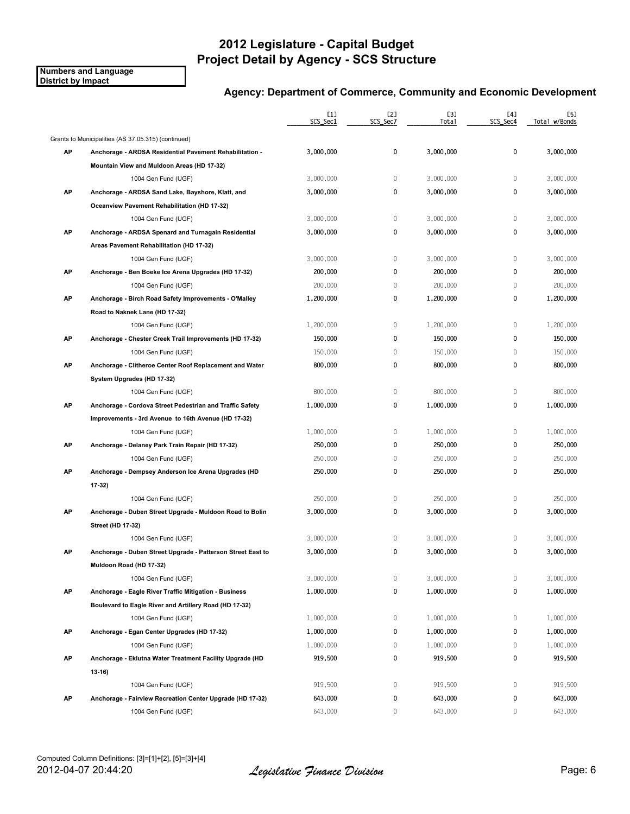**Numbers and Language District by Impact**

|    |                                                                                        | $[1]$<br>SCS_Sec1 | [2]<br>SCS_Sec7 | [3]<br>Total | [4]<br>SCS_Sec4 | [5]<br>Total w/Bonds |
|----|----------------------------------------------------------------------------------------|-------------------|-----------------|--------------|-----------------|----------------------|
|    | Grants to Municipalities (AS 37.05.315) (continued)                                    |                   |                 |              |                 |                      |
| AP | Anchorage - ARDSA Residential Pavement Rehabilitation -                                | 3,000,000         | 0               | 3,000,000    | 0               | 3,000,000            |
|    | Mountain View and Muldoon Areas (HD 17-32)                                             |                   |                 |              |                 |                      |
|    | 1004 Gen Fund (UGF)                                                                    | 3,000,000         | $\mathbb O$     | 3,000,000    | $\mathbf 0$     | 3,000,000            |
| AP | Anchorage - ARDSA Sand Lake, Bayshore, Klatt, and                                      | 3,000,000         | 0               | 3,000,000    | 0               | 3,000,000            |
|    | Oceanview Pavement Rehabilitation (HD 17-32)                                           |                   |                 |              |                 |                      |
|    | 1004 Gen Fund (UGF)                                                                    | 3,000,000         | $\mathbb O$     | 3,000,000    | $\mathbb O$     | 3,000,000            |
| AP | Anchorage - ARDSA Spenard and Turnagain Residential                                    | 3,000,000         | 0               | 3,000,000    | 0               | 3,000,000            |
|    | Areas Pavement Rehabilitation (HD 17-32)                                               |                   |                 |              |                 |                      |
|    | 1004 Gen Fund (UGF)                                                                    | 3,000,000         | $\mathbb O$     | 3,000,000    | $\mathbb O$     | 3,000,000            |
| AP | Anchorage - Ben Boeke Ice Arena Upgrades (HD 17-32)                                    | 200,000           | 0               | 200,000      | $\pmb{0}$       | 200,000              |
|    | 1004 Gen Fund (UGF)                                                                    | 200,000           | $\mathbb O$     | 200,000      | $\mathbf 0$     | 200,000              |
| AP | Anchorage - Birch Road Safety Improvements - O'Malley                                  | 1,200,000         | 0               | 1,200,000    | 0               | 1,200,000            |
|    | Road to Naknek Lane (HD 17-32)                                                         |                   |                 |              |                 |                      |
|    | 1004 Gen Fund (UGF)                                                                    | 1,200,000         | $\mathbb O$     | 1,200,000    | $\mathbb O$     | 1,200,000            |
| AP | Anchorage - Chester Creek Trail Improvements (HD 17-32)                                | 150,000           | 0               | 150,000      | 0               | 150,000              |
|    | 1004 Gen Fund (UGF)                                                                    | 150,000           | 0               | 150,000      | $\mathbf 0$     | 150,000              |
| АP | Anchorage - Clitheroe Center Roof Replacement and Water                                | 800,000           | 0               | 800,000      | 0               | 800,000              |
|    | System Upgrades (HD 17-32)                                                             |                   |                 |              |                 |                      |
|    | 1004 Gen Fund (UGF)                                                                    | 800,000           | $\mathbb O$     | 800,000      | $\mathbf{0}$    | 800,000              |
| AP | Anchorage - Cordova Street Pedestrian and Traffic Safety                               | 1,000,000         | 0               | 1,000,000    | 0               | 1,000,000            |
|    | Improvements - 3rd Avenue to 16th Avenue (HD 17-32)                                    |                   |                 |              |                 |                      |
|    | 1004 Gen Fund (UGF)                                                                    | 1,000,000         | $\mathbb O$     | 1,000,000    | $\mathbb O$     | 1,000,000            |
| AP | Anchorage - Delaney Park Train Repair (HD 17-32)                                       | 250,000           | 0               | 250,000      | 0               | 250,000              |
|    | 1004 Gen Fund (UGF)                                                                    | 250,000           | $\mathbb O$     | 250,000      | $\mathbf 0$     | 250,000              |
| АP | Anchorage - Dempsey Anderson Ice Arena Upgrades (HD                                    | 250,000           | 0               | 250,000      | $\mathbf 0$     | 250,000              |
|    | $17-32$                                                                                |                   |                 |              |                 |                      |
|    | 1004 Gen Fund (UGF)                                                                    | 250,000           | $\mathbb O$     | 250,000      | $\mathbf 0$     | 250,000              |
| АP | Anchorage - Duben Street Upgrade - Muldoon Road to Bolin                               | 3,000,000         | 0               | 3,000,000    | 0               | 3,000,000            |
|    | Street (HD 17-32)                                                                      |                   |                 |              |                 |                      |
|    | 1004 Gen Fund (UGF)                                                                    | 3,000,000         | 0               | 3,000,000    | $\mathbf 0$     | 3,000,000            |
| АP |                                                                                        | 3,000,000         | 0               | 3,000,000    | 0               | 3,000,000            |
|    | Anchorage - Duben Street Upgrade - Patterson Street East to<br>Muldoon Road (HD 17-32) |                   |                 |              |                 |                      |
|    |                                                                                        | 3,000,000         | 0               | 3,000,000    | 0               | 3,000,000            |
|    | 1004 Gen Fund (UGF)                                                                    |                   | 0               |              | 0               |                      |
| AP | Anchorage - Eagle River Traffic Mitigation - Business                                  | 1,000,000         |                 | 1,000,000    |                 | 1,000,000            |
|    | Boulevard to Eagle River and Artillery Road (HD 17-32)                                 |                   |                 |              |                 |                      |
|    | 1004 Gen Fund (UGF)                                                                    | 1,000,000         | 0               | 1,000,000    | $\mathbb O$     | 1,000,000            |
| AP | Anchorage - Egan Center Upgrades (HD 17-32)                                            | 1,000,000         | 0               | 1,000,000    | 0               | 1,000,000            |
|    | 1004 Gen Fund (UGF)                                                                    | 1,000,000         | 0               | 1,000,000    | $\mathbf 0$     | 1,000,000            |
| AP | Anchorage - Eklutna Water Treatment Facility Upgrade (HD                               | 919,500           | 0               | 919,500      | 0               | 919,500              |
|    | 13-16)                                                                                 |                   |                 |              |                 |                      |
|    | 1004 Gen Fund (UGF)                                                                    | 919,500           | 0               | 919,500      | $\mathbb O$     | 919,500              |
| AP | Anchorage - Fairview Recreation Center Upgrade (HD 17-32)                              | 643,000           | 0               | 643,000      | 0               | 643,000              |
|    | 1004 Gen Fund (UGF)                                                                    | 643,000           | 0               | 643,000      | 0               | 643,000              |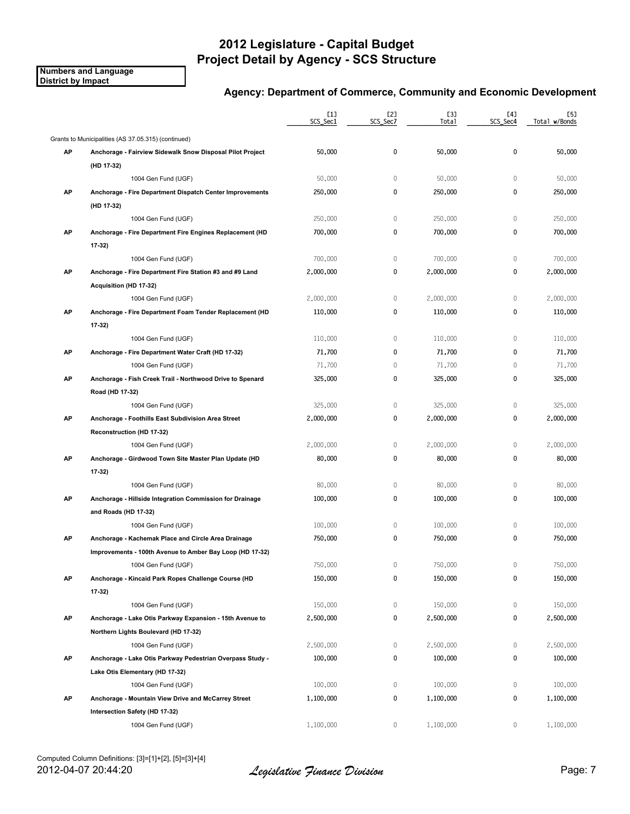**Numbers and Language District by Impact**

|    |                                                           | $[1]$<br>SCS_Sec1 | [2]<br>SCS_Sec7 | [3]<br><b>Total</b> | [4]<br>SCS_Sec4 | [5]<br>Total w/Bonds |
|----|-----------------------------------------------------------|-------------------|-----------------|---------------------|-----------------|----------------------|
|    | Grants to Municipalities (AS 37.05.315) (continued)       |                   |                 |                     |                 |                      |
| AP | Anchorage - Fairview Sidewalk Snow Disposal Pilot Project | 50,000            | 0               | 50,000              | 0               | 50,000               |
|    | (HD 17-32)                                                |                   |                 |                     |                 |                      |
|    | 1004 Gen Fund (UGF)                                       | 50,000            | $\mathbb O$     | 50,000              | $\mathbb O$     | 50,000               |
| AP | Anchorage - Fire Department Dispatch Center Improvements  | 250,000           | 0               | 250,000             | 0               | 250,000              |
|    | (HD 17-32)                                                |                   |                 |                     |                 |                      |
|    | 1004 Gen Fund (UGF)                                       | 250,000           | $\mathbb O$     | 250,000             | $\mathbb O$     | 250,000              |
| AP | Anchorage - Fire Department Fire Engines Replacement (HD  | 700,000           | 0               | 700,000             | 0               | 700,000              |
|    | $17-32$                                                   |                   |                 |                     |                 |                      |
|    | 1004 Gen Fund (UGF)                                       | 700,000           | $\mathbb O$     | 700,000             | $\mathbb O$     | 700,000              |
| AP | Anchorage - Fire Department Fire Station #3 and #9 Land   | 2,000,000         | 0               | 2,000,000           | 0               | 2,000,000            |
|    | Acquisition (HD 17-32)                                    |                   |                 |                     |                 |                      |
|    | 1004 Gen Fund (UGF)                                       | 2,000,000         | $\mathbb O$     | 2,000,000           | $\mathbf 0$     | 2,000,000            |
| AP | Anchorage - Fire Department Foam Tender Replacement (HD   | 110,000           | 0               | 110,000             | 0               | 110,000              |
|    | $17-32$                                                   |                   |                 |                     |                 |                      |
|    | 1004 Gen Fund (UGF)                                       | 110,000           | $\mathbb O$     | 110,000             | $\mathbb O$     | 110,000              |
| АP | Anchorage - Fire Department Water Craft (HD 17-32)        | 71,700            | 0               | 71,700              | 0               | 71,700               |
|    | 1004 Gen Fund (UGF)                                       | 71,700            | 0               | 71,700              | $\mathbb O$     | 71,700               |
| AP | Anchorage - Fish Creek Trail - Northwood Drive to Spenard | 325,000           | 0               | 325,000             | 0               | 325,000              |
|    | Road (HD 17-32)                                           |                   |                 |                     |                 |                      |
|    | 1004 Gen Fund (UGF)                                       | 325,000           | $\mathbb O$     | 325,000             | $\mathbf 0$     | 325,000              |
| AP | Anchorage - Foothills East Subdivision Area Street        | 2,000,000         | 0               | 2,000,000           | 0               | 2,000,000            |
|    | Reconstruction (HD 17-32)                                 |                   |                 |                     |                 |                      |
|    | 1004 Gen Fund (UGF)                                       | 2,000,000         | 0               | 2,000,000           | 0               | 2,000,000            |
| AP | Anchorage - Girdwood Town Site Master Plan Update (HD     | 80,000            | 0               | 80,000              | 0               | 80,000               |
|    | 17-32)                                                    |                   |                 |                     |                 |                      |
|    | 1004 Gen Fund (UGF)                                       | 80,000            | 0               | 80,000              | $\mathbf 0$     | 80,000               |
| AP | Anchorage - Hillside Integration Commission for Drainage  | 100,000           | 0               | 100,000             | 0               | 100,000              |
|    | and Roads (HD 17-32)                                      |                   |                 |                     |                 |                      |
|    | 1004 Gen Fund (UGF)                                       | 100,000           | 0               | 100,000             | $\mathbb O$     | 100,000              |
| AP | Anchorage - Kachemak Place and Circle Area Drainage       | 750,000           | 0               | 750,000             | 0               | 750,000              |
|    | Improvements - 100th Avenue to Amber Bay Loop (HD 17-32)  |                   |                 |                     |                 |                      |
|    | 1004 Gen Fund (UGF)                                       | 750,000           | 0               | 750,000             | 0               | 750,000              |
| АP | Anchorage - Kincaid Park Ropes Challenge Course (HD       | 150,000           | 0               | 150,000             | 0               | 150,000              |
|    | $17-32$                                                   |                   |                 |                     |                 |                      |
|    | 1004 Gen Fund (UGF)                                       | 150,000           | 0               | 150,000             | 0               | 150,000              |
| AP | Anchorage - Lake Otis Parkway Expansion - 15th Avenue to  | 2,500,000         | 0               | 2,500,000           | 0               | 2,500,000            |
|    | Northern Lights Boulevard (HD 17-32)                      |                   |                 |                     |                 |                      |
|    | 1004 Gen Fund (UGF)                                       | 2,500,000         | 0               | 2,500,000           | 0               | 2,500,000            |
| AP | Anchorage - Lake Otis Parkway Pedestrian Overpass Study - | 100,000           | 0               | 100,000             | 0               | 100,000              |
|    | Lake Otis Elementary (HD 17-32)                           |                   |                 |                     |                 |                      |
|    | 1004 Gen Fund (UGF)                                       | 100,000           | 0               | 100,000             | $\mathbb O$     | 100,000              |
| AP | Anchorage - Mountain View Drive and McCarrey Street       | 1,100,000         | 0               | 1,100,000           | 0               | 1,100,000            |
|    | Intersection Safety (HD 17-32)                            |                   |                 |                     |                 |                      |
|    | 1004 Gen Fund (UGF)                                       | 1,100,000         | 0               | 1,100,000           | 0               | 1,100,000            |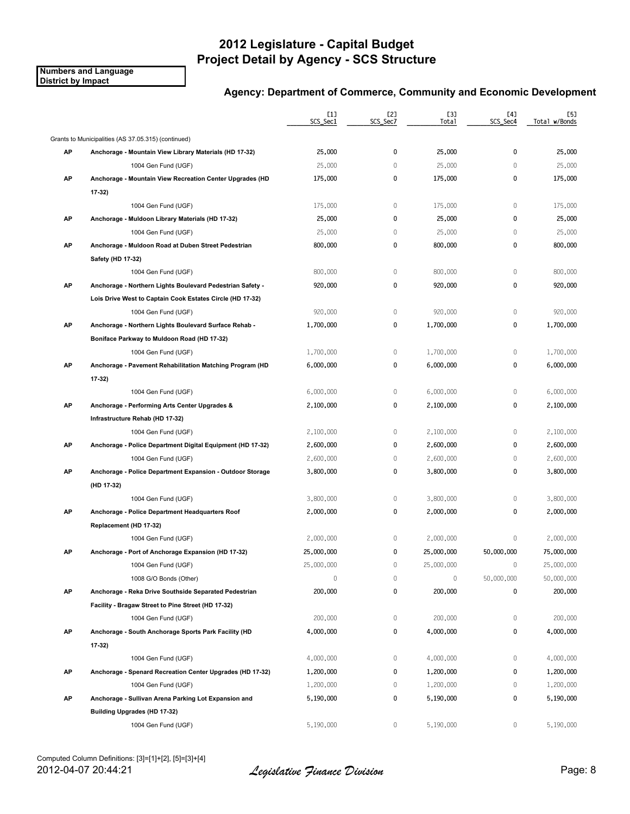**Numbers and Language District by Impact**

|    |                                                            | [1]<br>SCS_Sec1 | [2]<br>SCS Sec7 | [3]<br>Total | [4]<br>SCS_Sec4 | [5]<br>Total w/Bonds |
|----|------------------------------------------------------------|-----------------|-----------------|--------------|-----------------|----------------------|
|    | Grants to Municipalities (AS 37.05.315) (continued)        |                 |                 |              |                 |                      |
| АP | Anchorage - Mountain View Library Materials (HD 17-32)     | 25,000          | 0               | 25,000       | 0               | 25,000               |
|    | 1004 Gen Fund (UGF)                                        | 25,000          | $\mathbb O$     | 25,000       | $\mathbf{0}$    | 25,000               |
| АP | Anchorage - Mountain View Recreation Center Upgrades (HD   | 175,000         | 0               | 175,000      | 0               | 175,000              |
|    | $17-32$                                                    |                 |                 |              |                 |                      |
|    | 1004 Gen Fund (UGF)                                        | 175,000         | 0               | 175,000      | 0               | 175,000              |
| АP | Anchorage - Muldoon Library Materials (HD 17-32)           | 25,000          | 0               | 25,000       | 0               | 25,000               |
|    | 1004 Gen Fund (UGF)                                        | 25,000          | 0               | 25,000       | 0               | 25,000               |
| AP | Anchorage - Muldoon Road at Duben Street Pedestrian        | 800,000         | 0               | 800,000      | 0               | 800,000              |
|    | Safety (HD 17-32)                                          |                 |                 |              |                 |                      |
|    | 1004 Gen Fund (UGF)                                        | 800,000         | $\mathbb O$     | 800,000      | $\mathbb O$     | 800,000              |
| AP | Anchorage - Northern Lights Boulevard Pedestrian Safety -  | 920,000         | 0               | 920,000      | 0               | 920,000              |
|    | Lois Drive West to Captain Cook Estates Circle (HD 17-32)  |                 |                 |              |                 |                      |
|    | 1004 Gen Fund (UGF)                                        | 920,000         | 0               | 920,000      | 0               | 920,000              |
| AP | Anchorage - Northern Lights Boulevard Surface Rehab -      | 1,700,000       | 0               | 1,700,000    | 0               | 1,700,000            |
|    | Boniface Parkway to Muldoon Road (HD 17-32)                |                 |                 |              |                 |                      |
|    | 1004 Gen Fund (UGF)                                        | 1,700,000       | 0               | 1,700,000    | $\mathbf 0$     | 1,700,000            |
| АP | Anchorage - Pavement Rehabilitation Matching Program (HD   | 6,000,000       | 0               | 6,000,000    | 0               | 6,000,000            |
|    | $17-32$                                                    |                 |                 |              |                 |                      |
|    | 1004 Gen Fund (UGF)                                        | 6,000,000       | $\mathbb O$     | 6,000,000    | 0               | 6,000,000            |
| AP | Anchorage - Performing Arts Center Upgrades &              | 2,100,000       | 0               | 2,100,000    | 0               | 2,100,000            |
|    | Infrastructure Rehab (HD 17-32)                            |                 |                 |              |                 |                      |
|    | 1004 Gen Fund (UGF)                                        | 2,100,000       | $\mathbb O$     | 2,100,000    | 0               | 2,100,000            |
| AP | Anchorage - Police Department Digital Equipment (HD 17-32) | 2,600,000       | 0               | 2,600,000    | 0               | 2,600,000            |
|    | 1004 Gen Fund (UGF)                                        | 2,600,000       | 0               | 2,600,000    | 0               | 2,600,000            |
| AP | Anchorage - Police Department Expansion - Outdoor Storage  | 3,800,000       | 0               | 3,800,000    | 0               | 3,800,000            |
|    | (HD 17-32)                                                 |                 |                 |              |                 |                      |
|    | 1004 Gen Fund (UGF)                                        | 3,800,000       | 0               | 3,800,000    | 0               | 3,800,000            |
| АP | Anchorage - Police Department Headquarters Roof            | 2,000,000       | 0               | 2,000,000    | 0               | 2,000,000            |
|    | Replacement (HD 17-32)                                     |                 |                 |              |                 |                      |
|    | 1004 Gen Fund (UGF)                                        | 2,000,000       | 0               | 2,000,000    | 0               | 2,000,000            |
| АP | Anchorage - Port of Anchorage Expansion (HD 17-32)         | 25,000,000      | 0               | 25,000,000   | 50,000,000      | 75,000,000           |
|    | 1004 Gen Fund (UGF)                                        | 25,000,000      | 0               | 25,000,000   | 0               | 25,000,000           |
|    | 1008 G/O Bonds (Other)                                     | 0               | $\mathbf 0$     | 0            | 50,000,000      | 50,000,000           |
| АP | Anchorage - Reka Drive Southside Separated Pedestrian      | 200,000         | 0               | 200,000      | 0               | 200,000              |
|    | Facility - Bragaw Street to Pine Street (HD 17-32)         |                 |                 |              |                 |                      |
|    | 1004 Gen Fund (UGF)                                        | 200,000         | 0               | 200,000      | 0               | 200,000              |
| АP | Anchorage - South Anchorage Sports Park Facility (HD       | 4,000,000       | 0               | 4,000,000    | 0               | 4,000,000            |
|    | $17-32$                                                    |                 |                 |              |                 |                      |
|    | 1004 Gen Fund (UGF)                                        | 4,000,000       | 0               | 4,000,000    | 0               | 4,000,000            |
| AP | Anchorage - Spenard Recreation Center Upgrades (HD 17-32)  | 1,200,000       | 0               | 1,200,000    | 0               | 1,200,000            |
|    | 1004 Gen Fund (UGF)                                        | 1,200,000       | 0               | 1,200,000    | 0               | 1,200,000            |
| AP | Anchorage - Sullivan Arena Parking Lot Expansion and       | 5,190,000       | 0               | 5,190,000    | 0               | 5,190,000            |
|    | Building Upgrades (HD 17-32)                               |                 |                 |              |                 |                      |
|    | 1004 Gen Fund (UGF)                                        | 5,190,000       | 0               | 5,190,000    | 0               | 5,190,000            |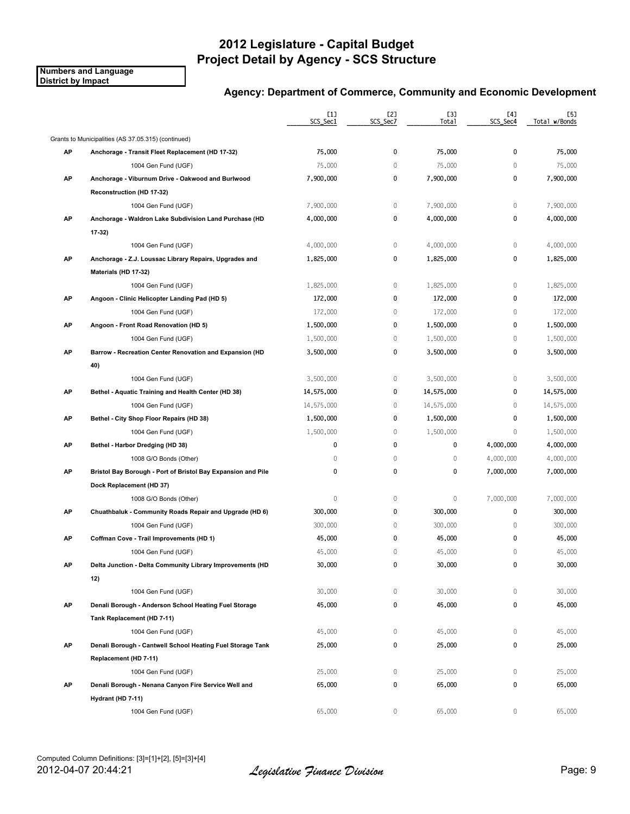**Numbers and Language District by Impact**

|    |                                                              | [1]<br>SCS_Sec1 | [2]<br>SCS Sec7 | [3]<br><b>Total</b> | [4]<br>SCS Sec4 | [5]<br>Total w/Bonds |
|----|--------------------------------------------------------------|-----------------|-----------------|---------------------|-----------------|----------------------|
|    | Grants to Municipalities (AS 37.05.315) (continued)          |                 |                 |                     |                 |                      |
| AP | Anchorage - Transit Fleet Replacement (HD 17-32)             | 75,000          | 0               | 75,000              | 0               | 75,000               |
|    | 1004 Gen Fund (UGF)                                          | 75,000          | $\mathbb O$     | 75,000              | $\mathbb O$     | 75,000               |
| AP | Anchorage - Viburnum Drive - Oakwood and Burlwood            | 7,900,000       | 0               | 7,900,000           | 0               | 7,900,000            |
|    | Reconstruction (HD 17-32)                                    |                 |                 |                     |                 |                      |
|    | 1004 Gen Fund (UGF)                                          | 7,900,000       | 0               | 7,900,000           | $\mathbb O$     | 7,900,000            |
| AP | Anchorage - Waldron Lake Subdivision Land Purchase (HD       | 4,000,000       | 0               | 4,000,000           | 0               | 4,000,000            |
|    | 17-32)                                                       |                 |                 |                     |                 |                      |
|    | 1004 Gen Fund (UGF)                                          | 4,000,000       | $\mathbb O$     | 4,000,000           | $\mathbb O$     | 4,000,000            |
| AP | Anchorage - Z.J. Loussac Library Repairs, Upgrades and       | 1,825,000       | 0               | 1,825,000           | $\pmb{0}$       | 1,825,000            |
|    | Materials (HD 17-32)                                         |                 |                 |                     |                 |                      |
|    | 1004 Gen Fund (UGF)                                          | 1,825,000       | $\mathbb O$     | 1,825,000           | $\mathbb O$     | 1,825,000            |
| AP | Angoon - Clinic Helicopter Landing Pad (HD 5)                | 172,000         | 0               | 172,000             | 0               | 172,000              |
|    | 1004 Gen Fund (UGF)                                          | 172,000         | $\mathbb O$     | 172,000             | $\mathbf 0$     | 172,000              |
| AP | Angoon - Front Road Renovation (HD 5)                        | 1,500,000       | 0               | 1,500,000           | 0               | 1,500,000            |
|    | 1004 Gen Fund (UGF)                                          | 1,500,000       | $\mathbb O$     | 1,500,000           | $\mathbf 0$     | 1,500,000            |
| АP | Barrow - Recreation Center Renovation and Expansion (HD      | 3,500,000       | 0               | 3,500,000           | $\mathbf 0$     | 3,500,000            |
|    | 40)                                                          |                 |                 |                     |                 |                      |
|    | 1004 Gen Fund (UGF)                                          | 3,500,000       | $\,0\,$         | 3,500,000           | $\mathbf 0$     | 3,500,000            |
| АP | Bethel - Aquatic Training and Health Center (HD 38)          | 14,575,000      | 0               | 14,575,000          | $\mathbf 0$     | 14,575,000           |
|    | 1004 Gen Fund (UGF)                                          | 14,575,000      | $\mathbb O$     | 14,575,000          | $\mathbf{0}$    | 14,575,000           |
| AP | Bethel - City Shop Floor Repairs (HD 38)                     | 1,500,000       | 0               | 1,500,000           | 0               | 1,500,000            |
|    | 1004 Gen Fund (UGF)                                          | 1,500,000       | $\mathbb O$     | 1,500,000           | $\mathbb O$     | 1,500,000            |
| AP | Bethel - Harbor Dredging (HD 38)                             | 0               | 0               | 0                   | 4,000,000       | 4,000,000            |
|    | 1008 G/O Bonds (Other)                                       | 0               | $\mathbb O$     | $\mathbb O$         | 4,000,000       | 4,000,000            |
| AP | Bristol Bay Borough - Port of Bristol Bay Expansion and Pile | 0               | 0               | 0                   | 7,000,000       | 7,000,000            |
|    | Dock Replacement (HD 37)                                     |                 |                 |                     |                 |                      |
|    | 1008 G/O Bonds (Other)                                       | 0               | $\mathbb O$     | $\mathbb O$         | 7,000,000       | 7,000,000            |
| AP | Chuathbaluk - Community Roads Repair and Upgrade (HD 6)      | 300,000         | 0               | 300,000             | 0               | 300,000              |
|    | 1004 Gen Fund (UGF)                                          | 300,000         | $\mathbb O$     | 300,000             | $\mathbb O$     | 300,000              |
| АP | Coffman Cove - Trail Improvements (HD 1)                     | 45,000          | 0               | 45,000              | 0               | 45,000               |
|    | 1004 Gen Fund (UGF)                                          | 45,000          | 0               | 45,000              | $\mathbf 0$     | 45,000               |
| АP | Delta Junction - Delta Community Library Improvements (HD    | 30,000          | 0               | 30,000              | 0               | 30,000               |
|    | 12)                                                          |                 |                 |                     |                 |                      |
|    | 1004 Gen Fund (UGF)                                          | 30,000          | $\mathbb O$     | 30,000              | $\mathbf 0$     | 30,000               |
| AP | Denali Borough - Anderson School Heating Fuel Storage        | 45,000          | 0               | 45,000              | 0               | 45,000               |
|    | Tank Replacement (HD 7-11)                                   |                 |                 |                     |                 |                      |
|    | 1004 Gen Fund (UGF)                                          | 45,000          | 0               | 45,000              | 0               | 45,000               |
| AP | Denali Borough - Cantwell School Heating Fuel Storage Tank   | 25,000          | 0               | 25,000              | $\mathbf 0$     | 25,000               |
|    | Replacement (HD 7-11)                                        |                 |                 |                     |                 |                      |
|    | 1004 Gen Fund (UGF)                                          | 25,000          | 0               | 25,000              | 0               | 25,000               |
| AP | Denali Borough - Nenana Canyon Fire Service Well and         | 65,000          | 0               | 65,000              | 0               | 65,000               |
|    | Hydrant (HD 7-11)                                            |                 |                 |                     |                 |                      |
|    | 1004 Gen Fund (UGF)                                          | 65,000          | $\mathbf{0}$    | 65,000              | $\mathbf{0}$    | 65,000               |
|    |                                                              |                 |                 |                     |                 |                      |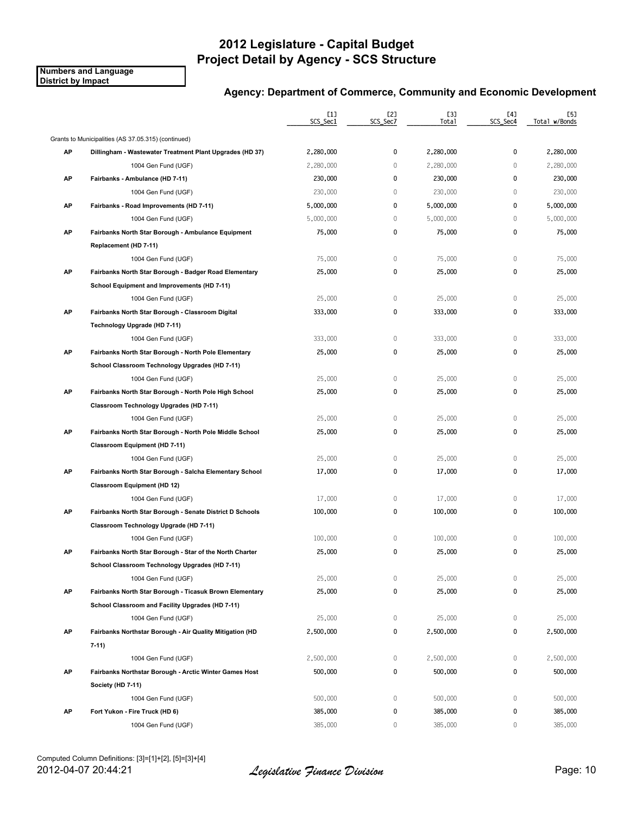**Numbers and Language District by Impact**

|    |                                                          | [1]<br>SCS_Sec1 | [2]<br>SCS_Sec7 | <b>[3]</b><br>Total | [4]<br>SCS Sec4 | [5]<br>Total w/Bonds |
|----|----------------------------------------------------------|-----------------|-----------------|---------------------|-----------------|----------------------|
|    | Grants to Municipalities (AS 37.05.315) (continued)      |                 |                 |                     |                 |                      |
| AP | Dillingham - Wastewater Treatment Plant Upgrades (HD 37) | 2,280,000       | 0               | 2,280,000           | 0               | 2,280,000            |
|    | 1004 Gen Fund (UGF)                                      | 2,280,000       | $\mathbb O$     | 2,280,000           | 0               | 2,280,000            |
| AP | Fairbanks - Ambulance (HD 7-11)                          | 230,000         | 0               | 230,000             | 0               | 230,000              |
|    | 1004 Gen Fund (UGF)                                      | 230,000         | 0               | 230,000             | $\mathbf{0}$    | 230,000              |
| AP | Fairbanks - Road Improvements (HD 7-11)                  | 5,000,000       | 0               | 5,000,000           | 0               | 5,000,000            |
|    | 1004 Gen Fund (UGF)                                      | 5,000,000       | 0               | 5,000,000           | $\mathbf{0}$    | 5,000,000            |
| АP | Fairbanks North Star Borough - Ambulance Equipment       | 75,000          | 0               | 75,000              | 0               | 75,000               |
|    | Replacement (HD 7-11)                                    |                 |                 |                     |                 |                      |
|    | 1004 Gen Fund (UGF)                                      | 75,000          | 0               | 75,000              | 0               | 75,000               |
| AP | Fairbanks North Star Borough - Badger Road Elementary    | 25,000          | 0               | 25,000              | 0               | 25,000               |
|    | School Equipment and Improvements (HD 7-11)              |                 |                 |                     |                 |                      |
|    | 1004 Gen Fund (UGF)                                      | 25,000          | 0               | 25,000              | 0               | 25,000               |
| AP | Fairbanks North Star Borough - Classroom Digital         | 333,000         | 0               | 333,000             | 0               | 333,000              |
|    | Technology Upgrade (HD 7-11)                             |                 |                 |                     |                 |                      |
|    | 1004 Gen Fund (UGF)                                      | 333,000         | 0               | 333,000             | 0               | 333,000              |
| AP | Fairbanks North Star Borough - North Pole Elementary     | 25,000          | 0               | 25,000              | 0               | 25,000               |
|    | School Classroom Technology Upgrades (HD 7-11)           |                 |                 |                     |                 |                      |
|    | 1004 Gen Fund (UGF)                                      | 25,000          | 0               | 25,000              | 0               | 25,000               |
| AP | Fairbanks North Star Borough - North Pole High School    | 25,000          | 0               | 25,000              | 0               | 25,000               |
|    | Classroom Technology Upgrades (HD 7-11)                  |                 |                 |                     |                 |                      |
|    | 1004 Gen Fund (UGF)                                      | 25,000          | $\mathbb O$     | 25,000              | 0               | 25,000               |
| AP | Fairbanks North Star Borough - North Pole Middle School  | 25,000          | 0               | 25,000              | 0               | 25,000               |
|    | Classroom Equipment (HD 7-11)                            |                 |                 |                     |                 |                      |
|    | 1004 Gen Fund (UGF)                                      | 25,000          | 0               | 25,000              | $\mathbf 0$     | 25,000               |
| AP | Fairbanks North Star Borough - Salcha Elementary School  | 17,000          | 0               | 17,000              | 0               | 17,000               |
|    | <b>Classroom Equipment (HD 12)</b>                       |                 |                 |                     |                 |                      |
|    | 1004 Gen Fund (UGF)                                      | 17,000          | 0               | 17,000              | 0               | 17,000               |
| AP | Fairbanks North Star Borough - Senate District D Schools | 100,000         | 0               | 100,000             | 0               | 100,000              |
|    | Classroom Technology Upgrade (HD 7-11)                   |                 |                 |                     |                 |                      |
|    | 1004 Gen Fund (UGF)                                      | 100,000         | 0               | 100,000             | $\mathbf 0$     | 100,000              |
| AP | Fairbanks North Star Borough - Star of the North Charter | 25,000          | 0               | 25,000              | 0               | 25,000               |
|    | School Classroom Technology Upgrades (HD 7-11)           |                 |                 |                     |                 |                      |
|    | 1004 Gen Fund (UGF)                                      | 25,000          | 0               | 25,000              | $\mathbf 0$     | 25,000               |
| AP | Fairbanks North Star Borough - Ticasuk Brown Elementary  | 25,000          | 0               | 25,000              | 0               | 25,000               |
|    | School Classroom and Facility Upgrades (HD 7-11)         |                 |                 |                     |                 |                      |
|    | 1004 Gen Fund (UGF)                                      | 25,000          | 0               | 25,000              | 0               | 25,000               |
| AP | Fairbanks Northstar Borough - Air Quality Mitigation (HD | 2,500,000       | 0               | 2,500,000           | 0               | 2,500,000            |
|    | $7-11$                                                   |                 |                 |                     |                 |                      |
|    | 1004 Gen Fund (UGF)                                      | 2,500,000       | 0               | 2,500,000           | 0               | 2,500,000            |
| AP | Fairbanks Northstar Borough - Arctic Winter Games Host   | 500,000         | 0               | 500,000             | 0               | 500,000              |
|    | Society (HD 7-11)                                        |                 |                 |                     |                 |                      |
|    | 1004 Gen Fund (UGF)                                      | 500,000         | 0               | 500,000             | 0               | 500,000              |
| AP | Fort Yukon - Fire Truck (HD 6)                           | 385,000         | 0               | 385,000             | 0               | 385,000              |
|    | 1004 Gen Fund (UGF)                                      | 385,000         | 0               | 385,000             | 0               | 385,000              |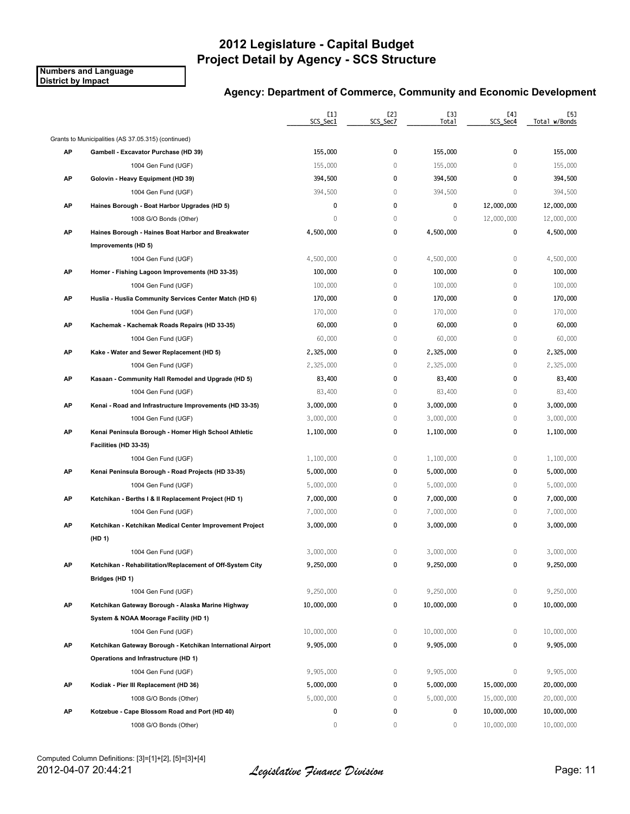**Numbers and Language District by Impact**

|    |                                                             | $[1]$<br>SCS_Sec1 | [2]<br>SCS Sec7 | [3]<br>Total | [4]<br>SCS_Sec4 | [5]<br>Total w/Bonds |
|----|-------------------------------------------------------------|-------------------|-----------------|--------------|-----------------|----------------------|
|    | Grants to Municipalities (AS 37.05.315) (continued)         |                   |                 |              |                 |                      |
| АP | Gambell - Excavator Purchase (HD 39)                        | 155,000           | 0               | 155,000      | 0               | 155,000              |
|    | 1004 Gen Fund (UGF)                                         | 155,000           | $\mathbb O$     | 155,000      | 0               | 155,000              |
| AP | Golovin - Heavy Equipment (HD 39)                           | 394,500           | 0               | 394,500      | 0               | 394,500              |
|    | 1004 Gen Fund (UGF)                                         | 394,500           | $\mathbf 0$     | 394,500      | 0               | 394,500              |
| АP | Haines Borough - Boat Harbor Upgrades (HD 5)                | 0                 | 0               | 0            | 12,000,000      | 12,000,000           |
|    | 1008 G/O Bonds (Other)                                      | $\mathbb O$       | $\mathbf 0$     | $\mathbf 0$  | 12,000,000      | 12,000,000           |
| АP | Haines Borough - Haines Boat Harbor and Breakwater          | 4,500,000         | 0               | 4,500,000    | 0               | 4,500,000            |
|    | Improvements (HD 5)                                         |                   |                 |              |                 |                      |
|    | 1004 Gen Fund (UGF)                                         | 4,500,000         | 0               | 4,500,000    | 0               | 4,500,000            |
| АP | Homer - Fishing Lagoon Improvements (HD 33-35)              | 100,000           | 0               | 100,000      | 0               | 100,000              |
|    | 1004 Gen Fund (UGF)                                         | 100,000           | $\mathbb O$     | 100,000      | 0               | 100,000              |
| АP | Huslia - Huslia Community Services Center Match (HD 6)      | 170,000           | 0               | 170,000      | 0               | 170,000              |
|    | 1004 Gen Fund (UGF)                                         | 170,000           | $\mathbb O$     | 170,000      | $\mathbf{0}$    | 170,000              |
| AP | Kachemak - Kachemak Roads Repairs (HD 33-35)                | 60,000            | 0               | 60,000       | 0               | 60,000               |
|    | 1004 Gen Fund (UGF)                                         | 60,000            | $\mathbf 0$     | 60,000       | 0               | 60,000               |
| АP | Kake - Water and Sewer Replacement (HD 5)                   | 2,325,000         | 0               | 2,325,000    | 0               | 2,325,000            |
|    | 1004 Gen Fund (UGF)                                         | 2,325,000         | $\mathbb O$     | 2,325,000    | 0               | 2,325,000            |
| АP | Kasaan - Community Hall Remodel and Upgrade (HD 5)          | 83,400            | $\mathbf 0$     | 83,400       | 0               | 83,400               |
|    | 1004 Gen Fund (UGF)                                         | 83,400            | $\mathbb O$     | 83,400       | 0               | 83,400               |
| AP | Kenai - Road and Infrastructure Improvements (HD 33-35)     | 3,000,000         | 0               | 3,000,000    | 0               | 3,000,000            |
|    | 1004 Gen Fund (UGF)                                         | 3,000,000         | $\mathbb O$     | 3,000,000    | 0               | 3,000,000            |
| AP | Kenai Peninsula Borough - Homer High School Athletic        | 1,100,000         | 0               | 1,100,000    | 0               | 1,100,000            |
|    | Facilities (HD 33-35)                                       |                   |                 |              |                 |                      |
|    | 1004 Gen Fund (UGF)                                         | 1,100,000         | 0               | 1,100,000    | 0               | 1,100,000            |
| AP | Kenai Peninsula Borough - Road Projects (HD 33-35)          | 5,000,000         | 0               | 5,000,000    | 0               | 5,000,000            |
|    | 1004 Gen Fund (UGF)                                         | 5,000,000         | $\mathbf 0$     | 5,000,000    | 0               | 5,000,000            |
| AP | Ketchikan - Berths I & II Replacement Project (HD 1)        | 7,000,000         | 0               | 7,000,000    | 0               | 7,000,000            |
|    | 1004 Gen Fund (UGF)                                         | 7,000,000         | $\mathbf 0$     | 7,000,000    | 0               | 7,000,000            |
| АP | Ketchikan - Ketchikan Medical Center Improvement Project    | 3,000,000         | 0               | 3,000,000    | 0               | 3,000,000            |
|    | (HD 1)                                                      |                   |                 |              |                 |                      |
|    | 1004 Gen Fund (UGF)                                         | 3,000,000         | $\mathbb O$     | 3,000,000    | 0               | 3,000,000            |
| АΡ | Ketchikan - Rehabilitation/Replacement of Off-System City   | 9,250,000         | 0               | 9,250,000    | 0               | 9,250,000            |
|    | Bridges (HD 1)                                              |                   |                 |              |                 |                      |
|    | 1004 Gen Fund (UGF)                                         | 9,250,000         | 0               | 9,250,000    | 0               | 9,250,000            |
| AP | Ketchikan Gateway Borough - Alaska Marine Highway           | 10,000,000        | 0               | 10,000,000   | 0               | 10,000,000           |
|    | System & NOAA Moorage Facility (HD 1)                       |                   |                 |              |                 |                      |
|    | 1004 Gen Fund (UGF)                                         | 10,000,000        | 0               | 10,000,000   | 0               | 10,000,000           |
| AP | Ketchikan Gateway Borough - Ketchikan International Airport | 9,905,000         | 0               | 9,905,000    | 0               | 9,905,000            |
|    | Operations and Infrastructure (HD 1)                        |                   |                 |              |                 |                      |
|    | 1004 Gen Fund (UGF)                                         | 9,905,000         | 0               | 9,905,000    | 0               | 9,905,000            |
| АP | Kodiak - Pier III Replacement (HD 36)                       | 5,000,000         | 0               | 5,000,000    | 15,000,000      | 20,000,000           |
|    | 1008 G/O Bonds (Other)                                      | 5,000,000         | 0               | 5,000,000    | 15,000,000      | 20,000,000           |
| AP | Kotzebue - Cape Blossom Road and Port (HD 40)               | 0                 | 0               | 0            | 10,000,000      | 10,000,000           |
|    | 1008 G/O Bonds (Other)                                      | $\mathbf{0}$      | $\mathbf{0}$    | $\mathbf{0}$ | 10,000,000      | 10,000,000           |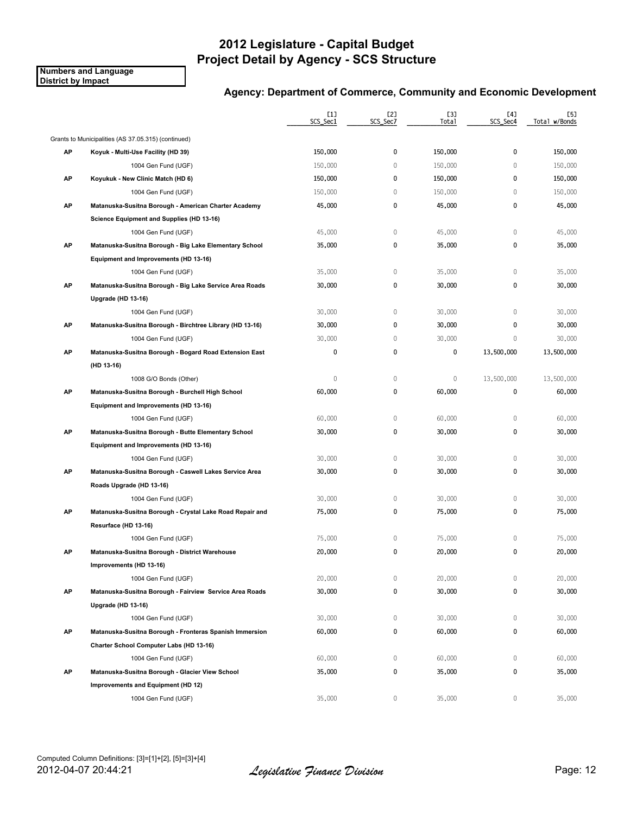**Numbers and Language District by Impact**

|    |                                                          | [1]<br>SCS_Sec1 | [2]<br>SCS_Sec7 | [3]<br>Total | [4]<br>SCS Sec4 | [5]<br>Total w/Bonds |
|----|----------------------------------------------------------|-----------------|-----------------|--------------|-----------------|----------------------|
|    | Grants to Municipalities (AS 37.05.315) (continued)      |                 |                 |              |                 |                      |
| AP | Koyuk - Multi-Use Facility (HD 39)                       | 150,000         | 0               | 150,000      | 0               | 150,000              |
|    | 1004 Gen Fund (UGF)                                      | 150,000         | $\mathbf{0}$    | 150,000      | $\mathbf{0}$    | 150,000              |
| AP | Koyukuk - New Clinic Match (HD 6)                        | 150,000         | 0               | 150,000      | 0               | 150,000              |
|    | 1004 Gen Fund (UGF)                                      | 150,000         | 0               | 150,000      | $\mathbf 0$     | 150,000              |
| AP | Matanuska-Susitna Borough - American Charter Academy     | 45,000          | 0               | 45,000       | 0               | 45,000               |
|    | Science Equipment and Supplies (HD 13-16)                |                 |                 |              |                 |                      |
|    | 1004 Gen Fund (UGF)                                      | 45,000          | $\mathbb O$     | 45,000       | $\mathbf{0}$    | 45,000               |
| AP | Matanuska-Susitna Borough - Big Lake Elementary School   | 35,000          | 0               | 35,000       | 0               | 35,000               |
|    | Equipment and Improvements (HD 13-16)                    |                 |                 |              |                 |                      |
|    | 1004 Gen Fund (UGF)                                      | 35,000          | $\mathbb O$     | 35,000       | $\mathbb O$     | 35,000               |
| AP | Matanuska-Susitna Borough - Big Lake Service Area Roads  | 30,000          | 0               | 30,000       | 0               | 30,000               |
|    | Upgrade (HD 13-16)                                       |                 |                 |              |                 |                      |
|    | 1004 Gen Fund (UGF)                                      | 30,000          | $\mathbb O$     | 30,000       | $\mathbf{0}$    | 30,000               |
| AP | Matanuska-Susitna Borough - Birchtree Library (HD 13-16) | 30,000          | 0               | 30,000       | 0               | 30,000               |
|    | 1004 Gen Fund (UGF)                                      | 30,000          | 0               | 30,000       | 0               | 30,000               |
| АP | Matanuska-Susitna Borough - Bogard Road Extension East   | 0               | 0               | 0            | 13,500,000      | 13,500,000           |
|    | (HD 13-16)                                               |                 |                 |              |                 |                      |
|    | 1008 G/O Bonds (Other)                                   | 0               | $\mathbb O$     | $\mathbf 0$  | 13,500,000      | 13,500,000           |
| AP | Matanuska-Susitna Borough - Burchell High School         | 60,000          | 0               | 60,000       | 0               | 60,000               |
|    | Equipment and Improvements (HD 13-16)                    |                 |                 |              |                 |                      |
|    | 1004 Gen Fund (UGF)                                      | 60,000          | $\mathbb O$     | 60,000       | $\mathbf 0$     | 60,000               |
| AP | Matanuska-Susitna Borough - Butte Elementary School      | 30,000          | 0               | 30,000       | 0               | 30,000               |
|    | Equipment and Improvements (HD 13-16)                    |                 |                 |              |                 |                      |
|    | 1004 Gen Fund (UGF)                                      | 30,000          | $\mathbb O$     | 30,000       | $\mathbf 0$     | 30,000               |
| AP | Matanuska-Susitna Borough - Caswell Lakes Service Area   | 30,000          | 0               | 30,000       | 0               | 30,000               |
|    | Roads Upgrade (HD 13-16)                                 |                 |                 |              |                 |                      |
|    | 1004 Gen Fund (UGF)                                      | 30,000          | 0               | 30,000       | $\mathbf 0$     | 30,000               |
| AP | Matanuska-Susitna Borough - Crystal Lake Road Repair and | 75,000          | 0               | 75,000       | 0               | 75,000               |
|    | Resurface (HD 13-16)                                     |                 |                 |              |                 |                      |
|    | 1004 Gen Fund (UGF)                                      | 75,000          | $\mathbb O$     | 75,000       | $\mathbb O$     | 75,000               |
| АP | Matanuska-Susitna Borough - District Warehouse           | 20,000          | 0               | 20,000       | 0               | 20,000               |
|    | Improvements (HD 13-16)                                  |                 |                 |              |                 |                      |
|    | 1004 Gen Fund (UGF)                                      | 20,000          | 0               | 20,000       | 0               | 20,000               |
| AP | Matanuska-Susitna Borough - Fairview Service Area Roads  | 30,000          | 0               | 30,000       | 0               | 30,000               |
|    | Upgrade (HD 13-16)                                       |                 |                 |              |                 |                      |
|    | 1004 Gen Fund (UGF)                                      | 30,000          | 0               | 30,000       | 0               | 30,000               |
| AP | Matanuska-Susitna Borough - Fronteras Spanish Immersion  | 60,000          | 0               | 60,000       | 0               | 60,000               |
|    | Charter School Computer Labs (HD 13-16)                  |                 |                 |              |                 |                      |
|    | 1004 Gen Fund (UGF)                                      | 60,000          | 0               | 60,000       | $\mathbf 0$     | 60,000               |
| AP | Matanuska-Susitna Borough - Glacier View School          | 35,000          | 0               | 35,000       | 0               | 35,000               |
|    | Improvements and Equipment (HD 12)                       |                 |                 |              |                 |                      |
|    | 1004 Gen Fund (UGF)                                      | 35,000          | 0               | 35,000       | 0               | 35,000               |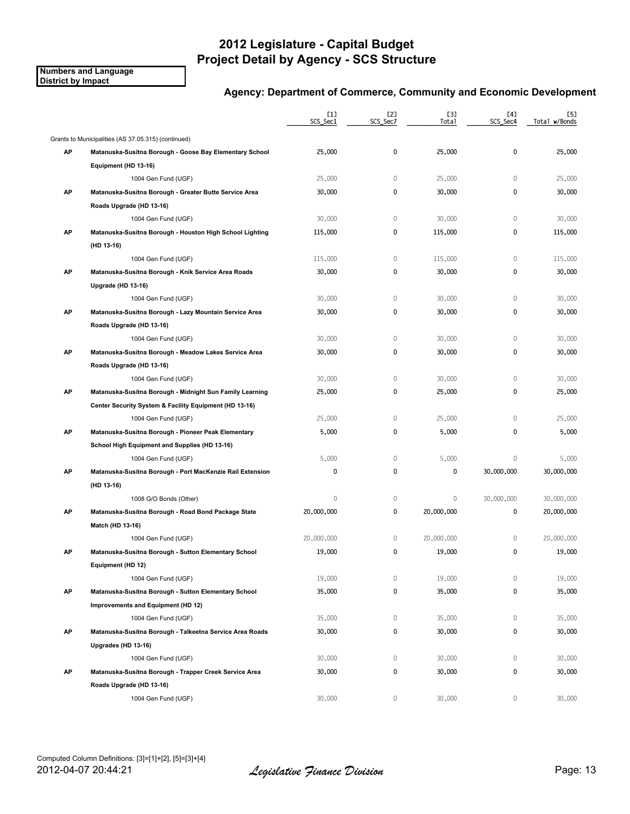**Numbers and Language District by Impact**

|    |                                                           | [1]<br>SCS Sec1 | [2]<br>SCS_Sec7 | <b>[3]</b><br>Total | [4]<br>SCS Sec4 | [5]<br>Total w/Bonds |
|----|-----------------------------------------------------------|-----------------|-----------------|---------------------|-----------------|----------------------|
|    | Grants to Municipalities (AS 37.05.315) (continued)       |                 |                 |                     |                 |                      |
| AP | Matanuska-Susitna Borough - Goose Bay Elementary School   | 25,000          | 0               | 25,000              | 0               | 25,000               |
|    | Equipment (HD 13-16)                                      |                 |                 |                     |                 |                      |
|    | 1004 Gen Fund (UGF)                                       | 25,000          | 0               | 25,000              | 0               | 25,000               |
| AP | Matanuska-Susitna Borough - Greater Butte Service Area    | 30,000          | 0               | 30,000              | 0               | 30,000               |
|    | Roads Upgrade (HD 13-16)                                  |                 |                 |                     |                 |                      |
|    | 1004 Gen Fund (UGF)                                       | 30,000          | $\mathbf 0$     | 30,000              | 0               | 30,000               |
| AP | Matanuska-Susitna Borough - Houston High School Lighting  | 115,000         | 0               | 115,000             | 0               | 115,000              |
|    | (HD 13-16)                                                |                 |                 |                     |                 |                      |
|    | 1004 Gen Fund (UGF)                                       | 115,000         | $\mathbb O$     | 115,000             | $\mathbb O$     | 115,000              |
| AP | Matanuska-Susitna Borough - Knik Service Area Roads       | 30,000          | 0               | 30,000              | 0               | 30,000               |
|    | Upgrade (HD 13-16)                                        |                 |                 |                     |                 |                      |
|    | 1004 Gen Fund (UGF)                                       | 30,000          | $\mathbf 0$     | 30,000              | $\mathbf{0}$    | 30,000               |
| AP | Matanuska-Susitna Borough - Lazy Mountain Service Area    | 30,000          | 0               | 30,000              | 0               | 30,000               |
|    | Roads Upgrade (HD 13-16)                                  |                 |                 |                     |                 |                      |
|    | 1004 Gen Fund (UGF)                                       | 30,000          | $\mathbb O$     | 30,000              | $\mathbf 0$     | 30,000               |
| AP | Matanuska-Susitna Borough - Meadow Lakes Service Area     | 30,000          | 0               | 30,000              | 0               | 30,000               |
|    | Roads Upgrade (HD 13-16)                                  |                 |                 |                     |                 |                      |
|    | 1004 Gen Fund (UGF)                                       | 30,000          | $\mathbb O$     | 30,000              | $\mathbf 0$     | 30,000               |
| AP | Matanuska-Susitna Borough - Midnight Sun Family Learning  | 25,000          | 0               | 25,000              | 0               | 25,000               |
|    | Center Security System & Facility Equipment (HD 13-16)    |                 |                 |                     |                 |                      |
|    | 1004 Gen Fund (UGF)                                       | 25,000          | $\mathbb O$     | 25,000              | $\mathbf{0}$    | 25,000               |
| AP | Matanuska-Susitna Borough - Pioneer Peak Elementary       | 5,000           | 0               | 5,000               | 0               | 5,000                |
|    | School High Equipment and Supplies (HD 13-16)             |                 |                 |                     |                 |                      |
|    | 1004 Gen Fund (UGF)                                       | 5,000           | $\mathbf 0$     | 5,000               | $\mathbf{0}$    | 5,000                |
| AP | Matanuska-Susitna Borough - Port MacKenzie Rail Extension | 0               | 0               | 0                   | 30,000,000      | 30,000,000           |
|    | (HD 13-16)                                                |                 |                 |                     |                 |                      |
|    | 1008 G/O Bonds (Other)                                    | $\mathbf 0$     | $\mathbb O$     | $\mathbb O$         | 30,000,000      | 30,000,000           |
| AP | Matanuska-Susitna Borough - Road Bond Package State       | 20,000,000      | 0               | 20,000,000          | 0               | 20,000,000           |
|    | Match (HD 13-16)                                          |                 |                 |                     |                 |                      |
|    | 1004 Gen Fund (UGF)                                       | 20,000,000      | 0               | 20,000,000          | $\mathbf 0$     | 20,000,000           |
| AP | Matanuska-Susitna Borough - Sutton Elementary School      | 19,000          | 0               | 19,000              | 0               | 19,000               |
|    | Equipment (HD 12)                                         |                 |                 |                     |                 |                      |
|    | 1004 Gen Fund (UGF)                                       | 19,000          | 0               | 19,000              | 0               | 19,000               |
| AP | Matanuska-Susitna Borough - Sutton Elementary School      | 35,000          | 0               | 35,000              | 0               | 35,000               |
|    | Improvements and Equipment (HD 12)                        |                 |                 |                     |                 |                      |
|    | 1004 Gen Fund (UGF)                                       | 35,000          | 0               | 35,000              | 0               | 35,000               |
| AP | Matanuska-Susitna Borough - Talkeetna Service Area Roads  | 30,000          | 0               | 30,000              | 0               | 30,000               |
|    | Upgrades (HD 13-16)                                       |                 |                 |                     |                 |                      |
|    | 1004 Gen Fund (UGF)                                       | 30,000          | 0               | 30,000              | 0               | 30,000               |
| AP | Matanuska-Susitna Borough - Trapper Creek Service Area    | 30,000          | 0               | 30,000              | 0               | 30,000               |
|    | Roads Upgrade (HD 13-16)                                  |                 |                 |                     |                 |                      |
|    | 1004 Gen Fund (UGF)                                       | 30,000          | $\mathbf{0}$    | 30,000              | 0               | 30,000               |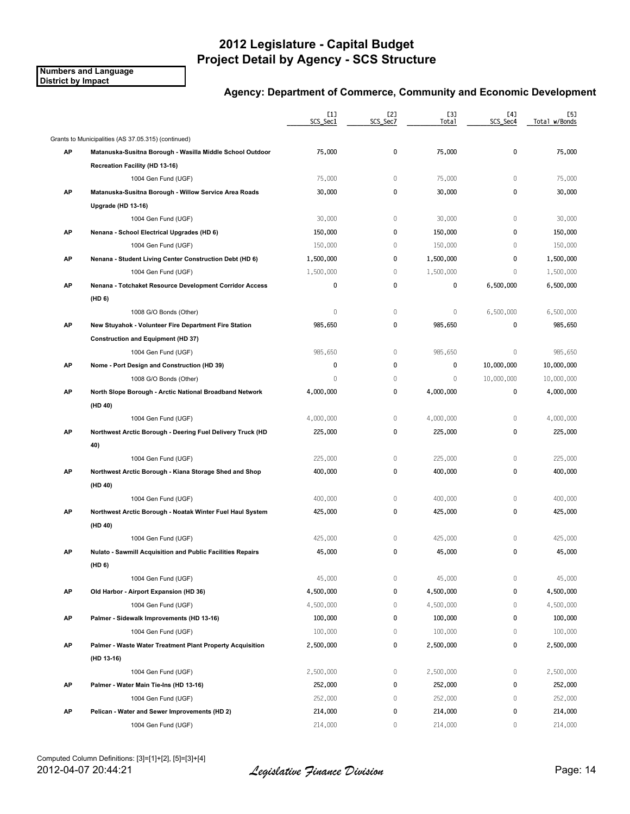**Numbers and Language District by Impact**

|    |                                                            | [1]<br>SCS_Sec1 | [2]<br>SCS Sec7 | [3]<br>Total | [4]<br>SCS Sec4 | [5]<br>Total w/Bonds |
|----|------------------------------------------------------------|-----------------|-----------------|--------------|-----------------|----------------------|
|    | Grants to Municipalities (AS 37.05.315) (continued)        |                 |                 |              |                 |                      |
| AP | Matanuska-Susitna Borough - Wasilla Middle School Outdoor  | 75,000          | 0               | 75,000       | 0               | 75,000               |
|    | Recreation Facility (HD 13-16)                             |                 |                 |              |                 |                      |
|    | 1004 Gen Fund (UGF)                                        | 75,000          | 0               | 75,000       | 0               | 75,000               |
| AP | Matanuska-Susitna Borough - Willow Service Area Roads      | 30,000          | 0               | 30,000       | 0               | 30,000               |
|    | Upgrade (HD 13-16)                                         |                 |                 |              |                 |                      |
|    | 1004 Gen Fund (UGF)                                        | 30,000          | $\mathbb O$     | 30,000       | $\mathbf{0}$    | 30,000               |
| AP | Nenana - School Electrical Upgrades (HD 6)                 | 150,000         | 0               | 150,000      | 0               | 150,000              |
|    | 1004 Gen Fund (UGF)                                        | 150,000         | $\mathbb O$     | 150,000      | 0               | 150,000              |
| AP | Nenana - Student Living Center Construction Debt (HD 6)    | 1,500,000       | 0               | 1,500,000    | 0               | 1,500,000            |
|    | 1004 Gen Fund (UGF)                                        | 1,500,000       | $\mathbb O$     | 1,500,000    | $\mathbf{0}$    | 1,500,000            |
| AP | Nenana - Totchaket Resource Development Corridor Access    | 0               | 0               | 0            | 6,500,000       | 6,500,000            |
|    | (HD 6)                                                     |                 |                 |              |                 |                      |
|    | 1008 G/O Bonds (Other)                                     | 0               | $\mathbb O$     | $\mathbb O$  | 6,500,000       | 6,500,000            |
| AP | New Stuyahok - Volunteer Fire Department Fire Station      | 985,650         | 0               | 985,650      | 0               | 985,650              |
|    | <b>Construction and Equipment (HD 37)</b>                  |                 |                 |              |                 |                      |
|    | 1004 Gen Fund (UGF)                                        | 985,650         | $\mathbb O$     | 985,650      | $\mathbf 0$     | 985,650              |
| AP | Nome - Port Design and Construction (HD 39)                | 0               | 0               | 0            | 10,000,000      | 10,000,000           |
|    | 1008 G/O Bonds (Other)                                     | $\mathbf{0}$    | 0               | $\mathbb O$  | 10,000,000      | 10,000,000           |
| AP | North Slope Borough - Arctic National Broadband Network    | 4,000,000       | 0               | 4,000,000    | $\mathbf{0}$    | 4,000,000            |
|    | (HD 40)                                                    |                 |                 |              |                 |                      |
|    | 1004 Gen Fund (UGF)                                        | 4,000,000       | 0               | 4,000,000    | 0               | 4,000,000            |
| AP | Northwest Arctic Borough - Deering Fuel Delivery Truck (HD | 225,000         | 0               | 225,000      | 0               | 225,000              |
|    | 40)                                                        |                 |                 |              |                 |                      |
|    | 1004 Gen Fund (UGF)                                        | 225,000         | 0               | 225,000      | 0               | 225,000              |
| AP | Northwest Arctic Borough - Kiana Storage Shed and Shop     | 400,000         | 0               | 400,000      | 0               | 400,000              |
|    | (HD 40)                                                    |                 |                 |              |                 |                      |
|    | 1004 Gen Fund (UGF)                                        | 400,000         | 0               | 400,000      | $\mathbf{0}$    | 400,000              |
| AP | Northwest Arctic Borough - Noatak Winter Fuel Haul System  | 425,000         | 0               | 425,000      | 0               | 425,000              |
|    | (HD 40)                                                    |                 |                 |              |                 |                      |
|    | 1004 Gen Fund (UGF)                                        | 425,000         | $\mathbb O$     | 425,000      | 0               | 425,000              |
| АP | Nulato - Sawmill Acquisition and Public Facilities Repairs | 45,000          | 0               | 45,000       | 0               | 45,000               |
|    | (HD 6)                                                     |                 |                 |              |                 |                      |
|    | 1004 Gen Fund (UGF)                                        | 45,000          | 0               | 45,000       | 0               | 45,000               |
| AP | Old Harbor - Airport Expansion (HD 36)                     | 4,500,000       | 0               | 4,500,000    | 0               | 4,500,000            |
|    | 1004 Gen Fund (UGF)                                        | 4,500,000       | $\,0\,$         | 4,500,000    | $\mathbf 0$     | 4,500,000            |
| AP | Palmer - Sidewalk Improvements (HD 13-16)                  | 100,000         | 0               | 100,000      | 0               | 100,000              |
|    | 1004 Gen Fund (UGF)                                        | 100,000         | 0               | 100,000      | 0               | 100,000              |
| AP | Palmer - Waste Water Treatment Plant Property Acquisition  | 2,500,000       | 0               | 2,500,000    | 0               | 2,500,000            |
|    | (HD 13-16)                                                 |                 |                 |              |                 |                      |
|    | 1004 Gen Fund (UGF)                                        | 2,500,000       | 0               | 2,500,000    | 0               | 2,500,000            |
| AP | Palmer - Water Main Tie-Ins (HD 13-16)                     | 252,000         | 0               | 252,000      | 0               | 252,000              |
|    | 1004 Gen Fund (UGF)                                        | 252,000         | 0               | 252,000      | 0               | 252,000              |
| AP | Pelican - Water and Sewer Improvements (HD 2)              | 214,000         | 0               | 214,000      | 0               | 214,000              |
|    | 1004 Gen Fund (UGF)                                        | 214,000         | 0               | 214,000      | 0               | 214,000              |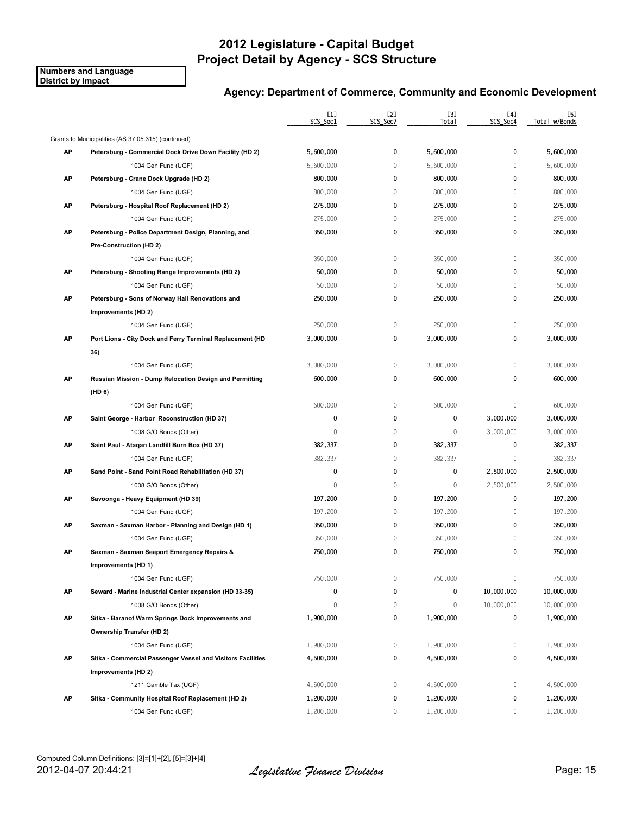**Numbers and Language District by Impact**

|    |                                                             | $[1]$<br>SCS_Sec1 | [2]<br>SCS_Sec7 | [3]<br>Total | [4]<br>SCS_Sec4 | [5]<br>Total w/Bonds |
|----|-------------------------------------------------------------|-------------------|-----------------|--------------|-----------------|----------------------|
|    | Grants to Municipalities (AS 37.05.315) (continued)         |                   |                 |              |                 |                      |
| AP | Petersburg - Commercial Dock Drive Down Facility (HD 2)     | 5,600,000         | 0               | 5,600,000    | 0               | 5,600,000            |
|    | 1004 Gen Fund (UGF)                                         | 5,600,000         | 0               | 5,600,000    | 0               | 5,600,000            |
| AP | Petersburg - Crane Dock Upgrade (HD 2)                      | 800,000           | $\pmb{0}$       | 800,000      | 0               | 800,000              |
|    | 1004 Gen Fund (UGF)                                         | 800,000           | $\mathbf 0$     | 800,000      | 0               | 800,000              |
| AP | Petersburg - Hospital Roof Replacement (HD 2)               | 275,000           | 0               | 275,000      | 0               | 275,000              |
|    | 1004 Gen Fund (UGF)                                         | 275,000           | $\mathbb O$     | 275,000      | 0               | 275,000              |
| AP | Petersburg - Police Department Design, Planning, and        | 350,000           | 0               | 350,000      | 0               | 350,000              |
|    | Pre-Construction (HD 2)                                     |                   |                 |              |                 |                      |
|    | 1004 Gen Fund (UGF)                                         | 350,000           | $\mathbb O$     | 350,000      | $\mathbb O$     | 350,000              |
| AP | Petersburg - Shooting Range Improvements (HD 2)             | 50,000            | 0               | 50,000       | 0               | 50,000               |
|    | 1004 Gen Fund (UGF)                                         | 50,000            | $\,0\,$         | 50,000       | $\mathbf 0$     | 50,000               |
| AP | Petersburg - Sons of Norway Hall Renovations and            | 250,000           | 0               | 250,000      | 0               | 250,000              |
|    | Improvements (HD 2)                                         |                   |                 |              |                 |                      |
|    | 1004 Gen Fund (UGF)                                         | 250,000           | $\mathbb O$     | 250,000      | $\mathbf 0$     | 250,000              |
| AP | Port Lions - City Dock and Ferry Terminal Replacement (HD   | 3,000,000         | 0               | 3,000,000    | 0               | 3,000,000            |
|    | 36)                                                         |                   |                 |              |                 |                      |
|    | 1004 Gen Fund (UGF)                                         | 3,000,000         | $\mathbb O$     | 3,000,000    | 0               | 3,000,000            |
| AP | Russian Mission - Dump Relocation Design and Permitting     | 600,000           | 0               | 600,000      | 0               | 600,000              |
|    | (HD 6)                                                      |                   |                 |              |                 |                      |
|    | 1004 Gen Fund (UGF)                                         | 600,000           | $\mathbb O$     | 600,000      | $\mathbf 0$     | 600,000              |
| AP | Saint George - Harbor Reconstruction (HD 37)                | 0                 | 0               | 0            | 3,000,000       | 3,000,000            |
|    | 1008 G/O Bonds (Other)                                      | 0                 | $\mathbb O$     | $\mathbf{0}$ | 3,000,000       | 3,000,000            |
| AP | Saint Paul - Ataqan Landfill Burn Box (HD 37)               | 382,337           | 0               | 382,337      | 0               | 382,337              |
|    | 1004 Gen Fund (UGF)                                         | 382,337           | $\mathbb O$     | 382,337      | 0               | 382,337              |
| AP | Sand Point - Sand Point Road Rehabilitation (HD 37)         | $\pmb{0}$         | 0               | 0            | 2,500,000       | 2,500,000            |
|    | 1008 G/O Bonds (Other)                                      | $\mathbf{0}$      | 0               | $\mathbf{0}$ | 2,500,000       | 2,500,000            |
| AP | Savoonga - Heavy Equipment (HD 39)                          | 197,200           | 0               | 197,200      | 0               | 197,200              |
|    | 1004 Gen Fund (UGF)                                         | 197,200           | $\mathbb O$     | 197,200      | 0               | 197,200              |
| AP | Saxman - Saxman Harbor - Planning and Design (HD 1)         | 350,000           | 0               | 350,000      | 0               | 350,000              |
|    | 1004 Gen Fund (UGF)                                         | 350,000           | 0               | 350,000      | 0               | 350,000              |
| AP | Saxman - Saxman Seaport Emergency Repairs &                 | 750,000           | 0               | 750,000      | 0               | 750,000              |
|    | Improvements (HD 1)                                         |                   |                 |              |                 |                      |
|    | 1004 Gen Fund (UGF)                                         | 750,000           | 0               | 750,000      | $\mathbb O$     | 750,000              |
| AP | Seward - Marine Industrial Center expansion (HD 33-35)      | 0                 | 0               | 0            | 10,000,000      | 10,000,000           |
|    | 1008 G/O Bonds (Other)                                      | 0                 | 0               | $\mathbf 0$  | 10,000,000      | 10,000,000           |
| AP | Sitka - Baranof Warm Springs Dock Improvements and          | 1,900,000         | 0               | 1,900,000    | 0               | 1,900,000            |
|    | <b>Ownership Transfer (HD 2)</b>                            |                   |                 |              |                 |                      |
|    | 1004 Gen Fund (UGF)                                         | 1,900,000         | 0               | 1,900,000    | 0               | 1,900,000            |
| AP | Sitka - Commercial Passenger Vessel and Visitors Facilities | 4,500,000         | 0               | 4,500,000    | 0               | 4,500,000            |
|    | Improvements (HD 2)                                         |                   |                 |              |                 |                      |
|    | 1211 Gamble Tax (UGF)                                       | 4,500,000         | 0               | 4,500,000    | 0               | 4,500,000            |
| AP | Sitka - Community Hospital Roof Replacement (HD 2)          | 1,200,000         | 0               | 1,200,000    | 0               | 1,200,000            |
|    | 1004 Gen Fund (UGF)                                         | 1,200,000         | 0               | 1,200,000    | 0               | 1,200,000            |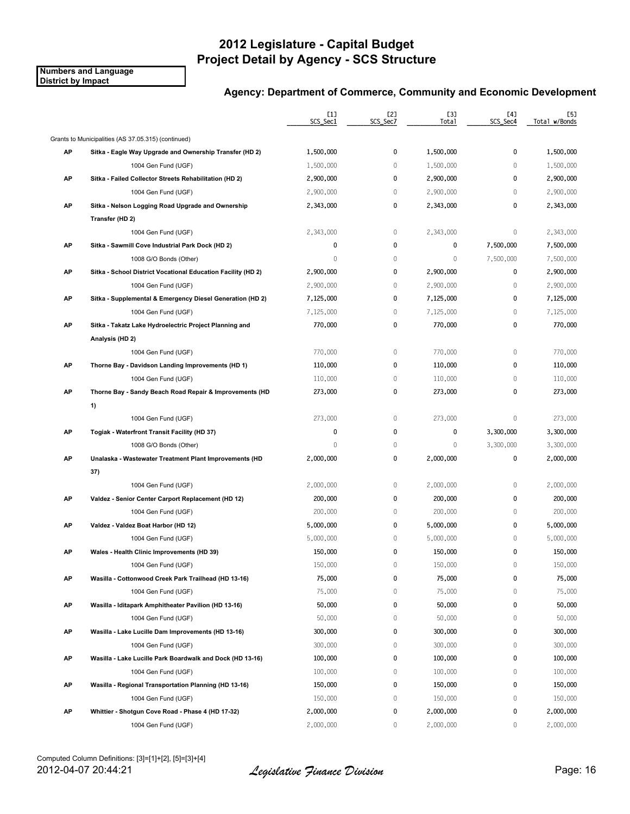**Numbers and Language District by Impact**

|    |                                                              | $[1]$<br>SCS_Sec1 | [2]<br>SCS_Sec7 | [3]<br>Total | [4]<br>SCS_Sec4 | [5]<br>Total w/Bonds |
|----|--------------------------------------------------------------|-------------------|-----------------|--------------|-----------------|----------------------|
|    | Grants to Municipalities (AS 37.05.315) (continued)          |                   |                 |              |                 |                      |
| AP | Sitka - Eagle Way Upgrade and Ownership Transfer (HD 2)      | 1,500,000         | 0               | 1,500,000    | 0               | 1,500,000            |
|    | 1004 Gen Fund (UGF)                                          | 1,500,000         | $\mathbf 0$     | 1,500,000    | $\mathbf{0}$    | 1,500,000            |
| AP | Sitka - Failed Collector Streets Rehabilitation (HD 2)       | 2,900,000         | 0               | 2,900,000    | $\mathbf{0}$    | 2,900,000            |
|    | 1004 Gen Fund (UGF)                                          | 2,900,000         | $\mathbb O$     | 2,900,000    | $\mathbf 0$     | 2,900,000            |
| АP | Sitka - Nelson Logging Road Upgrade and Ownership            | 2,343,000         | 0               | 2,343,000    | 0               | 2,343,000            |
|    | Transfer (HD 2)                                              |                   |                 |              |                 |                      |
|    | 1004 Gen Fund (UGF)                                          | 2,343,000         | 0               | 2,343,000    | $\mathbb O$     | 2,343,000            |
| АP | Sitka - Sawmill Cove Industrial Park Dock (HD 2)             | 0                 | 0               | 0            | 7,500,000       | 7,500,000            |
|    | 1008 G/O Bonds (Other)                                       | 0                 | $\mathbb O$     | $\mathbb O$  | 7,500,000       | 7,500,000            |
| AP | Sitka - School District Vocational Education Facility (HD 2) | 2,900,000         | 0               | 2,900,000    | 0               | 2,900,000            |
|    | 1004 Gen Fund (UGF)                                          | 2,900,000         | $\,0\,$         | 2,900,000    | $\mathbb O$     | 2,900,000            |
| AP | Sitka - Supplemental & Emergency Diesel Generation (HD 2)    | 7,125,000         | 0               | 7,125,000    | 0               | 7,125,000            |
|    | 1004 Gen Fund (UGF)                                          | 7,125,000         | $\mathbb O$     | 7,125,000    | $\mathbf 0$     | 7,125,000            |
| АP | Sitka - Takatz Lake Hydroelectric Project Planning and       | 770,000           | 0               | 770,000      | $\pmb{0}$       | 770,000              |
|    | Analysis (HD 2)                                              |                   |                 |              |                 |                      |
|    | 1004 Gen Fund (UGF)                                          | 770,000           | $\mathbb O$     | 770,000      | $\mathbb O$     | 770,000              |
| АP | Thorne Bay - Davidson Landing Improvements (HD 1)            | 110,000           | 0               | 110,000      | $\pmb{0}$       | 110,000              |
|    | 1004 Gen Fund (UGF)                                          | 110,000           | 0               | 110,000      | $\mathbf 0$     | 110,000              |
| АP | Thorne Bay - Sandy Beach Road Repair & Improvements (HD      | 273,000           | 0               | 273,000      | 0               | 273,000              |
|    | 1)                                                           |                   |                 |              |                 |                      |
|    | 1004 Gen Fund (UGF)                                          | 273,000           | $\mathbb O$     | 273,000      | $\mathbf 0$     | 273,000              |
| AP | Togiak - Waterfront Transit Facility (HD 37)                 | 0                 | 0               | 0            | 3,300,000       | 3,300,000            |
|    | 1008 G/O Bonds (Other)                                       | 0                 | $\mathbb O$     | $\mathbf{0}$ | 3,300,000       | 3,300,000            |
| АP | Unalaska - Wastewater Treatment Plant Improvements (HD       | 2,000,000         | 0               | 2,000,000    | 0               | 2,000,000            |
|    | 37)                                                          |                   |                 |              |                 |                      |
|    | 1004 Gen Fund (UGF)                                          | 2,000,000         | $\mathbb O$     | 2,000,000    | $\mathbf 0$     | 2,000,000            |
| AP | Valdez - Senior Center Carport Replacement (HD 12)           | 200,000           | 0               | 200,000      | $\mathbf{0}$    | 200,000              |
|    | 1004 Gen Fund (UGF)                                          | 200,000           | $\mathbb O$     | 200,000      | $\mathbf 0$     | 200,000              |
| AP | Valdez - Valdez Boat Harbor (HD 12)                          | 5,000,000         | 0               | 5,000,000    | 0               | 5,000,000            |
|    | 1004 Gen Fund (UGF)                                          | 5,000,000         | $\,0\,$         | 5,000,000    | $\mathbf 0$     | 5,000,000            |
| АP | Wales - Health Clinic Improvements (HD 39)                   | 150,000           | 0               | 150,000      | 0               | 150,000              |
|    | 1004 Gen Fund (UGF)                                          | 150,000           | 0               | 150,000      | $\mathbf{0}$    | 150,000              |
| АP | Wasilla - Cottonwood Creek Park Trailhead (HD 13-16)         | 75,000            | 0               | 75,000       | 0               | 75,000               |
|    | 1004 Gen Fund (UGF)                                          | 75,000            | 0               | 75,000       | $\mathbf 0$     | 75,000               |
| AP | Wasilla - Iditapark Amphitheater Pavilion (HD 13-16)         | 50,000            | 0               | 50,000       | 0               | 50,000               |
|    | 1004 Gen Fund (UGF)                                          | 50,000            | 0               | 50,000       | $\mathbb O$     | 50,000               |
| AP | Wasilla - Lake Lucille Dam Improvements (HD 13-16)           | 300,000           | 0               | 300,000      | 0               | 300,000              |
|    | 1004 Gen Fund (UGF)                                          | 300,000           | 0               | 300,000      | $\mathbf 0$     | 300,000              |
| АP | Wasilla - Lake Lucille Park Boardwalk and Dock (HD 13-16)    | 100,000           | 0               | 100,000      | 0               | 100,000              |
|    | 1004 Gen Fund (UGF)                                          | 100,000           | 0               | 100,000      | 0               | 100,000              |
| AP | Wasilla - Regional Transportation Planning (HD 13-16)        | 150,000           | 0               | 150,000      | 0               | 150,000              |
|    | 1004 Gen Fund (UGF)                                          | 150,000           | $\mathbb O$     | 150,000      | 0               | 150,000              |
| AP | Whittier - Shotgun Cove Road - Phase 4 (HD 17-32)            | 2,000,000         | 0               | 2,000,000    | 0               | 2,000,000            |
|    | 1004 Gen Fund (UGF)                                          | 2,000,000         | 0               | 2,000,000    | 0               | 2,000,000            |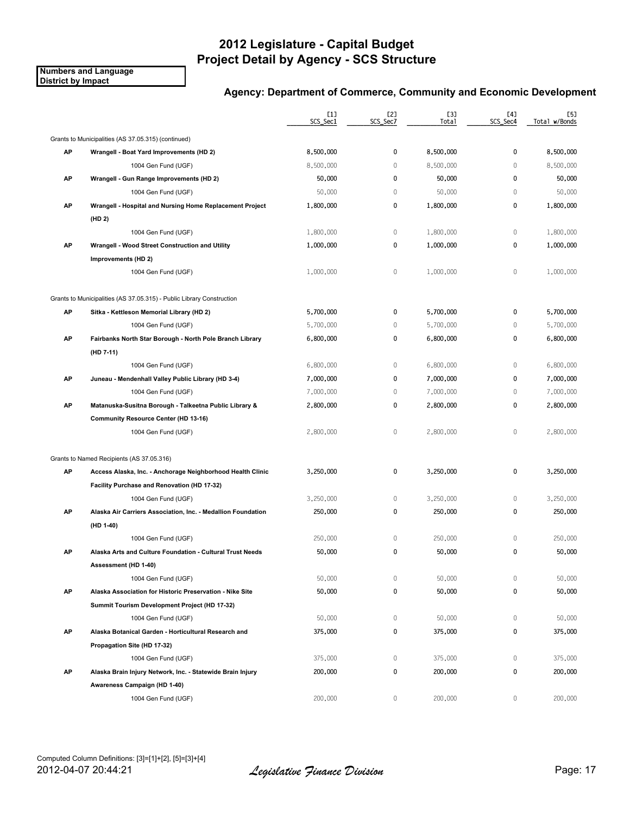**Numbers and Language District by Impact**

|    |                                                                       | [1]<br>SCS_Sec1 | [2]<br>SCS_Sec7 | [3]<br>Total | [4]<br>SCS_Sec4 | [5]<br>Total w/Bonds |
|----|-----------------------------------------------------------------------|-----------------|-----------------|--------------|-----------------|----------------------|
|    | Grants to Municipalities (AS 37.05.315) (continued)                   |                 |                 |              |                 |                      |
| AP | Wrangell - Boat Yard Improvements (HD 2)                              | 8,500,000       | 0               | 8,500,000    | 0               | 8,500,000            |
|    | 1004 Gen Fund (UGF)                                                   | 8,500,000       | $\mathbf 0$     | 8,500,000    | $\mathbf{0}$    | 8,500,000            |
| AP | Wrangell - Gun Range Improvements (HD 2)                              | 50,000          | 0               | 50,000       | $\mathbf 0$     | 50,000               |
|    | 1004 Gen Fund (UGF)                                                   | 50,000          | 0               | 50,000       | 0               | 50,000               |
| AP | Wrangell - Hospital and Nursing Home Replacement Project              | 1,800,000       | 0               | 1,800,000    | 0               | 1,800,000            |
|    | (HD 2)                                                                |                 |                 |              |                 |                      |
|    | 1004 Gen Fund (UGF)                                                   | 1,800,000       | $\mathbb O$     | 1,800,000    | $\mathbf{0}$    | 1,800,000            |
| AP | Wrangell - Wood Street Construction and Utility                       | 1,000,000       | 0               | 1,000,000    | 0               | 1,000,000            |
|    | Improvements (HD 2)                                                   |                 |                 |              |                 |                      |
|    | 1004 Gen Fund (UGF)                                                   | 1,000,000       | $\mathbb O$     | 1,000,000    | 0               | 1,000,000            |
|    | Grants to Municipalities (AS 37.05.315) - Public Library Construction |                 |                 |              |                 |                      |
| AP | Sitka - Kettleson Memorial Library (HD 2)                             | 5,700,000       | 0               | 5,700,000    | $\mathbf{0}$    | 5,700,000            |
|    | 1004 Gen Fund (UGF)                                                   | 5,700,000       | $\mathbb O$     | 5,700,000    | $\mathbf{0}$    | 5,700,000            |
| AP | Fairbanks North Star Borough - North Pole Branch Library              | 6,800,000       | 0               | 6,800,000    | 0               | 6,800,000            |
|    | (HD 7-11)                                                             |                 |                 |              |                 |                      |
|    | 1004 Gen Fund (UGF)                                                   | 6,800,000       | $\mathbb O$     | 6,800,000    | 0               | 6,800,000            |
| AP | Juneau - Mendenhall Valley Public Library (HD 3-4)                    | 7,000,000       | 0               | 7,000,000    | 0               | 7,000,000            |
|    | 1004 Gen Fund (UGF)                                                   | 7,000,000       | $\mathbf 0$     | 7,000,000    | $\mathbf{0}$    | 7,000,000            |
| AP | Matanuska-Susitna Borough - Talkeetna Public Library &                | 2,800,000       | 0               | 2,800,000    | 0               | 2,800,000            |
|    | <b>Community Resource Center (HD 13-16)</b>                           |                 |                 |              |                 |                      |
|    | 1004 Gen Fund (UGF)                                                   | 2,800,000       | $\mathbb O$     | 2,800,000    | $\mathbf{0}$    | 2,800,000            |
|    | Grants to Named Recipients (AS 37.05.316)                             |                 |                 |              |                 |                      |
| AP | Access Alaska, Inc. - Anchorage Neighborhood Health Clinic            | 3,250,000       | 0               | 3,250,000    | 0               | 3,250,000            |
|    | Facility Purchase and Renovation (HD 17-32)                           |                 |                 |              |                 |                      |
|    | 1004 Gen Fund (UGF)                                                   | 3,250,000       | 0               | 3,250,000    | 0               | 3,250,000            |
| AP | Alaska Air Carriers Association, Inc. - Medallion Foundation          | 250,000         | 0               | 250,000      | 0               | 250,000              |
|    | (HD 1-40)                                                             |                 |                 |              |                 |                      |
|    | 1004 Gen Fund (UGF)                                                   | 250,000         | 0               | 250,000      | 0               | 250,000              |
| АP | Alaska Arts and Culture Foundation - Cultural Trust Needs             | 50,000          | 0               | 50,000       | 0               | 50,000               |
|    | Assessment (HD 1-40)                                                  |                 |                 |              |                 |                      |
|    | 1004 Gen Fund (UGF)                                                   | 50,000          | 0               | 50,000       | 0               | 50,000               |
| AP | Alaska Association for Historic Preservation - Nike Site              | 50,000          | 0               | 50,000       | 0               | 50,000               |
|    | Summit Tourism Development Project (HD 17-32)                         |                 |                 |              |                 |                      |
|    | 1004 Gen Fund (UGF)                                                   | 50,000          | 0               | 50,000       | 0               | 50,000               |
| AP | Alaska Botanical Garden - Horticultural Research and                  | 375,000         | 0               | 375,000      | 0               | 375,000              |
|    | Propagation Site (HD 17-32)                                           |                 |                 |              |                 |                      |
|    | 1004 Gen Fund (UGF)                                                   | 375,000         | 0               | 375,000      | 0               | 375,000              |
| AP | Alaska Brain Injury Network, Inc. - Statewide Brain Injury            | 200,000         | 0               | 200,000      | 0               | 200,000              |
|    | Awareness Campaign (HD 1-40)                                          |                 |                 |              |                 |                      |
|    | 1004 Gen Fund (UGF)                                                   | 200,000         | 0               | 200,000      | 0               | 200,000              |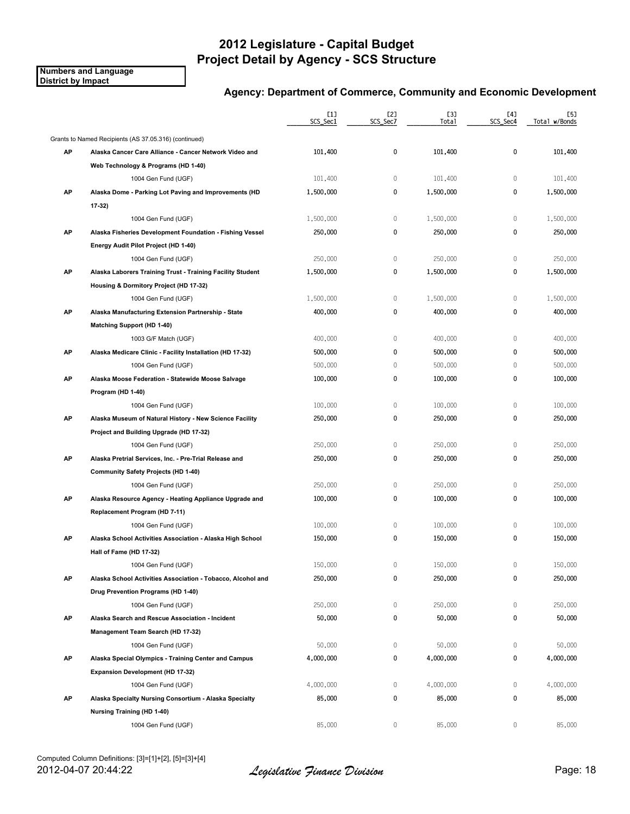**Numbers and Language District by Impact**

|    |                                                             | $[1]$<br>SCS_Sec1 | [2]<br>SCS_Sec7 | [3]<br>Tota1 | [4]<br>SCS_Sec4 | [5]<br>Total w/Bonds |
|----|-------------------------------------------------------------|-------------------|-----------------|--------------|-----------------|----------------------|
|    | Grants to Named Recipients (AS 37.05.316) (continued)       |                   |                 |              |                 |                      |
| AP | Alaska Cancer Care Alliance - Cancer Network Video and      | 101,400           | 0               | 101,400      | 0               | 101,400              |
|    | Web Technology & Programs (HD 1-40)                         |                   |                 |              |                 |                      |
|    | 1004 Gen Fund (UGF)                                         | 101,400           | $\mathbb O$     | 101,400      | $\mathbb O$     | 101,400              |
| AP | Alaska Dome - Parking Lot Paving and Improvements (HD       | 1,500,000         | 0               | 1,500,000    | 0               | 1,500,000            |
|    | 17-32)                                                      |                   |                 |              |                 |                      |
|    | 1004 Gen Fund (UGF)                                         | 1,500,000         | $\mathbb O$     | 1,500,000    | $\mathbb O$     | 1,500,000            |
| AP | Alaska Fisheries Development Foundation - Fishing Vessel    | 250,000           | 0               | 250,000      | 0               | 250,000              |
|    | Energy Audit Pilot Project (HD 1-40)                        |                   |                 |              |                 |                      |
|    | 1004 Gen Fund (UGF)                                         | 250,000           | $\mathbb O$     | 250,000      | $\mathbb O$     | 250,000              |
| AP | Alaska Laborers Training Trust - Training Facility Student  | 1,500,000         | 0               | 1,500,000    | 0               | 1,500,000            |
|    | Housing & Dormitory Project (HD 17-32)                      |                   |                 |              |                 |                      |
|    | 1004 Gen Fund (UGF)                                         | 1,500,000         | $\mathbb O$     | 1,500,000    | $\mathbf 0$     | 1,500,000            |
| AP | Alaska Manufacturing Extension Partnership - State          | 400,000           | 0               | 400,000      | 0               | 400,000              |
|    | <b>Matching Support (HD 1-40)</b>                           |                   |                 |              |                 |                      |
|    | 1003 G/F Match (UGF)                                        | 400,000           | $\mathbb O$     | 400,000      | $\mathbf 0$     | 400,000              |
| АP | Alaska Medicare Clinic - Facility Installation (HD 17-32)   | 500,000           | 0               | 500,000      | 0               | 500,000              |
|    | 1004 Gen Fund (UGF)                                         | 500,000           | 0               | 500,000      | $\mathbf 0$     | 500,000              |
| AP | Alaska Moose Federation - Statewide Moose Salvage           | 100,000           | 0               | 100,000      | 0               | 100,000              |
|    | Program (HD 1-40)                                           |                   |                 |              |                 |                      |
|    | 1004 Gen Fund (UGF)                                         | 100,000           | $\mathbb O$     | 100,000      | $\mathbf 0$     | 100,000              |
| AP | Alaska Museum of Natural History - New Science Facility     | 250,000           | 0               | 250,000      | 0               | 250,000              |
|    | Project and Building Upgrade (HD 17-32)                     |                   |                 |              |                 |                      |
|    | 1004 Gen Fund (UGF)                                         | 250,000           | 0               | 250,000      | $\mathbb O$     | 250,000              |
| AP | Alaska Pretrial Services, Inc. - Pre-Trial Release and      | 250,000           | 0               | 250,000      | 0               | 250,000              |
|    | Community Safety Projects (HD 1-40)                         |                   |                 |              |                 |                      |
|    | 1004 Gen Fund (UGF)                                         | 250,000           | 0               | 250,000      | $\mathbf 0$     | 250,000              |
| AP | Alaska Resource Agency - Heating Appliance Upgrade and      | 100,000           | 0               | 100,000      | 0               | 100,000              |
|    | Replacement Program (HD 7-11)                               |                   |                 |              |                 |                      |
|    | 1004 Gen Fund (UGF)                                         | 100,000           | 0               | 100,000      | $\mathbb O$     | 100,000              |
| AP | Alaska School Activities Association - Alaska High School   | 150,000           | 0               | 150,000      | 0               | 150,000              |
|    | Hall of Fame (HD 17-32)                                     |                   |                 |              |                 |                      |
|    | 1004 Gen Fund (UGF)                                         | 150,000           | 0               | 150,000      | 0               | 150,000              |
| АP | Alaska School Activities Association - Tobacco, Alcohol and | 250,000           | 0               | 250,000      | 0               | 250,000              |
|    | Drug Prevention Programs (HD 1-40)                          |                   |                 |              |                 |                      |
|    | 1004 Gen Fund (UGF)                                         | 250,000           | 0               | 250,000      | 0               | 250,000              |
| AP | Alaska Search and Rescue Association - Incident             | 50,000            | 0               | 50,000       | 0               | 50,000               |
|    | Management Team Search (HD 17-32)                           |                   |                 |              |                 |                      |
|    | 1004 Gen Fund (UGF)                                         | 50,000            | 0               | 50,000       | 0               | 50,000               |
| AP | Alaska Special Olympics - Training Center and Campus        | 4,000,000         | 0               | 4,000,000    | 0               | 4,000,000            |
|    | Expansion Development (HD 17-32)                            |                   |                 |              |                 |                      |
|    | 1004 Gen Fund (UGF)                                         | 4,000,000         | 0               | 4,000,000    | 0               | 4,000,000            |
| AP | Alaska Specialty Nursing Consortium - Alaska Specialty      | 85,000            | 0               | 85,000       | 0               | 85,000               |
|    | Nursing Training (HD 1-40)                                  |                   |                 |              |                 |                      |
|    | 1004 Gen Fund (UGF)                                         | 85,000            | 0               | 85,000       | 0               | 85,000               |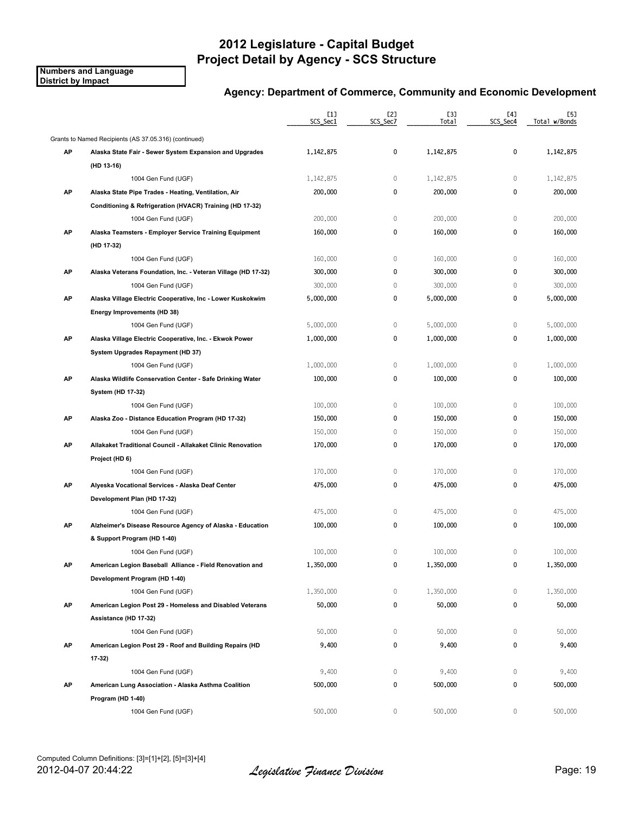**Numbers and Language District by Impact**

|    |                                                               | [1]<br>SCS_Sec1 | [2]<br>SCS_Sec7 | [3]<br>Total | [4]<br>SCS_Sec4 | [5]<br>Total w/Bonds |
|----|---------------------------------------------------------------|-----------------|-----------------|--------------|-----------------|----------------------|
|    | Grants to Named Recipients (AS 37.05.316) (continued)         |                 |                 |              |                 |                      |
| АP | Alaska State Fair - Sewer System Expansion and Upgrades       | 1,142,875       | 0               | 1,142,875    | 0               | 1,142,875            |
|    | (HD 13-16)                                                    |                 |                 |              |                 |                      |
|    | 1004 Gen Fund (UGF)                                           | 1,142,875       | 0               | 1,142,875    | $\mathbf 0$     | 1,142,875            |
| AP | Alaska State Pipe Trades - Heating, Ventilation, Air          | 200,000         | 0               | 200,000      | $\pmb{0}$       | 200,000              |
|    | Conditioning & Refrigeration (HVACR) Training (HD 17-32)      |                 |                 |              |                 |                      |
|    | 1004 Gen Fund (UGF)                                           | 200,000         | $\mathbb O$     | 200,000      | $\mathbb O$     | 200,000              |
| AP | Alaska Teamsters - Employer Service Training Equipment        | 160,000         | 0               | 160,000      | 0               | 160,000              |
|    | (HD 17-32)                                                    |                 |                 |              |                 |                      |
|    | 1004 Gen Fund (UGF)                                           | 160,000         | $\mathbb O$     | 160,000      | $\mathbb O$     | 160,000              |
| AP | Alaska Veterans Foundation, Inc. - Veteran Village (HD 17-32) | 300,000         | 0               | 300,000      | 0               | 300,000              |
|    | 1004 Gen Fund (UGF)                                           | 300,000         | $\mathbb O$     | 300,000      | $\mathbf 0$     | 300,000              |
| AP | Alaska Village Electric Cooperative, Inc - Lower Kuskokwim    | 5,000,000       | 0               | 5,000,000    | 0               | 5,000,000            |
|    | Energy Improvements (HD 38)                                   |                 |                 |              |                 |                      |
|    | 1004 Gen Fund (UGF)                                           | 5,000,000       | $\mathbb O$     | 5,000,000    | $\mathbf 0$     | 5,000,000            |
| АP | Alaska Village Electric Cooperative, Inc. Ekwok Power         | 1,000,000       | 0               | 1,000,000    | 0               | 1,000,000            |
|    | System Upgrades Repayment (HD 37)                             |                 |                 |              |                 |                      |
|    | 1004 Gen Fund (UGF)                                           | 1,000,000       | $\mathbb O$     | 1,000,000    | $\mathbb O$     | 1,000,000            |
| AP | Alaska Wildlife Conservation Center - Safe Drinking Water     | 100,000         | 0               | 100,000      | $\pmb{0}$       | 100,000              |
|    | System (HD 17-32)                                             |                 |                 |              |                 |                      |
|    | 1004 Gen Fund (UGF)                                           | 100,000         | $\mathbb O$     | 100,000      | $\mathbb O$     | 100,000              |
| AP | Alaska Zoo - Distance Education Program (HD 17-32)            | 150,000         | 0               | 150,000      | 0               | 150,000              |
|    | 1004 Gen Fund (UGF)                                           | 150,000         | $\mathbb O$     | 150,000      | $\mathbf 0$     | 150,000              |
| АP | Allakaket Traditional Council - Allakaket Clinic Renovation   | 170,000         | 0               | 170,000      | 0               | 170,000              |
|    | Project (HD 6)                                                |                 |                 |              |                 |                      |
|    | 1004 Gen Fund (UGF)                                           | 170,000         | $\mathbb O$     | 170,000      | $\mathbf 0$     | 170,000              |
| AP | Alyeska Vocational Services - Alaska Deaf Center              | 475,000         | 0               | 475,000      | 0               | 475,000              |
|    | Development Plan (HD 17-32)                                   |                 |                 |              |                 |                      |
|    | 1004 Gen Fund (UGF)                                           | 475,000         | $\,0\,$         | 475,000      | $\mathbb O$     | 475,000              |
| АP | Alzheimer's Disease Resource Agency of Alaska - Education     | 100,000         | 0               | 100,000      | 0               | 100,000              |
|    | & Support Program (HD 1-40)                                   |                 |                 |              |                 |                      |
|    | 1004 Gen Fund (UGF)                                           | 100,000         | 0               | 100,000      | $\mathbf 0$     | 100,000              |
| АΡ | American Legion Baseball Alliance - Field Renovation and      | 1,350,000       | 0               | 1,350,000    | 0               | 1,350,000            |
|    | Development Program (HD 1-40)                                 |                 |                 |              |                 |                      |
|    | 1004 Gen Fund (UGF)                                           | 1,350,000       | $\mathbb O$     | 1,350,000    | $\mathbb O$     | 1,350,000            |
| AP | American Legion Post 29 - Homeless and Disabled Veterans      | 50,000          | 0               | 50,000       | 0               | 50,000               |
|    | Assistance (HD 17-32)                                         |                 |                 |              |                 |                      |
|    | 1004 Gen Fund (UGF)                                           | 50,000          | $\mathbb O$     | 50,000       | $\mathbf 0$     | 50,000               |
| AP | American Legion Post 29 - Roof and Building Repairs (HD       | 9,400           | 0               | 9,400        | 0               | 9,400                |
|    | 17 32)                                                        |                 |                 |              |                 |                      |
|    | 1004 Gen Fund (UGF)                                           | 9,400           | $\mathbb O$     | 9,400        | $\mathbb O$     | 9,400                |
| AP | American Lung Association - Alaska Asthma Coalition           | 500,000         | 0               | 500,000      | 0               | 500,000              |
|    | Program (HD 1-40)                                             |                 |                 |              |                 |                      |
|    | 1004 Gen Fund (UGF)                                           | 500,000         | 0               | 500,000      | $\mathbf{0}$    | 500,000              |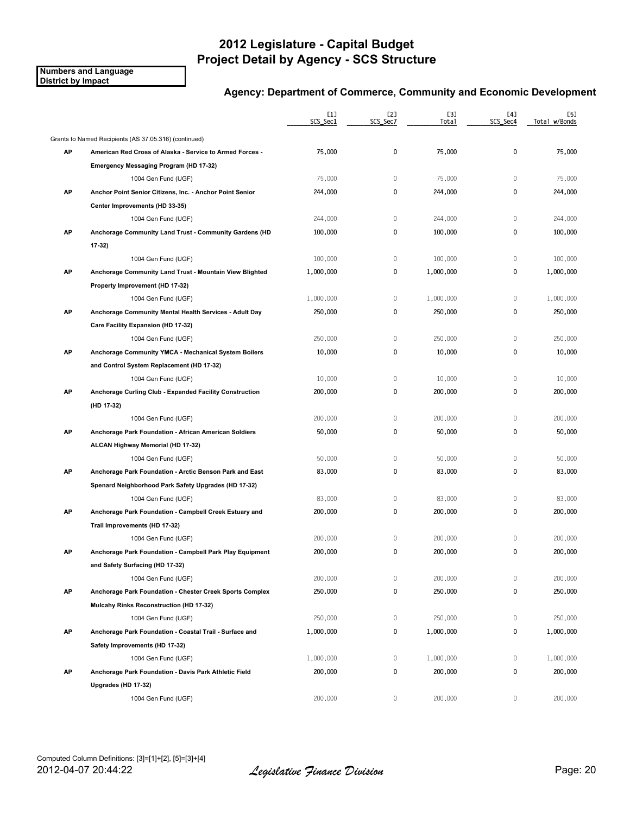**Numbers and Language District by Impact**

|    |                                                          | [1]<br>SCS_Sec1 | [2]<br>SCS_Sec7 | [3]<br>Total | [4]<br>SCS_Sec4 | [5]<br>Total w/Bonds |
|----|----------------------------------------------------------|-----------------|-----------------|--------------|-----------------|----------------------|
|    | Grants to Named Recipients (AS 37.05.316) (continued)    |                 |                 |              |                 |                      |
| AP | American Red Cross of Alaska - Service to Armed Forces - | 75,000          | 0               | 75,000       | 0               | 75,000               |
|    | Emergency Messaging Program (HD 17-32)                   |                 |                 |              |                 |                      |
|    | 1004 Gen Fund (UGF)                                      | 75,000          | $\mathbb O$     | 75,000       | $\mathbb O$     | 75,000               |
| AP | Anchor Point Senior Citizens, Inc. - Anchor Point Senior | 244,000         | 0               | 244,000      | 0               | 244,000              |
|    | Center Improvements (HD 33-35)                           |                 |                 |              |                 |                      |
|    | 1004 Gen Fund (UGF)                                      | 244,000         | $\mathbb O$     | 244,000      | $\mathbf{0}$    | 244,000              |
| AP | Anchorage Community Land Trust - Community Gardens (HD   | 100,000         | 0               | 100,000      | 0               | 100,000              |
|    | 17-32)                                                   |                 |                 |              |                 |                      |
|    | 1004 Gen Fund (UGF)                                      | 100,000         | $\mathbb O$     | 100,000      | $\mathbb O$     | 100,000              |
| AP | Anchorage Community Land Trust - Mountain View Blighted  | 1,000,000       | 0               | 1,000,000    | 0               | 1,000,000            |
|    | Property Improvement (HD 17-32)                          |                 |                 |              |                 |                      |
|    | 1004 Gen Fund (UGF)                                      | 1,000,000       | 0               | 1,000,000    | $\mathbf 0$     | 1,000,000            |
| AP | Anchorage Community Mental Health Services - Adult Day   | 250,000         | 0               | 250,000      | 0               | 250,000              |
|    | Care Facility Expansion (HD 17-32)                       |                 |                 |              |                 |                      |
|    | 1004 Gen Fund (UGF)                                      | 250,000         | 0               | 250,000      | 0               | 250,000              |
| AP | Anchorage Community YMCA - Mechanical System Boilers     | 10,000          | 0               | 10,000       | 0               | 10,000               |
|    | and Control System Replacement (HD 17-32)                |                 |                 |              |                 |                      |
|    | 1004 Gen Fund (UGF)                                      | 10,000          | $\mathbb O$     | 10,000       | $\mathbf 0$     | 10,000               |
| AP | Anchorage Curling Club - Expanded Facility Construction  | 200,000         | 0               | 200,000      | 0               | 200,000              |
|    | (HD 17-32)                                               |                 |                 |              |                 |                      |
|    | 1004 Gen Fund (UGF)                                      | 200,000         | $\mathbb O$     | 200,000      | 0               | 200,000              |
| AP | Anchorage Park Foundation - African American Soldiers    | 50,000          | 0               | 50,000       | 0               | 50,000               |
|    | ALCAN Highway Memorial (HD 17-32)                        |                 |                 |              |                 |                      |
|    | 1004 Gen Fund (UGF)                                      | 50,000          | 0               | 50,000       | 0               | 50,000               |
| AP | Anchorage Park Foundation - Arctic Benson Park and East  | 83,000          | 0               | 83,000       | 0               | 83,000               |
|    | Spenard Neighborhood Park Safety Upgrades (HD 17-32)     |                 |                 |              |                 |                      |
|    | 1004 Gen Fund (UGF)                                      | 83,000          | 0               | 83,000       | 0               | 83,000               |
| АP | Anchorage Park Foundation - Campbell Creek Estuary and   | 200,000         | 0               | 200,000      | 0               | 200,000              |
|    | Trail Improvements (HD 17-32)                            |                 |                 |              |                 |                      |
|    | 1004 Gen Fund (UGF)                                      | 200,000         | 0               | 200,000      | 0               | 200,000              |
| АP | Anchorage Park Foundation - Campbell Park Play Equipment | 200,000         | 0               | 200,000      | 0               | 200,000              |
|    | and Safety Surfacing (HD 17-32)                          |                 |                 |              |                 |                      |
|    | 1004 Gen Fund (UGF)                                      | 200,000         | 0               | 200,000      | 0               | 200,000              |
| AP | Anchorage Park Foundation - Chester Creek Sports Complex | 250,000         | 0               | 250,000      | 0               | 250,000              |
|    | Mulcahy Rinks Reconstruction (HD 17-32)                  |                 |                 |              |                 |                      |
|    | 1004 Gen Fund (UGF)                                      | 250,000         | 0               | 250,000      | 0               | 250,000              |
| AP | Anchorage Park Foundation - Coastal Trail - Surface and  | 1,000,000       | 0               | 1,000,000    | 0               | 1,000,000            |
|    | Safety Improvements (HD 17-32)                           |                 |                 |              |                 |                      |
|    | 1004 Gen Fund (UGF)                                      | 1,000,000       | 0               | 1,000,000    | 0               | 1,000,000            |
| AP | Anchorage Park Foundation - Davis Park Athletic Field    | 200,000         | 0               | 200,000      | 0               | 200,000              |
|    | Upgrades (HD 17-32)                                      |                 |                 |              |                 |                      |
|    | 1004 Gen Fund (UGF)                                      | 200,000         | 0               | 200,000      | 0               | 200,000              |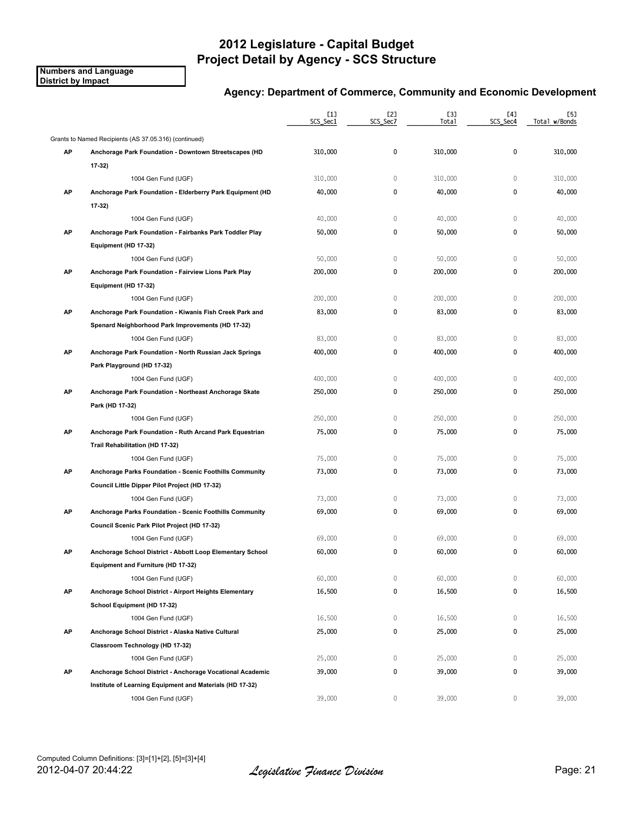**Numbers and Language District by Impact**

|    |                                                           | [1]<br>SCS_Sec1 | [2]<br>SCS_Sec7 | [3]<br>Total | [4]<br>SCS_Sec4 | [5]<br>Total w/Bonds |
|----|-----------------------------------------------------------|-----------------|-----------------|--------------|-----------------|----------------------|
|    | Grants to Named Recipients (AS 37.05.316) (continued)     |                 |                 |              |                 |                      |
| AP | Anchorage Park Foundation - Downtown Streetscapes (HD     | 310,000         | 0               | 310,000      | 0               | 310,000              |
|    | 17 32)                                                    |                 |                 |              |                 |                      |
|    | 1004 Gen Fund (UGF)                                       | 310,000         | 0               | 310,000      | 0               | 310,000              |
| AP | Anchorage Park Foundation - Elderberry Park Equipment (HD | 40,000          | 0               | 40,000       | 0               | 40,000               |
|    | 17-32)                                                    |                 |                 |              |                 |                      |
|    | 1004 Gen Fund (UGF)                                       | 40,000          | $\mathbb O$     | 40,000       | $\mathbf 0$     | 40,000               |
| AP | Anchorage Park Foundation - Fairbanks Park Toddler Play   | 50,000          | 0               | 50,000       | 0               | 50,000               |
|    | Equipment (HD 17-32)                                      |                 |                 |              |                 |                      |
|    | 1004 Gen Fund (UGF)                                       | 50,000          | $\mathbb O$     | 50,000       | $\mathbb O$     | 50,000               |
| AP | Anchorage Park Foundation - Fairview Lions Park Play      | 200,000         | 0               | 200,000      | 0               | 200,000              |
|    | Equipment (HD 17-32)                                      |                 |                 |              |                 |                      |
|    | 1004 Gen Fund (UGF)                                       | 200,000         | $\mathbb O$     | 200,000      | $\mathbf{0}$    | 200,000              |
| AP | Anchorage Park Foundation - Kiwanis Fish Creek Park and   | 83,000          | 0               | 83,000       | 0               | 83,000               |
|    | Spenard Neighborhood Park Improvements (HD 17-32)         |                 |                 |              |                 |                      |
|    | 1004 Gen Fund (UGF)                                       | 83,000          | $\mathbb O$     | 83,000       | $\mathbb O$     | 83,000               |
| AP | Anchorage Park Foundation - North Russian Jack Springs    | 400,000         | 0               | 400,000      | 0               | 400,000              |
|    | Park Playground (HD 17-32)                                |                 |                 |              |                 |                      |
|    | 1004 Gen Fund (UGF)                                       | 400,000         | $\mathbb O$     | 400,000      | $\mathbb O$     | 400,000              |
| AP | Anchorage Park Foundation - Northeast Anchorage Skate     | 250,000         | 0               | 250,000      | 0               | 250,000              |
|    | Park (HD 17-32)                                           |                 |                 |              |                 |                      |
|    | 1004 Gen Fund (UGF)                                       | 250,000         | 0               | 250,000      | $\mathbb O$     | 250,000              |
| AP | Anchorage Park Foundation - Ruth Arcand Park Equestrian   | 75,000          | 0               | 75,000       | 0               | 75,000               |
|    | Trail Rehabilitation (HD 17-32)                           |                 |                 |              |                 |                      |
|    | 1004 Gen Fund (UGF)                                       | 75,000          | 0               | 75,000       | $\mathbf 0$     | 75,000               |
| AP | Anchorage Parks Foundation - Scenic Foothills Community   | 73,000          | 0               | 73,000       | 0               | 73,000               |
|    | Council Little Dipper Pilot Project (HD 17-32)            |                 |                 |              |                 |                      |
|    | 1004 Gen Fund (UGF)                                       | 73,000          | 0               | 73,000       | 0               | 73,000               |
| АP | Anchorage Parks Foundation - Scenic Foothills Community   | 69,000          | 0               | 69,000       | 0               | 69,000               |
|    | Council Scenic Park Pilot Project (HD 17-32)              |                 |                 |              |                 |                      |
|    | 1004 Gen Fund (UGF)                                       | 69,000          | 0               | 69,000       | $\mathbf{0}$    | 69,000               |
| AP | Anchorage School District - Abbott Loop Elementary School | 60,000          | 0               | 60,000       | 0               | 60,000               |
|    | Equipment and Furniture (HD 17-32)                        |                 |                 |              |                 |                      |
|    | 1004 Gen Fund (UGF)                                       | 60,000          | 0               | 60,000       | 0               | 60,000               |
| AP | Anchorage School District - Airport Heights Elementary    | 16,500          | 0               | 16,500       | 0               | 16,500               |
|    | School Equipment (HD 17-32)                               |                 |                 |              |                 |                      |
|    | 1004 Gen Fund (UGF)                                       | 16,500          | 0               | 16,500       | 0               | 16,500               |
| AP | Anchorage School District - Alaska Native Cultural        | 25,000          | 0               | 25,000       | 0               | 25,000               |
|    | Classroom Technology (HD 17-32)                           |                 |                 |              |                 |                      |
|    | 1004 Gen Fund (UGF)                                       | 25,000          | 0               | 25,000       | 0               | 25,000               |
| AP | Anchorage School District - Anchorage Vocational Academic | 39,000          | 0               | 39,000       | 0               | 39,000               |
|    | Institute of Learning Equipment and Materials (HD 17-32)  |                 |                 |              |                 |                      |
|    | 1004 Gen Fund (UGF)                                       | 39,000          | 0               | 39,000       | 0               | 39,000               |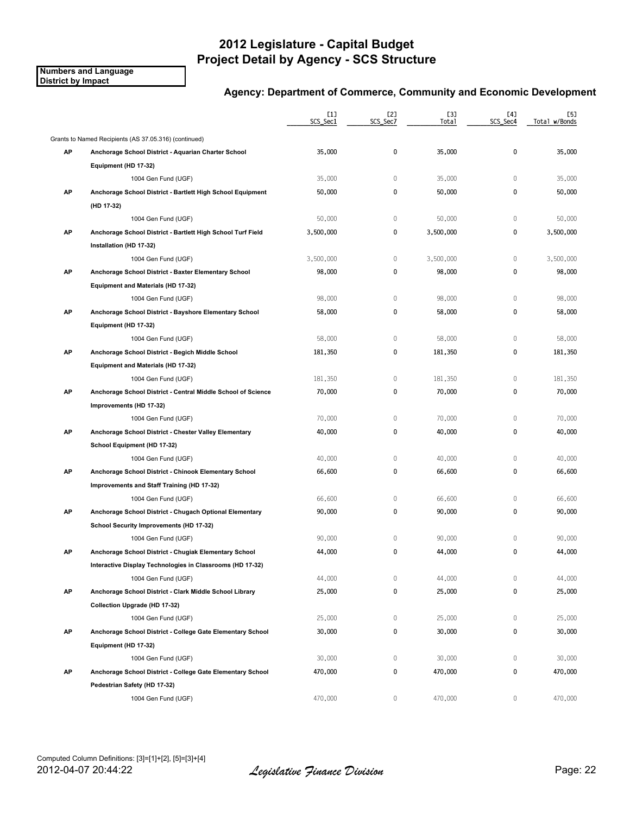**Numbers and Language District by Impact**

|    |                                                              | [1]<br>SCS_Sec1 | [2]<br>SCS_Sec7 | [3]<br>Total | [4]<br>SCS_Sec4 | [5]<br>Total w/Bonds |
|----|--------------------------------------------------------------|-----------------|-----------------|--------------|-----------------|----------------------|
|    | Grants to Named Recipients (AS 37.05.316) (continued)        |                 |                 |              |                 |                      |
| AP | Anchorage School District - Aquarian Charter School          | 35,000          | 0               | 35,000       | 0               | 35,000               |
|    | Equipment (HD 17-32)                                         |                 |                 |              |                 |                      |
|    | 1004 Gen Fund (UGF)                                          | 35,000          | $\mathbb O$     | 35,000       | 0               | 35,000               |
| AP | Anchorage School District - Bartlett High School Equipment   | 50,000          | 0               | 50,000       | 0               | 50,000               |
|    | (HD 17-32)                                                   |                 |                 |              |                 |                      |
|    | 1004 Gen Fund (UGF)                                          | 50,000          | $\mathbb O$     | 50,000       | $\mathbf 0$     | 50,000               |
| AP | Anchorage School District - Bartlett High School Turf Field  | 3,500,000       | 0               | 3,500,000    | 0               | 3,500,000            |
|    | Installation (HD 17-32)                                      |                 |                 |              |                 |                      |
|    | 1004 Gen Fund (UGF)                                          | 3,500,000       | $\mathbb O$     | 3,500,000    | $\mathbb O$     | 3,500,000            |
| AP | Anchorage School District - Baxter Elementary School         | 98,000          | 0               | 98,000       | 0               | 98,000               |
|    | Equipment and Materials (HD 17-32)                           |                 |                 |              |                 |                      |
|    | 1004 Gen Fund (UGF)                                          | 98,000          | $\mathbb O$     | 98,000       | $\mathbf{0}$    | 98,000               |
| AP | Anchorage School District - Bayshore Elementary School       | 58,000          | 0               | 58,000       | 0               | 58,000               |
|    | Equipment (HD 17-32)                                         |                 |                 |              |                 |                      |
|    | 1004 Gen Fund (UGF)                                          | 58,000          | $\mathbb O$     | 58,000       | $\mathbb O$     | 58,000               |
| AP | Anchorage School District - Begich Middle School             | 181,350         | 0               | 181,350      | 0               | 181,350              |
|    | Equipment and Materials (HD 17-32)                           |                 |                 |              |                 |                      |
|    | 1004 Gen Fund (UGF)                                          | 181,350         | $\mathbb O$     | 181,350      | $\mathbb O$     | 181,350              |
| AP | Anchorage School District - Central Middle School of Science | 70,000          | 0               | 70,000       | 0               | 70,000               |
|    | Improvements (HD 17-32)                                      |                 |                 |              |                 |                      |
|    | 1004 Gen Fund (UGF)                                          | 70,000          | $\mathbb O$     | 70,000       | $\mathbb O$     | 70,000               |
| AP | Anchorage School District - Chester Valley Elementary        | 40,000          | 0               | 40,000       | 0               | 40,000               |
|    | School Equipment (HD 17-32)                                  |                 |                 |              |                 |                      |
|    | 1004 Gen Fund (UGF)                                          | 40,000          | $\mathbb O$     | 40,000       | $\mathbf{0}$    | 40,000               |
| AP | Anchorage School District - Chinook Elementary School        | 66,600          | 0               | 66,600       | 0               | 66,600               |
|    | Improvements and Staff Training (HD 17-32)                   |                 |                 |              |                 |                      |
|    | 1004 Gen Fund (UGF)                                          | 66,600          | 0               | 66,600       | 0               | 66,600               |
| АP | Anchorage School District - Chugach Optional Elementary      | 90,000          | 0               | 90,000       | 0               | 90,000               |
|    | School Security Improvements (HD 17-32)                      |                 |                 |              |                 |                      |
|    | 1004 Gen Fund (UGF)                                          | 90,000          | $\mathbb O$     | 90,000       | $\mathbf{0}$    | 90,000               |
| АP | Anchorage School District - Chugiak Elementary School        | 44,000          | 0               | 44,000       | 0               | 44,000               |
|    | Interactive Display Technologies in Classrooms (HD 17-32)    |                 |                 |              |                 |                      |
|    | 1004 Gen Fund (UGF)                                          | 44,000          | 0               | 44,000       | 0               | 44,000               |
| AP | Anchorage School District - Clark Middle School Library      | 25,000          | 0               | 25,000       | 0               | 25,000               |
|    | Collection Upgrade (HD 17-32)                                |                 |                 |              |                 |                      |
|    | 1004 Gen Fund (UGF)                                          | 25,000          | 0               | 25,000       | 0               | 25,000               |
| AP | Anchorage School District - College Gate Elementary School   | 30,000          | 0               | 30,000       | 0               | 30,000               |
|    | Equipment (HD 17-32)                                         |                 |                 |              |                 |                      |
|    | 1004 Gen Fund (UGF)                                          | 30,000          | 0               | 30,000       | 0               | 30,000               |
| AP | Anchorage School District - College Gate Elementary School   | 470,000         | 0               | 470,000      | 0               | 470,000              |
|    | Pedestrian Safety (HD 17-32)                                 |                 |                 |              |                 |                      |
|    | 1004 Gen Fund (UGF)                                          | 470,000         | 0               | 470,000      | 0               | 470,000              |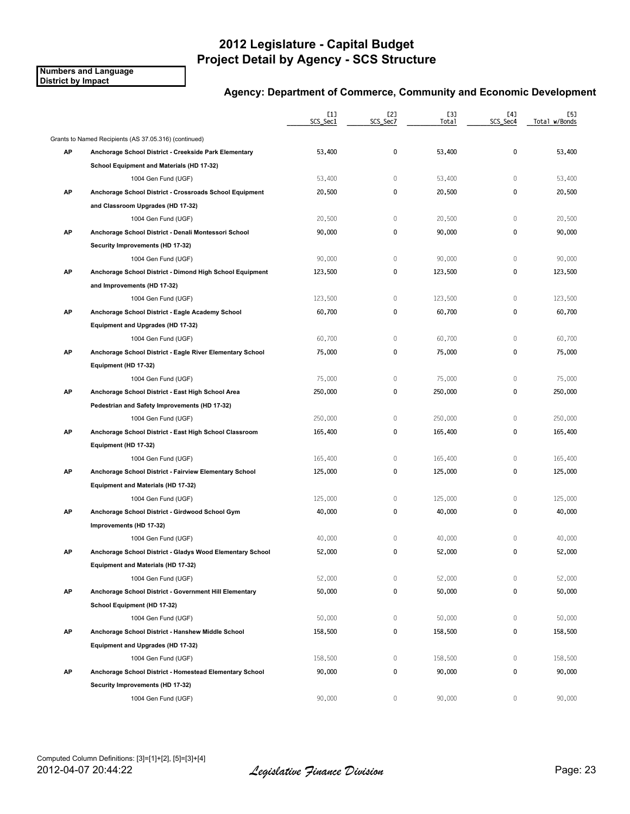**Numbers and Language District by Impact**

|    |                                                           | [1]<br>SCS_Sec1 | [2]<br>SCS Sec7 | <b>[3]</b><br>Total | [4]<br>SCS_Sec4 | [5]<br>Total w/Bonds |
|----|-----------------------------------------------------------|-----------------|-----------------|---------------------|-----------------|----------------------|
|    | Grants to Named Recipients (AS 37.05.316) (continued)     |                 |                 |                     |                 |                      |
| AP | Anchorage School District - Creekside Park Elementary     | 53,400          | 0               | 53,400              | $\mathbf{0}$    | 53,400               |
|    | School Equipment and Materials (HD 17-32)                 |                 |                 |                     |                 |                      |
|    | 1004 Gen Fund (UGF)                                       | 53,400          | $\mathbb O$     | 53,400              | $\mathbf{0}$    | 53,400               |
| AP | Anchorage School District - Crossroads School Equipment   | 20,500          | 0               | 20,500              | 0               | 20,500               |
|    | and Classroom Upgrades (HD 17-32)                         |                 |                 |                     |                 |                      |
|    | 1004 Gen Fund (UGF)                                       | 20,500          | $\mathbb O$     | 20,500              | $\mathbf{0}$    | 20,500               |
| AP | Anchorage School District - Denali Montessori School      | 90,000          | 0               | 90,000              | 0               | 90,000               |
|    | Security Improvements (HD 17-32)                          |                 |                 |                     |                 |                      |
|    | 1004 Gen Fund (UGF)                                       | 90,000          | $\mathbb O$     | 90,000              | $\mathbf{0}$    | 90,000               |
| AP | Anchorage School District - Dimond High School Equipment  | 123,500         | 0               | 123,500             | 0               | 123,500              |
|    | and Improvements (HD 17-32)                               |                 |                 |                     |                 |                      |
|    | 1004 Gen Fund (UGF)                                       | 123,500         | $\mathbb O$     | 123,500             | $\overline{0}$  | 123,500              |
| AP | Anchorage School District - Eagle Academy School          | 60,700          | 0               | 60,700              | 0               | 60,700               |
|    | Equipment and Upgrades (HD 17-32)                         |                 |                 |                     |                 |                      |
|    | 1004 Gen Fund (UGF)                                       | 60,700          | $\mathbb O$     | 60,700              | 0               | 60,700               |
| AP | Anchorage School District - Eagle River Elementary School | 75,000          | 0               | 75,000              | 0               | 75,000               |
|    | Equipment (HD 17-32)                                      |                 |                 |                     |                 |                      |
|    | 1004 Gen Fund (UGF)                                       | 75,000          | $\mathbb O$     | 75,000              | $\mathbb O$     | 75,000               |
| AP | Anchorage School District - East High School Area         | 250,000         | 0               | 250,000             | 0               | 250,000              |
|    | Pedestrian and Safety Improvements (HD 17-32)             |                 |                 |                     |                 |                      |
|    | 1004 Gen Fund (UGF)                                       | 250,000         | $\mathbb O$     | 250,000             | $\mathbf 0$     | 250,000              |
| AP | Anchorage School District - East High School Classroom    | 165,400         | 0               | 165,400             | 0               | 165,400              |
|    | Equipment (HD 17-32)                                      |                 |                 |                     |                 |                      |
|    | 1004 Gen Fund (UGF)                                       | 165,400         | 0               | 165,400             | 0               | 165,400              |
| AP | Anchorage School District - Fairview Elementary School    | 125,000         | 0               | 125,000             | 0               | 125,000              |
|    | Equipment and Materials (HD 17-32)                        |                 |                 |                     |                 |                      |
|    | 1004 Gen Fund (UGF)                                       | 125,000         | $\mathbb O$     | 125,000             | $\mathbf{0}$    | 125,000              |
| AP | Anchorage School District - Girdwood School Gym           | 40,000          | 0               | 40,000              | 0               | 40,000               |
|    | Improvements (HD 17-32)                                   |                 |                 |                     |                 |                      |
|    | 1004 Gen Fund (UGF)                                       | 40,000          | $\mathbb O$     | 40,000              | 0               | 40,000               |
| АP | Anchorage School District - Gladys Wood Elementary School | 52,000          | 0               | 52,000              | 0               | 52,000               |
|    | Equipment and Materials (HD 17-32)                        |                 |                 |                     |                 |                      |
|    | 1004 Gen Fund (UGF)                                       | 52,000          | 0               | 52,000              | $\mathbf{0}$    | 52,000               |
| AP | Anchorage School District - Government Hill Elementary    | 50,000          | 0               | 50,000              | 0               | 50,000               |
|    | School Equipment (HD 17-32)                               |                 |                 |                     |                 |                      |
|    | 1004 Gen Fund (UGF)                                       | 50,000          | 0               | 50,000              | 0               | 50,000               |
| AP | Anchorage School District - Hanshew Middle School         | 158,500         | 0               | 158,500             | 0               | 158,500              |
|    | Equipment and Upgrades (HD 17-32)                         |                 |                 |                     |                 |                      |
|    | 1004 Gen Fund (UGF)                                       | 158,500         | $\mathbb O$     | 158,500             | 0               | 158,500              |
| AP | Anchorage School District - Homestead Elementary School   | 90,000          | 0               | 90,000              | 0               | 90,000               |
|    | Security Improvements (HD 17-32)                          |                 |                 |                     |                 |                      |
|    | 1004 Gen Fund (UGF)                                       | 90,000          | 0               | 90,000              | 0               | 90,000               |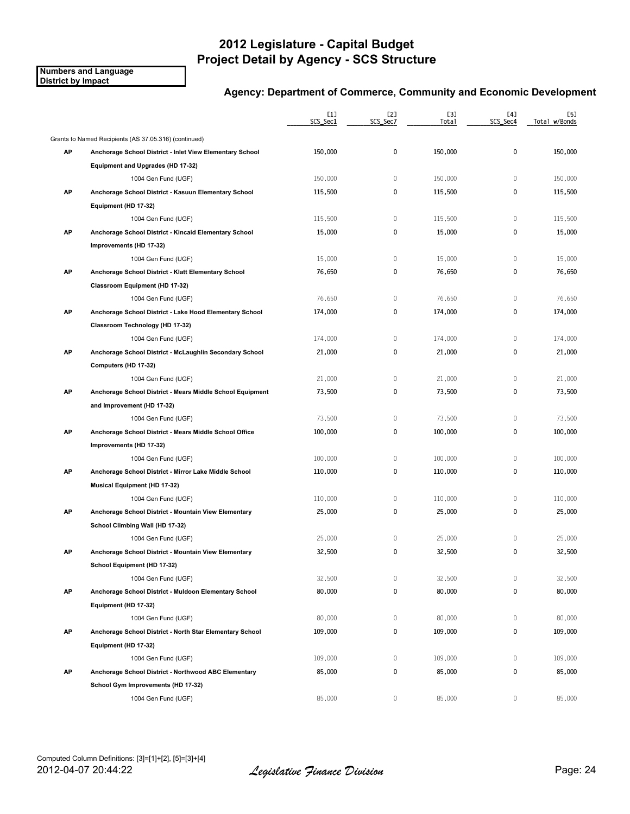**Numbers and Language District by Impact**

|    |                                                           | [1]<br>SCS_Sec1 | [2]<br>SCS_Sec7 | [3]<br>Total | [4]<br>SCS_Sec4 | [5]<br>Total w/Bonds |
|----|-----------------------------------------------------------|-----------------|-----------------|--------------|-----------------|----------------------|
|    | Grants to Named Recipients (AS 37.05.316) (continued)     |                 |                 |              |                 |                      |
| AP | Anchorage School District - Inlet View Elementary School  | 150,000         | 0               | 150,000      | 0               | 150,000              |
|    | Equipment and Upgrades (HD 17-32)                         |                 |                 |              |                 |                      |
|    | 1004 Gen Fund (UGF)                                       | 150,000         | $\mathbb O$     | 150,000      | $\mathbb O$     | 150,000              |
| AP | Anchorage School District - Kasuun Elementary School      | 115,500         | 0               | 115,500      | 0               | 115,500              |
|    | Equipment (HD 17-32)                                      |                 |                 |              |                 |                      |
|    | 1004 Gen Fund (UGF)                                       | 115,500         | $\mathbb O$     | 115,500      | $\mathbf{0}$    | 115,500              |
| AP | Anchorage School District - Kincaid Elementary School     | 15,000          | 0               | 15,000       | 0               | 15,000               |
|    | Improvements (HD 17-32)                                   |                 |                 |              |                 |                      |
|    | 1004 Gen Fund (UGF)                                       | 15,000          | $\mathbb O$     | 15,000       | $\mathbb O$     | 15,000               |
| AP | Anchorage School District - Klatt Elementary School       | 76,650          | 0               | 76,650       | 0               | 76,650               |
|    | Classroom Equipment (HD 17-32)                            |                 |                 |              |                 |                      |
|    | 1004 Gen Fund (UGF)                                       | 76,650          | $\mathbb O$     | 76,650       | $\mathbf{0}$    | 76,650               |
| AP | Anchorage School District - Lake Hood Elementary School   | 174,000         | 0               | 174,000      | 0               | 174,000              |
|    | Classroom Technology (HD 17-32)                           |                 |                 |              |                 |                      |
|    | 1004 Gen Fund (UGF)                                       | 174,000         | 0               | 174,000      | 0               | 174,000              |
| AP | Anchorage School District - McLaughlin Secondary School   | 21,000          | 0               | 21,000       | 0               | 21,000               |
|    | Computers (HD 17-32)                                      |                 |                 |              |                 |                      |
|    | 1004 Gen Fund (UGF)                                       | 21,000          | $\mathbb O$     | 21,000       | $\mathbf{0}$    | 21,000               |
| AP | Anchorage School District - Mears Middle School Equipment | 73,500          | 0               | 73,500       | 0               | 73,500               |
|    | and Improvement (HD 17-32)                                |                 |                 |              |                 |                      |
|    | 1004 Gen Fund (UGF)                                       | 73,500          | $\mathbb O$     | 73,500       | 0               | 73,500               |
| AP | Anchorage School District - Mears Middle School Office    | 100,000         | 0               | 100,000      | 0               | 100,000              |
|    | Improvements (HD 17-32)                                   |                 |                 |              |                 |                      |
|    | 1004 Gen Fund (UGF)                                       | 100,000         | 0               | 100,000      | $\mathbf{0}$    | 100,000              |
| AP | Anchorage School District - Mirror Lake Middle School     | 110,000         | 0               | 110,000      | 0               | 110,000              |
|    | <b>Musical Equipment (HD 17-32)</b>                       |                 |                 |              |                 |                      |
|    | 1004 Gen Fund (UGF)                                       | 110,000         | 0               | 110,000      | $\mathbf{0}$    | 110,000              |
| AP | Anchorage School District - Mountain View Elementary      | 25,000          | 0               | 25,000       | 0               | 25,000               |
|    | School Climbing Wall (HD 17-32)                           |                 |                 |              |                 |                      |
|    | 1004 Gen Fund (UGF)                                       | 25,000          | 0               | 25,000       | 0               | 25,000               |
| АP | Anchorage School District - Mountain View Elementary      | 32,500          | 0               | 32,500       | 0               | 32,500               |
|    | School Equipment (HD 17-32)                               |                 |                 |              |                 |                      |
|    | 1004 Gen Fund (UGF)                                       | 32,500          | 0               | 32,500       | 0               | 32,500               |
| AP | Anchorage School District - Muldoon Elementary School     | 80,000          | 0               | 80,000       | 0               | 80,000               |
|    | Equipment (HD 17-32)                                      |                 |                 |              |                 |                      |
|    | 1004 Gen Fund (UGF)                                       | 80,000          | 0               | 80,000       | 0               | 80,000               |
| AP | Anchorage School District - North Star Elementary School  | 109,000         | 0               | 109,000      | 0               | 109,000              |
|    | Equipment (HD 17-32)                                      |                 |                 |              |                 |                      |
|    | 1004 Gen Fund (UGF)                                       | 109,000         | 0               | 109,000      | 0               | 109,000              |
| AP | Anchorage School District - Northwood ABC Elementary      | 85,000          | 0               | 85,000       | 0               | 85,000               |
|    | School Gym Improvements (HD 17-32)                        |                 |                 |              |                 |                      |
|    | 1004 Gen Fund (UGF)                                       | 85,000          | 0               | 85,000       | 0               | 85,000               |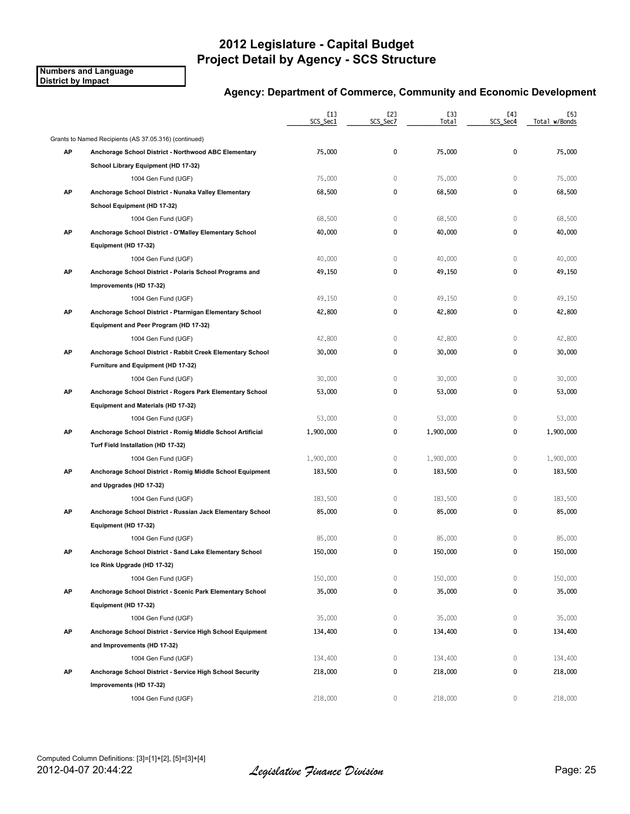**Numbers and Language District by Impact**

|    |                                                            | [1]<br>SCS_Sec1 | [2]<br>SCS_Sec7 | [3]<br>Total | [4]<br>SCS_Sec4 | [5]<br>Total w/Bonds |
|----|------------------------------------------------------------|-----------------|-----------------|--------------|-----------------|----------------------|
|    | Grants to Named Recipients (AS 37.05.316) (continued)      |                 |                 |              |                 |                      |
| AP | Anchorage School District - Northwood ABC Elementary       | 75,000          | 0               | 75,000       | 0               | 75,000               |
|    | School Library Equipment (HD 17-32)                        |                 |                 |              |                 |                      |
|    | 1004 Gen Fund (UGF)                                        | 75,000          | $\mathbb O$     | 75,000       | 0               | 75,000               |
| AP | Anchorage School District - Nunaka Valley Elementary       | 68,500          | 0               | 68,500       | 0               | 68,500               |
|    | School Equipment (HD 17-32)                                |                 |                 |              |                 |                      |
|    | 1004 Gen Fund (UGF)                                        | 68,500          | $\mathbb O$     | 68,500       | $\mathbf 0$     | 68,500               |
| AP | Anchorage School District - O'Malley Elementary School     | 40,000          | 0               | 40,000       | 0               | 40,000               |
|    | Equipment (HD 17-32)                                       |                 |                 |              |                 |                      |
|    | 1004 Gen Fund (UGF)                                        | 40,000          | $\mathbb O$     | 40,000       | $\mathbb O$     | 40,000               |
| AP | Anchorage School District - Polaris School Programs and    | 49,150          | 0               | 49,150       | 0               | 49,150               |
|    | Improvements (HD 17-32)                                    |                 |                 |              |                 |                      |
|    | 1004 Gen Fund (UGF)                                        | 49,150          | $\mathbb O$     | 49,150       | $\mathbf{0}$    | 49,150               |
| AP | Anchorage School District - Ptarmigan Elementary School    | 42,800          | 0               | 42,800       | 0               | 42,800               |
|    | Equipment and Peer Program (HD 17-32)                      |                 |                 |              |                 |                      |
|    | 1004 Gen Fund (UGF)                                        | 42,800          | $\mathbb O$     | 42,800       | $\mathbb O$     | 42,800               |
| AP | Anchorage School District - Rabbit Creek Elementary School | 30,000          | 0               | 30,000       | 0               | 30,000               |
|    | Furniture and Equipment (HD 17-32)                         |                 |                 |              |                 |                      |
|    | 1004 Gen Fund (UGF)                                        | 30,000          | $\mathbb O$     | 30,000       | $\mathbf 0$     | 30,000               |
| AP | Anchorage School District - Rogers Park Elementary School  | 53,000          | 0               | 53,000       | 0               | 53,000               |
|    | Equipment and Materials (HD 17-32)                         |                 |                 |              |                 |                      |
|    | 1004 Gen Fund (UGF)                                        | 53,000          | $\mathbb O$     | 53,000       | $\mathbb O$     | 53,000               |
| AP | Anchorage School District - Romig Middle School Artificial | 1,900,000       | 0               | 1,900,000    | 0               | 1,900,000            |
|    | Turf Field Installation (HD 17-32)                         |                 |                 |              |                 |                      |
|    | 1004 Gen Fund (UGF)                                        | 1,900,000       | 0               | 1,900,000    | $\mathbf 0$     | 1,900,000            |
| AP | Anchorage School District - Romig Middle School Equipment  | 183,500         | 0               | 183,500      | 0               | 183,500              |
|    | and Upgrades (HD 17-32)                                    |                 |                 |              |                 |                      |
|    | 1004 Gen Fund (UGF)                                        | 183,500         | 0               | 183,500      | 0               | 183,500              |
| АP | Anchorage School District - Russian Jack Elementary School | 85,000          | 0               | 85,000       | 0               | 85,000               |
|    | Equipment (HD 17-32)                                       |                 |                 |              |                 |                      |
|    | 1004 Gen Fund (UGF)                                        | 85,000          | $\mathbb O$     | 85,000       | 0               | 85,000               |
| АP | Anchorage School District - Sand Lake Elementary School    | 150,000         | 0               | 150,000      | 0               | 150,000              |
|    | Ice Rink Upgrade (HD 17-32)                                |                 |                 |              |                 |                      |
|    | 1004 Gen Fund (UGF)                                        | 150,000         | 0               | 150,000      | 0               | 150,000              |
| AP | Anchorage School District - Scenic Park Elementary School  | 35,000          | 0               | 35,000       | 0               | 35,000               |
|    | Equipment (HD 17-32)                                       |                 |                 |              |                 |                      |
|    | 1004 Gen Fund (UGF)                                        | 35,000          | 0               | 35,000       | 0               | 35,000               |
| AP | Anchorage School District - Service High School Equipment  | 134,400         | 0               | 134,400      | 0               | 134,400              |
|    | and Improvements (HD 17-32)                                |                 |                 |              |                 |                      |
|    | 1004 Gen Fund (UGF)                                        | 134,400         | 0               | 134,400      | 0               | 134,400              |
| AP | Anchorage School District - Service High School Security   | 218,000         | 0               | 218,000      | 0               | 218,000              |
|    | Improvements (HD 17-32)                                    |                 |                 |              |                 |                      |
|    | 1004 Gen Fund (UGF)                                        | 218,000         | 0               | 218,000      | 0               | 218,000              |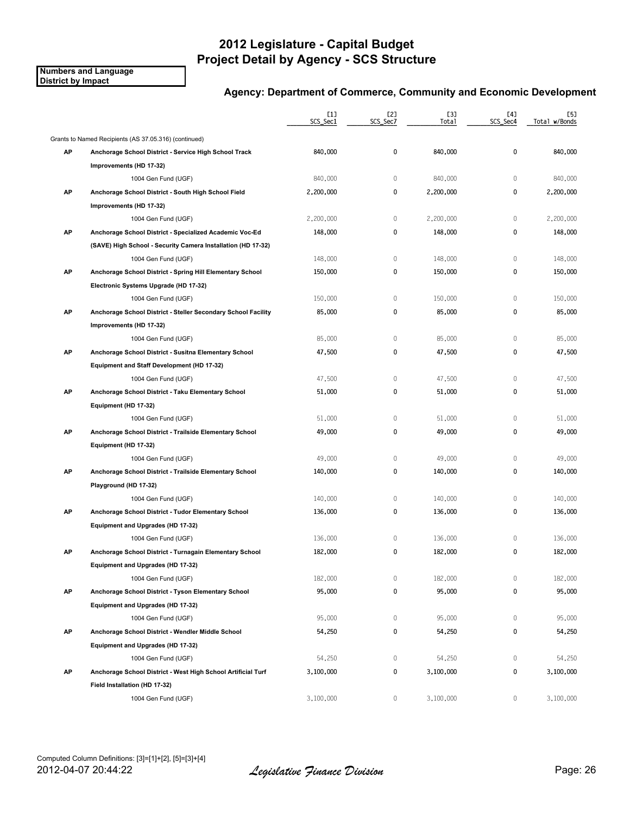**Numbers and Language District by Impact**

|    |                                                               | [1]<br>SCS_Sec1 | [2]<br>SCS_Sec7 | [3]<br>Total | [4]<br>SCS_Sec4 | [5]<br>Total w/Bonds |
|----|---------------------------------------------------------------|-----------------|-----------------|--------------|-----------------|----------------------|
|    | Grants to Named Recipients (AS 37.05.316) (continued)         |                 |                 |              |                 |                      |
| AP | Anchorage School District - Service High School Track         | 840,000         | 0               | 840,000      | 0               | 840,000              |
|    | Improvements (HD 17-32)                                       |                 |                 |              |                 |                      |
|    | 1004 Gen Fund (UGF)                                           | 840,000         | 0               | 840,000      | $\mathbb O$     | 840,000              |
| AP | Anchorage School District - South High School Field           | 2,200,000       | 0               | 2,200,000    | 0               | 2,200,000            |
|    | Improvements (HD 17-32)                                       |                 |                 |              |                 |                      |
|    | 1004 Gen Fund (UGF)                                           | 2,200,000       | $\mathbb O$     | 2,200,000    | $\mathbf 0$     | 2,200,000            |
| AP | Anchorage School District - Specialized Academic Voc-Ed       | 148,000         | 0               | 148,000      | 0               | 148,000              |
|    | (SAVE) High School - Security Camera Installation (HD 17-32)  |                 |                 |              |                 |                      |
|    | 1004 Gen Fund (UGF)                                           | 148,000         | $\mathbb O$     | 148,000      | $\mathbb O$     | 148,000              |
| AP | Anchorage School District - Spring Hill Elementary School     | 150,000         | 0               | 150,000      | 0               | 150,000              |
|    | Electronic Systems Upgrade (HD 17-32)                         |                 |                 |              |                 |                      |
|    | 1004 Gen Fund (UGF)                                           | 150,000         | $\mathbb O$     | 150,000      | $\mathbf{0}$    | 150,000              |
| AP | Anchorage School District - Steller Secondary School Facility | 85,000          | 0               | 85,000       | 0               | 85,000               |
|    | Improvements (HD 17-32)                                       |                 |                 |              |                 |                      |
|    | 1004 Gen Fund (UGF)                                           | 85,000          | $\mathbb O$     | 85,000       | $\mathbb O$     | 85,000               |
| AP | Anchorage School District - Susitna Elementary School         | 47,500          | 0               | 47,500       | 0               | 47,500               |
|    | Equipment and Staff Development (HD 17-32)                    |                 |                 |              |                 |                      |
|    | 1004 Gen Fund (UGF)                                           | 47,500          | $\mathbb O$     | 47,500       | $\mathbf 0$     | 47,500               |
| AP | Anchorage School District - Taku Elementary School            | 51,000          | 0               | 51,000       | 0               | 51,000               |
|    | Equipment (HD 17-32)                                          |                 |                 |              |                 |                      |
|    | 1004 Gen Fund (UGF)                                           | 51,000          | $\mathbb O$     | 51,000       | $\mathbb O$     | 51,000               |
| AP | Anchorage School District - Trailside Elementary School       | 49,000          | 0               | 49,000       | 0               | 49,000               |
|    | Equipment (HD 17-32)                                          |                 |                 |              |                 |                      |
|    | 1004 Gen Fund (UGF)                                           | 49,000          | $\mathbb O$     | 49,000       | $\mathbf{0}$    | 49,000               |
| AP | Anchorage School District - Trailside Elementary School       | 140,000         | 0               | 140,000      | 0               | 140,000              |
|    | Playground (HD 17-32)                                         |                 |                 |              |                 |                      |
|    | 1004 Gen Fund (UGF)                                           | 140,000         | 0               | 140,000      | 0               | 140,000              |
| АP | Anchorage School District - Tudor Elementary School           | 136,000         | 0               | 136,000      | 0               | 136,000              |
|    | Equipment and Upgrades (HD 17-32)                             |                 |                 |              |                 |                      |
|    | 1004 Gen Fund (UGF)                                           | 136,000         | 0               | 136,000      | 0               | 136,000              |
| АP | Anchorage School District - Turnagain Elementary School       | 182,000         | 0               | 182,000      | 0               | 182,000              |
|    | Equipment and Upgrades (HD 17-32)                             |                 |                 |              |                 |                      |
|    | 1004 Gen Fund (UGF)                                           | 182,000         | 0               | 182,000      | 0               | 182,000              |
| AP | Anchorage School District - Tyson Elementary School           | 95,000          | 0               | 95,000       | 0               | 95,000               |
|    | Equipment and Upgrades (HD 17-32)                             |                 |                 |              |                 |                      |
|    | 1004 Gen Fund (UGF)                                           | 95,000          | 0               | 95,000       | 0               | 95,000               |
| AP | Anchorage School District - Wendler Middle School             | 54,250          | 0               | 54,250       | 0               | 54,250               |
|    | Equipment and Upgrades (HD 17-32)                             |                 |                 |              |                 |                      |
|    | 1004 Gen Fund (UGF)                                           | 54,250          | 0               | 54,250       | 0               | 54,250               |
| AP | Anchorage School District - West High School Artificial Turf  | 3,100,000       | 0               | 3,100,000    | 0               | 3,100,000            |
|    | Field Installation (HD 17-32)                                 |                 |                 |              |                 |                      |
|    | 1004 Gen Fund (UGF)                                           | 3,100,000       | 0               | 3,100,000    | 0               | 3,100,000            |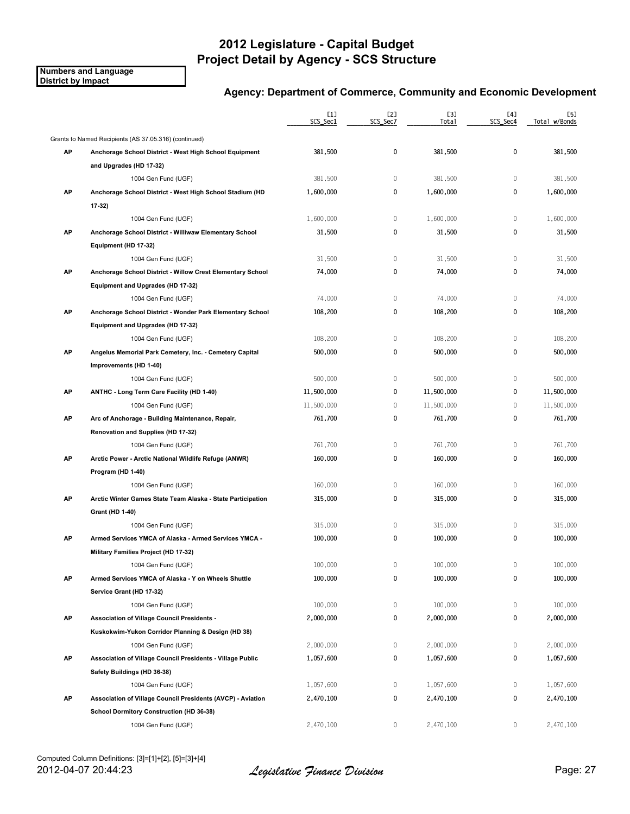**Numbers and Language District by Impact**

|    |                                                             | [1]<br>SCS_Sec1 | [2]<br>SCS_Sec7 | [3]<br>Total | [4]<br>SCS_Sec4 | [5]<br>Total w/Bonds |
|----|-------------------------------------------------------------|-----------------|-----------------|--------------|-----------------|----------------------|
|    | Grants to Named Recipients (AS 37.05.316) (continued)       |                 |                 |              |                 |                      |
| AP | Anchorage School District - West High School Equipment      | 381,500         | 0               | 381,500      | 0               | 381,500              |
|    | and Upgrades (HD 17-32)                                     |                 |                 |              |                 |                      |
|    | 1004 Gen Fund (UGF)                                         | 381,500         | 0               | 381,500      | 0               | 381,500              |
| AP | Anchorage School District - West High School Stadium (HD    | 1,600,000       | 0               | 1,600,000    | 0               | 1,600,000            |
|    | $17-32$                                                     |                 |                 |              |                 |                      |
|    | 1004 Gen Fund (UGF)                                         | 1,600,000       | 0               | 1,600,000    | $\mathbb O$     | 1,600,000            |
| AP | Anchorage School District - Williwaw Elementary School      | 31,500          | 0               | 31,500       | 0               | 31,500               |
|    | Equipment (HD 17-32)                                        |                 |                 |              |                 |                      |
|    | 1004 Gen Fund (UGF)                                         | 31,500          | 0               | 31,500       | 0               | 31,500               |
| AP | Anchorage School District - Willow Crest Elementary School  | 74,000          | 0               | 74,000       | 0               | 74,000               |
|    | Equipment and Upgrades (HD 17-32)                           |                 |                 |              |                 |                      |
|    | 1004 Gen Fund (UGF)                                         | 74,000          | 0               | 74,000       | $\mathbb O$     | 74,000               |
| AP | Anchorage School District - Wonder Park Elementary School   | 108,200         | 0               | 108,200      | 0               | 108,200              |
|    | Equipment and Upgrades (HD 17-32)                           |                 |                 |              |                 |                      |
|    | 1004 Gen Fund (UGF)                                         | 108,200         | 0               | 108,200      | 0               | 108,200              |
| АP | Angelus Memorial Park Cemetery, Inc. - Cemetery Capital     | 500,000         | 0               | 500,000      | 0               | 500,000              |
|    | Improvements (HD 1-40)                                      |                 |                 |              |                 |                      |
|    | 1004 Gen Fund (UGF)                                         | 500,000         | 0               | 500,000      | 0               | 500,000              |
| AP | ANTHC - Long Term Care Facility (HD 1-40)                   | 11,500,000      | 0               | 11,500,000   | 0               | 11,500,000           |
|    | 1004 Gen Fund (UGF)                                         | 11,500,000      | 0               | 11,500,000   | 0               | 11,500,000           |
| AP | Arc of Anchorage - Building Maintenance, Repair,            | 761,700         | 0               | 761,700      | 0               | 761,700              |
|    | Renovation and Supplies (HD 17-32)                          |                 |                 |              |                 |                      |
|    | 1004 Gen Fund (UGF)                                         | 761,700         | 0               | 761,700      | 0               | 761,700              |
| AP | Arctic Power - Arctic National Wildlife Refuge (ANWR)       | 160,000         | 0               | 160,000      | 0               | 160,000              |
|    | Program (HD 1-40)                                           |                 |                 |              |                 |                      |
|    | 1004 Gen Fund (UGF)                                         | 160,000         | 0               | 160,000      | 0               | 160,000              |
| AP | Arctic Winter Games State Team Alaska - State Participation | 315,000         | 0               | 315,000      | 0               | 315,000              |
|    | <b>Grant (HD 1-40)</b>                                      |                 |                 |              |                 |                      |
|    | 1004 Gen Fund (UGF)                                         | 315,000         | 0               | 315,000      | 0               | 315,000              |
| AP | Armed Services YMCA of Alaska - Armed Services YMCA -       | 100,000         | 0               | 100,000      | 0               | 100,000              |
|    | Military Families Project (HD 17-32)                        |                 |                 |              |                 |                      |
|    | 1004 Gen Fund (UGF)                                         | 100,000         | 0               | 100,000      | 0               | 100,000              |
| AP | Armed Services YMCA of Alaska - Y on Wheels Shuttle         | 100,000         | 0               | 100,000      | 0               | 100,000              |
|    | Service Grant (HD 17-32)                                    |                 |                 |              |                 |                      |
|    | 1004 Gen Fund (UGF)                                         | 100,000         | 0               | 100,000      | 0               | 100,000              |
| AP | Association of Village Council Presidents -                 | 2,000,000       | 0               | 2,000,000    | 0               | 2,000,000            |
|    | Kuskokwim-Yukon Corridor Planning & Design (HD 38)          |                 |                 |              |                 |                      |
|    | 1004 Gen Fund (UGF)                                         | 2,000,000       | 0               | 2,000,000    | 0               | 2,000,000            |
| AP | Association of Village Council Presidents - Village Public  | 1,057,600       | 0               | 1,057,600    | 0               | 1,057,600            |
|    | Safety Buildings (HD 36-38)                                 |                 |                 |              |                 |                      |
|    | 1004 Gen Fund (UGF)                                         | 1,057,600       | 0               | 1,057,600    | 0               | 1,057,600            |
| AP | Association of Village Council Presidents (AVCP) - Aviation | 2,470,100       | 0               | 2,470,100    | 0               | 2,470,100            |
|    | School Dormitory Construction (HD 36-38)                    |                 |                 |              |                 |                      |
|    | 1004 Gen Fund (UGF)                                         | 2,470,100       | 0               | 2,470,100    | 0               | 2,470,100            |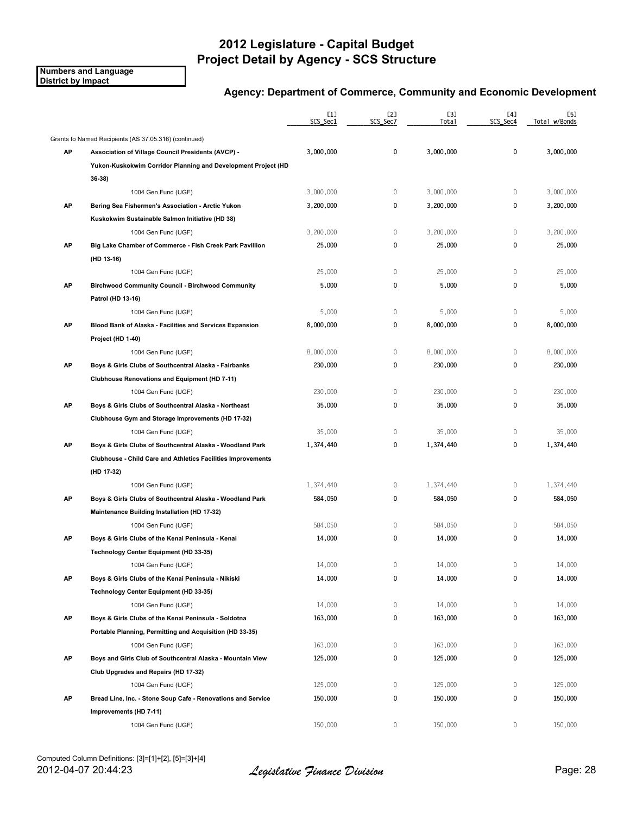**Numbers and Language District by Impact**

|    |                                                               | $[1]$<br>SCS_Sec1 | [2]<br>SCS_Sec7 | [3]<br>Total | [4]<br>SCS_Sec4 | [5]<br>Total w/Bonds |
|----|---------------------------------------------------------------|-------------------|-----------------|--------------|-----------------|----------------------|
|    | Grants to Named Recipients (AS 37.05.316) (continued)         |                   |                 |              |                 |                      |
| AP | <b>Association of Village Council Presidents (AVCP) -</b>     | 3,000,000         | 0               | 3,000,000    | 0               | 3,000,000            |
|    | Yukon-Kuskokwim Corridor Planning and Development Project (HD |                   |                 |              |                 |                      |
|    | 36 38)                                                        |                   |                 |              |                 |                      |
|    | 1004 Gen Fund (UGF)                                           | 3,000,000         | 0               | 3,000,000    | $\mathbf 0$     | 3,000,000            |
| AP | Bering Sea Fishermen's Association - Arctic Yukon             | 3,200,000         | 0               | 3,200,000    | 0               | 3,200,000            |
|    | Kuskokwim Sustainable Salmon Initiative (HD 38)               |                   |                 |              |                 |                      |
|    | 1004 Gen Fund (UGF)                                           | 3,200,000         | $\mathbb O$     | 3,200,000    | $\mathbf 0$     | 3,200,000            |
| AP | Big Lake Chamber of Commerce - Fish Creek Park Pavillion      | 25,000            | 0               | 25,000       | $\pmb{0}$       | 25,000               |
|    | (HD 13-16)                                                    |                   |                 |              |                 |                      |
|    | 1004 Gen Fund (UGF)                                           | 25,000            | $\mathbb O$     | 25,000       | $\mathbf 0$     | 25,000               |
| AP | <b>Birchwood Community Council - Birchwood Community</b>      | 5,000             | 0               | 5,000        | 0               | 5,000                |
|    | Patrol (HD 13-16)                                             |                   |                 |              |                 |                      |
|    | 1004 Gen Fund (UGF)                                           | 5,000             | $\mathbb O$     | 5,000        | $\mathbf 0$     | 5,000                |
| AP | Blood Bank of Alaska - Facilities and Services Expansion      | 8,000,000         | 0               | 8,000,000    | $\mathbf 0$     | 8,000,000            |
|    | Project (HD 1-40)                                             |                   |                 |              |                 |                      |
|    | 1004 Gen Fund (UGF)                                           | 8,000,000         | $\mathbb O$     | 8,000,000    | $\mathbf 0$     | 8,000,000            |
| АP | Boys & Girls Clubs of Southcentral Alaska - Fairbanks         | 230,000           | 0               | 230,000      | 0               | 230,000              |
|    | Clubhouse Renovations and Equipment (HD 7-11)                 |                   |                 |              |                 |                      |
|    | 1004 Gen Fund (UGF)                                           | 230,000           | $\mathbb O$     | 230,000      | $\mathbb O$     | 230,000              |
| AP | Boys & Girls Clubs of Southcentral Alaska - Northeast         | 35,000            | 0               | 35,000       | 0               | 35,000               |
|    | Clubhouse Gym and Storage Improvements (HD 17-32)             |                   |                 |              |                 |                      |
|    | 1004 Gen Fund (UGF)                                           | 35,000            | $\mathbb O$     | 35,000       | $\mathbb O$     | 35,000               |
| AP | Boys & Girls Clubs of Southcentral Alaska - Woodland Park     | 1,374,440         | 0               | 1,374,440    | 0               | 1,374,440            |
|    | Clubhouse - Child Care and Athletics Facilities Improvements  |                   |                 |              |                 |                      |
|    | (HD 17-32)                                                    |                   |                 |              |                 |                      |
|    | 1004 Gen Fund (UGF)                                           | 1,374,440         | 0               | 1,374,440    | $\mathbf 0$     | 1,374,440            |
| AP | Boys & Girls Clubs of Southcentral Alaska - Woodland Park     | 584,050           | 0               | 584,050      | 0               | 584,050              |
|    | Maintenance Building Installation (HD 17-32)                  |                   |                 |              |                 |                      |
|    | 1004 Gen Fund (UGF)                                           | 584,050           | $\mathbb O$     | 584,050      | $\mathbf 0$     | 584,050              |
| AP | Boys & Girls Clubs of the Kenai Peninsula - Kenai             | 14,000            | 0               | 14,000       | 0               | 14,000               |
|    | Technology Center Equipment (HD 33-35)                        |                   |                 |              |                 |                      |
|    | 1004 Gen Fund (UGF)                                           | 14,000            | 0               | 14,000       | 0               | 14,000               |
| АP | Boys & Girls Clubs of the Kenai Peninsula - Nikiski           | 14,000            | 0               | 14,000       | 0               | 14,000               |
|    | Technology Center Equipment (HD 33-35)                        |                   |                 |              |                 |                      |
|    | 1004 Gen Fund (UGF)                                           | 14,000            | 0               | 14,000       | 0               | 14,000               |
| AP | Boys & Girls Clubs of the Kenai Peninsula - Soldotna          | 163,000           | 0               | 163,000      | 0               | 163,000              |
|    | Portable Planning, Permitting and Acquisition (HD 33-35)      |                   |                 |              |                 |                      |
|    | 1004 Gen Fund (UGF)                                           | 163,000           | 0               | 163,000      | 0               | 163,000              |
| AP | Boys and Girls Club of Southcentral Alaska - Mountain View    | 125,000           | 0               | 125,000      | 0               | 125,000              |
|    | Club Upgrades and Repairs (HD 17-32)                          |                   |                 |              |                 |                      |
|    | 1004 Gen Fund (UGF)                                           | 125,000           | 0               | 125,000      | 0               | 125,000              |
| AP | Bread Line, Inc. - Stone Soup Cafe - Renovations and Service  | 150,000           | 0               | 150,000      | 0               | 150,000              |
|    | Improvements (HD 7-11)                                        |                   |                 |              |                 |                      |
|    | 1004 Gen Fund (UGF)                                           | 150,000           | 0               | 150,000      | 0               | 150,000              |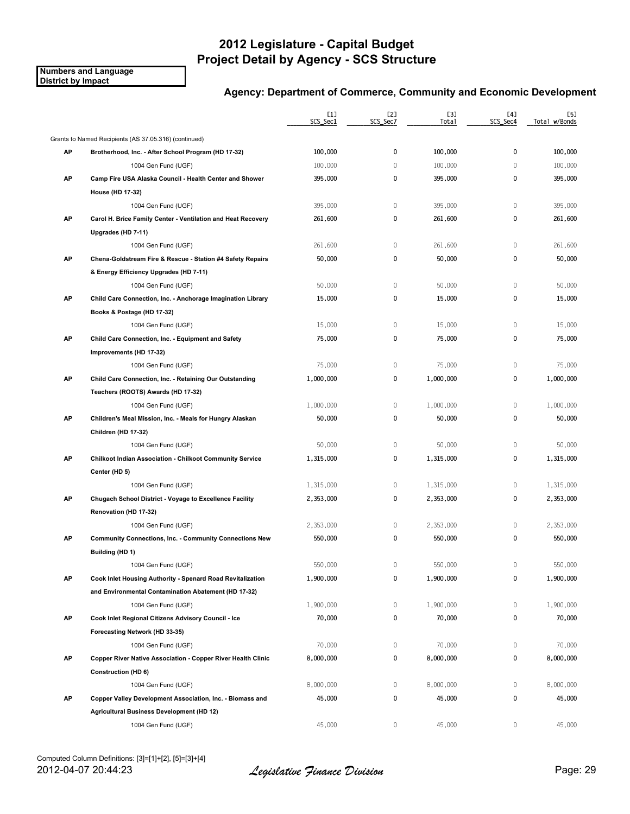**Numbers and Language District by Impact**

|    |                                                                 | [1]<br>SCS_Sec1 | [2]<br>SCS_Sec7 | [3]<br>Total | [4]<br>SCS_Sec4 | [5]<br>Total w/Bonds |
|----|-----------------------------------------------------------------|-----------------|-----------------|--------------|-----------------|----------------------|
|    | Grants to Named Recipients (AS 37.05.316) (continued)           |                 |                 |              |                 |                      |
| AP | Brotherhood, Inc. After School Program (HD 17-32)               | 100,000         | 0               | 100,000      | 0               | 100,000              |
|    | 1004 Gen Fund (UGF)                                             | 100,000         | $\mathbf 0$     | 100,000      | $\mathbf{0}$    | 100,000              |
| AP | Camp Fire USA Alaska Council - Health Center and Shower         | 395,000         | 0               | 395,000      | 0               | 395,000              |
|    | House (HD 17-32)                                                |                 |                 |              |                 |                      |
|    | 1004 Gen Fund (UGF)                                             | 395,000         | 0               | 395,000      | 0               | 395,000              |
| АP | Carol H. Brice Family Center - Ventilation and Heat Recovery    | 261,600         | 0               | 261,600      | 0               | 261,600              |
|    | Upgrades (HD 7-11)                                              |                 |                 |              |                 |                      |
|    | 1004 Gen Fund (UGF)                                             | 261,600         | 0               | 261,600      | 0               | 261,600              |
| AP | Chena-Goldstream Fire & Rescue - Station #4 Safety Repairs      | 50,000          | 0               | 50,000       | $\mathbf 0$     | 50,000               |
|    | & Energy Efficiency Upgrades (HD 7-11)                          |                 |                 |              |                 |                      |
|    | 1004 Gen Fund (UGF)                                             | 50,000          | $\mathbb O$     | 50,000       | 0               | 50,000               |
| AP | Child Care Connection, Inc. - Anchorage Imagination Library     | 15,000          | 0               | 15,000       | 0               | 15,000               |
|    | Books & Postage (HD 17-32)                                      |                 |                 |              |                 |                      |
|    | 1004 Gen Fund (UGF)                                             | 15,000          | 0               | 15,000       | $\mathbf 0$     | 15,000               |
| AP | Child Care Connection, Inc. - Equipment and Safety              | 75,000          | 0               | 75,000       | 0               | 75,000               |
|    | Improvements (HD 17-32)                                         |                 |                 |              |                 |                      |
|    | 1004 Gen Fund (UGF)                                             | 75,000          | $\mathbb O$     | 75,000       | 0               | 75,000               |
| AP | Child Care Connection, Inc. - Retaining Our Outstanding         | 1,000,000       | 0               | 1,000,000    | 0               | 1,000,000            |
|    | Teachers (ROOTS) Awards (HD 17-32)                              |                 |                 |              |                 |                      |
|    | 1004 Gen Fund (UGF)                                             | 1,000,000       | $\mathbb O$     | 1,000,000    | $\mathbf 0$     | 1,000,000            |
| AP | Children's Meal Mission, Inc. - Meals for Hungry Alaskan        | 50,000          | 0               | 50,000       | 0               | 50,000               |
|    | Children (HD 17-32)                                             |                 |                 |              |                 |                      |
|    | 1004 Gen Fund (UGF)                                             | 50,000          | 0               | 50,000       | 0               | 50,000               |
| AP | <b>Chilkoot Indian Association - Chilkoot Community Service</b> | 1,315,000       | 0               | 1,315,000    | 0               | 1,315,000            |
|    | Center (HD 5)                                                   |                 |                 |              |                 |                      |
|    | 1004 Gen Fund (UGF)                                             | 1,315,000       | 0               | 1,315,000    | 0               | 1,315,000            |
| AP | Chugach School District - Voyage to Excellence Facility         | 2,353,000       | 0               | 2,353,000    | 0               | 2,353,000            |
|    | Renovation (HD 17-32)                                           |                 |                 |              |                 |                      |
|    | 1004 Gen Fund (UGF)                                             | 2,353,000       | 0               | 2,353,000    | 0               | 2,353,000            |
| AP | <b>Community Connections, Inc. - Community Connections New</b>  | 550,000         | 0               | 550,000      | 0               | 550,000              |
|    | Building (HD 1)                                                 |                 |                 |              |                 |                      |
|    | 1004 Gen Fund (UGF)                                             | 550,000         | 0               | 550,000      | 0               | 550,000              |
| АP | Cook Inlet Housing Authority - Spenard Road Revitalization      | 1,900,000       | 0               | 1,900,000    | 0               | 1,900,000            |
|    | and Environmental Contamination Abatement (HD 17-32)            |                 |                 |              |                 |                      |
|    | 1004 Gen Fund (UGF)                                             | 1,900,000       | 0               | 1,900,000    | 0               | 1,900,000            |
| AP | Cook Inlet Regional Citizens Advisory Council - Ice             | 70,000          | 0               | 70,000       | 0               | 70,000               |
|    | Forecasting Network (HD 33-35)                                  |                 |                 |              |                 |                      |
|    | 1004 Gen Fund (UGF)                                             | 70,000          | 0               | 70,000       | 0               | 70,000               |
| AP | Copper River Native Association - Copper River Health Clinic    | 8,000,000       | 0               | 8,000,000    | 0               | 8,000,000            |
|    | <b>Construction (HD 6)</b>                                      |                 |                 |              |                 |                      |
|    | 1004 Gen Fund (UGF)                                             | 8,000,000       | 0               | 8,000,000    | 0               | 8,000,000            |
| AP | Copper Valley Development Association, Inc. - Biomass and       | 45,000          | 0               | 45,000       | 0               | 45,000               |
|    | Agricultural Business Development (HD 12)                       |                 |                 |              |                 |                      |
|    | 1004 Gen Fund (UGF)                                             | 45,000          | 0               | 45,000       | 0               | 45,000               |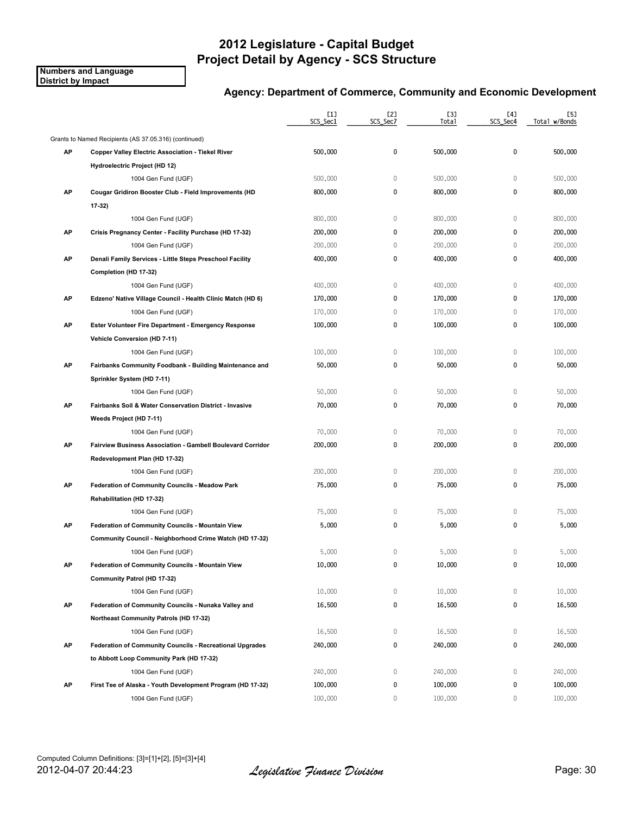**Numbers and Language District by Impact**

|    |                                                             | $[1]$<br>SCS_Sec1 | [2]<br>SCS_Sec7 | [3]<br>Total | [4]<br>SCS_Sec4 | [5]<br>Total w/Bonds |
|----|-------------------------------------------------------------|-------------------|-----------------|--------------|-----------------|----------------------|
|    | Grants to Named Recipients (AS 37.05.316) (continued)       |                   |                 |              |                 |                      |
| AP | <b>Copper Valley Electric Association - Tiekel River</b>    | 500,000           | 0               | 500,000      | 0               | 500,000              |
|    | Hydroelectric Project (HD 12)                               |                   |                 |              |                 |                      |
|    | 1004 Gen Fund (UGF)                                         | 500,000           | 0               | 500,000      | $\mathbb O$     | 500,000              |
| AP | Cougar Gridiron Booster Club - Field Improvements (HD       | 800,000           | 0               | 800,000      | 0               | 800,000              |
|    | 17-32)                                                      |                   |                 |              |                 |                      |
|    | 1004 Gen Fund (UGF)                                         | 800,000           | $\mathbf 0$     | 800,000      | $\mathbf 0$     | 800,000              |
| AP | Crisis Pregnancy Center - Facility Purchase (HD 17-32)      | 200,000           | 0               | 200,000      | 0               | 200,000              |
|    | 1004 Gen Fund (UGF)                                         | 200,000           | 0               | 200,000      | 0               | 200,000              |
| AP | Denali Family Services - Little Steps Preschool Facility    | 400,000           | 0               | 400,000      | 0               | 400,000              |
|    | Completion (HD 17-32)                                       |                   |                 |              |                 |                      |
|    | 1004 Gen Fund (UGF)                                         | 400,000           | 0               | 400,000      | 0               | 400,000              |
| AP | Edzeno' Native Village Council - Health Clinic Match (HD 6) | 170,000           | 0               | 170,000      | 0               | 170,000              |
|    | 1004 Gen Fund (UGF)                                         | 170,000           | 0               | 170,000      | 0               | 170,000              |
| AP | Ester Volunteer Fire Department - Emergency Response        | 100,000           | 0               | 100,000      | 0               | 100,000              |
|    | Vehicle Conversion (HD 7-11)                                |                   |                 |              |                 |                      |
|    | 1004 Gen Fund (UGF)                                         | 100,000           | 0               | 100,000      | 0               | 100,000              |
| AP | Fairbanks Community Foodbank - Building Maintenance and     | 50,000            | 0               | 50,000       | 0               | 50,000               |
|    | Sprinkler System (HD 7-11)                                  |                   |                 |              |                 |                      |
|    | 1004 Gen Fund (UGF)                                         | 50,000            | $\mathbf 0$     | 50,000       | $\mathbb O$     | 50,000               |
| AP | Fairbanks Soil & Water Conservation District - Invasive     | 70,000            | 0               | 70,000       | 0               | 70,000               |
|    | Weeds Project (HD 7-11)                                     |                   |                 |              |                 |                      |
|    | 1004 Gen Fund (UGF)                                         | 70,000            | $\mathbb O$     | 70,000       | $\mathbb O$     | 70,000               |
| AP | Fairview Business Association - Gambell Boulevard Corridor  | 200,000           | 0               | 200,000      | 0               | 200,000              |
|    | Redevelopment Plan (HD 17-32)                               |                   |                 |              |                 |                      |
|    | 1004 Gen Fund (UGF)                                         | 200,000           | $\mathbf 0$     | 200,000      | $\mathbb O$     | 200,000              |
| AP | <b>Federation of Community Councils - Meadow Park</b>       | 75,000            | 0               | 75,000       | 0               | 75,000               |
|    | Rehabilitation (HD 17-32)                                   |                   |                 |              |                 |                      |
|    | 1004 Gen Fund (UGF)                                         | 75,000            | $\mathbf 0$     | 75,000       | $\mathbb O$     | 75,000               |
| AP | Federation of Community Councils - Mountain View            | 5,000             | 0               | 5,000        | 0               | 5,000                |
|    | Community Council - Neighborhood Crime Watch (HD 17-32)     |                   |                 |              |                 |                      |
|    | 1004 Gen Fund (UGF)                                         | 5,000             | 0               | 5,000        | 0               | 5,000                |
| АΡ | Federation of Community Councils - Mountain View            | 10,000            | 0               | 10,000       | 0               | 10,000               |
|    | Community Patrol (HD 17-32)                                 |                   |                 |              |                 |                      |
|    | 1004 Gen Fund (UGF)                                         | 10,000            | 0               | 10,000       | $\mathbb O$     | 10,000               |
| AP | Federation of Community Councils - Nunaka Valley and        | 16,500            | 0               | 16,500       | 0               | 16,500               |
|    | Northeast Community Patrols (HD 17-32)                      |                   |                 |              |                 |                      |
|    | 1004 Gen Fund (UGF)                                         | 16,500            | 0               | 16,500       | 0               | 16,500               |
| AP | Federation of Community Councils - Recreational Upgrades    | 240,000           | 0               | 240,000      | 0               | 240,000              |
|    | to Abbott Loop Community Park (HD 17-32)                    |                   |                 |              |                 |                      |
|    | 1004 Gen Fund (UGF)                                         | 240,000           | 0               | 240,000      | $\mathbb O$     | 240,000              |
| AP | First Tee of Alaska - Youth Development Program (HD 17-32)  | 100,000           | 0               | 100,000      | 0               | 100,000              |
|    | 1004 Gen Fund (UGF)                                         | 100,000           | 0               | 100,000      | 0               | 100,000              |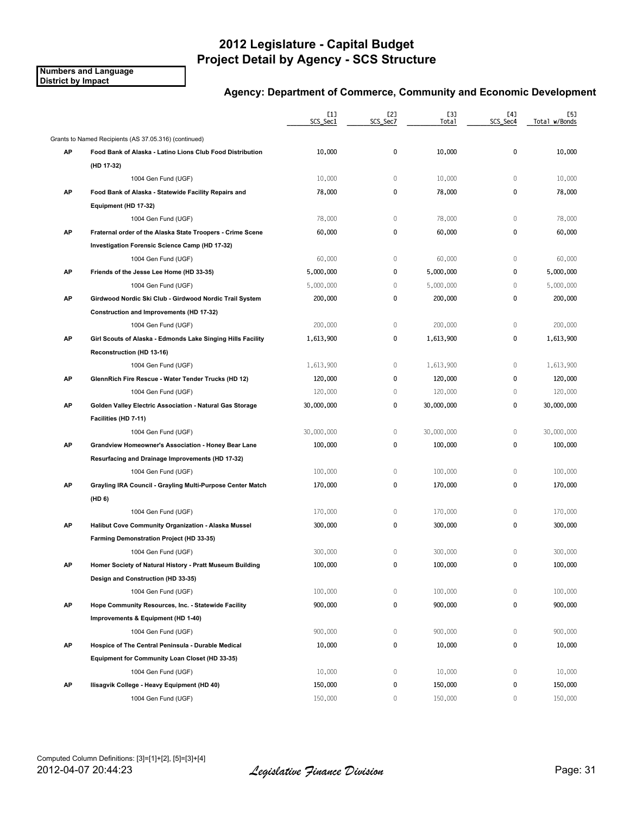**Numbers and Language District by Impact**

|    |                                                             | [1]<br>SCS_Sec1 | [2]<br>SCS_Sec7 | [3]<br>Total | [4]<br>SCS_Sec4 | [5]<br>Total w/Bonds |
|----|-------------------------------------------------------------|-----------------|-----------------|--------------|-----------------|----------------------|
|    | Grants to Named Recipients (AS 37.05.316) (continued)       |                 |                 |              |                 |                      |
| АP | Food Bank of Alaska - Latino Lions Club Food Distribution   | 10,000          | 0               | 10,000       | 0               | 10,000               |
|    | (HD 17-32)                                                  |                 |                 |              |                 |                      |
|    | 1004 Gen Fund (UGF)                                         | 10,000          | $\mathbb O$     | 10,000       | $\mathbb O$     | 10,000               |
| AP | Food Bank of Alaska - Statewide Facility Repairs and        | 78,000          | 0               | 78,000       | 0               | 78,000               |
|    | Equipment (HD 17-32)                                        |                 |                 |              |                 |                      |
|    | 1004 Gen Fund (UGF)                                         | 78,000          | $\mathbb O$     | 78,000       | $\mathbf{0}$    | 78,000               |
| AP | Fraternal order of the Alaska State Troopers - Crime Scene  | 60,000          | 0               | 60,000       | 0               | 60,000               |
|    | Investigation Forensic Science Camp (HD 17-32)              |                 |                 |              |                 |                      |
|    | 1004 Gen Fund (UGF)                                         | 60,000          | $\mathbb O$     | 60,000       | $\mathbb O$     | 60,000               |
| AP | Friends of the Jesse Lee Home (HD 33-35)                    | 5,000,000       | 0               | 5,000,000    | 0               | 5,000,000            |
|    | 1004 Gen Fund (UGF)                                         | 5,000,000       | $\mathbb O$     | 5,000,000    | $\mathbf 0$     | 5,000,000            |
| AP | Girdwood Nordic Ski Club - Girdwood Nordic Trail System     | 200,000         | 0               | 200,000      | $\mathbf 0$     | 200,000              |
|    | Construction and Improvements (HD 17-32)                    |                 |                 |              |                 |                      |
|    | 1004 Gen Fund (UGF)                                         | 200,000         | $\mathbb O$     | 200,000      | $\mathbf 0$     | 200,000              |
| АP | Girl Scouts of Alaska - Edmonds Lake Singing Hills Facility | 1,613,900       | 0               | 1.613.900    | 0               | 1,613,900            |
|    | Reconstruction (HD 13-16)                                   |                 |                 |              |                 |                      |
|    | 1004 Gen Fund (UGF)                                         | 1,613,900       | $\mathbb O$     | 1,613,900    | $\mathbb O$     | 1,613,900            |
| АP | GlennRich Fire Rescue - Water Tender Trucks (HD 12)         | 120,000         | 0               | 120,000      | $\mathbf 0$     | 120,000              |
|    | 1004 Gen Fund (UGF)                                         | 120,000         | $\mathbf{0}$    | 120,000      | $\mathbf 0$     | 120,000              |
| AP | Golden Valley Electric Association - Natural Gas Storage    | 30,000,000      | 0               | 30,000,000   | 0               | 30,000,000           |
|    | Facilities (HD 7-11)                                        |                 |                 |              |                 |                      |
|    | 1004 Gen Fund (UGF)                                         | 30,000,000      | $\mathbb O$     | 30,000,000   | $\mathbb O$     | 30,000,000           |
| AP | Grandview Homeowner's Association - Honey Bear Lane         | 100,000         | 0               | 100,000      | $\pmb{0}$       | 100,000              |
|    | Resurfacing and Drainage Improvements (HD 17-32)            |                 |                 |              |                 |                      |
|    | 1004 Gen Fund (UGF)                                         | 100,000         | $\mathbb O$     | 100,000      | $\mathbf 0$     | 100,000              |
| AP | Grayling IRA Council - Grayling Multi-Purpose Center Match  | 170,000         | 0               | 170,000      | 0               | 170,000              |
|    | (HD 6)                                                      |                 |                 |              |                 |                      |
|    | 1004 Gen Fund (UGF)                                         | 170,000         | $\,0\,$         | 170,000      | $\mathbb O$     | 170,000              |
| AP | Halibut Cove Community Organization - Alaska Mussel         | 300,000         | 0               | 300,000      | 0               | 300,000              |
|    | Farming Demonstration Project (HD 33-35)                    |                 |                 |              |                 |                      |
|    | 1004 Gen Fund (UGF)                                         | 300,000         | 0               | 300,000      | $\mathbf{0}$    | 300,000              |
| АP | Homer Society of Natural History - Pratt Museum Building    | 100,000         | 0               | 100,000      | 0               | 100,000              |
|    | Design and Construction (HD 33-35)                          |                 |                 |              |                 |                      |
|    | 1004 Gen Fund (UGF)                                         | 100,000         | $\mathbb O$     | 100,000      | $\mathbb O$     | 100,000              |
| AP | Hope Community Resources, Inc. - Statewide Facility         | 900,000         | 0               | 900,000      | 0               | 900,000              |
|    | Improvements & Equipment (HD 1-40)                          |                 |                 |              |                 |                      |
|    | 1004 Gen Fund (UGF)                                         | 900,000         | 0               | 900,000      | $\mathbf 0$     | 900,000              |
| AP | Hospice of The Central Peninsula - Durable Medical          | 10,000          | 0               | 10,000       | 0               | 10,000               |
|    | Equipment for Community Loan Closet (HD 33-35)              |                 |                 |              |                 |                      |
|    | 1004 Gen Fund (UGF)                                         | 10,000          | $\mathbb O$     | 10,000       | $\mathbb O$     | 10,000               |
| AP | Ilisagvik College - Heavy Equipment (HD 40)                 | 150,000         | 0               | 150,000      | 0               | 150,000              |
|    | 1004 Gen Fund (UGF)                                         | 150,000         | 0               | 150,000      | 0               | 150,000              |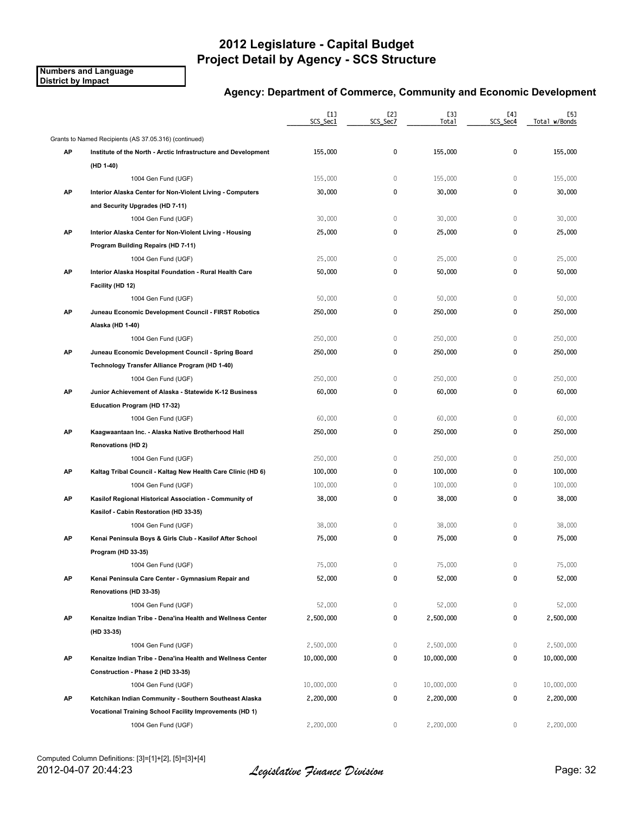**Numbers and Language District by Impact**

|    |                                                                | $[1]$<br>SCS_Sec1 | [2]<br>SCS_Sec7 | [3]<br>Total | [4]<br>SCS_Sec4 | [5]<br>Total w/Bonds |
|----|----------------------------------------------------------------|-------------------|-----------------|--------------|-----------------|----------------------|
|    | Grants to Named Recipients (AS 37.05.316) (continued)          |                   |                 |              |                 |                      |
| AP | Institute of the North - Arctic Infrastructure and Development | 155,000           | 0               | 155,000      | 0               | 155,000              |
|    | (HD 1-40)                                                      |                   |                 |              |                 |                      |
|    | 1004 Gen Fund (UGF)                                            | 155,000           | 0               | 155,000      | 0               | 155,000              |
| AP | Interior Alaska Center for Non-Violent Living - Computers      | 30,000            | 0               | 30,000       | 0               | 30,000               |
|    | and Security Upgrades (HD 7-11)                                |                   |                 |              |                 |                      |
|    | 1004 Gen Fund (UGF)                                            | 30,000            | 0               | 30,000       | 0               | 30,000               |
| AP | Interior Alaska Center for Non-Violent Living - Housing        | 25,000            | 0               | 25,000       | 0               | 25,000               |
|    | Program Building Repairs (HD 7-11)                             |                   |                 |              |                 |                      |
|    | 1004 Gen Fund (UGF)                                            | 25,000            | 0               | 25,000       | 0               | 25,000               |
| AP | Interior Alaska Hospital Foundation - Rural Health Care        | 50,000            | 0               | 50,000       | 0               | 50,000               |
|    | Facility (HD 12)                                               |                   |                 |              |                 |                      |
|    | 1004 Gen Fund (UGF)                                            | 50,000            | 0               | 50,000       | $\mathbb O$     | 50,000               |
| AP | Juneau Economic Development Council - FIRST Robotics           | 250,000           | 0               | 250,000      | 0               | 250,000              |
|    | Alaska (HD 1-40)                                               |                   |                 |              |                 |                      |
|    | 1004 Gen Fund (UGF)                                            | 250,000           | 0               | 250,000      | $\mathbb O$     | 250,000              |
| AP | Juneau Economic Development Council - Spring Board             | 250,000           | 0               | 250,000      | 0               | 250,000              |
|    | Technology Transfer Alliance Program (HD 1-40)                 |                   |                 |              |                 |                      |
|    | 1004 Gen Fund (UGF)                                            | 250,000           | 0               | 250,000      | $\mathbb O$     | 250,000              |
| AP | Junior Achievement of Alaska - Statewide K-12 Business         | 60,000            | 0               | 60,000       | 0               | 60,000               |
|    | Education Program (HD 17-32)                                   |                   |                 |              |                 |                      |
|    | 1004 Gen Fund (UGF)                                            | 60,000            | 0               | 60,000       | 0               | 60,000               |
| AP | Kaagwaantaan Inc. - Alaska Native Brotherhood Hall             | 250,000           | 0               | 250,000      | 0               | 250,000              |
|    | <b>Renovations (HD 2)</b>                                      |                   |                 |              |                 |                      |
|    | 1004 Gen Fund (UGF)                                            | 250,000           | 0               | 250,000      | 0               | 250,000              |
| AP | Kaltag Tribal Council - Kaltag New Health Care Clinic (HD 6)   | 100,000           | 0               | 100,000      | 0               | 100,000              |
|    | 1004 Gen Fund (UGF)                                            | 100,000           | 0               | 100,000      | 0               | 100,000              |
| AP | Kasilof Regional Historical Association - Community of         | 38,000            | 0               | 38,000       | 0               | 38,000               |
|    | Kasilof - Cabin Restoration (HD 33-35)                         |                   |                 |              |                 |                      |
|    | 1004 Gen Fund (UGF)                                            | 38,000            | $\mathbf 0$     | 38,000       | $\mathbb O$     | 38,000               |
| AP | Kenai Peninsula Boys & Girls Club - Kasilof After School       | 75,000            | 0               | 75,000       | 0               | 75,000               |
|    | Program (HD 33-35)                                             |                   |                 |              |                 |                      |
|    | 1004 Gen Fund (UGF)                                            | 75,000            | 0               | 75,000       | 0               | 75,000               |
| AP | Kenai Peninsula Care Center - Gymnasium Repair and             | 52,000            | 0               | 52,000       | 0               | 52,000               |
|    | Renovations (HD 33-35)                                         |                   |                 |              |                 |                      |
|    | 1004 Gen Fund (UGF)                                            | 52,000            | 0               | 52,000       | 0               | 52,000               |
| AP | Kenaitze Indian Tribe - Dena'ina Health and Wellness Center    | 2,500,000         | 0               | 2,500,000    | 0               | 2,500,000            |
|    | (HD 33-35)                                                     |                   |                 |              |                 |                      |
|    | 1004 Gen Fund (UGF)                                            | 2,500,000         | 0               | 2,500,000    | 0               | 2,500,000            |
| AP | Kenaitze Indian Tribe - Dena'ina Health and Wellness Center    | 10,000,000        | 0               | 10,000,000   | 0               | 10,000,000           |
|    | Construction - Phase 2 (HD 33-35)                              |                   |                 |              |                 |                      |
|    | 1004 Gen Fund (UGF)                                            | 10,000,000        | 0               | 10,000,000   | 0               | 10,000,000           |
| AP | Ketchikan Indian Community - Southern Southeast Alaska         | 2,200,000         | 0               | 2,200,000    | 0               | 2,200,000            |
|    | Vocational Training School Facility Improvements (HD 1)        |                   |                 |              |                 |                      |
|    | 1004 Gen Fund (UGF)                                            | 2,200,000         | 0               | 2,200,000    | 0               | 2,200,000            |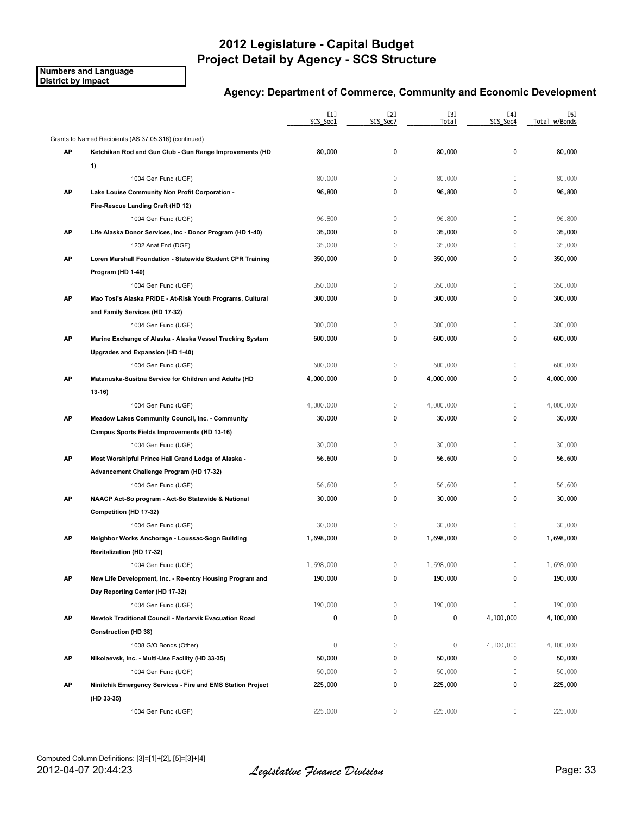**Numbers and Language District by Impact**

|    |                                                             | [1]<br>SCS_Sec1 | [2]<br>SCS Sec7 | [3]<br>Total | [4]<br>SCS_Sec4 | [5]<br>Total w/Bonds |
|----|-------------------------------------------------------------|-----------------|-----------------|--------------|-----------------|----------------------|
|    | Grants to Named Recipients (AS 37.05.316) (continued)       |                 |                 |              |                 |                      |
| АP | Ketchikan Rod and Gun Club - Gun Range Improvements (HD     | 80,000          | 0               | 80,000       | 0               | 80,000               |
|    | 1)                                                          |                 |                 |              |                 |                      |
|    | 1004 Gen Fund (UGF)                                         | 80,000          | $\mathbb O$     | 80,000       | 0               | 80,000               |
| AP | Lake Louise Community Non Profit Corporation -              | 96,800          | 0               | 96,800       | 0               | 96,800               |
|    | Fire-Rescue Landing Craft (HD 12)                           |                 |                 |              |                 |                      |
|    | 1004 Gen Fund (UGF)                                         | 96,800          | $\mathbb O$     | 96,800       | $\mathbf{0}$    | 96,800               |
| AP | Life Alaska Donor Services, Inc - Donor Program (HD 1-40)   | 35,000          | 0               | 35,000       | 0               | 35,000               |
|    | 1202 Anat Fnd (DGF)                                         | 35,000          | 0               | 35,000       | $\mathbf{0}$    | 35,000               |
| AP | Loren Marshall Foundation - Statewide Student CPR Training  | 350,000         | 0               | 350,000      | 0               | 350,000              |
|    | Program (HD 1-40)                                           |                 |                 |              |                 |                      |
|    | 1004 Gen Fund (UGF)                                         | 350,000         | 0               | 350,000      | 0               | 350,000              |
| AP | Mao Tosi's Alaska PRIDE - At Risk Youth Programs, Cultural  | 300,000         | 0               | 300,000      | 0               | 300,000              |
|    | and Family Services (HD 17-32)                              |                 |                 |              |                 |                      |
|    | 1004 Gen Fund (UGF)                                         | 300,000         | 0               | 300,000      | $\mathbf{0}$    | 300,000              |
| АP | Marine Exchange of Alaska - Alaska Vessel Tracking System   | 600,000         | 0               | 600,000      | 0               | 600,000              |
|    | Upgrades and Expansion (HD 1-40)                            |                 |                 |              |                 |                      |
|    | 1004 Gen Fund (UGF)                                         | 600,000         | 0               | 600,000      | 0               | 600,000              |
| AP | Matanuska-Susitna Service for Children and Adults (HD       | 4,000,000       | 0               | 4,000,000    | 0               | 4,000,000            |
|    | $13 - 16$                                                   |                 |                 |              |                 |                      |
|    | 1004 Gen Fund (UGF)                                         | 4,000,000       | 0               | 4,000,000    | 0               | 4,000,000            |
| AP | Meadow Lakes Community Council, Inc. - Community            | 30,000          | 0               | 30,000       | 0               | 30,000               |
|    | Campus Sports Fields Improvements (HD 13-16)                |                 |                 |              |                 |                      |
|    | 1004 Gen Fund (UGF)                                         | 30,000          | $\mathbb O$     | 30,000       | 0               | 30,000               |
| AP | Most Worshipful Prince Hall Grand Lodge of Alaska -         | 56,600          | 0               | 56,600       | 0               | 56,600               |
|    | Advancement Challenge Program (HD 17-32)                    |                 |                 |              |                 |                      |
|    | 1004 Gen Fund (UGF)                                         | 56,600          | 0               | 56,600       | 0               | 56,600               |
| AP | NAACP Act-So program - Act-So Statewide & National          | 30,000          | 0               | 30,000       | 0               | 30,000               |
|    | Competition (HD 17-32)                                      |                 |                 |              |                 |                      |
|    | 1004 Gen Fund (UGF)                                         | 30,000          | $\,0\,$         | 30,000       | 0               | 30,000               |
| AP | Neighbor Works Anchorage - Loussac-Sogn Building            | 1,698,000       | 0               | 1,698,000    | 0               | 1,698,000            |
|    | Revitalization (HD 17-32)                                   |                 |                 |              |                 |                      |
|    | 1004 Gen Fund (UGF)                                         | 1,698,000       | 0               | 1,698,000    | 0               | 1,698,000            |
| AP | New Life Development, Inc. - Re-entry Housing Program and   | 190,000         | 0               | 190,000      | 0               | 190,000              |
|    | Day Reporting Center (HD 17-32)                             |                 |                 |              |                 |                      |
|    | 1004 Gen Fund (UGF)                                         | 190,000         | 0               | 190,000      | 0               | 190,000              |
| AP | Newtok Traditional Council - Mertarvik Evacuation Road      | 0               | 0               | 0            | 4,100,000       | 4,100,000            |
|    | <b>Construction (HD 38)</b>                                 |                 |                 |              |                 |                      |
|    | 1008 G/O Bonds (Other)                                      | 0               | 0               | $\mathbb O$  | 4,100,000       | 4,100,000            |
| AP | Nikolaevsk, Inc. - Multi-Use Facility (HD 33-35)            | 50,000          | 0               | 50,000       | 0               | 50,000               |
|    | 1004 Gen Fund (UGF)                                         | 50,000          | 0               | 50,000       | 0               | 50,000               |
| AP | Ninilchik Emergency Services - Fire and EMS Station Project | 225,000         | 0               | 225,000      | 0               | 225,000              |
|    | (HD 33-35)                                                  |                 |                 |              |                 |                      |
|    | 1004 Gen Fund (UGF)                                         | 225,000         | 0               | 225,000      | 0               | 225,000              |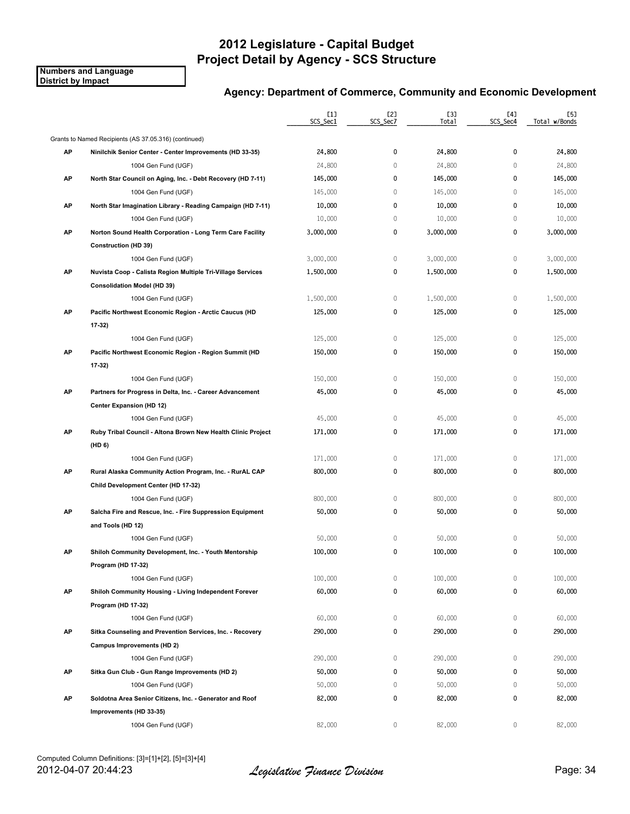**Numbers and Language District by Impact**

|    |                                                              | $[1]$<br>SCS_Sec1 | [2]<br>SCS_Sec7 | [3]<br>Total | [4]<br>SCS_Sec4 | [5]<br>Total w/Bonds |
|----|--------------------------------------------------------------|-------------------|-----------------|--------------|-----------------|----------------------|
|    | Grants to Named Recipients (AS 37.05.316) (continued)        |                   |                 |              |                 |                      |
| AP | Ninilchik Senior Center - Center Improvements (HD 33-35)     | 24,800            | 0               | 24,800       | 0               | 24,800               |
|    | 1004 Gen Fund (UGF)                                          | 24,800            | $\mathbb O$     | 24,800       | $\mathbf 0$     | 24,800               |
| AP | North Star Council on Aging, Inc. - Debt Recovery (HD 7-11)  | 145,000           | 0               | 145,000      | 0               | 145,000              |
|    | 1004 Gen Fund (UGF)                                          | 145,000           | $\mathbb O$     | 145,000      | $\mathbb O$     | 145,000              |
| АP | North Star Imagination Library - Reading Campaign (HD 7-11)  | 10,000            | 0               | 10,000       | 0               | 10,000               |
|    | 1004 Gen Fund (UGF)                                          | 10,000            | $\mathbb O$     | 10,000       | $\mathbf 0$     | 10,000               |
| AP | Norton Sound Health Corporation - Long Term Care Facility    | 3,000,000         | 0               | 3,000,000    | 0               | 3,000,000            |
|    | <b>Construction (HD 39)</b>                                  |                   |                 |              |                 |                      |
|    | 1004 Gen Fund (UGF)                                          | 3,000,000         | $\mathbb O$     | 3,000,000    | $\mathbf 0$     | 3,000,000            |
| AP | Nuvista Coop - Calista Region Multiple Tri-Village Services  | 1,500,000         | 0               | 1,500,000    | 0               | 1,500,000            |
|    | <b>Consolidation Model (HD 39)</b>                           |                   |                 |              |                 |                      |
|    | 1004 Gen Fund (UGF)                                          | 1,500,000         | 0               | 1,500,000    | $\mathbf 0$     | 1,500,000            |
| AP | Pacific Northwest Economic Region - Arctic Caucus (HD        | 125,000           | 0               | 125,000      | 0               | 125,000              |
|    | 17-32)                                                       |                   |                 |              |                 |                      |
|    | 1004 Gen Fund (UGF)                                          | 125,000           | $\mathbb O$     | 125,000      | $\mathbb O$     | 125,000              |
| AP | Pacific Northwest Economic Region - Region Summit (HD        | 150,000           | 0               | 150,000      | 0               | 150,000              |
|    | 17-32)                                                       |                   |                 |              |                 |                      |
|    | 1004 Gen Fund (UGF)                                          | 150,000           | $\mathbb O$     | 150,000      | $\mathbb O$     | 150,000              |
| AP | Partners for Progress in Delta, Inc. - Career Advancement    | 45,000            | 0               | 45,000       | 0               | 45,000               |
|    | <b>Center Expansion (HD 12)</b>                              |                   |                 |              |                 |                      |
|    | 1004 Gen Fund (UGF)                                          | 45,000            | $\mathbb O$     | 45,000       | $\mathbf 0$     | 45,000               |
| AP | Ruby Tribal Council - Altona Brown New Health Clinic Project | 171,000           | 0               | 171,000      | 0               | 171,000              |
|    | (HD 6)                                                       |                   |                 |              |                 |                      |
|    | 1004 Gen Fund (UGF)                                          | 171,000           | 0               | 171,000      | $\mathbf 0$     | 171,000              |
| AP | Rural Alaska Community Action Program, Inc. - RurAL CAP      | 800,000           | 0               | 800,000      | 0               | 800,000              |
|    | Child Development Center (HD 17-32)                          |                   |                 |              |                 |                      |
|    | 1004 Gen Fund (UGF)                                          | 800,000           | $\mathbb O$     | 800,000      | $\mathbf 0$     | 800,000              |
| AP | Salcha Fire and Rescue, Inc. - Fire Suppression Equipment    | 50,000            | 0               | 50,000       | 0               | 50,000               |
|    | and Tools (HD 12)                                            |                   |                 |              |                 |                      |
|    | 1004 Gen Fund (UGF)                                          | 50,000            | $\,0\,$         | 50,000       | $\mathbb O$     | 50,000               |
| АP | Shiloh Community Development, Inc. - Youth Mentorship        | 100,000           | 0               | 100,000      | 0               | 100,000              |
|    | Program (HD 17-32)                                           |                   |                 |              |                 |                      |
|    | 1004 Gen Fund (UGF)                                          | 100,000           | 0               | 100,000      | $\mathbf 0$     | 100,000              |
| AP | Shiloh Community Housing - Living Independent Forever        | 60,000            | 0               | 60,000       | 0               | 60,000               |
|    | Program (HD 17-32)                                           |                   |                 |              |                 |                      |
|    | 1004 Gen Fund (UGF)                                          | 60,000            | 0               | 60,000       | 0               | 60,000               |
| AP | Sitka Counseling and Prevention Services, Inc. - Recovery    | 290,000           | 0               | 290,000      | 0               | 290,000              |
|    | Campus Improvements (HD 2)                                   |                   |                 |              |                 |                      |
|    | 1004 Gen Fund (UGF)                                          | 290,000           | 0               | 290,000      | $\mathbf 0$     | 290,000              |
| AP | Sitka Gun Club - Gun Range Improvements (HD 2)               | 50,000            | 0               | 50,000       | 0               | 50,000               |
|    | 1004 Gen Fund (UGF)                                          | 50,000            | $\mathbb O$     | 50,000       | 0               | 50,000               |
| AP | Soldotna Area Senior Citizens, Inc. - Generator and Roof     | 82,000            | 0               | 82,000       | 0               | 82,000               |
|    | Improvements (HD 33-35)                                      |                   |                 |              |                 |                      |
|    | 1004 Gen Fund (UGF)                                          | 82,000            | 0               | 82,000       | 0               | 82,000               |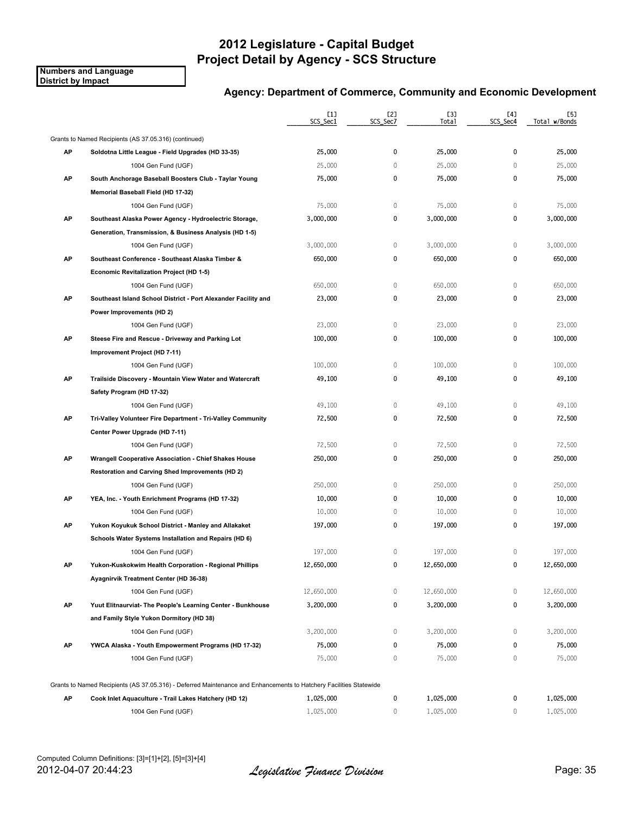**Numbers and Language District by Impact**

|    |                                                                                                                    | [1]<br>SCS_Sec1 | [2]<br>SCS_Sec7 | [3]<br>Total | [4]<br>SCS_Sec4 | [5]<br>Total w/Bonds |
|----|--------------------------------------------------------------------------------------------------------------------|-----------------|-----------------|--------------|-----------------|----------------------|
|    | Grants to Named Recipients (AS 37.05.316) (continued)                                                              |                 |                 |              |                 |                      |
| АP | Soldotna Little League - Field Upgrades (HD 33-35)                                                                 | 25,000          | 0               | 25,000       | 0               | 25,000               |
|    | 1004 Gen Fund (UGF)                                                                                                | 25,000          | 0               | 25,000       | $\mathbf{0}$    | 25,000               |
| AP | South Anchorage Baseball Boosters Club - Taylar Young                                                              | 75,000          | 0               | 75,000       | 0               | 75,000               |
|    | Memorial Baseball Field (HD 17-32)                                                                                 |                 |                 |              |                 |                      |
|    | 1004 Gen Fund (UGF)                                                                                                | 75,000          | 0               | 75,000       | 0               | 75,000               |
| AP | Southeast Alaska Power Agency - Hydroelectric Storage,                                                             | 3,000,000       | 0               | 3,000,000    | 0               | 3,000,000            |
|    | Generation, Transmission, & Business Analysis (HD 1-5)                                                             |                 |                 |              |                 |                      |
|    | 1004 Gen Fund (UGF)                                                                                                | 3,000,000       | 0               | 3,000,000    | 0               | 3,000,000            |
| AP | Southeast Conference - Southeast Alaska Timber &                                                                   | 650,000         | 0               | 650,000      | 0               | 650,000              |
|    | Economic Revitalization Project (HD 1-5)                                                                           |                 |                 |              |                 |                      |
|    | 1004 Gen Fund (UGF)                                                                                                | 650,000         | 0               | 650,000      | 0               | 650,000              |
| AP | Southeast Island School District - Port Alexander Facility and                                                     | 23,000          | 0               | 23,000       | 0               | 23,000               |
|    | Power Improvements (HD 2)                                                                                          |                 |                 |              |                 |                      |
|    | 1004 Gen Fund (UGF)                                                                                                | 23,000          | 0               | 23,000       | $\mathbf{0}$    | 23,000               |
| АP | Steese Fire and Rescue - Driveway and Parking Lot                                                                  | 100,000         | 0               | 100,000      | 0               | 100,000              |
|    | Improvement Project (HD 7-11)                                                                                      |                 |                 |              |                 |                      |
|    | 1004 Gen Fund (UGF)                                                                                                | 100,000         | 0               | 100,000      | 0               | 100,000              |
| АP | Trailside Discovery - Mountain View Water and Watercraft                                                           | 49,100          | 0               | 49,100       | 0               | 49,100               |
|    | Safety Program (HD 17-32)                                                                                          |                 |                 |              |                 |                      |
|    | 1004 Gen Fund (UGF)                                                                                                | 49,100          | $\mathbb O$     | 49,100       | $\mathbf{0}$    | 49,100               |
| AP | Tri-Valley Volunteer Fire Department - Tri-Valley Community                                                        | 72,500          | 0               | 72,500       | 0               | 72,500               |
|    | Center Power Upgrade (HD 7-11)                                                                                     |                 |                 |              |                 |                      |
|    | 1004 Gen Fund (UGF)                                                                                                | 72,500          | $\mathbb O$     | 72,500       | 0               | 72,500               |
| AP | Wrangell Cooperative Association - Chief Shakes House                                                              | 250,000         | 0               | 250,000      | 0               | 250,000              |
|    | Restoration and Carving Shed Improvements (HD 2)                                                                   |                 |                 |              |                 |                      |
|    | 1004 Gen Fund (UGF)                                                                                                | 250,000         | 0               | 250,000      | 0               | 250,000              |
| AP | YEA, Inc. - Youth Enrichment Programs (HD 17-32)                                                                   | 10,000          | 0               | 10,000       | 0               | 10,000               |
|    | 1004 Gen Fund (UGF)                                                                                                | 10,000          | 0               | 10,000       | 0               | 10,000               |
| АP | Yukon Koyukuk School District - Manley and Allakaket                                                               | 197,000         | 0               | 197,000      | 0               | 197,000              |
|    | Schools Water Systems Installation and Repairs (HD 6)                                                              |                 |                 |              |                 |                      |
|    | 1004 Gen Fund (UGF)                                                                                                | 197,000         | 0               | 197,000      | 0               | 197,000              |
| АP | Yukon Kuskokwim Health Corporation - Regional Phillips                                                             | 12,650,000      | 0               | 12,650,000   | 0               | 12,650,000           |
|    | Ayagnirvik Treatment Center (HD 36-38)                                                                             |                 |                 |              |                 |                      |
|    | 1004 Gen Fund (UGF)                                                                                                | 12,650,000      | 0               | 12,650,000   | 0               | 12,650,000           |
| AP | Yuut Elitnaurviat-The People's Learning Center - Bunkhouse                                                         | 3,200,000       | 0               | 3,200,000    | 0               | 3,200,000            |
|    | and Family Style Yukon Dormitory (HD 38)                                                                           |                 |                 |              |                 |                      |
|    | 1004 Gen Fund (UGF)                                                                                                | 3,200,000       | 0               | 3,200,000    | 0               | 3,200,000            |
| AP | YWCA Alaska - Youth Empowerment Programs (HD 17-32)                                                                | 75,000          | 0               | 75,000       | 0               | 75,000               |
|    | 1004 Gen Fund (UGF)                                                                                                | 75,000          | 0               | 75,000       | 0               | 75,000               |
|    | Grants to Named Recipients (AS 37.05.316) - Deferred Maintenance and Enhancements to Hatchery Facilities Statewide |                 |                 |              |                 |                      |
| AP | Cook Inlet Aquaculture - Trail Lakes Hatchery (HD 12)                                                              | 1,025,000       | 0               | 1,025,000    | 0               | 1,025,000            |
|    | 1004 Gen Fund (UGF)                                                                                                | 1,025,000       | 0               | 1,025,000    | $\mathbf{0}$    | 1,025,000            |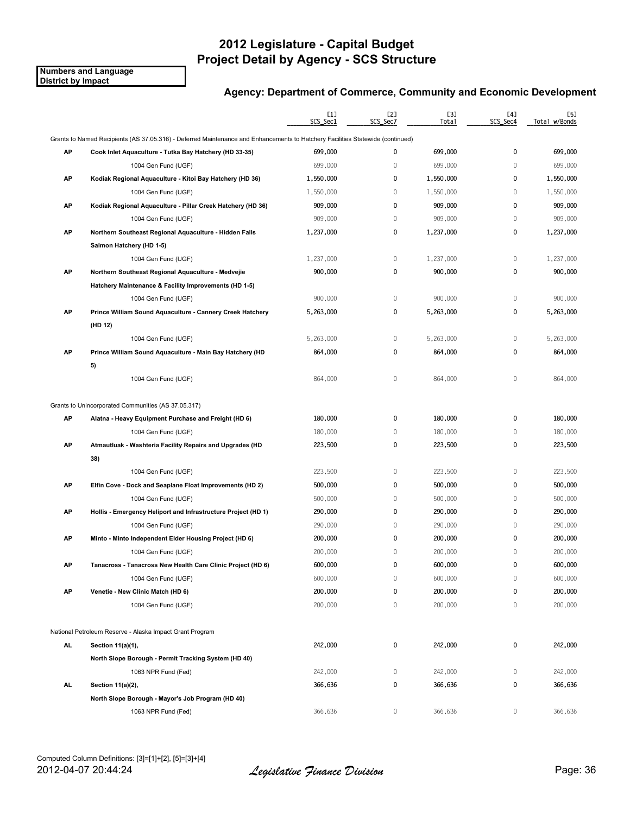**Numbers and Language District by Impact**

|     |                                                                                                                                | [1]<br>SCS_Sec1 | [2]<br>SCS_Sec7 | <b>[3]</b><br>Total | [4]<br>SCS_Sec4 | [5]<br>Total w/Bonds |
|-----|--------------------------------------------------------------------------------------------------------------------------------|-----------------|-----------------|---------------------|-----------------|----------------------|
|     | Grants to Named Recipients (AS 37.05.316) - Deferred Maintenance and Enhancements to Hatchery Facilities Statewide (continued) |                 |                 |                     |                 |                      |
| АP  | Cook Inlet Aquaculture - Tutka Bay Hatchery (HD 33-35)                                                                         | 699,000         | 0               | 699,000             | $\mathbf{0}$    | 699,000              |
|     | 1004 Gen Fund (UGF)                                                                                                            | 699,000         | $\mathbb O$     | 699,000             | $\mathbf{0}$    | 699,000              |
| AP  | Kodiak Regional Aquaculture - Kitoi Bay Hatchery (HD 36)                                                                       | 1,550,000       | 0               | 1,550,000           | 0               | 1,550,000            |
|     | 1004 Gen Fund (UGF)                                                                                                            | 1,550,000       | 0               | 1,550,000           | 0               | 1,550,000            |
| AP  | Kodiak Regional Aquaculture - Pillar Creek Hatchery (HD 36)                                                                    | 909,000         | 0               | 909,000             | 0               | 909,000              |
|     | 1004 Gen Fund (UGF)                                                                                                            | 909,000         | 0               | 909,000             | 0               | 909,000              |
| AP  | Northern Southeast Regional Aquaculture - Hidden Falls                                                                         | 1,237,000       | 0               | 1,237,000           | 0               | 1,237,000            |
|     | Salmon Hatchery (HD 1-5)                                                                                                       |                 |                 |                     |                 |                      |
|     | 1004 Gen Fund (UGF)                                                                                                            | 1,237,000       | 0               | 1,237,000           | $\mathbf 0$     | 1,237,000            |
| AP  | Northern Southeast Regional Aquaculture - Medvejie                                                                             | 900,000         | 0               | 900,000             | $\mathbf 0$     | 900,000              |
|     | Hatchery Maintenance & Facility Improvements (HD 1-5)                                                                          |                 |                 |                     |                 |                      |
|     | 1004 Gen Fund (UGF)                                                                                                            | 900,000         | $\mathbb O$     | 900,000             | $\mathbf 0$     | 900,000              |
| AP  | Prince William Sound Aquaculture - Cannery Creek Hatchery                                                                      | 5,263,000       | 0               | 5,263,000           | 0               | 5,263,000            |
|     | (HD 12)                                                                                                                        |                 |                 |                     |                 |                      |
|     | 1004 Gen Fund (UGF)                                                                                                            | 5,263,000       | 0               | 5,263,000           | 0               | 5,263,000            |
| AP  | Prince William Sound Aquaculture - Main Bay Hatchery (HD                                                                       | 864,000         | 0               | 864,000             | 0               | 864,000              |
|     | 5)                                                                                                                             |                 |                 |                     |                 |                      |
|     | 1004 Gen Fund (UGF)                                                                                                            | 864,000         | $\mathbb O$     | 864,000             | 0               | 864,000              |
|     | Grants to Unincorporated Communities (AS 37.05.317)                                                                            |                 |                 |                     |                 |                      |
| AP  | Alatna - Heavy Equipment Purchase and Freight (HD 6)                                                                           | 180,000         | 0               | 180,000             | 0               | 180,000              |
|     | 1004 Gen Fund (UGF)                                                                                                            | 180,000         | $\mathbb O$     | 180,000             | $\mathbf 0$     | 180,000              |
| AP  | Atmautluak - Washteria Facility Repairs and Upgrades (HD                                                                       | 223,500         | 0               | 223,500             | 0               | 223,500              |
|     | 38)                                                                                                                            |                 |                 |                     |                 |                      |
|     | 1004 Gen Fund (UGF)                                                                                                            | 223,500         | $\mathbb O$     | 223,500             | $\mathbb O$     | 223,500              |
| AP  | Elfin Cove - Dock and Seaplane Float Improvements (HD 2)                                                                       | 500,000         | 0               | 500,000             | 0               | 500,000              |
|     | 1004 Gen Fund (UGF)                                                                                                            | 500,000         | 0               | 500,000             | $\mathbf{0}$    | 500,000              |
| AP  | Hollis - Emergency Heliport and Infrastructure Project (HD 1)                                                                  | 290,000         | 0               | 290,000             | 0               | 290,000              |
|     | 1004 Gen Fund (UGF)                                                                                                            | 290,000         | 0               | 290,000             | 0               | 290,000              |
| АP  | Minto - Minto Independent Elder Housing Project (HD 6)                                                                         | 200,000         | 0               | 200,000             | 0               | 200,000              |
|     | 1004 Gen Fund (UGF)                                                                                                            | 200,000         | 0               | 200,000             | $\mathbf{0}$    | 200,000              |
| АΡ  | Tanacross - Tanacross New Health Care Clinic Project (HD 6)                                                                    | 600,000         | 0               | 600,000             | 0               | 600,000              |
|     | 1004 Gen Fund (UGF)                                                                                                            | 600,000         | 0               | 600,000             | $\mathbf 0$     | 600,000              |
| AP  | Venetie - New Clinic Match (HD 6)                                                                                              | 200,000         | 0               | 200,000             | 0               | 200,000              |
|     | 1004 Gen Fund (UGF)                                                                                                            | 200,000         | $\mathbb O$     | 200,000             | $\mathbb O$     | 200,000              |
|     |                                                                                                                                |                 |                 |                     |                 |                      |
|     | National Petroleum Reserve - Alaska Impact Grant Program                                                                       |                 |                 |                     |                 |                      |
| AL. | Section 11(a)(1),                                                                                                              | 242,000         | 0               | 242,000             | 0               | 242,000              |
|     | North Slope Borough - Permit Tracking System (HD 40)                                                                           |                 |                 |                     |                 |                      |
|     | 1063 NPR Fund (Fed)                                                                                                            | 242,000         | 0               | 242,000             | 0               | 242,000              |
| AL. | Section 11(a)(2),                                                                                                              | 366,636         | 0               | 366,636             | 0               | 366,636              |
|     | North Slope Borough - Mayor's Job Program (HD 40)                                                                              |                 |                 |                     |                 |                      |
|     | 1063 NPR Fund (Fed)                                                                                                            | 366,636         | 0               | 366,636             | 0               | 366,636              |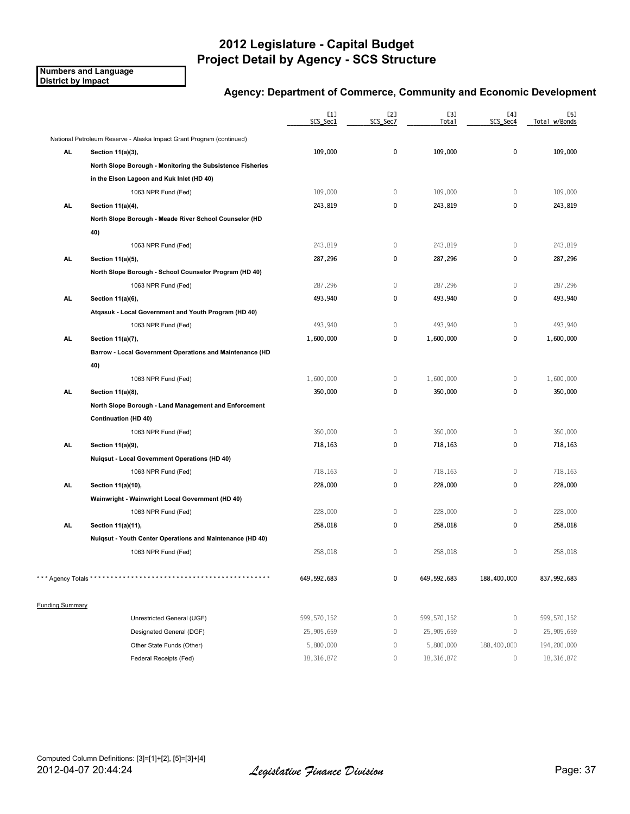**Numbers and Language District by Impact**

### **Agency: Department of Commerce, Community and Economic Development**

|                        |                                                                      | [1]<br>SCS_Sec1 | [2]<br>SCS_Sec7 | [3]<br>Total | [4]<br>SCS_Sec4 | [5]<br>Total w/Bonds |
|------------------------|----------------------------------------------------------------------|-----------------|-----------------|--------------|-----------------|----------------------|
|                        | National Petroleum Reserve - Alaska Impact Grant Program (continued) |                 |                 |              |                 |                      |
| AL.                    | Section 11(a)(3),                                                    | 109,000         | $\pmb{0}$       | 109,000      | $\mathbf 0$     | 109,000              |
|                        | North Slope Borough - Monitoring the Subsistence Fisheries           |                 |                 |              |                 |                      |
|                        | in the Elson Lagoon and Kuk Inlet (HD 40)                            |                 |                 |              |                 |                      |
|                        | 1063 NPR Fund (Fed)                                                  | 109,000         | $\mathbb O$     | 109,000      | $\mathbb O$     | 109,000              |
| AL.                    | Section 11(a)(4),                                                    | 243,819         | 0               | 243,819      | 0               | 243,819              |
|                        | North Slope Borough - Meade River School Counselor (HD               |                 |                 |              |                 |                      |
|                        | 40)                                                                  |                 |                 |              |                 |                      |
|                        | 1063 NPR Fund (Fed)                                                  | 243,819         | $\mathbb O$     | 243,819      | $\mathbf{0}$    | 243,819              |
| AL.                    | Section 11(a)(5),                                                    | 287,296         | 0               | 287,296      | 0               | 287,296              |
|                        | North Slope Borough - School Counselor Program (HD 40)               |                 |                 |              |                 |                      |
|                        | 1063 NPR Fund (Fed)                                                  | 287,296         | $\mathbf 0$     | 287,296      | $\mathbb O$     | 287,296              |
| <b>AL</b>              | Section 11(a)(6),                                                    | 493,940         | 0               | 493,940      | 0               | 493,940              |
|                        | Atgasuk - Local Government and Youth Program (HD 40)                 |                 |                 |              |                 |                      |
|                        | 1063 NPR Fund (Fed)                                                  | 493,940         | $\mathbb O$     | 493,940      | $\mathbb O$     | 493,940              |
| <b>AL</b>              | Section 11(a)(7),                                                    | 1,600,000       | 0               | 1,600,000    | $\mathbf 0$     | 1,600,000            |
|                        | Barrow - Local Government Operations and Maintenance (HD             |                 |                 |              |                 |                      |
|                        | 40)                                                                  |                 |                 |              |                 |                      |
|                        | 1063 NPR Fund (Fed)                                                  | 1,600,000       | $\mathbb O$     | 1,600,000    | 0               | 1,600,000            |
| AL.                    | Section 11(a)(8),                                                    | 350,000         | 0               | 350,000      | 0               | 350,000              |
|                        | North Slope Borough - Land Management and Enforcement                |                 |                 |              |                 |                      |
|                        | <b>Continuation (HD 40)</b>                                          |                 |                 |              |                 |                      |
|                        | 1063 NPR Fund (Fed)                                                  | 350,000         | $\mathbb O$     | 350,000      | $\mathbb O$     | 350,000              |
| <b>AL</b>              | Section 11(a)(9),                                                    | 718,163         | 0               | 718,163      | 0               | 718,163              |
|                        | <b>Nuiqsut - Local Government Operations (HD 40)</b>                 |                 |                 |              |                 |                      |
|                        | 1063 NPR Fund (Fed)                                                  | 718,163         | $\mathbf 0$     | 718,163      | $\mathbf 0$     | 718,163              |
| <b>AL</b>              | Section 11(a)(10),                                                   | 228,000         | 0               | 228,000      | 0               | 228,000              |
|                        | Wainwright - Wainwright Local Government (HD 40)                     |                 |                 |              |                 |                      |
|                        | 1063 NPR Fund (Fed)                                                  | 228,000         | 0               | 228,000      | $\mathbf 0$     | 228,000              |
| <b>AL</b>              | Section 11(a)(11),                                                   | 258,018         | 0               | 258,018      | 0               | 258,018              |
|                        | Nuiqsut - Youth Center Operations and Maintenance (HD 40)            |                 |                 |              |                 |                      |
|                        | 1063 NPR Fund (Fed)                                                  | 258,018         | $\mathbb O$     | 258,018      | $\mathbf 0$     | 258,018              |
| *** Agency Totals *    |                                                                      | 649,592,683     | 0               | 649,592,683  | 188,400,000     | 837,992,683          |
| <b>Funding Summary</b> |                                                                      |                 |                 |              |                 |                      |
|                        | Unrestricted General (UGF)                                           | 599,570,152     | 0               | 599,570,152  | 0               | 599,570,152          |
|                        | Designated General (DGF)                                             | 25,905,659      | 0               | 25,905,659   | $\mathbb O$     | 25,905,659           |
|                        | Other State Funds (Other)                                            | 5,800,000       | 0               | 5,800,000    | 188,400,000     | 194,200,000          |
|                        | Federal Receipts (Fed)                                               | 18,316,872      | 0               | 18,316,872   | $\mathbf 0$     | 18,316,872           |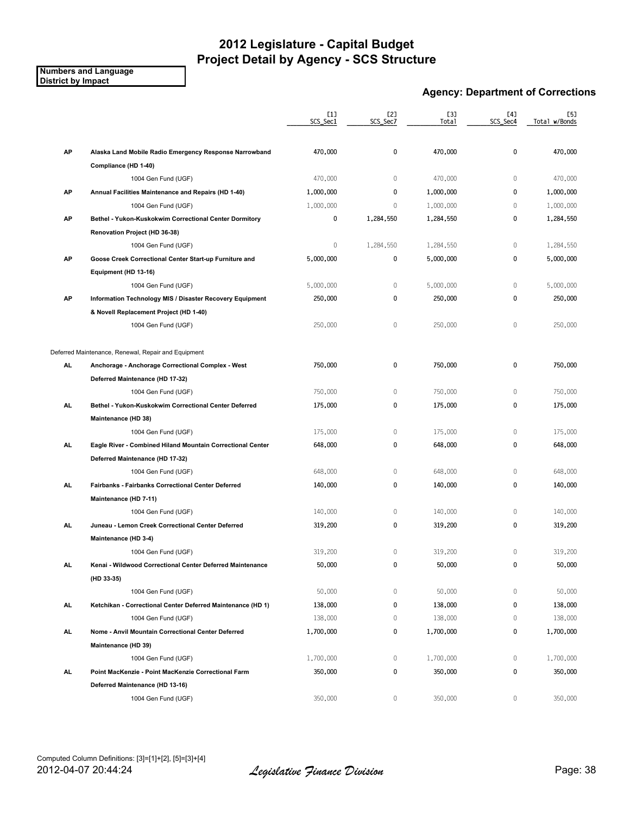#### **Numbers and Language District by Impact**

### **Agency: Department of Corrections**

|           |                                                             | [1]<br>SCS Sec1 | [2]<br>SCS_Sec7 | [3]<br>Total | [4]<br>SCS_Sec4 | [5]<br>Total w/Bonds |
|-----------|-------------------------------------------------------------|-----------------|-----------------|--------------|-----------------|----------------------|
| AP        | Alaska Land Mobile Radio Emergency Response Narrowband      | 470,000         | 0               | 470,000      | $\pmb{0}$       | 470,000              |
|           | Compliance (HD 1-40)                                        |                 |                 |              |                 |                      |
|           | 1004 Gen Fund (UGF)                                         | 470,000         | 0               | 470,000      | $\mathbf{0}$    | 470,000              |
| AP        | Annual Facilities Maintenance and Repairs (HD 1-40)         | 1,000,000       | 0               | 1,000,000    | $\pmb{0}$       | 1,000,000            |
|           | 1004 Gen Fund (UGF)                                         | 1,000,000       | 0               | 1,000,000    | $\mathbf 0$     | 1,000,000            |
| AP        | Bethel - Yukon-Kuskokwim Correctional Center Dormitory      | 0               | 1,284,550       | 1,284,550    | 0               | 1,284,550            |
|           | Renovation Project (HD 36-38)                               |                 |                 |              |                 |                      |
|           | 1004 Gen Fund (UGF)                                         | $\mathbf 0$     | 1,284,550       | 1,284,550    | $\mathbf 0$     | 1,284,550            |
| AP        | Goose Creek Correctional Center Start-up Furniture and      | 5,000,000       | 0               | 5,000,000    | $\pmb{0}$       | 5,000,000            |
|           | Equipment (HD 13-16)                                        |                 |                 |              |                 |                      |
|           | 1004 Gen Fund (UGF)                                         | 5,000,000       | 0               | 5,000,000    | $\mathbb O$     | 5,000,000            |
| AP        | Information Technology MIS / Disaster Recovery Equipment    | 250,000         | 0               | 250,000      | $\pmb{0}$       | 250,000              |
|           | & Novell Replacement Project (HD 1-40)                      |                 |                 |              |                 |                      |
|           | 1004 Gen Fund (UGF)                                         | 250,000         | 0               | 250,000      | 0               | 250,000              |
|           | Deferred Maintenance, Renewal, Repair and Equipment         |                 |                 |              |                 |                      |
| AL        | Anchorage - Anchorage Correctional Complex - West           | 750,000         | 0               | 750,000      | 0               | 750,000              |
|           | Deferred Maintenance (HD 17-32)                             |                 |                 |              |                 |                      |
|           | 1004 Gen Fund (UGF)                                         | 750,000         | 0               | 750,000      | $\mathbf{0}$    | 750,000              |
| AL.       | Bethel - Yukon-Kuskokwim Correctional Center Deferred       | 175,000         | 0               | 175,000      | 0               | 175,000              |
|           | Maintenance (HD 38)                                         |                 |                 |              |                 |                      |
|           | 1004 Gen Fund (UGF)                                         | 175,000         | 0               | 175,000      | $\mathbb O$     | 175,000              |
| AL        | Eagle River - Combined Hiland Mountain Correctional Center  | 648,000         | 0               | 648,000      | $\pmb{0}$       | 648,000              |
|           | Deferred Maintenance (HD 17-32)                             |                 |                 |              |                 |                      |
|           | 1004 Gen Fund (UGF)                                         | 648,000         | 0               | 648,000      | $\mathbf{0}$    | 648,000              |
| AL        | Fairbanks - Fairbanks Correctional Center Deferred          | 140,000         | 0               | 140,000      | 0               | 140,000              |
|           | Maintenance (HD 7-11)                                       |                 |                 |              |                 |                      |
|           | 1004 Gen Fund (UGF)                                         | 140,000         | 0               | 140,000      | $\mathbf 0$     | 140,000              |
| AL        | Juneau - Lemon Creek Correctional Center Deferred           | 319,200         | 0               | 319,200      | $\pmb{0}$       | 319,200              |
|           | Maintenance (HD 3-4)                                        |                 |                 |              |                 |                      |
|           | 1004 Gen Fund (UGF)                                         | 319,200         | 0               | 319,200      | $\mathbf 0$     | 319,200              |
| AL.       | Kenai - Wildwood Correctional Center Deferred Maintenance   | 50,000          | 0               | 50,000       | 0               | 50,000               |
|           | (HD 33-35)                                                  |                 |                 |              |                 |                      |
|           | 1004 Gen Fund (UGF)                                         | 50,000          | 0               | 50,000       | 0               | 50,000               |
| AL.       | Ketchikan - Correctional Center Deferred Maintenance (HD 1) | 138,000         | 0               | 138,000      | 0               | 138,000              |
|           | 1004 Gen Fund (UGF)                                         | 138,000         | 0               | 138,000      | 0               | 138,000              |
| AL.       | Nome - Anvil Mountain Correctional Center Deferred          | 1,700,000       | 0               | 1,700,000    | 0               | 1,700,000            |
|           | Maintenance (HD 39)                                         |                 |                 |              |                 |                      |
|           | 1004 Gen Fund (UGF)                                         | 1,700,000       | 0               | 1,700,000    | $\mathbf 0$     | 1,700,000            |
| <b>AL</b> | Point MacKenzie - Point MacKenzie Correctional Farm         | 350,000         | 0               | 350,000      | 0               | 350,000              |
|           | Deferred Maintenance (HD 13-16)                             |                 |                 |              |                 |                      |
|           | 1004 Gen Fund (UGF)                                         | 350,000         | 0               | 350,000      | $\mathbf 0$     | 350,000              |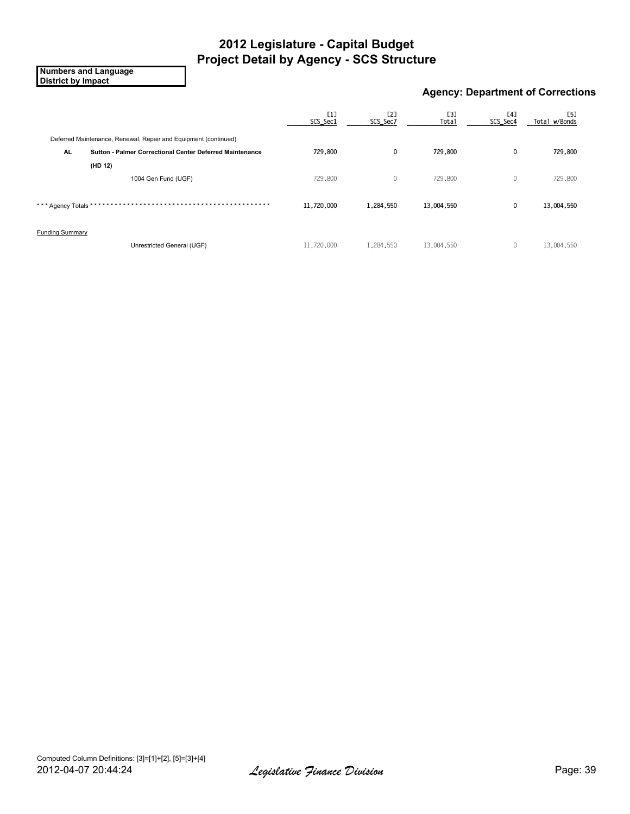**Numbers and Language District by Impact**

### **Agency: Department of Corrections**

|                        |                                                                 | $[1]$<br>SCS_Sec1 | [2]<br>SCS_Sec7 | [3]<br><b>Total</b> | [4]<br>SCS_Sec4 | [5]<br>Total w/Bonds |
|------------------------|-----------------------------------------------------------------|-------------------|-----------------|---------------------|-----------------|----------------------|
|                        | Deferred Maintenance, Renewal, Repair and Equipment (continued) |                   |                 |                     |                 |                      |
| AL.                    | <b>Sutton - Palmer Correctional Center Deferred Maintenance</b> | 729,800           | 0               | 729,800             | $\mathbf{0}$    | 729,800              |
|                        | (HD 12)                                                         |                   |                 |                     |                 |                      |
|                        | 1004 Gen Fund (UGF)                                             | 729,800           | 0               | 729,800             | $\mathbf{0}$    | 729,800              |
| *** Agency Totals *    |                                                                 | 11,720,000        | 1,284,550       | 13,004,550          | 0               | 13,004,550           |
| <b>Funding Summary</b> |                                                                 |                   |                 |                     |                 |                      |
|                        | Unrestricted General (UGF)                                      | 11,720,000        | 1,284,550       | 13,004,550          | 0               | 13,004,550           |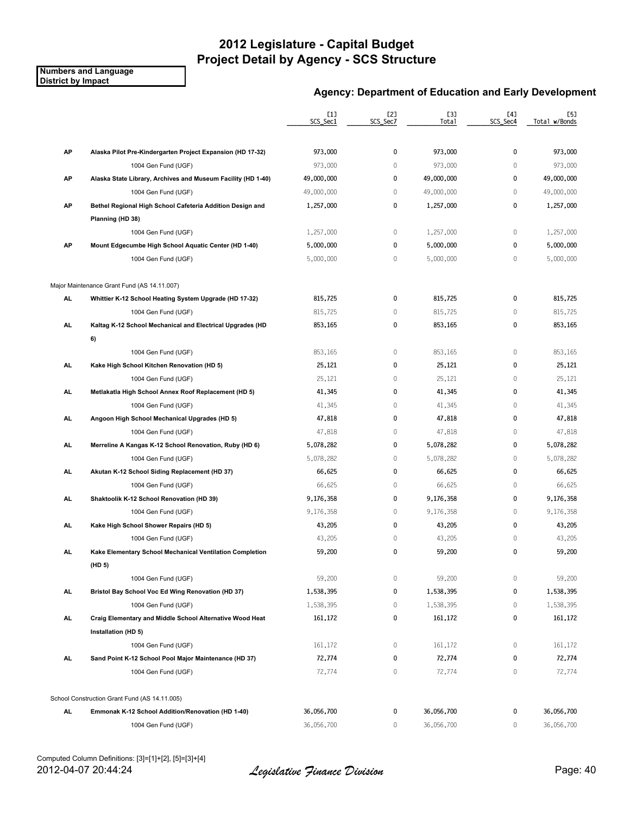#### **Numbers and Language District by Impact**

### **Agency: Department of Education and Early Development**

|           |                                                              | [1]<br>SCS_Sec1 | [2]<br>SCS_Sec7 | <b>[3]</b><br>Total | [4]<br>SCS Sec4 | [5]<br>Total w/Bonds |
|-----------|--------------------------------------------------------------|-----------------|-----------------|---------------------|-----------------|----------------------|
|           |                                                              |                 |                 |                     |                 |                      |
| AP        | Alaska Pilot Pre-Kindergarten Project Expansion (HD 17-32)   | 973,000         | 0               | 973,000             | $\mathbf{0}$    | 973,000              |
|           | 1004 Gen Fund (UGF)                                          | 973,000         | $\mathbb O$     | 973,000             | $\mathbf{0}$    | 973,000              |
| AP        | Alaska State Library, Archives and Museum Facility (HD 1-40) | 49,000,000      | 0               | 49,000,000          | 0               | 49,000,000           |
|           | 1004 Gen Fund (UGF)                                          | 49,000,000      | $\mathbb O$     | 49,000,000          | $\mathbf{0}$    | 49,000,000           |
| AP        | Bethel Regional High School Cafeteria Addition Design and    | 1,257,000       | 0               | 1,257,000           | 0               | 1,257,000            |
|           | Planning (HD 38)                                             |                 |                 |                     |                 |                      |
|           | 1004 Gen Fund (UGF)                                          | 1,257,000       | 0               | 1,257,000           | $\mathbf 0$     | 1,257,000            |
| AP        | Mount Edgecumbe High School Aquatic Center (HD 1-40)         | 5,000,000       | 0               | 5,000,000           | 0               | 5,000,000            |
|           | 1004 Gen Fund (UGF)                                          | 5,000,000       | $\mathbb O$     | 5,000,000           | $\mathbf{0}$    | 5,000,000            |
|           | Major Maintenance Grant Fund (AS 14.11.007)                  |                 |                 |                     |                 |                      |
| AL.       | Whittier K-12 School Heating System Upgrade (HD 17-32)       | 815,725         | 0               | 815,725             | 0               | 815,725              |
|           | 1004 Gen Fund (UGF)                                          | 815,725         | $\mathbb O$     | 815,725             | 0               | 815,725              |
| <b>AL</b> | Kaltag K-12 School Mechanical and Electrical Upgrades (HD    | 853,165         | 0               | 853,165             | 0               | 853,165              |
|           | 6)                                                           |                 |                 |                     |                 |                      |
|           | 1004 Gen Fund (UGF)                                          | 853,165         | $\mathbb O$     | 853,165             | $\mathbf 0$     | 853,165              |
| AL        | Kake High School Kitchen Renovation (HD 5)                   | 25,121          | 0               | 25,121              | $\mathbf 0$     | 25,121               |
|           | 1004 Gen Fund (UGF)                                          | 25,121          | $\mathbb O$     | 25,121              | $\mathbf 0$     | 25,121               |
| <b>AL</b> | Metlakatla High School Annex Roof Replacement (HD 5)         | 41,345          | 0               | 41,345              | 0               | 41,345               |
|           | 1004 Gen Fund (UGF)                                          | 41,345          | $\mathbb O$     | 41,345              | $\mathbf{0}$    | 41,345               |
| <b>AL</b> | Angoon High School Mechanical Upgrades (HD 5)                | 47,818          | 0               | 47,818              | 0               | 47,818               |
|           | 1004 Gen Fund (UGF)                                          | 47,818          | $\mathbb O$     | 47,818              | $\mathbf{0}$    | 47,818               |
| AL        | Merreline A Kangas K-12 School Renovation, Ruby (HD 6)       | 5,078,282       | 0               | 5,078,282           | $\mathbf 0$     | 5,078,282            |
|           | 1004 Gen Fund (UGF)                                          | 5,078,282       | $\mathbb O$     | 5,078,282           | 0               | 5,078,282            |
| AL        | Akutan K-12 School Siding Replacement (HD 37)                | 66,625          | 0               | 66,625              | 0               | 66,625               |
|           | 1004 Gen Fund (UGF)                                          | 66,625          | $\mathbb O$     | 66,625              | $\mathbf{0}$    | 66,625               |
| AL.       | Shaktoolik K-12 School Renovation (HD 39)                    | 9,176,358       | 0               | 9,176,358           | 0               | 9,176,358            |
|           | 1004 Gen Fund (UGF)                                          | 9,176,358       | $\mathbf 0$     | 9,176,358           | $\mathbf{0}$    | 9,176,358            |
| AL        | Kake High School Shower Repairs (HD 5)                       | 43,205          | 0               | 43,205              | $\mathbf 0$     | 43,205               |
|           | 1004 Gen Fund (UGF)                                          | 43,205          | 0               | 43,205              | 0               | 43,205               |
| AL        | Kake Elementary School Mechanical Ventilation Completion     | 59,200          | 0               | 59,200              | 0               | 59,200               |
|           | (HD 5)                                                       |                 |                 |                     |                 |                      |
|           | 1004 Gen Fund (UGF)                                          | 59,200          | 0               | 59,200              | $\mathbf 0$     | 59,200               |
| AL.       | Bristol Bay School Voc Ed Wing Renovation (HD 37)            | 1,538,395       | 0               | 1,538,395           | 0               | 1,538,395            |
|           | 1004 Gen Fund (UGF)                                          | 1,538,395       | 0               | 1,538,395           | 0               | 1,538,395            |
| AL.       | Craig Elementary and Middle School Alternative Wood Heat     | 161,172         | 0               | 161,172             | 0               | 161,172              |
|           | Installation (HD 5)                                          |                 |                 |                     |                 |                      |
|           | 1004 Gen Fund (UGF)                                          | 161,172         | 0               | 161,172             | $\mathbf 0$     | 161,172              |
| AL.       | Sand Point K-12 School Pool Major Maintenance (HD 37)        | 72,774          | 0               | 72,774              | 0               | 72,774               |
|           | 1004 Gen Fund (UGF)                                          | 72,774          | $\mathbb O$     | 72,774              | 0               | 72,774               |
|           | School Construction Grant Fund (AS 14.11.005)                |                 |                 |                     |                 |                      |
| AL.       | Emmonak K-12 School Addition/Renovation (HD 1-40)            | 36,056,700      | 0               | 36,056,700          | 0               | 36,056,700           |
|           | 1004 Gen Fund (UGF)                                          | 36,056,700      | 0               | 36,056,700          | 0               | 36,056,700           |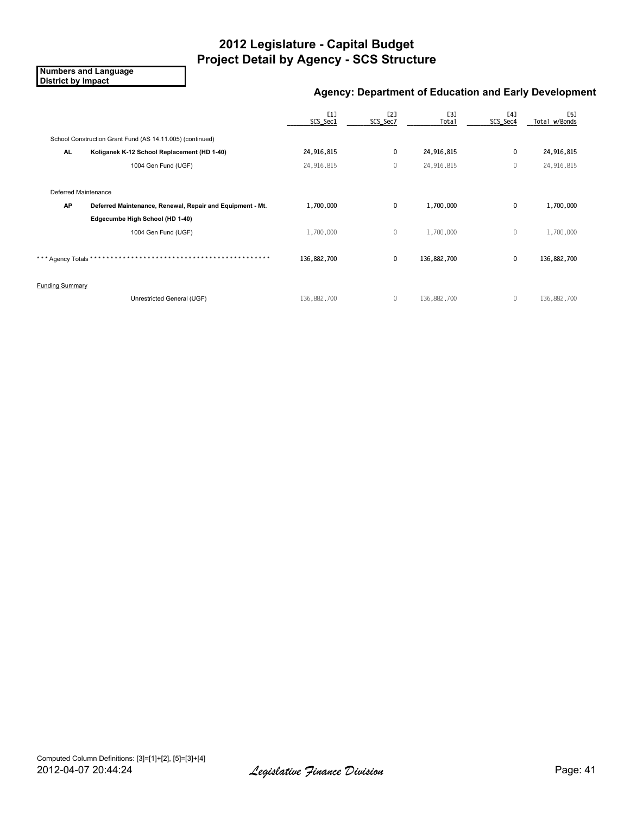**Numbers and Language District by Impact**

### **Agency: Department of Education and Early Development**

|                                   |                                                           | [1]<br>SCS_Sec1 | <b>[2]</b><br>SCS_Sec7 | <b>E31</b><br>Total | [4]<br>SCS_Sec4 | <b>[5]</b><br>Total w/Bonds |
|-----------------------------------|-----------------------------------------------------------|-----------------|------------------------|---------------------|-----------------|-----------------------------|
|                                   | School Construction Grant Fund (AS 14.11.005) (continued) |                 |                        |                     |                 |                             |
| <b>AL</b>                         | Koliganek K-12 School Replacement (HD 1-40)               | 24,916,815      | 0                      | 24,916,815          | 0               | 24,916,815                  |
|                                   | 1004 Gen Fund (UGF)                                       | 24,916,815      | $\mathbf 0$            | 24,916,815          | $\theta$        | 24,916,815                  |
| Deferred Maintenance<br><b>AP</b> | Deferred Maintenance, Renewal, Repair and Equipment - Mt. | 1,700,000       | 0                      | 1,700,000           | $\mathbf 0$     | 1,700,000                   |
|                                   | Edgecumbe High School (HD 1-40)                           |                 |                        |                     |                 |                             |
|                                   | 1004 Gen Fund (UGF)                                       | 1,700,000       | $\mathbf{0}$           | 1,700,000           | $\mathbf{0}$    | 1,700,000                   |
| *** Agency Totals *               | * * * * * * * * * * * * * * * * * *                       | 136,882,700     | $\mathbf 0$            | 136,882,700         | $\mathbf 0$     | 136,882,700                 |
| <b>Funding Summary</b>            |                                                           |                 |                        |                     |                 |                             |
|                                   | Unrestricted General (UGF)                                | 136,882,700     | $\mathbf{0}$           | 136,882,700         | $\theta$        | 136,882,700                 |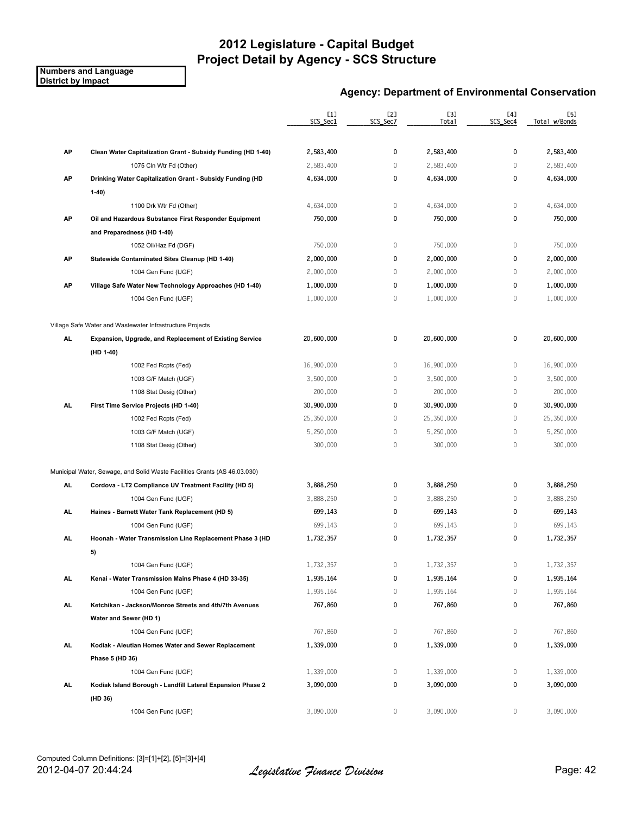#### **Numbers and Language District by Impact**

### **Agency: Department of Environmental Conservation**

|     |                                                                           | [1]<br>SCS_Sec1 | [2]<br>SCS_Sec7 | <b>[3]</b><br>Total | [4]<br>SCS Sec4 | [5]<br>Total w/Bonds |
|-----|---------------------------------------------------------------------------|-----------------|-----------------|---------------------|-----------------|----------------------|
| AP  | Clean Water Capitalization Grant - Subsidy Funding (HD 1-40)              | 2,583,400       | 0               | 2,583,400           | 0               | 2,583,400            |
|     | 1075 Cln Wtr Fd (Other)                                                   | 2,583,400       | $\mathbb O$     | 2,583,400           | $\mathbf{0}$    | 2,583,400            |
| АP  | Drinking Water Capitalization Grant - Subsidy Funding (HD                 | 4,634,000       | 0               | 4,634,000           | 0               | 4,634,000            |
|     | $1-40)$                                                                   |                 |                 |                     |                 |                      |
|     | 1100 Drk Wtr Fd (Other)                                                   | 4,634,000       | 0               | 4,634,000           | 0               | 4,634,000            |
| АP  | Oil and Hazardous Substance First Responder Equipment                     | 750,000         | 0               | 750,000             | 0               | 750,000              |
|     | and Preparedness (HD 1-40)                                                |                 |                 |                     |                 |                      |
|     | 1052 Oil/Haz Fd (DGF)                                                     | 750,000         | $\mathbb O$     | 750,000             | $\mathbf{0}$    | 750,000              |
| AP  | Statewide Contaminated Sites Cleanup (HD 1-40)                            | 2,000,000       | 0               | 2,000,000           | 0               | 2,000,000            |
|     | 1004 Gen Fund (UGF)                                                       | 2,000,000       | $\mathbb O$     | 2,000,000           | 0               | 2,000,000            |
| AP  | Village Safe Water New Technology Approaches (HD 1-40)                    | 1,000,000       | 0               | 1,000,000           | 0               | 1,000,000            |
|     | 1004 Gen Fund (UGF)                                                       | 1,000,000       | $\mathbb O$     | 1,000,000           | $\mathbf 0$     | 1,000,000            |
|     | Village Safe Water and Wastewater Infrastructure Projects                 |                 |                 |                     |                 |                      |
| AL. | Expansion, Upgrade, and Replacement of Existing Service                   | 20,600,000      | 0               | 20,600,000          | 0               | 20,600,000           |
|     | (HD 1-40)                                                                 |                 |                 |                     |                 |                      |
|     | 1002 Fed Rcpts (Fed)                                                      | 16,900,000      | $\mathbb O$     | 16,900,000          | $\mathbf 0$     | 16,900,000           |
|     | 1003 G/F Match (UGF)                                                      | 3,500,000       | $\mathbb O$     | 3,500,000           | $\mathbf 0$     | 3,500,000            |
|     | 1108 Stat Desig (Other)                                                   | 200,000         | 0               | 200,000             | 0               | 200,000              |
| AL  | First Time Service Projects (HD 1-40)                                     | 30,900,000      | 0               | 30,900,000          | 0               | 30,900,000           |
|     | 1002 Fed Rcpts (Fed)                                                      | 25,350,000      | 0               | 25,350,000          | $\mathbf 0$     | 25,350,000           |
|     | 1003 G/F Match (UGF)                                                      | 5,250,000       | $\mathbb O$     | 5,250,000           | $\mathbf 0$     | 5,250,000            |
|     | 1108 Stat Desig (Other)                                                   | 300,000         | $\mathbb O$     | 300,000             | $\mathbf 0$     | 300,000              |
|     | Municipal Water, Sewage, and Solid Waste Facilities Grants (AS 46.03.030) |                 |                 |                     |                 |                      |
| AL  | Cordova - LT2 Compliance UV Treatment Facility (HD 5)                     | 3,888,250       | 0               | 3,888,250           | 0               | 3,888,250            |
|     | 1004 Gen Fund (UGF)                                                       | 3,888,250       | $\mathbf 0$     | 3,888,250           | 0               | 3,888,250            |
| AL  | Haines - Barnett Water Tank Replacement (HD 5)                            | 699,143         | 0               | 699,143             | 0               | 699,143              |
|     | 1004 Gen Fund (UGF)                                                       | 699.143         | $\mathbb O$     | 699,143             | $\mathbf 0$     | 699,143              |
| AL  | Hoonah - Water Transmission Line Replacement Phase 3 (HD                  | 1,732,357       | 0               | 1,732,357           | 0               | 1,732,357            |
|     | 5)                                                                        |                 |                 |                     |                 |                      |
|     | 1004 Gen Fund (UGF)                                                       | 1,732,357       | 0               | 1,732,357           | 0               | 1,732,357            |
| AL. | Kenai - Water Transmission Mains Phase 4 (HD 33-35)                       | 1,935,164       | 0               | 1,935,164           | 0               | 1,935,164            |
|     | 1004 Gen Fund (UGF)                                                       | 1,935,164       | $\mathbb O$     | 1,935,164           | 0               | 1,935,164            |
| AL. | Ketchikan - Jackson/Monroe Streets and 4th/7th Avenues                    | 767,860         | 0               | 767,860             | 0               | 767,860              |
|     | Water and Sewer (HD 1)                                                    |                 |                 |                     |                 |                      |
|     | 1004 Gen Fund (UGF)                                                       | 767,860         | 0               | 767,860             | 0               | 767,860              |
| AL  | Kodiak - Aleutian Homes Water and Sewer Replacement                       | 1,339,000       | 0               | 1,339,000           | 0               | 1,339,000            |
|     | Phase 5 (HD 36)                                                           |                 |                 |                     |                 |                      |
|     | 1004 Gen Fund (UGF)                                                       | 1,339,000       | 0               | 1,339,000           | 0               | 1,339,000            |
| AL. | Kodiak Island Borough - Landfill Lateral Expansion Phase 2                | 3,090,000       | 0               | 3,090,000           | 0               | 3,090,000            |
|     | (HD 36)                                                                   |                 |                 |                     |                 |                      |
|     | 1004 Gen Fund (UGF)                                                       | 3,090,000       | 0               | 3,090,000           | 0               | 3,090,000            |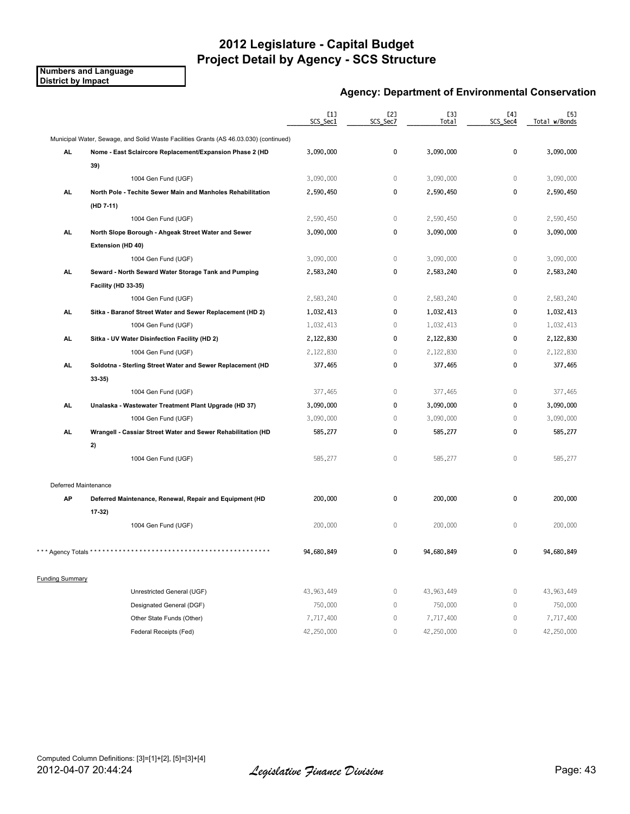#### **Numbers and Language District by Impact**

### **Agency: Department of Environmental Conservation**

|                        |                                                                                       | $[1]$<br>SCS_Sec1 | [2]<br>SCS_Sec7 | <b>[3]</b><br>Total | [4]<br>SCS_Sec4 | [5]<br>Total w/Bonds |
|------------------------|---------------------------------------------------------------------------------------|-------------------|-----------------|---------------------|-----------------|----------------------|
|                        | Municipal Water, Sewage, and Solid Waste Facilities Grants (AS 46.03.030) (continued) |                   |                 |                     |                 |                      |
| AL.                    | Nome - East Sclaircore Replacement/Expansion Phase 2 (HD                              | 3,090,000         | $\pmb{0}$       | 3,090,000           | 0               | 3,090,000            |
|                        | 39)                                                                                   |                   |                 |                     |                 |                      |
|                        | 1004 Gen Fund (UGF)                                                                   | 3,090,000         | $\mathbf{0}$    | 3,090,000           | 0               | 3,090,000            |
| AL.                    | North Pole - Techite Sewer Main and Manholes Rehabilitation                           | 2,590,450         | 0               | 2,590,450           | 0               | 2,590,450            |
|                        | (HD 7-11)                                                                             |                   |                 |                     |                 |                      |
|                        | 1004 Gen Fund (UGF)                                                                   | 2,590,450         | $\mathbf{0}$    | 2,590,450           | $\mathbf 0$     | 2,590,450            |
| <b>AL</b>              | North Slope Borough - Ahgeak Street Water and Sewer                                   | 3,090,000         | 0               | 3,090,000           | 0               | 3,090,000            |
|                        | Extension (HD 40)                                                                     |                   |                 |                     |                 |                      |
|                        | 1004 Gen Fund (UGF)                                                                   | 3,090,000         | $\mathbb O$     | 3,090,000           | $\mathbf 0$     | 3,090,000            |
| AL.                    | Seward - North Seward Water Storage Tank and Pumping                                  | 2,583,240         | $\mathbf 0$     | 2,583,240           | $\mathbf 0$     | 2,583,240            |
|                        | Facility (HD 33-35)                                                                   |                   |                 |                     |                 |                      |
|                        | 1004 Gen Fund (UGF)                                                                   | 2,583,240         | $\mathbf{0}$    | 2,583,240           | $\mathbf 0$     | 2,583,240            |
| AL.                    | Sitka - Baranof Street Water and Sewer Replacement (HD 2)                             | 1,032,413         | $\mathbf 0$     | 1,032,413           | 0               | 1,032,413            |
|                        | 1004 Gen Fund (UGF)                                                                   | 1,032,413         | $\mathbf{0}$    | 1,032,413           | $\overline{0}$  | 1,032,413            |
| <b>AL</b>              | Sitka - UV Water Disinfection Facility (HD 2)                                         | 2,122,830         | $\mathbf 0$     | 2,122,830           | 0               | 2,122,830            |
|                        | 1004 Gen Fund (UGF)                                                                   | 2,122,830         | $\mathbb O$     | 2,122,830           | $\mathbb O$     | 2,122,830            |
| AL.                    | Soldotna - Sterling Street Water and Sewer Replacement (HD                            | 377,465           | $\mathbf 0$     | 377,465             | 0               | 377,465              |
|                        | 33 35)                                                                                |                   |                 |                     |                 |                      |
|                        | 1004 Gen Fund (UGF)                                                                   | 377,465           | $\mathbb O$     | 377,465             | $\mathbf 0$     | 377,465              |
| AL.                    | Unalaska - Wastewater Treatment Plant Upgrade (HD 37)                                 | 3,090,000         | 0               | 3,090,000           | 0               | 3,090,000            |
|                        | 1004 Gen Fund (UGF)                                                                   | 3,090,000         | $\mathbf{0}$    | 3,090,000           | 0               | 3,090,000            |
| AL.                    | Wrangell - Cassiar Street Water and Sewer Rehabilitation (HD                          | 585,277           | 0               | 585,277             | 0               | 585,277              |
|                        | 2)                                                                                    |                   |                 |                     |                 |                      |
|                        | 1004 Gen Fund (UGF)                                                                   | 585,277           | $\mathbb O$     | 585,277             | $\mathbf 0$     | 585,277              |
| Deferred Maintenance   |                                                                                       |                   |                 |                     |                 |                      |
| AP                     | Deferred Maintenance, Renewal, Repair and Equipment (HD                               | 200,000           | 0               | 200,000             | 0               | 200,000              |
|                        | $17-32$                                                                               |                   |                 |                     |                 |                      |
|                        | 1004 Gen Fund (UGF)                                                                   | 200,000           | $\mathbf{0}$    | 200,000             | 0               | 200,000              |
| * Agency Totals *      |                                                                                       | 94,680,849        | $\mathbf 0$     | 94,680,849          | 0               | 94,680,849           |
| <b>Funding Summary</b> |                                                                                       |                   |                 |                     |                 |                      |
|                        | Unrestricted General (UGF)                                                            | 43,963,449        | $\mathbb O$     | 43,963,449          | $\mathbb O$     | 43,963,449           |
|                        | Designated General (DGF)                                                              | 750,000           | $\mathbb O$     | 750,000             | $\mathbf 0$     | 750,000              |
|                        | Other State Funds (Other)                                                             | 7,717,400         | $\mathbb O$     | 7,717,400           | $\mathbb O$     | 7,717,400            |
|                        | Federal Receipts (Fed)                                                                | 42,250,000        | $\mathbf{0}$    | 42,250,000          | 0               | 42,250,000           |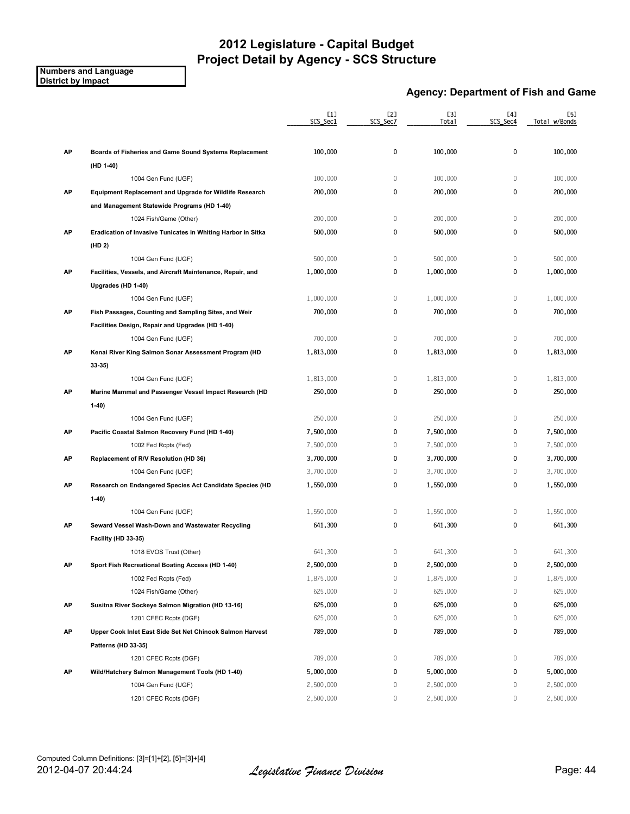**Numbers and Language District by Impact**

### **Agency: Department of Fish and Game**

|    |                                                                | [1]<br>SCS_Sec1 | [2]<br>SCS_Sec7 | [3]<br>Total | [4]<br>SCS_Sec4 | [5]<br>Total w/Bonds |
|----|----------------------------------------------------------------|-----------------|-----------------|--------------|-----------------|----------------------|
| AP | Boards of Fisheries and Game Sound Systems Replacement         | 100,000         | 0               | 100,000      | 0               | 100,000              |
|    | (HD 1-40)                                                      |                 |                 |              |                 |                      |
|    | 1004 Gen Fund (UGF)                                            | 100,000         | $\mathbb O$     | 100,000      | $\mathbb O$     | 100,000              |
| AP | <b>Equipment Replacement and Upgrade for Wildlife Research</b> | 200,000         | 0               | 200,000      | $\mathbf 0$     | 200,000              |
|    | and Management Statewide Programs (HD 1-40)                    |                 |                 |              |                 |                      |
|    | 1024 Fish/Game (Other)                                         | 200,000         | $\mathbb O$     | 200,000      | $\mathbf 0$     | 200,000              |
| AP | Eradication of Invasive Tunicates in Whiting Harbor in Sitka   | 500,000         | 0               | 500,000      | 0               | 500,000              |
|    | (HD 2)                                                         |                 |                 |              |                 |                      |
|    | 1004 Gen Fund (UGF)                                            | 500,000         | $\mathbb O$     | 500,000      | $\mathbf 0$     | 500,000              |
| AP | Facilities, Vessels, and Aircraft Maintenance, Repair, and     | 1,000,000       | 0               | 1,000,000    | 0               | 1,000,000            |
|    | Upgrades (HD 1-40)                                             |                 |                 |              |                 |                      |
|    | 1004 Gen Fund (UGF)                                            | 1,000,000       | $\mathbb O$     | 1,000,000    | $\mathbf 0$     | 1,000,000            |
| AP | Fish Passages, Counting and Sampling Sites, and Weir           | 700,000         | 0               | 700,000      | 0               | 700,000              |
|    | Facilities Design, Repair and Upgrades (HD 1-40)               |                 |                 |              |                 |                      |
|    | 1004 Gen Fund (UGF)                                            | 700,000         | $\mathbb O$     | 700,000      | $\mathbf 0$     | 700,000              |
| AP | Kenai River King Salmon Sonar Assessment Program (HD           | 1,813,000       | 0               | 1,813,000    | 0               | 1,813,000            |
|    | $33-35)$                                                       |                 |                 |              |                 |                      |
|    | 1004 Gen Fund (UGF)                                            | 1,813,000       | $\mathbb O$     | 1,813,000    | $\mathbf 0$     | 1,813,000            |
| AP | Marine Mammal and Passenger Vessel Impact Research (HD         | 250,000         | 0               | 250,000      | 0               | 250,000              |
|    | $1-40$                                                         |                 |                 |              |                 |                      |
|    | 1004 Gen Fund (UGF)                                            | 250,000         | $\mathbb O$     | 250,000      | $\mathbb O$     | 250,000              |
| AP | Pacific Coastal Salmon Recovery Fund (HD 1-40)                 | 7,500,000       | 0               | 7,500,000    | 0               | 7,500,000            |
|    | 1002 Fed Rcpts (Fed)                                           | 7,500,000       | 0               | 7,500,000    | 0               | 7,500,000            |
| AP | Replacement of R/V Resolution (HD 36)                          | 3,700,000       | 0               | 3,700,000    | 0               | 3,700,000            |
|    | 1004 Gen Fund (UGF)                                            | 3,700,000       | $\mathbf 0$     | 3,700,000    | $\mathbf{0}$    | 3,700,000            |
| AP | Research on Endangered Species Act Candidate Species (HD       | 1,550,000       | 0               | 1,550,000    | 0               | 1,550,000            |
|    | $1-40)$                                                        |                 |                 |              |                 |                      |
|    | 1004 Gen Fund (UGF)                                            | 1,550,000       | $\,0\,$         | 1,550,000    | $\mathbf 0$     | 1,550,000            |
| AP | Seward Vessel Wash-Down and Wastewater Recycling               | 641,300         | 0               | 641,300      | 0               | 641,300              |
|    | Facility (HD 33-35)                                            |                 |                 |              |                 |                      |
|    | 1018 EVOS Trust (Other)                                        | 641,300         | 0               | 641,300      | $\mathbf{0}$    | 641,300              |
| АP | Sport Fish Recreational Boating Access (HD 1-40)               | 2,500,000       | 0               | 2,500,000    | 0               | 2,500,000            |
|    | 1002 Fed Rcpts (Fed)                                           | 1,875,000       | 0               | 1,875,000    | 0               | 1,875,000            |
|    | 1024 Fish/Game (Other)                                         | 625,000         | $\,0\,$         | 625,000      | 0               | 625,000              |
| AP | Susitna River Sockeye Salmon Migration (HD 13-16)              | 625,000         | 0               | 625,000      | 0               | 625,000              |
|    | 1201 CFEC Rcpts (DGF)                                          | 625,000         | 0               | 625,000      | 0               | 625,000              |
| AP | Upper Cook Inlet East Side Set Net Chinook Salmon Harvest      | 789,000         | 0               | 789,000      | 0               | 789,000              |
|    | Patterns (HD 33-35)                                            |                 |                 |              |                 |                      |
|    | 1201 CFEC Rcpts (DGF)                                          | 789,000         | 0               | 789,000      | 0               | 789,000              |
| AP | Wild/Hatchery Salmon Management Tools (HD 1-40)                | 5,000,000       | 0               | 5,000,000    | 0               | 5,000,000            |
|    | 1004 Gen Fund (UGF)                                            | 2,500,000       | 0               | 2,500,000    | 0               | 2,500,000            |
|    | 1201 CFEC Rcpts (DGF)                                          | 2,500,000       | 0               | 2,500,000    | 0               | 2,500,000            |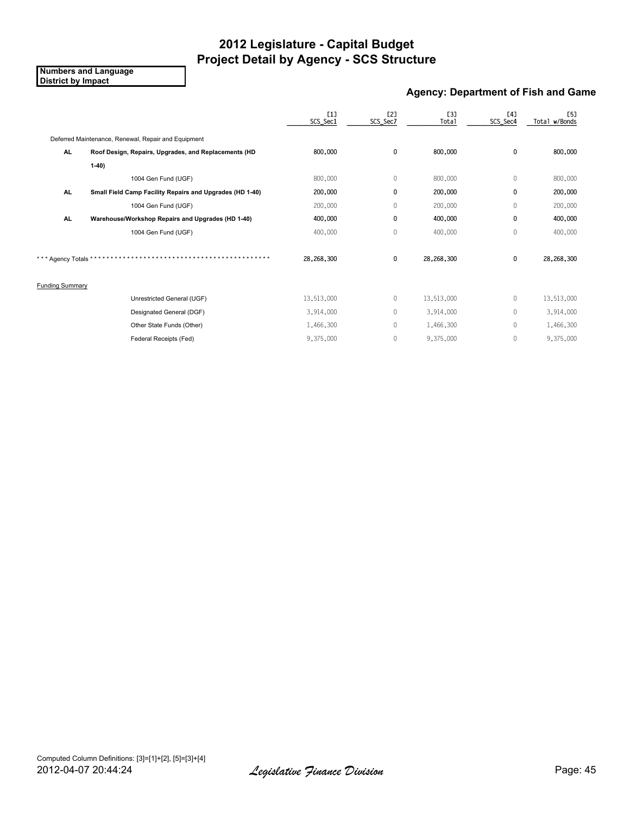**Numbers and Language District by Impact**

### **Agency: Department of Fish and Game**

|                        |                                                          | L11<br>SCS_Sec1 | E2]<br>SCS_Sec7 | <b>[3]</b><br>Total | [4]<br>SCS_Sec4 | <b>[5]</b><br>Total w/Bonds |
|------------------------|----------------------------------------------------------|-----------------|-----------------|---------------------|-----------------|-----------------------------|
|                        | Deferred Maintenance, Renewal, Repair and Equipment      |                 |                 |                     |                 |                             |
| AL.                    | Roof Design, Repairs, Upgrades, and Replacements (HD     | 800,000         | 0               | 800,000             | 0               | 800,000                     |
|                        | $1-40$                                                   |                 |                 |                     |                 |                             |
|                        | 1004 Gen Fund (UGF)                                      | 800,000         | 0               | 800,000             | 0               | 800,000                     |
| AL.                    | Small Field Camp Facility Repairs and Upgrades (HD 1-40) | 200,000         | 0               | 200,000             | 0               | 200,000                     |
|                        | 1004 Gen Fund (UGF)                                      | 200,000         | 0               | 200,000             | 0               | 200,000                     |
| <b>AL</b>              | Warehouse/Workshop Repairs and Upgrades (HD 1-40)        | 400,000         | 0               | 400,000             | 0               | 400,000                     |
|                        | 1004 Gen Fund (UGF)                                      | 400,000         | 0               | 400,000             | 0               | 400,000                     |
| *** Agency Totals '    |                                                          | 28,268,300      | 0               | 28,268,300          | 0               | 28,268,300                  |
| <b>Funding Summary</b> |                                                          |                 |                 |                     |                 |                             |
|                        | Unrestricted General (UGF)                               | 13,513,000      | 0               | 13,513,000          | 0               | 13,513,000                  |
|                        | Designated General (DGF)                                 | 3,914,000       | 0               | 3,914,000           | 0               | 3,914,000                   |
|                        | Other State Funds (Other)                                | 1,466,300       | 0               | 1,466,300           | 0               | 1,466,300                   |
|                        | Federal Receipts (Fed)                                   | 9,375,000       | 0               | 9,375,000           | 0               | 9,375,000                   |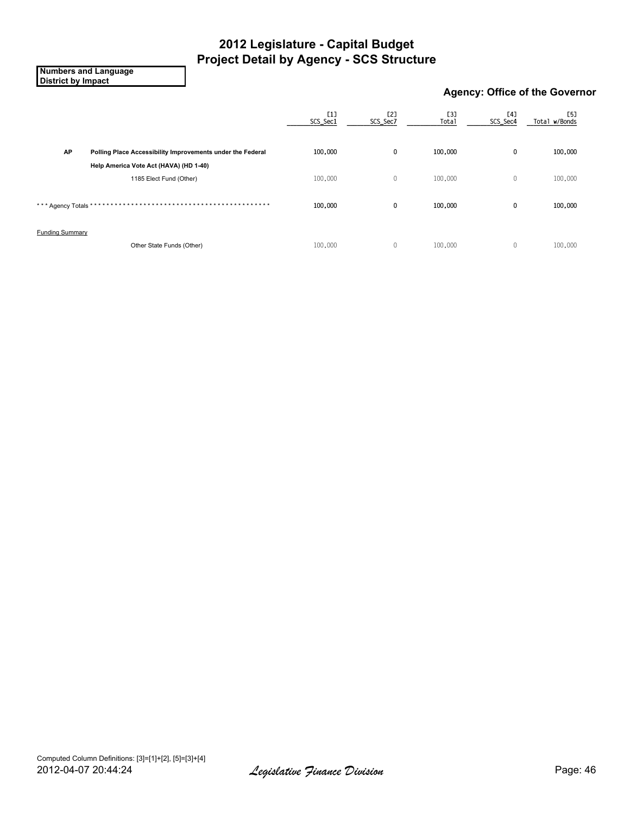**Numbers and Language District by Impact**

### **Agency: Office of the Governor**

|                        |                                                            | [1]<br>SCS_Sec1 | [2]<br>SCS_Sec7 | [3]<br><b>Total</b> | [4]<br>SCS_Sec4 | [5]<br>Total w/Bonds |
|------------------------|------------------------------------------------------------|-----------------|-----------------|---------------------|-----------------|----------------------|
| AP                     | Polling Place Accessibility Improvements under the Federal | 100,000         | 0               | 100,000             | 0               | 100,000              |
|                        | Help America Vote Act (HAVA) (HD 1-40)                     |                 |                 |                     |                 |                      |
|                        | 1185 Elect Fund (Other)                                    | 100,000         | $\mathbb O$     | 100,000             | $\mathbf 0$     | 100,000              |
| *** Agency Totals *    | * * * * * * * * * * * *                                    | 100,000         | 0               | 100,000             | $\mathbf 0$     | 100,000              |
| <b>Funding Summary</b> |                                                            |                 |                 |                     |                 |                      |
|                        | Other State Funds (Other)                                  | 100,000         | $\mathbf 0$     | 100,000             | $\mathbf{0}$    | 100,000              |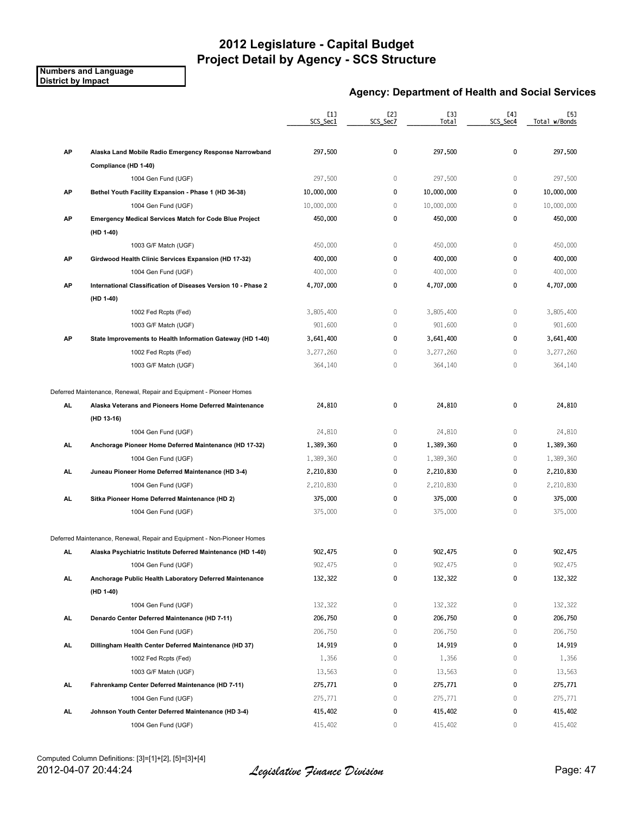#### **Numbers and Language District by Impact**

### **Agency: Department of Health and Social Services**

|           |                                                                         | [1]<br>SCS_Sec1 | [2]<br>SCS_Sec7 | [3]<br>Total | [4]<br>SCS_Sec4 | [5]<br>Total w/Bonds |
|-----------|-------------------------------------------------------------------------|-----------------|-----------------|--------------|-----------------|----------------------|
|           |                                                                         |                 |                 |              |                 |                      |
| AP        | Alaska Land Mobile Radio Emergency Response Narrowband                  | 297,500         | 0               | 297,500      | 0               | 297,500              |
|           | Compliance (HD 1-40)                                                    |                 |                 |              |                 |                      |
|           | 1004 Gen Fund (UGF)                                                     | 297,500         | $\mathbf{0}$    | 297,500      | $\mathbf 0$     | 297,500              |
| AP        | Bethel Youth Facility Expansion - Phase 1 (HD 36-38)                    | 10,000,000      | $\mathbf 0$     | 10,000,000   | 0               | 10,000,000           |
|           | 1004 Gen Fund (UGF)                                                     | 10,000,000      | $\mathbf{0}$    | 10,000,000   | 0               | 10,000,000           |
| AP        | <b>Emergency Medical Services Match for Code Blue Project</b>           | 450,000         | 0               | 450,000      | 0               | 450,000              |
|           | (HD 1-40)                                                               |                 |                 |              |                 |                      |
|           | 1003 G/F Match (UGF)                                                    | 450,000         | $\mathbb O$     | 450,000      | $\mathbf{0}$    | 450,000              |
| AP        | Girdwood Health Clinic Services Expansion (HD 17-32)                    | 400,000         | $\mathbf 0$     | 400,000      | 0               | 400,000              |
|           | 1004 Gen Fund (UGF)                                                     | 400,000         | $\mathbf{0}$    | 400,000      | $\mathbf 0$     | 400,000              |
| AP        | International Classification of Diseases Version 10 - Phase 2           | 4,707,000       | $\mathbf 0$     | 4,707,000    | 0               | 4,707,000            |
|           | (HD 1-40)                                                               |                 |                 |              |                 |                      |
|           | 1002 Fed Rcpts (Fed)                                                    | 3,805,400       | $\mathbb O$     | 3,805,400    | $\mathbf 0$     | 3,805,400            |
|           | 1003 G/F Match (UGF)                                                    | 901,600         | $\mathbf{0}$    | 901,600      | $\mathbf 0$     | 901,600              |
| AP        | State Improvements to Health Information Gateway (HD 1-40)              | 3,641,400       | $\mathbf 0$     | 3,641,400    | $\mathbf{0}$    | 3,641,400            |
|           | 1002 Fed Rcpts (Fed)                                                    | 3,277,260       | $\mathbf{0}$    | 3,277,260    | 0               | 3,277,260            |
|           | 1003 G/F Match (UGF)                                                    | 364,140         | $\mathbb O$     | 364,140      | 0               | 364,140              |
|           | Deferred Maintenance, Renewal, Repair and Equipment - Pioneer Homes     |                 |                 |              |                 |                      |
| <b>AL</b> | Alaska Veterans and Pioneers Home Deferred Maintenance                  | 24,810          | 0               | 24,810       | 0               | 24,810               |
|           | (HD 13-16)                                                              |                 |                 |              |                 |                      |
|           | 1004 Gen Fund (UGF)                                                     | 24,810          | $\mathbf{0}$    | 24,810       | $\mathbf{0}$    | 24,810               |
| AL.       | Anchorage Pioneer Home Deferred Maintenance (HD 17-32)                  | 1,389,360       | $\mathbf 0$     | 1,389,360    | 0               | 1,389,360            |
|           | 1004 Gen Fund (UGF)                                                     | 1,389,360       | $\mathbf{0}$    | 1,389,360    | 0               | 1,389,360            |
| AL        | Juneau Pioneer Home Deferred Maintenance (HD 3-4)                       | 2,210,830       | $\mathbf 0$     | 2,210,830    | 0               | 2,210,830            |
|           | 1004 Gen Fund (UGF)                                                     | 2,210,830       | $\mathbf{0}$    | 2,210,830    | $\mathbf 0$     | 2,210,830            |
| AL        | Sitka Pioneer Home Deferred Maintenance (HD 2)                          | 375,000         | $\mathbf 0$     | 375,000      | 0               | 375,000              |
|           | 1004 Gen Fund (UGF)                                                     | 375,000         | $\mathbb O$     | 375,000      | 0               | 375,000              |
|           | Deferred Maintenance, Renewal, Repair and Equipment - Non-Pioneer Homes |                 |                 |              |                 |                      |
| AL.       | Alaska Psychiatric Institute Deferred Maintenance (HD 1-40)             | 902,475         | 0               | 902,475      | 0               | 902,475              |
|           | 1004 Gen Fund (UGF)                                                     | 902,475         | $\mathbf{0}$    | 902,475      | $\mathbf 0$     | 902,475              |
| AL.       | Anchorage Public Health Laboratory Deferred Maintenance                 | 132,322         | 0               | 132,322      | $\pmb{0}$       | 132,322              |
|           | (HD 1-40)                                                               |                 |                 |              |                 |                      |
|           | 1004 Gen Fund (UGF)                                                     | 132,322         | 0               | 132,322      | 0               | 132,322              |
| AL.       | Denardo Center Deferred Maintenance (HD 7-11)                           | 206,750         | 0               | 206,750      | $\pmb{0}$       | 206,750              |
|           | 1004 Gen Fund (UGF)                                                     | 206,750         | 0               | 206,750      | 0               | 206,750              |
| AL.       | Dillingham Health Center Deferred Maintenance (HD 37)                   | 14,919          | 0               | 14,919       | 0               | 14,919               |
|           | 1002 Fed Rcpts (Fed)                                                    | 1,356           | $\mathbf 0$     | 1,356        | $\mathbf 0$     | 1,356                |
|           | 1003 G/F Match (UGF)                                                    | 13,563          | 0               | 13,563       | 0               | 13,563               |
| AL.       | Fahrenkamp Center Deferred Maintenance (HD 7-11)                        | 275,771         | 0               | 275,771      | 0               | 275,771              |
|           | 1004 Gen Fund (UGF)                                                     | 275,771         | $\mathbb O$     | 275,771      | 0               | 275,771              |
| AL.       | Johnson Youth Center Deferred Maintenance (HD 3-4)                      | 415,402         | 0               | 415,402      | 0               | 415,402              |
|           | 1004 Gen Fund (UGF)                                                     | 415,402         | $\mathbf 0$     | 415,402      | 0               | 415,402              |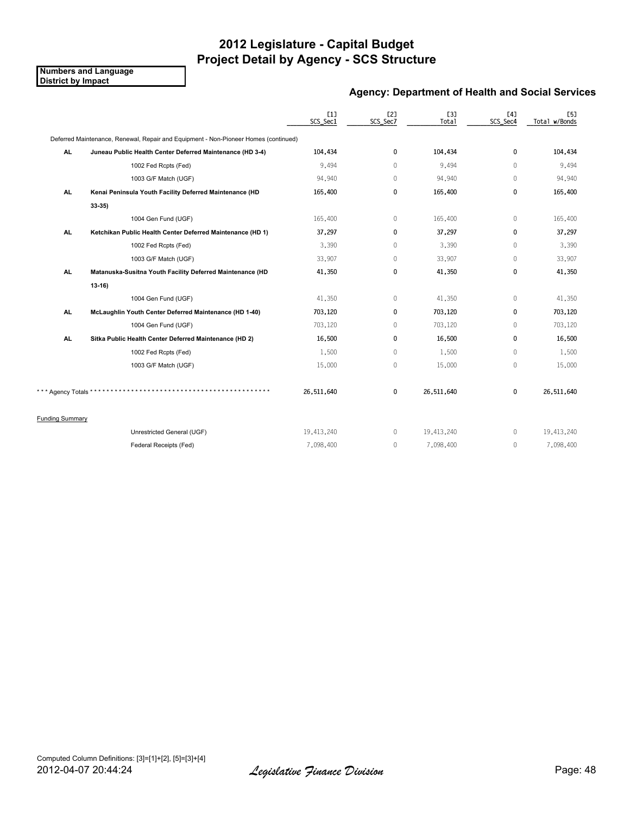**Numbers and Language District by Impact**

### **Agency: Department of Health and Social Services**

|                        |                                                                                     | [1]<br>SCS_Sec1 | [2]<br>SCS_Sec7 | <b>[3]</b><br>Total | [4]<br>SCS Sec4 | <b>[5]</b><br>Total w/Bonds |
|------------------------|-------------------------------------------------------------------------------------|-----------------|-----------------|---------------------|-----------------|-----------------------------|
|                        | Deferred Maintenance, Renewal, Repair and Equipment - Non-Pioneer Homes (continued) |                 |                 |                     |                 |                             |
| AL.                    | Juneau Public Health Center Deferred Maintenance (HD 3-4)                           | 104,434         | 0               | 104,434             | 0               | 104,434                     |
|                        | 1002 Fed Rcpts (Fed)                                                                | 9.494           | $\Omega$        | 9,494               | $\Omega$        | 9,494                       |
|                        | 1003 G/F Match (UGF)                                                                | 94,940          | 0               | 94,940              | $\Omega$        | 94,940                      |
| AL.                    | Kenai Peninsula Youth Facility Deferred Maintenance (HD                             | 165,400         | 0               | 165,400             | 0               | 165,400                     |
|                        | 33 35)                                                                              |                 |                 |                     |                 |                             |
|                        | 1004 Gen Fund (UGF)                                                                 | 165,400         | 0               | 165,400             | 0               | 165,400                     |
| AL.                    | Ketchikan Public Health Center Deferred Maintenance (HD 1)                          | 37,297          | 0               | 37,297              | 0               | 37,297                      |
|                        | 1002 Fed Rcpts (Fed)                                                                | 3,390           | 0               | 3,390               | $\mathbf 0$     | 3,390                       |
|                        | 1003 G/F Match (UGF)                                                                | 33,907          | $\overline{0}$  | 33,907              | $\mathbf 0$     | 33,907                      |
| AL.                    | Matanuska-Susitna Youth Facility Deferred Maintenance (HD                           | 41,350          | 0               | 41,350              | 0               | 41,350                      |
|                        | $13 - 16$                                                                           |                 |                 |                     |                 |                             |
|                        | 1004 Gen Fund (UGF)                                                                 | 41,350          | 0               | 41,350              | $\Omega$        | 41,350                      |
| AL.                    | McLaughlin Youth Center Deferred Maintenance (HD 1-40)                              | 703,120         | 0               | 703,120             | 0               | 703,120                     |
|                        | 1004 Gen Fund (UGF)                                                                 | 703,120         | $\mathbf{0}$    | 703,120             | $\Omega$        | 703,120                     |
| AL.                    | Sitka Public Health Center Deferred Maintenance (HD 2)                              | 16,500          | 0               | 16,500              | 0               | 16,500                      |
|                        | 1002 Fed Rcpts (Fed)                                                                | 1,500           | 0               | 1,500               | $\mathbf 0$     | 1,500                       |
|                        | 1003 G/F Match (UGF)                                                                | 15,000          | 0               | 15,000              | 0               | 15,000                      |
| *** Agency Totals *    |                                                                                     | 26,511,640      | 0               | 26,511,640          | 0               | 26,511,640                  |
| <b>Funding Summary</b> |                                                                                     |                 |                 |                     |                 |                             |
|                        | Unrestricted General (UGF)                                                          | 19,413,240      | 0               | 19,413,240          | $\mathbf{0}$    | 19,413,240                  |
|                        | Federal Receipts (Fed)                                                              | 7,098,400       | $\mathbf{0}$    | 7,098,400           | $\mathbf 0$     | 7,098,400                   |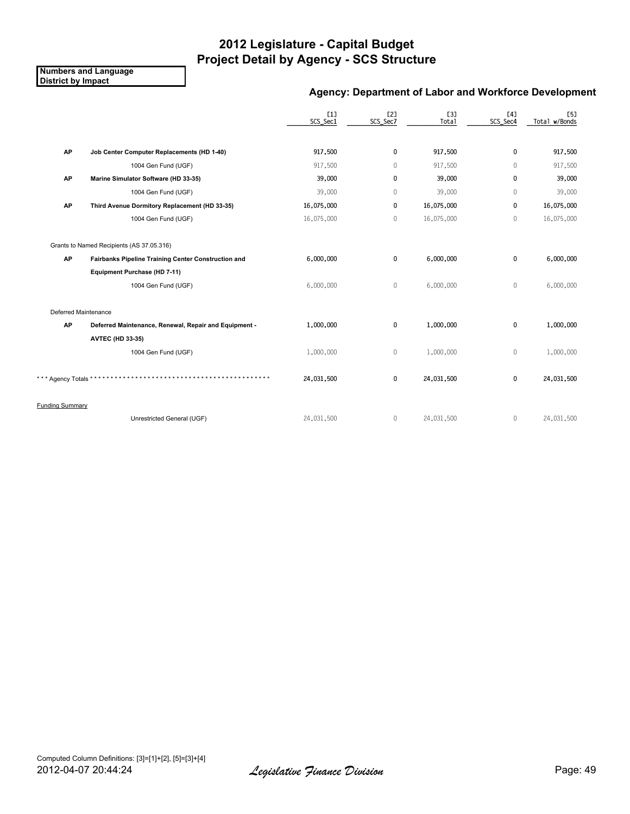**Numbers and Language District by Impact**

### **Agency: Department of Labor and Workforce Development**

|                        |                                                       | [1]<br>SCS_Sec1 | E2]<br>SCS_Sec7 | [3]<br>Total | [4]<br>SCS_Sec4 | <b>[5]</b><br>Total w/Bonds |
|------------------------|-------------------------------------------------------|-----------------|-----------------|--------------|-----------------|-----------------------------|
| AP                     | Job Center Computer Replacements (HD 1-40)            | 917,500         | 0               | 917,500      | $\mathbf{0}$    | 917,500                     |
|                        | 1004 Gen Fund (UGF)                                   | 917,500         | $\mathbf 0$     | 917,500      | $\theta$        | 917,500                     |
| AP                     | Marine Simulator Software (HD 33-35)                  | 39,000          | 0               | 39,000       | $\mathbf{0}$    | 39,000                      |
|                        | 1004 Gen Fund (UGF)                                   | 39,000          | $\mathbf 0$     | 39,000       | $\mathbf{0}$    | 39,000                      |
| AP                     | Third Avenue Dormitory Replacement (HD 33-35)         | 16,075,000      | 0               | 16,075,000   | $\mathbf{0}$    | 16,075,000                  |
|                        | 1004 Gen Fund (UGF)                                   | 16,075,000      | $\mathbf{0}$    | 16,075,000   | $\mathbf{0}$    | 16,075,000                  |
|                        | Grants to Named Recipients (AS 37.05.316)             |                 |                 |              |                 |                             |
| AP                     | Fairbanks Pipeline Training Center Construction and   | 6,000,000       | $\pmb{0}$       | 6,000,000    | 0               | 6,000,000                   |
|                        | Equipment Purchase (HD 7-11)                          |                 |                 |              |                 |                             |
|                        | 1004 Gen Fund (UGF)                                   | 6,000,000       | $\mathbb O$     | 6,000,000    | $\mathbf 0$     | 6,000,000                   |
| Deferred Maintenance   |                                                       |                 |                 |              |                 |                             |
| AP                     | Deferred Maintenance, Renewal, Repair and Equipment - | 1,000,000       | 0               | 1,000,000    | 0               | 1,000,000                   |
|                        | <b>AVTEC (HD 33-35)</b>                               |                 |                 |              |                 |                             |
|                        | 1004 Gen Fund (UGF)                                   | 1,000,000       | $\mathbb O$     | 1,000,000    | $\mathbf 0$     | 1,000,000                   |
| * Agency Totals *      |                                                       | 24,031,500      | 0               | 24,031,500   | $\mathbf 0$     | 24,031,500                  |
| <b>Funding Summary</b> |                                                       |                 |                 |              |                 |                             |
|                        | Unrestricted General (UGF)                            | 24,031,500      | $\mathbf{0}$    | 24,031,500   | $\mathbf{0}$    | 24,031,500                  |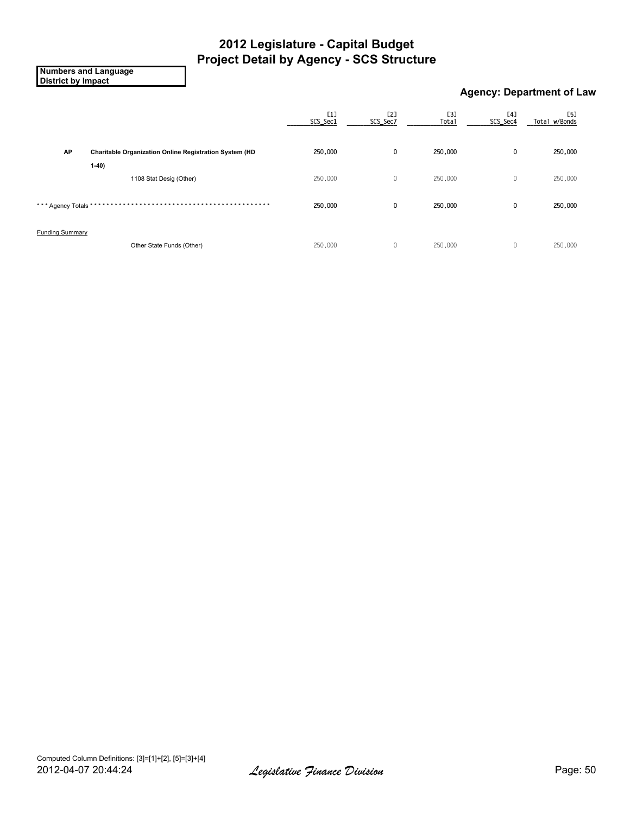**Numbers and Language District by Impact**

### **Agency: Department of Law**

|                        |                                                        | $[1]$<br>SCS_Sec1 | [2]<br>SCS_Sec7 | [3]<br>Total | [4]<br>SCS_Sec4 | [5]<br>Total w/Bonds |
|------------------------|--------------------------------------------------------|-------------------|-----------------|--------------|-----------------|----------------------|
| AP                     | Charitable Organization Online Registration System (HD | 250,000           | 0               | 250,000      | 0               | 250,000              |
|                        | $1-40$<br>1108 Stat Desig (Other)                      | 250,000           | $\mathbb O$     | 250,000      | $\mathbf 0$     | 250,000              |
| *** Agency Totals *    | ****                                                   | 250,000           | 0               | 250,000      | 0               | 250,000              |
| <b>Funding Summary</b> |                                                        |                   |                 |              |                 |                      |
|                        | Other State Funds (Other)                              | 250,000           | $\mathbf{0}$    | 250,000      | $\mathbf 0$     | 250,000              |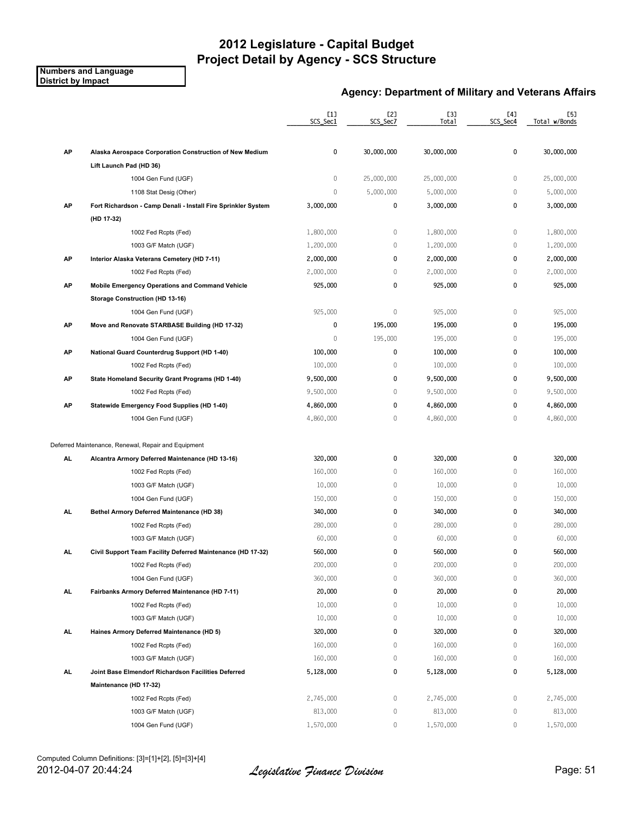**Numbers and Language District by Impact**

### **Agency: Department of Military and Veterans Affairs**

| [1]<br>[2]<br>[3]<br>SCS_Sec1<br>SCS_Sec7<br>Total                                                 | [4]<br>SCS_Sec4 | [5]<br>Total w/Bonds |
|----------------------------------------------------------------------------------------------------|-----------------|----------------------|
|                                                                                                    |                 |                      |
| AP<br>0<br>30,000,000<br>30,000,000<br>Alaska Aerospace Corporation Construction of New Medium     | $\mathbf 0$     | 30,000,000           |
| Lift Launch Pad (HD 36)                                                                            |                 |                      |
| 0<br>1004 Gen Fund (UGF)<br>25,000,000<br>25,000,000                                               | $\mathbf 0$     | 25,000,000           |
| $\mathbf 0$<br>5,000,000<br>5,000,000<br>1108 Stat Desig (Other)                                   | $\mathbf 0$     | 5,000,000            |
| AP<br>3,000,000<br>0<br>Fort Richardson - Camp Denali - Install Fire Sprinkler System<br>3,000,000 | 0               | 3,000,000            |
| (HD 17-32)                                                                                         |                 |                      |
| $\mathbb O$<br>1,800,000<br>1,800,000<br>1002 Fed Rcpts (Fed)                                      | $\mathbf 0$     | 1,800,000            |
| $\mathbf 0$<br>1,200,000<br>1,200,000<br>1003 G/F Match (UGF)                                      | $\mathbb O$     | 1,200,000            |
| 0<br>2,000,000<br>2,000,000<br>AP<br>Interior Alaska Veterans Cemetery (HD 7-11)                   | $\pmb{0}$       | 2,000,000            |
| $\mathbb O$<br>2,000,000<br>2,000,000<br>1002 Fed Rcpts (Fed)                                      | $\mathbb O$     | 2,000,000            |
| 0<br>AP<br>925,000<br>925,000<br>Mobile Emergency Operations and Command Vehicle                   | $\pmb{0}$       | 925,000              |
| Storage Construction (HD 13-16)                                                                    |                 |                      |
| $\mathbb O$<br>925,000<br>925,000<br>1004 Gen Fund (UGF)                                           | $\mathbb O$     | 925,000              |
| 0<br>195,000<br>195,000<br>АP<br>Move and Renovate STARBASE Building (HD 17-32)                    | $\mathbf 0$     | 195,000              |
| 195,000<br>0<br>195,000<br>1004 Gen Fund (UGF)                                                     | $\mathbf{0}$    | 195,000              |
| AP<br>100,000<br>0<br>100,000<br>National Guard Counterdrug Support (HD 1-40)                      | 0               | 100,000              |
| $\,0\,$<br>100,000<br>1002 Fed Rcpts (Fed)<br>100,000                                              | $\mathbb O$     | 100,000              |
| 0<br>9,500,000<br>AP<br>State Homeland Security Grant Programs (HD 1-40)<br>9,500,000              | 0               | 9,500,000            |
| $\mathbb O$<br>9,500,000<br>9,500,000<br>1002 Fed Rcpts (Fed)                                      | $\mathbf 0$     | 9,500,000            |
| 0<br>4,860,000<br>4,860,000<br>AP<br>Statewide Emergency Food Supplies (HD 1-40)                   | $\mathbf{0}$    | 4,860,000            |
| $\mathbb O$<br>4,860,000<br>4,860,000<br>1004 Gen Fund (UGF)                                       | $\mathbf 0$     | 4,860,000            |
|                                                                                                    |                 |                      |
| Deferred Maintenance, Renewal, Repair and Equipment                                                |                 |                      |
| 320,000<br>0<br>320,000<br>AL.<br>Alcantra Armory Deferred Maintenance (HD 13-16)                  | 0               | 320,000              |
| $\mathbb O$<br>160,000<br>160,000<br>1002 Fed Rcpts (Fed)                                          | $\mathbf 0$     | 160,000              |
| 10,000<br>$\mathbb O$<br>10,000<br>1003 G/F Match (UGF)                                            | $\mathbb O$     | 10,000               |
| $\mathbb O$<br>150,000<br>150,000<br>1004 Gen Fund (UGF)                                           | $\mathbf{0}$    | 150,000              |
| 0<br>340,000<br>340,000<br>AL<br>Bethel Armory Deferred Maintenance (HD 38)                        | $\mathbf 0$     | 340,000              |
| $\mathbb O$<br>280,000<br>280,000<br>1002 Fed Rcpts (Fed)                                          | $\mathbb O$     | 280,000              |
| $\mathbb O$<br>60,000<br>1003 G/F Match (UGF)<br>60,000                                            | $\mathbf 0$     | 60,000               |
| 0<br>560,000<br>AL<br>Civil Support Team Facility Deferred Maintenance (HD 17-32)<br>560,000       | 0               | 560,000              |
| 200,000<br>0<br>200,000<br>1002 Fed Rcpts (Fed)                                                    | $\mathbf{0}$    | 200,000              |
| 360,000<br>0<br>360,000<br>1004 Gen Fund (UGF)                                                     | 0               | 360,000              |
| 0<br>20,000<br>20,000<br>AL.<br>Fairbanks Armory Deferred Maintenance (HD 7-11)                    | 0               | 20,000               |
| $\mathbb O$<br>10,000<br>10,000<br>1002 Fed Rcpts (Fed)                                            | 0               | 10,000               |
| 0<br>10,000<br>1003 G/F Match (UGF)<br>10,000                                                      | $\mathbb O$     | 10,000               |
| 0<br>320,000<br>AL.<br>320,000<br>Haines Armory Deferred Maintenance (HD 5)                        | 0               | 320,000              |
| $\mathbb O$<br>160,000<br>160,000<br>1002 Fed Rcpts (Fed)                                          | $\mathbf 0$     | 160,000              |
| $\mathbb O$<br>1003 G/F Match (UGF)<br>160,000<br>160,000                                          | $\mathbf 0$     | 160,000              |
| 0<br>AL.<br>5,128,000<br>5,128,000<br>Joint Base Elmendorf Richardson Facilities Deferred          | 0               | 5,128,000            |
| Maintenance (HD 17-32)                                                                             |                 |                      |
| $\mathbb O$<br>2,745,000<br>2,745,000<br>1002 Fed Rcpts (Fed)                                      | $\mathbb O$     | 2,745,000            |
| 813,000<br>0<br>813,000<br>1003 G/F Match (UGF)                                                    | $\mathbb O$     | 813,000              |
| 1,570,000<br>0<br>1004 Gen Fund (UGF)<br>1,570,000                                                 | 0               | 1,570,000            |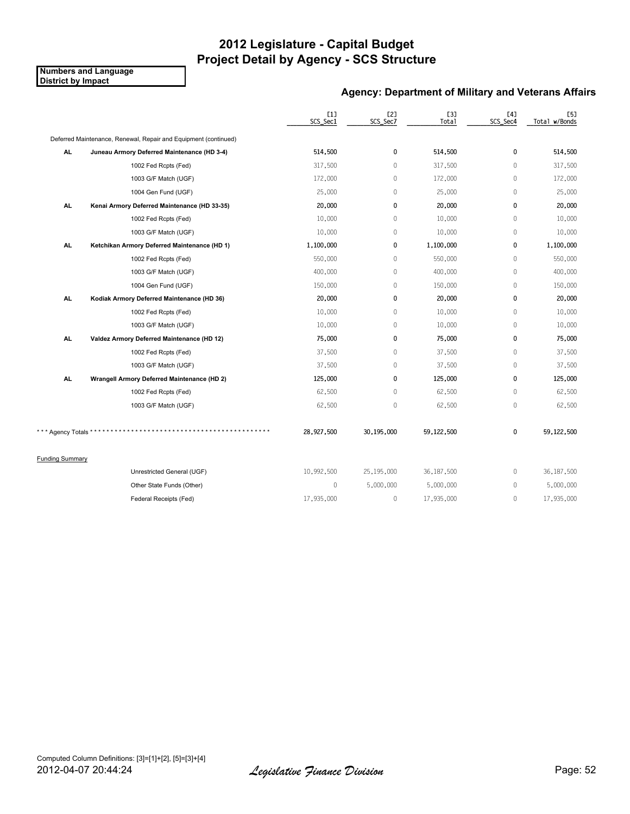**Numbers and Language District by Impact**

### **Agency: Department of Military and Veterans Affairs**

|                        |                                                                 | [1]<br>SCS_Sec1 | [2]<br>SCS_Sec7 | <b>[3]</b><br>Total | [4]<br>SCS_Sec4 | [5]<br>Total w/Bonds |
|------------------------|-----------------------------------------------------------------|-----------------|-----------------|---------------------|-----------------|----------------------|
|                        | Deferred Maintenance, Renewal, Repair and Equipment (continued) |                 |                 |                     |                 |                      |
| AL.                    | Juneau Armory Deferred Maintenance (HD 3-4)                     | 514,500         | 0               | 514,500             | 0               | 514,500              |
|                        | 1002 Fed Rcpts (Fed)                                            | 317,500         | $\mathbf{0}$    | 317,500             | $\mathbf{0}$    | 317,500              |
|                        | 1003 G/F Match (UGF)                                            | 172,000         | 0               | 172,000             | $\mathbf 0$     | 172,000              |
|                        | 1004 Gen Fund (UGF)                                             | 25,000          | $\mathbb O$     | 25,000              | $\mathbb O$     | 25,000               |
| AL.                    | Kenai Armory Deferred Maintenance (HD 33-35)                    | 20,000          | 0               | 20,000              | 0               | 20,000               |
|                        | 1002 Fed Rcpts (Fed)                                            | 10,000          | $\mathbf{0}$    | 10,000              | $\mathbf 0$     | 10,000               |
|                        | 1003 G/F Match (UGF)                                            | 10,000          | 0               | 10,000              | $\mathbb O$     | 10,000               |
| <b>AL</b>              | Ketchikan Armory Deferred Maintenance (HD 1)                    | 1,100,000       | 0               | 1,100,000           | 0               | 1,100,000            |
|                        | 1002 Fed Rcpts (Fed)                                            | 550,000         | $\mathbb O$     | 550,000             | $\mathbb O$     | 550,000              |
|                        | 1003 G/F Match (UGF)                                            | 400,000         | 0               | 400,000             | $\mathbf 0$     | 400,000              |
|                        | 1004 Gen Fund (UGF)                                             | 150,000         | 0               | 150,000             | $\mathbb O$     | 150,000              |
| AL.                    | Kodiak Armory Deferred Maintenance (HD 36)                      | 20,000          | 0               | 20,000              | 0               | 20,000               |
|                        | 1002 Fed Rcpts (Fed)                                            | 10,000          | $\mathbf{0}$    | 10,000              | $\mathbf 0$     | 10,000               |
|                        | 1003 G/F Match (UGF)                                            | 10,000          | 0               | 10,000              | $\mathbb O$     | 10,000               |
| AL.                    | Valdez Armory Deferred Maintenance (HD 12)                      | 75,000          | 0               | 75,000              | 0               | 75,000               |
|                        | 1002 Fed Rcpts (Fed)                                            | 37,500          | $\mathbb O$     | 37,500              | $\mathbb O$     | 37,500               |
|                        | 1003 G/F Match (UGF)                                            | 37,500          | $\mathbf{0}$    | 37,500              | $\mathbf{0}$    | 37,500               |
| AL.                    | Wrangell Armory Deferred Maintenance (HD 2)                     | 125,000         | 0               | 125,000             | $\pmb{0}$       | 125,000              |
|                        | 1002 Fed Rcpts (Fed)                                            | 62,500          | 0               | 62,500              | $\mathbf 0$     | 62,500               |
|                        | 1003 G/F Match (UGF)                                            | 62,500          | $\mathbb O$     | 62,500              | $\mathbb O$     | 62,500               |
| *** Agency Totals *    |                                                                 | 28,927,500      | 30,195,000      | 59,122,500          | 0               | 59,122,500           |
| <b>Funding Summary</b> |                                                                 |                 |                 |                     |                 |                      |
|                        | Unrestricted General (UGF)                                      | 10,992,500      | 25,195,000      | 36, 187, 500        | $\mathbb O$     | 36, 187, 500         |
|                        | Other State Funds (Other)                                       | $\mathbb O$     | 5,000,000       | 5,000,000           | $\mathbf 0$     | 5,000,000            |
|                        | Federal Receipts (Fed)                                          | 17,935,000      | $\mathbb O$     | 17,935,000          | $\mathbb O$     | 17,935,000           |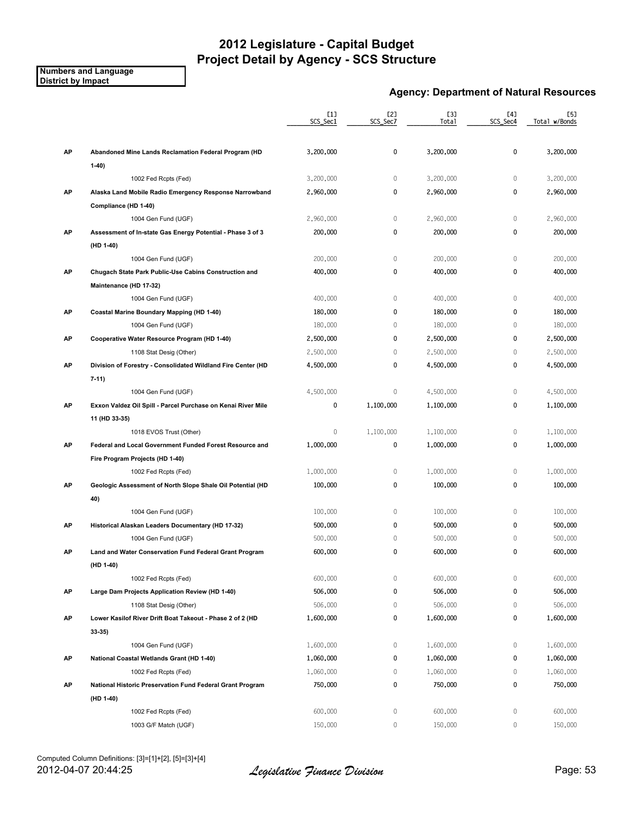#### **Numbers and Language District by Impact**

### **Agency: Department of Natural Resources**

|    |                                                              | [1]<br>SCS_Sec1 | [2]<br>SCS_Sec7 | [3]<br>Total       | [4]<br>SCS_Sec4 | [5]<br>Total w/Bonds |
|----|--------------------------------------------------------------|-----------------|-----------------|--------------------|-----------------|----------------------|
| AP | Abandoned Mine Lands Reclamation Federal Program (HD         | 3,200,000       | 0               | 3,200,000          | 0               | 3,200,000            |
|    | $1-40$                                                       |                 |                 |                    |                 |                      |
|    | 1002 Fed Rcpts (Fed)                                         | 3,200,000       | $\mathbb O$     | 3,200,000          | $\mathbb O$     | 3,200,000            |
| AP | Alaska Land Mobile Radio Emergency Response Narrowband       | 2,960,000       | 0               | 2,960,000          | 0               | 2,960,000            |
|    | Compliance (HD 1-40)                                         |                 |                 |                    |                 |                      |
|    | 1004 Gen Fund (UGF)                                          | 2,960,000       | $\mathbb O$     | 2,960,000          | $\mathbb O$     | 2,960,000            |
| AP | Assessment of In-state Gas Energy Potential - Phase 3 of 3   | 200,000         | 0               | 200,000            | 0               | 200,000              |
|    | (HD 1-40)                                                    |                 |                 |                    |                 |                      |
|    | 1004 Gen Fund (UGF)                                          | 200,000         | $\mathbb O$     | 200,000            | $\mathbb O$     | 200,000              |
| AP | Chugach State Park Public-Use Cabins Construction and        | 400,000         | 0               | 400,000            | 0               | 400,000              |
|    | Maintenance (HD 17-32)                                       |                 |                 |                    |                 |                      |
|    | 1004 Gen Fund (UGF)                                          | 400,000         | $\mathbf 0$     | 400,000            | $\mathbf{0}$    | 400,000              |
| AP | Coastal Marine Boundary Mapping (HD 1-40)                    | 180,000         | 0               | 180,000            | $\mathbf{0}$    | 180,000              |
|    | 1004 Gen Fund (UGF)                                          | 180,000         | $\mathbb O$     | 180,000            | 0               | 180,000              |
| AP | Cooperative Water Resource Program (HD 1-40)                 | 2,500,000       | 0               | 2,500,000          | 0               | 2,500,000            |
|    | 1108 Stat Desig (Other)                                      | 2,500,000       | $\mathbb O$     | 2,500,000          | 0               | 2,500,000            |
| AP | Division of Forestry - Consolidated Wildland Fire Center (HD | 4,500,000       | 0               | 4,500,000          | 0               | 4,500,000            |
|    | $7-11$                                                       |                 |                 |                    |                 |                      |
|    | 1004 Gen Fund (UGF)                                          | 4,500,000       | 0               | 4,500,000          | $\mathbf 0$     | 4,500,000            |
| AP | Exxon Valdez Oil Spill - Parcel Purchase on Kenai River Mile | 0               | 1,100,000       | 1,100,000          | 0               | 1,100,000            |
|    | 11 (HD 33-35)                                                |                 |                 |                    |                 |                      |
|    | 1018 EVOS Trust (Other)                                      | $\mathbf 0$     | 1,100,000       | 1,100,000          | $\mathbb O$     | 1,100,000            |
| AP | Federal and Local Government Funded Forest Resource and      | 1,000,000       | 0               | 1,000,000          | 0               | 1,000,000            |
|    | Fire Program Projects (HD 1-40)                              |                 |                 |                    |                 |                      |
|    | 1002 Fed Rcpts (Fed)                                         | 1,000,000       | $\mathbb O$     | 1,000,000          | $\mathbf{0}$    | 1,000,000            |
| AP | Geologic Assessment of North Slope Shale Oil Potential (HD   | 100,000         | 0               | 100,000            | 0               | 100,000              |
|    | 40)                                                          |                 |                 |                    |                 |                      |
|    | 1004 Gen Fund (UGF)                                          | 100,000         | $\mathbb O$     | 100,000            | $\mathbf 0$     | 100,000              |
| AP | Historical Alaskan Leaders Documentary (HD 17-32)            | 500,000         | 0               | 500,000            | 0               | 500,000              |
|    | 1004 Gen Fund (UGF)                                          | 500,000         | 0               | 500,000            | $\mathbf{0}$    | 500,000              |
| АP | Land and Water Conservation Fund Federal Grant Program       | 600,000         | 0               | 600,000            | 0               | 600,000              |
|    | (HD 1-40)                                                    |                 |                 |                    |                 |                      |
|    | 1002 Fed Rcpts (Fed)                                         | 600,000         | $\mathbf 0$     | 600,000            | $\mathbb O$     | 600,000              |
|    |                                                              | 506,000         | 0               |                    | 0               | 506,000              |
| АP | Large Dam Projects Application Review (HD 1-40)              |                 | 0               | 506,000<br>506,000 | 0               |                      |
|    | 1108 Stat Desig (Other)                                      | 506,000         |                 |                    |                 | 506,000              |
| AP | Lower Kasilof River Drift Boat Takeout - Phase 2 of 2 (HD    | 1,600,000       | 0               | 1,600,000          | 0               | 1,600,000            |
|    | $33-35)$                                                     |                 |                 |                    |                 |                      |
|    | 1004 Gen Fund (UGF)                                          | 1,600,000       | 0               | 1,600,000          | 0               | 1,600,000            |
| AP | National Coastal Wetlands Grant (HD 1-40)                    | 1,060,000       | 0               | 1,060,000          | 0               | 1,060,000            |
|    | 1002 Fed Rcpts (Fed)                                         | 1,060,000       | 0               | 1,060,000          | 0               | 1,060,000            |
| AP | National Historic Preservation Fund Federal Grant Program    | 750,000         | 0               | 750,000            | 0               | 750,000              |
|    | (HD 1-40)                                                    |                 |                 |                    |                 |                      |
|    | 1002 Fed Rcpts (Fed)                                         | 600,000         | 0               | 600,000            | $\mathbb O$     | 600,000              |
|    | 1003 G/F Match (UGF)                                         | 150,000         | 0               | 150,000            | $\mathbb O$     | 150,000              |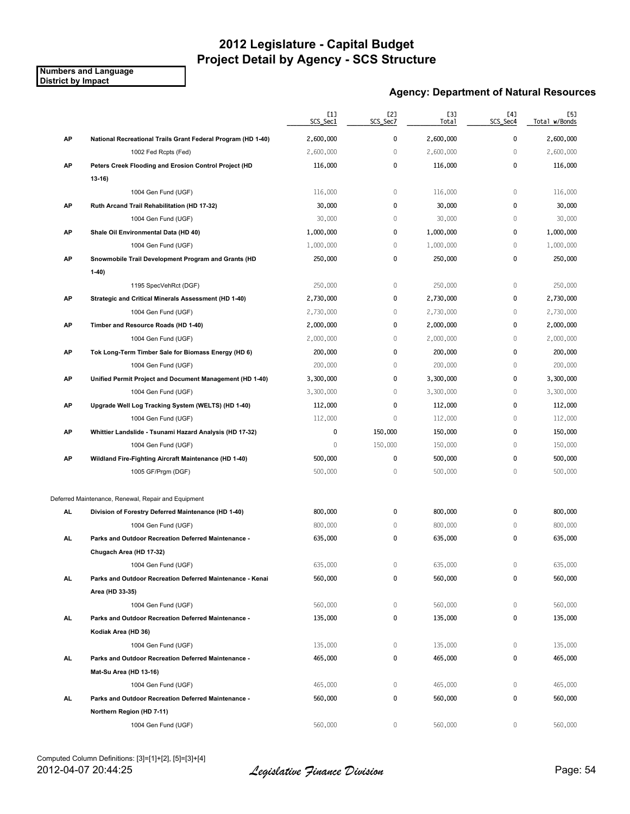**Numbers and Language District by Impact**

### **Agency: Department of Natural Resources**

|     |                                                               | [1]<br>SCS_Sec1 | [2]<br>SCS_Sec7 | [3]<br>Total | [4]<br>SCS_Sec4 | [5]<br>Total w/Bonds |
|-----|---------------------------------------------------------------|-----------------|-----------------|--------------|-----------------|----------------------|
| AP  | National Recreational Trails Grant Federal Program (HD 1-40)  | 2,600,000       | 0               | 2,600,000    | 0               | 2,600,000            |
|     | 1002 Fed Rcpts (Fed)                                          | 2,600,000       | $\mathbb O$     | 2,600,000    | 0               | 2,600,000            |
| AP  | Peters Creek Flooding and Erosion Control Project (HD         | 116,000         | 0               | 116,000      | 0               | 116,000              |
|     | $13 - 16$                                                     |                 |                 |              |                 |                      |
|     | 1004 Gen Fund (UGF)                                           | 116,000         | $\mathbb O$     | 116,000      | $\mathbb O$     | 116,000              |
| AP  | Ruth Arcand Trail Rehabilitation (HD 17-32)                   | 30,000          | 0               | 30,000       | 0               | 30,000               |
|     | 1004 Gen Fund (UGF)                                           | 30,000          | $\mathbb O$     | 30,000       | 0               | 30,000               |
| AP  | Shale Oil Environmental Data (HD 40)                          | 1,000,000       | 0               | 1,000,000    | 0               | 1,000,000            |
|     | 1004 Gen Fund (UGF)                                           | 1,000,000       | $\mathbb O$     | 1,000,000    | 0               | 1,000,000            |
| AP  | Snowmobile Trail Development Program and Grants (HD<br>$1-40$ | 250,000         | 0               | 250,000      | 0               | 250,000              |
|     | 1195 SpecVehRct (DGF)                                         | 250,000         | 0               | 250,000      | 0               | 250,000              |
| AP  | Strategic and Critical Minerals Assessment (HD 1-40)          | 2,730,000       | 0               | 2,730,000    | 0               | 2,730,000            |
|     | 1004 Gen Fund (UGF)                                           | 2,730,000       | 0               | 2,730,000    | 0               | 2,730,000            |
| AP  | Timber and Resource Roads (HD 1-40)                           | 2,000,000       | 0               | 2,000,000    | 0               | 2,000,000            |
|     | 1004 Gen Fund (UGF)                                           | 2,000,000       | $\mathbb O$     | 2,000,000    | 0               | 2,000,000            |
| AP  | Tok Long-Term Timber Sale for Biomass Energy (HD 6)           | 200,000         | 0               | 200,000      | 0               | 200,000              |
|     | 1004 Gen Fund (UGF)                                           | 200,000         | 0               | 200,000      | 0               | 200,000              |
| AP  | Unified Permit Project and Document Management (HD 1-40)      | 3,300,000       | 0               | 3,300,000    | 0               | 3,300,000            |
|     | 1004 Gen Fund (UGF)                                           | 3,300,000       | 0               | 3,300,000    | 0               | 3,300,000            |
| AP  | Upgrade Well Log Tracking System (WELTS) (HD 1-40)            | 112,000         | 0               | 112,000      | 0               | 112,000              |
|     | 1004 Gen Fund (UGF)                                           | 112,000         | $\mathbb O$     | 112,000      | 0               | 112,000              |
| AP  | Whittier Landslide - Tsunami Hazard Analysis (HD 17-32)       | 0               | 150,000         | 150,000      | 0               | 150,000              |
|     | 1004 Gen Fund (UGF)                                           | $\mathbf{0}$    | 150,000         | 150,000      | 0               | 150,000              |
| AP  | Wildland Fire-Fighting Aircraft Maintenance (HD 1-40)         | 500,000         | 0               | 500,000      | 0               | 500,000              |
|     | 1005 GF/Prgm (DGF)                                            | 500,000         | $\mathbb O$     | 500,000      | 0               | 500,000              |
|     | Deferred Maintenance, Renewal, Repair and Equipment           |                 |                 |              |                 |                      |
| AL  | Division of Forestry Deferred Maintenance (HD 1-40)           | 800,000         | 0               | 800,000      | 0               | 800,000              |
|     | 1004 Gen Fund (UGF)                                           | 800,000         | $\mathbb O$     | 800,000      | 0               | 800,000              |
| AL. | Parks and Outdoor Recreation Deferred Maintenance -           | 635,000         | 0               | 635,000      | 0               | 635,000              |
|     | Chugach Area (HD 17-32)                                       |                 |                 |              |                 |                      |
|     | 1004 Gen Fund (UGF)                                           | 635,000         | 0               | 635,000      | 0               | 635,000              |
| AL. | Parks and Outdoor Recreation Deferred Maintenance - Kenai     | 560,000         | 0               | 560,000      | 0               | 560,000              |
|     | Area (HD 33-35)                                               |                 |                 |              |                 |                      |
|     | 1004 Gen Fund (UGF)                                           | 560,000         | 0               | 560,000      | 0               | 560,000              |
| AL. | Parks and Outdoor Recreation Deferred Maintenance -           | 135,000         | 0               | 135,000      | 0               | 135,000              |
|     | Kodiak Area (HD 36)                                           |                 |                 |              |                 |                      |
|     | 1004 Gen Fund (UGF)                                           | 135,000         | 0               | 135,000      | 0               | 135,000              |
| AL. | Parks and Outdoor Recreation Deferred Maintenance -           | 465,000         | 0               | 465,000      | 0               | 465,000              |
|     | Mat-Su Area (HD 13-16)                                        |                 |                 |              |                 |                      |
|     | 1004 Gen Fund (UGF)                                           | 465,000         | 0               | 465,000      | 0               | 465,000              |
| AL. | Parks and Outdoor Recreation Deferred Maintenance -           | 560,000         | 0               | 560,000      | 0               | 560,000              |
|     | Northern Region (HD 7-11)                                     |                 |                 |              |                 |                      |
|     | 1004 Gen Fund (UGF)                                           | 560,000         | 0               | 560,000      | 0               | 560,000              |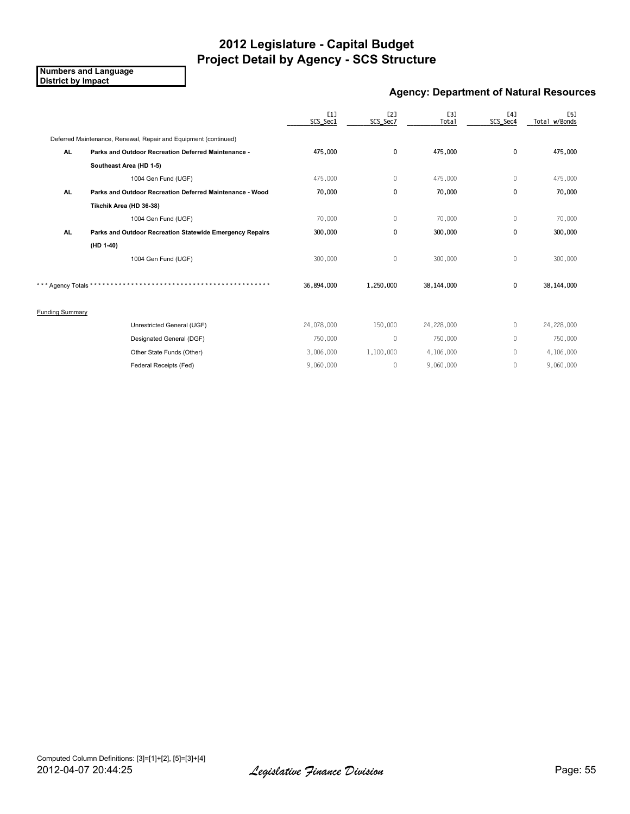**Numbers and Language District by Impact**

### **Agency: Department of Natural Resources**

|                        |                                                                 | [1]<br>SCS_Sec1 | <b>[2]</b><br>SCS_Sec7 | <b>[3]</b><br>Total | [4]<br>SCS_Sec4 | <b>[5]</b><br>Total w/Bonds |
|------------------------|-----------------------------------------------------------------|-----------------|------------------------|---------------------|-----------------|-----------------------------|
|                        | Deferred Maintenance, Renewal, Repair and Equipment (continued) |                 |                        |                     |                 |                             |
| <b>AL</b>              | Parks and Outdoor Recreation Deferred Maintenance -             | 475,000         | 0                      | 475,000             | $\mathbf 0$     | 475,000                     |
|                        | Southeast Area (HD 1-5)                                         |                 |                        |                     |                 |                             |
|                        | 1004 Gen Fund (UGF)                                             | 475,000         | $\mathbf 0$            | 475,000             | $\mathbf{0}$    | 475,000                     |
| AL.                    | Parks and Outdoor Recreation Deferred Maintenance - Wood        | 70,000          | 0                      | 70,000              | 0               | 70,000                      |
|                        | Tikchik Area (HD 36-38)                                         |                 |                        |                     |                 |                             |
|                        | 1004 Gen Fund (UGF)                                             | 70,000          | $\mathbf{0}$           | 70,000              | $\mathbf{0}$    | 70,000                      |
| AL.                    | Parks and Outdoor Recreation Statewide Emergency Repairs        | 300,000         | 0                      | 300,000             | 0               | 300,000                     |
|                        | $(HD 1-40)$                                                     |                 |                        |                     |                 |                             |
|                        | 1004 Gen Fund (UGF)                                             | 300,000         | $\mathbf 0$            | 300,000             | $\mathbf 0$     | 300,000                     |
| * Agency Totals *      |                                                                 | 36,894,000      | 1,250,000              | 38,144,000          | $\mathbf 0$     | 38,144,000                  |
| <b>Funding Summary</b> |                                                                 |                 |                        |                     |                 |                             |
|                        | Unrestricted General (UGF)                                      | 24,078,000      | 150,000                | 24,228,000          | $\mathbf{0}$    | 24,228,000                  |
|                        | Designated General (DGF)                                        | 750,000         | $\mathbf{0}$           | 750,000             | $\mathbf{0}$    | 750,000                     |
|                        | Other State Funds (Other)                                       | 3,006,000       | 1,100,000              | 4,106,000           | $\mathbf{0}$    | 4,106,000                   |
|                        | Federal Receipts (Fed)                                          | 9,060,000       | $\mathbf{0}$           | 9,060,000           | $\mathbf{0}$    | 9,060,000                   |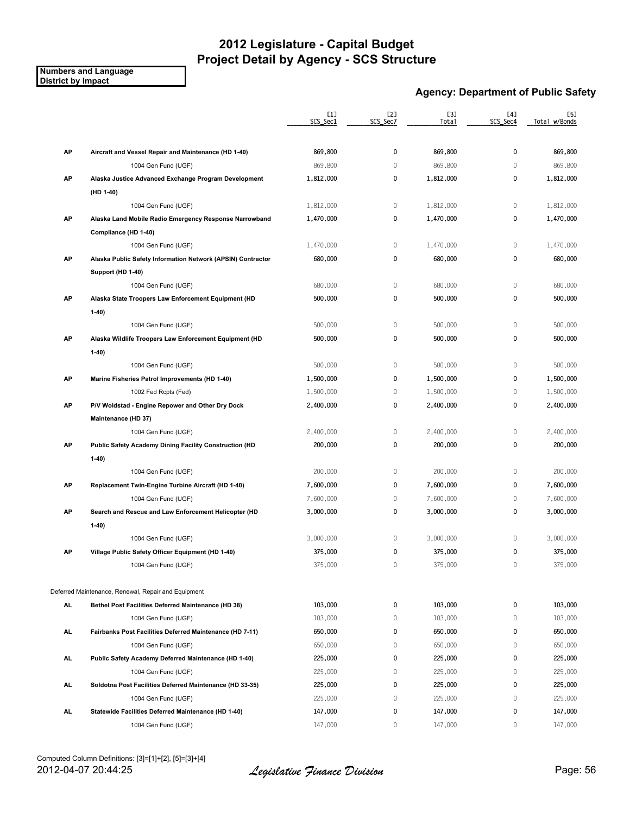**Numbers and Language District by Impact**

### **Agency: Department of Public Safety**

|     |                                                             | [1]<br>SCS_Sec1 | [2]<br>SCS_Sec7 | <b>[3]</b><br>Total | [4]<br>SCS Sec4 | [5]<br>Total w/Bonds |
|-----|-------------------------------------------------------------|-----------------|-----------------|---------------------|-----------------|----------------------|
|     |                                                             |                 |                 |                     |                 |                      |
| AP  | Aircraft and Vessel Repair and Maintenance (HD 1-40)        | 869,800         | 0               | 869,800             | $\mathbf{0}$    | 869,800              |
|     | 1004 Gen Fund (UGF)                                         | 869,800         | $\mathbb O$     | 869,800             | $\mathbf 0$     | 869,800              |
| AP  | Alaska Justice Advanced Exchange Program Development        | 1,812,000       | 0               | 1,812,000           | 0               | 1,812,000            |
|     | (HD 1-40)                                                   |                 |                 |                     |                 |                      |
|     | 1004 Gen Fund (UGF)                                         | 1,812,000       | 0               | 1,812,000           | 0               | 1,812,000            |
| AP  | Alaska Land Mobile Radio Emergency Response Narrowband      | 1,470,000       | 0               | 1,470,000           | 0               | 1,470,000            |
|     | Compliance (HD 1-40)                                        |                 |                 |                     |                 |                      |
|     | 1004 Gen Fund (UGF)                                         | 1,470,000       | $\mathbb O$     | 1,470,000           | $\mathbf{0}$    | 1,470,000            |
| AP  | Alaska Public Safety Information Network (APSIN) Contractor | 680,000         | 0               | 680,000             | 0               | 680,000              |
|     | Support (HD 1-40)                                           |                 |                 |                     |                 |                      |
|     | 1004 Gen Fund (UGF)                                         | 680,000         | $\mathbb O$     | 680,000             | $\mathbb O$     | 680,000              |
| AP  | Alaska State Troopers Law Enforcement Equipment (HD         | 500,000         | 0               | 500,000             | 0               | 500,000              |
|     | $1-40)$                                                     |                 |                 |                     |                 |                      |
|     | 1004 Gen Fund (UGF)                                         | 500,000         | $\mathbb O$     | 500,000             | $\mathbf 0$     | 500,000              |
| AP  | Alaska Wildlife Troopers Law Enforcement Equipment (HD      | 500,000         | 0               | 500,000             | 0               | 500,000              |
|     | $1-40)$                                                     |                 |                 |                     |                 |                      |
|     | 1004 Gen Fund (UGF)                                         | 500,000         | $\mathbb O$     | 500,000             | $\mathbf 0$     | 500,000              |
| AP  | Marine Fisheries Patrol Improvements (HD 1-40)              | 1,500,000       | 0               | 1,500,000           | 0               | 1,500,000            |
|     | 1002 Fed Rcpts (Fed)                                        | 1,500,000       | 0               | 1,500,000           | 0               | 1,500,000            |
| AP  | P/V Woldstad - Engine Repower and Other Dry Dock            | 2,400,000       | 0               | 2,400,000           | 0               | 2,400,000            |
|     | Maintenance (HD 37)                                         |                 |                 |                     |                 |                      |
|     | 1004 Gen Fund (UGF)                                         | 2,400,000       | $\mathbb O$     | 2,400,000           | 0               | 2,400,000            |
| AP  | Public Safety Academy Dining Facility Construction (HD      | 200,000         | 0               | 200,000             | 0               | 200,000              |
|     | $1-40$                                                      |                 |                 |                     |                 |                      |
|     | 1004 Gen Fund (UGF)                                         | 200,000         | 0               | 200,000             | 0               | 200,000              |
| AP  | Replacement Twin-Engine Turbine Aircraft (HD 1-40)          | 7,600,000       | 0               | 7,600,000           | 0               | 7,600,000            |
|     | 1004 Gen Fund (UGF)                                         | 7,600,000       | 0               | 7,600,000           | 0               | 7,600,000            |
| AP  | Search and Rescue and Law Enforcement Helicopter (HD        | 3,000,000       | 0               | 3,000,000           | 0               | 3,000,000            |
|     | $1-40)$                                                     |                 |                 |                     |                 |                      |
|     | 1004 Gen Fund (UGF)                                         | 3,000,000       | 0               | 3,000,000           | $\mathbf 0$     | 3,000,000            |
| AP  | Village Public Safety Officer Equipment (HD 1-40)           | 375,000         | 0               | 375,000             | 0               | 375,000              |
|     | 1004 Gen Fund (UGF)                                         | 375,000         | $\mathbf{0}$    | 375,000             | $\mathbf{0}$    | 375,000              |
|     | Deferred Maintenance, Renewal, Repair and Equipment         |                 |                 |                     |                 |                      |
| AL  | Bethel Post Facilities Deferred Maintenance (HD 38)         | 103,000         | 0               | 103,000             | 0               | 103,000              |
|     | 1004 Gen Fund (UGF)                                         | 103,000         | 0               | 103,000             | 0               | 103,000              |
| AL. | Fairbanks Post Facilities Deferred Maintenance (HD 7-11)    | 650,000         | 0               | 650,000             | 0               | 650,000              |
|     | 1004 Gen Fund (UGF)                                         | 650,000         | 0               | 650,000             | $\mathbf{0}$    | 650,000              |
| AL. | Public Safety Academy Deferred Maintenance (HD 1-40)        | 225,000         | 0               | 225,000             | 0               | 225,000              |
|     | 1004 Gen Fund (UGF)                                         | 225,000         | 0               | 225,000             | 0               | 225,000              |
| AL. | Soldotna Post Facilities Deferred Maintenance (HD 33-35)    | 225,000         | 0               | 225,000             | 0               | 225,000              |
|     | 1004 Gen Fund (UGF)                                         | 225,000         | $\mathbb O$     | 225,000             | 0               | 225,000              |
| AL. | Statewide Facilities Deferred Maintenance (HD 1-40)         | 147,000         | 0               | 147,000             | 0               | 147,000              |
|     | 1004 Gen Fund (UGF)                                         | 147,000         | 0               | 147,000             | 0               | 147,000              |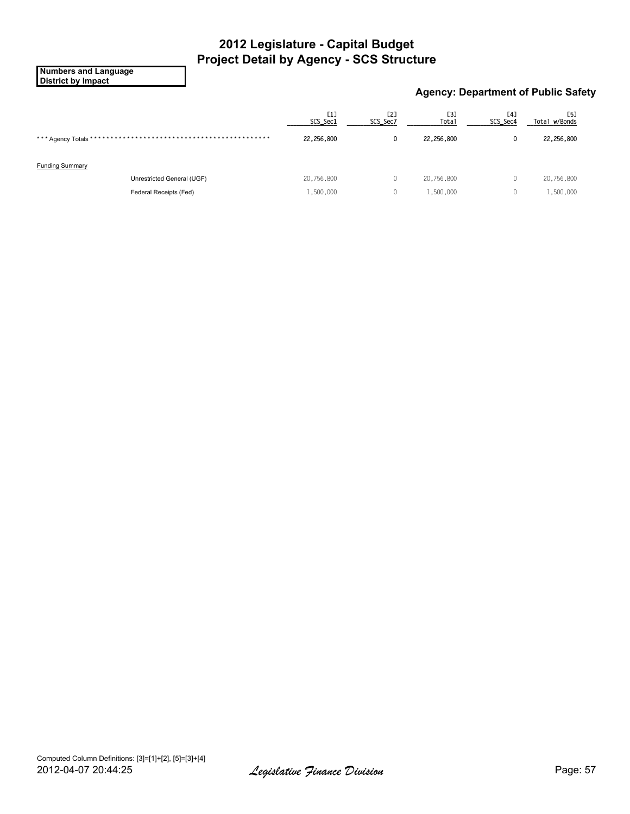**Numbers and Language District by Impact**

### **Agency: Department of Public Safety**

| [1]<br>SCS_Sec1 | [2]<br>SCS_Sec7 | [3]<br><b>Total</b> | [4]<br>SCS_Sec4 | <b>[5]</b><br>Total w/Bonds |
|-----------------|-----------------|---------------------|-----------------|-----------------------------|
| 22,256,800      | $\mathbf{0}$    | 22,256,800          | 0               | 22,256,800                  |
|                 |                 |                     |                 |                             |
|                 |                 |                     |                 |                             |
| 20,756,800      | 0               | 20,756,800          | 0               | 20,756,800                  |
| 1,500,000       | 0               | 1,500,000           | 0               | 1,500,000                   |
|                 |                 |                     |                 |                             |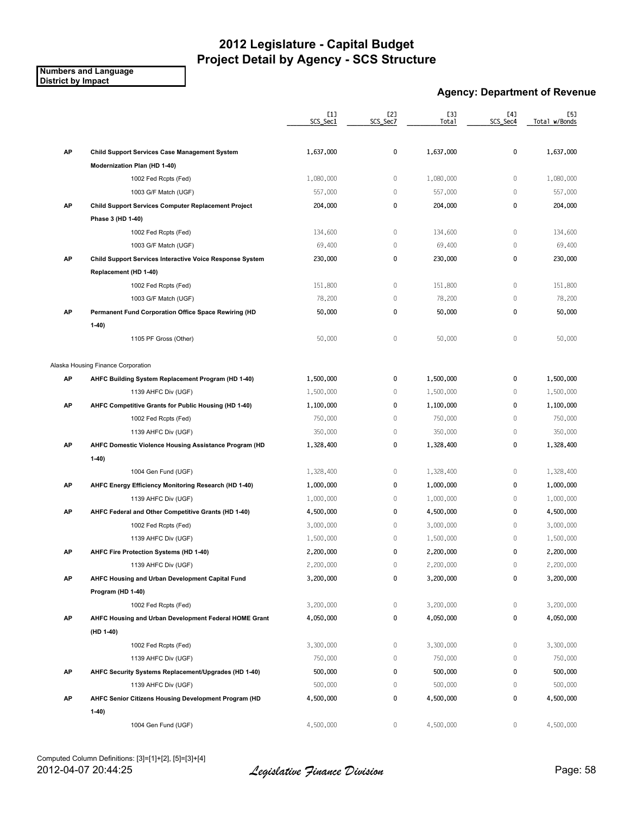#### **Numbers and Language District by Impact**

### **Agency: Department of Revenue**

|    |                                                          | $[1]$<br>SCS_Sec1 | [2]<br>SCS_Sec7 | <b>[3]</b><br>Total | [4]<br>SCS_Sec4 | [5]<br>Total w/Bonds |
|----|----------------------------------------------------------|-------------------|-----------------|---------------------|-----------------|----------------------|
|    |                                                          |                   |                 |                     |                 |                      |
| AP | <b>Child Support Services Case Management System</b>     | 1,637,000         | 0               | 1,637,000           | 0               | 1,637,000            |
|    | Modernization Plan (HD 1-40)                             |                   |                 |                     |                 |                      |
|    | 1002 Fed Rcpts (Fed)                                     | 1,080,000         | 0               | 1,080,000           | $\mathbb O$     | 1,080,000            |
|    | 1003 G/F Match (UGF)                                     | 557,000           | 0               | 557,000             | $\mathbb O$     | 557,000              |
| AP | Child Support Services Computer Replacement Project      | 204,000           | 0               | 204,000             | $\pmb{0}$       | 204,000              |
|    | Phase 3 (HD 1-40)                                        |                   |                 |                     |                 |                      |
|    | 1002 Fed Rcpts (Fed)                                     | 134,600           | 0               | 134,600             | $\mathbb O$     | 134,600              |
|    | 1003 G/F Match (UGF)                                     | 69,400            | $\mathbf 0$     | 69,400              | $\mathbb O$     | 69,400               |
| AP | Child Support Services Interactive Voice Response System | 230,000           | 0               | 230,000             | $\pmb{0}$       | 230,000              |
|    | Replacement (HD 1-40)                                    |                   |                 |                     |                 |                      |
|    | 1002 Fed Rcpts (Fed)                                     | 151,800           | 0               | 151,800             | $\mathbb O$     | 151,800              |
|    | 1003 G/F Match (UGF)                                     | 78,200            | 0               | 78,200              | $\mathbb O$     | 78,200               |
| AP | Permanent Fund Corporation Office Space Rewiring (HD     | 50,000            | 0               | 50,000              | 0               | 50,000               |
|    | $1-40$                                                   |                   |                 |                     |                 |                      |
|    | 1105 PF Gross (Other)                                    | 50,000            | 0               | 50,000              | $\mathbb O$     | 50,000               |
|    | Alaska Housing Finance Corporation                       |                   |                 |                     |                 |                      |
| AP | AHFC Building System Replacement Program (HD 1-40)       | 1,500,000         | 0               | 1,500,000           | 0               | 1,500,000            |
|    | 1139 AHFC Div (UGF)                                      | 1,500,000         | 0               | 1,500,000           | $\mathbb O$     | 1,500,000            |
| AP | AHFC Competitive Grants for Public Housing (HD 1-40)     | 1,100,000         | 0               | 1,100,000           | $\pmb{0}$       | 1,100,000            |
|    | 1002 Fed Rcpts (Fed)                                     | 750,000           | 0               | 750,000             | $\mathbb O$     | 750,000              |
|    | 1139 AHFC Div (UGF)                                      | 350,000           | 0               | 350,000             | $\mathbb O$     | 350,000              |
| AP | AHFC Domestic Violence Housing Assistance Program (HD    | 1,328,400         | 0               | 1,328,400           | $\pmb{0}$       | 1,328,400            |
|    | $1-40$                                                   |                   |                 |                     |                 |                      |
|    | 1004 Gen Fund (UGF)                                      | 1,328,400         | 0               | 1,328,400           | $\mathbb O$     | 1,328,400            |
| AP | AHFC Energy Efficiency Monitoring Research (HD 1-40)     | 1,000,000         | 0               | 1,000,000           | 0               | 1,000,000            |
|    | 1139 AHFC Div (UGF)                                      | 1,000,000         | 0               | 1,000,000           | $\mathbf 0$     | 1,000,000            |
| AP | AHFC Federal and Other Competitive Grants (HD 1-40)      | 4,500,000         | 0               | 4,500,000           | $\pmb{0}$       | 4,500,000            |
|    | 1002 Fed Rcpts (Fed)                                     | 3,000,000         | 0               | 3,000,000           | $\mathbb O$     | 3,000,000            |
|    | 1139 AHFC Div (UGF)                                      | 1,500,000         | $\mathbf 0$     | 1,500,000           | $\mathbb O$     | 1,500,000            |
| AP | AHFC Fire Protection Systems (HD 1-40)                   | 2,200,000         | 0               | 2,200,000           | 0               | 2,200,000            |
|    | 1139 AHFC Div (UGF)                                      | 2,200,000         | 0               | 2,200,000           | 0               | 2,200,000            |
| AP | AHFC Housing and Urban Development Capital Fund          | 3,200,000         | 0               | 3,200,000           | 0               | 3,200,000            |
|    |                                                          |                   |                 |                     |                 |                      |
|    | Program (HD 1-40)                                        |                   |                 |                     |                 |                      |
|    | 1002 Fed Rcpts (Fed)                                     | 3,200,000         | 0               | 3,200,000           | 0               | 3,200,000            |
| AP | AHFC Housing and Urban Development Federal HOME Grant    | 4,050,000         | 0               | 4,050,000           | 0               | 4,050,000            |
|    | (HD 1-40)                                                |                   |                 |                     |                 |                      |
|    | 1002 Fed Rcpts (Fed)                                     | 3,300,000         | 0               | 3,300,000           | 0               | 3,300,000            |
|    | 1139 AHFC Div (UGF)                                      | 750,000           | 0               | 750,000             | $\mathbb O$     | 750,000              |
| AP | AHFC Security Systems Replacement/Upgrades (HD 1-40)     | 500,000           | 0               | 500,000             | 0               | 500,000              |
|    | 1139 AHFC Div (UGF)                                      | 500,000           | 0               | 500,000             | $\mathbf 0$     | 500,000              |
| AP | AHFC Senior Citizens Housing Development Program (HD     | 4,500,000         | 0               | 4,500,000           | $\pmb{0}$       | 4,500,000            |
|    | $1-40$                                                   |                   |                 |                     |                 |                      |
|    | 1004 Gen Fund (UGF)                                      | 4,500,000         | 0               | 4,500,000           | 0               | 4,500,000            |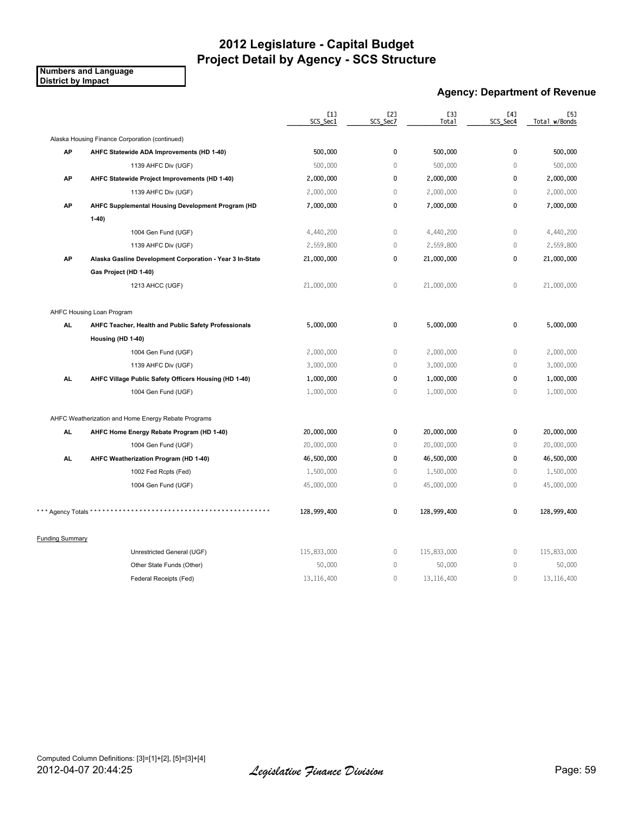**Numbers and Language District by Impact**

### **Agency: Department of Revenue**

|                        |                                                          | [1]<br>SCS Sec1 | [2]<br>SCS Sec7 | <b>[3]</b><br>Total | [4]<br>SCS Sec4 | [5]<br>Total w/Bonds |
|------------------------|----------------------------------------------------------|-----------------|-----------------|---------------------|-----------------|----------------------|
|                        | Alaska Housing Finance Corporation (continued)           |                 |                 |                     |                 |                      |
| AP                     | AHFC Statewide ADA Improvements (HD 1-40)                | 500,000         | 0               | 500,000             | 0               | 500,000              |
|                        | 1139 AHFC Div (UGF)                                      | 500,000         | $\mathbf{0}$    | 500,000             | $\Omega$        | 500,000              |
| AP                     | AHFC Statewide Project Improvements (HD 1-40)            | 2,000,000       | $\mathbf 0$     | 2,000,000           | 0               | 2,000,000            |
|                        | 1139 AHFC Div (UGF)                                      | 2,000,000       | $\mathbf{0}$    | 2,000,000           | $\mathbf 0$     | 2,000,000            |
| AP                     | AHFC Supplemental Housing Development Program (HD        | 7,000,000       | $\mathbf 0$     | 7,000,000           | 0               | 7,000,000            |
|                        | $1-40$                                                   |                 |                 |                     |                 |                      |
|                        | 1004 Gen Fund (UGF)                                      | 4,440,200       | $\mathbb O$     | 4,440,200           | $\mathbf 0$     | 4,440,200            |
|                        | 1139 AHFC Div (UGF)                                      | 2,559,800       | $\mathbb O$     | 2,559,800           | $\mathbf 0$     | 2,559,800            |
| AP                     | Alaska Gasline Development Corporation - Year 3 In-State | 21,000,000      | $\mathbf 0$     | 21,000,000          | 0               | 21,000,000           |
|                        | Gas Project (HD 1-40)                                    |                 |                 |                     |                 |                      |
|                        | 1213 AHCC (UGF)                                          | 21,000,000      | $\mathbb O$     | 21,000,000          | $\mathbb O$     | 21,000,000           |
|                        | AHFC Housing Loan Program                                |                 |                 |                     |                 |                      |
| AL.                    | AHFC Teacher, Health and Public Safety Professionals     | 5,000,000       | 0               | 5,000,000           | 0               | 5,000,000            |
|                        | Housing (HD 1-40)                                        |                 |                 |                     |                 |                      |
|                        | 1004 Gen Fund (UGF)                                      | 2,000,000       | $\mathbb O$     | 2,000,000           | $\mathbf 0$     | 2,000,000            |
|                        | 1139 AHFC Div (UGF)                                      | 3,000,000       | $\mathbf{0}$    | 3,000,000           | $\mathbf 0$     | 3,000,000            |
| AL.                    | AHFC Village Public Safety Officers Housing (HD 1-40)    | 1,000,000       | $\mathbf 0$     | 1,000,000           | 0               | 1,000,000            |
|                        | 1004 Gen Fund (UGF)                                      | 1,000,000       | $\mathbb O$     | 1,000,000           | 0               | 1,000,000            |
|                        | AHFC Weatherization and Home Energy Rebate Programs      |                 |                 |                     |                 |                      |
| AL.                    | AHFC Home Energy Rebate Program (HD 1-40)                | 20,000,000      | 0               | 20,000,000          | 0               | 20,000,000           |
|                        | 1004 Gen Fund (UGF)                                      | 20,000,000      | $\mathbb O$     | 20,000,000          | $\mathbb O$     | 20,000,000           |
| AL.                    | AHFC Weatherization Program (HD 1-40)                    | 46,500,000      | $\pmb{0}$       | 46,500,000          | $\mathbf 0$     | 46,500,000           |
|                        | 1002 Fed Rcpts (Fed)                                     | 1,500,000       | $\mathbb O$     | 1,500,000           | $\mathbf 0$     | 1,500,000            |
|                        | 1004 Gen Fund (UGF)                                      | 45,000,000      | $\mathbb O$     | 45,000,000          | $\mathbf 0$     | 45,000,000           |
| *** Agency Totals **   |                                                          | 128,999,400     | $\pmb{0}$       | 128,999,400         | $\pmb{0}$       | 128,999,400          |
| <b>Funding Summary</b> |                                                          |                 |                 |                     |                 |                      |
|                        | Unrestricted General (UGF)                               | 115,833,000     | $\mathbb O$     | 115,833,000         | 0               | 115,833,000          |
|                        | Other State Funds (Other)                                | 50,000          | $\mathbb O$     | 50,000              | $\mathbf 0$     | 50,000               |
|                        | Federal Receipts (Fed)                                   | 13, 116, 400    | $\mathbf{0}$    | 13, 116, 400        | $\mathbf 0$     | 13,116,400           |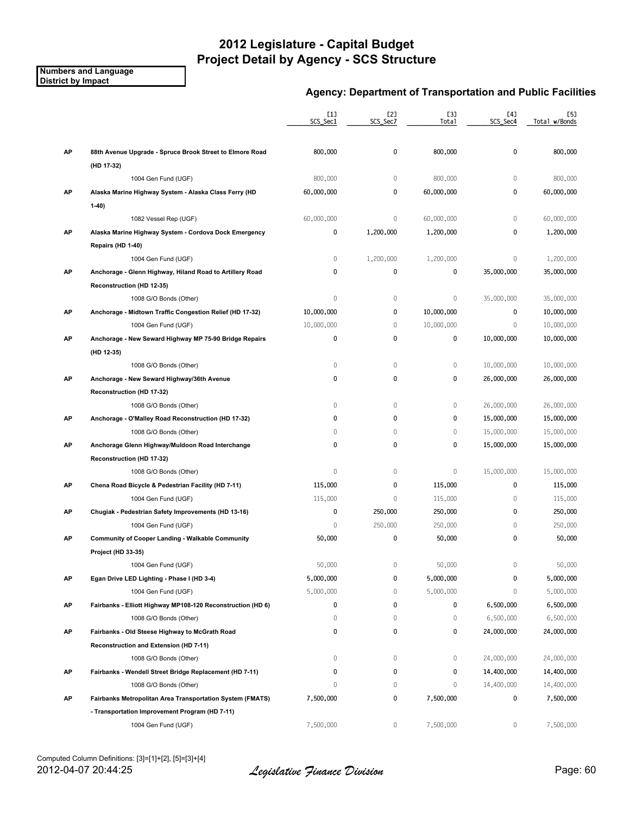#### **Numbers and Language District by Impact**

|    |                                                             | [1]<br>SCS_Sec1 | [2]<br>SCS_Sec7 | [3]<br>Total | [4]<br>SCS_Sec4 | [5]<br>Total w/Bonds |
|----|-------------------------------------------------------------|-----------------|-----------------|--------------|-----------------|----------------------|
| AP | 88th Avenue Upgrade - Spruce Brook Street to Elmore Road    | 800,000         | 0               | 800,000      | $\pmb{0}$       | 800,000              |
|    | (HD 17-32)                                                  |                 |                 |              |                 |                      |
|    | 1004 Gen Fund (UGF)                                         | 800,000         | $\mathbb O$     | 800,000      | $\mathbf 0$     | 800,000              |
| AP | Alaska Marine Highway System - Alaska Class Ferry (HD       | 60,000,000      | 0               | 60,000,000   | $\pmb{0}$       | 60,000,000           |
|    | $1-40$                                                      |                 |                 |              |                 |                      |
|    | 1082 Vessel Rep (UGF)                                       | 60,000,000      | 0               | 60,000,000   | $\mathbb O$     | 60,000,000           |
| AP | Alaska Marine Highway System - Cordova Dock Emergency       | 0               | 1,200,000       | 1,200,000    | $\mathbf{0}$    | 1,200,000            |
|    | Repairs (HD 1-40)                                           |                 |                 |              |                 |                      |
|    | 1004 Gen Fund (UGF)                                         | 0               | 1,200,000       | 1,200,000    | $\mathbf 0$     | 1,200,000            |
| AP | Anchorage - Glenn Highway, Hiland Road to Artillery Road    | 0               | 0               | 0            | 35,000,000      | 35,000,000           |
|    | Reconstruction (HD 12-35)                                   |                 |                 |              |                 |                      |
|    | 1008 G/O Bonds (Other)                                      | $\mathbb O$     | 0               | $\mathbb O$  | 35,000,000      | 35,000,000           |
| AP | Anchorage - Midtown Traffic Congestion Relief (HD 17-32)    | 10,000,000      | 0               | 10,000,000   | $\mathbf{0}$    | 10,000,000           |
|    | 1004 Gen Fund (UGF)                                         | 10,000,000      | $\mathbb O$     | 10,000,000   | $\theta$        | 10,000,000           |
| AP | Anchorage - New Seward Highway MP 75-90 Bridge Repairs      | 0               | 0               | 0            | 10,000,000      | 10,000,000           |
|    | (HD 12-35)                                                  |                 |                 |              |                 |                      |
|    | 1008 G/O Bonds (Other)                                      | $\mathbb O$     | $\,0\,$         | $\mathbb O$  | 10,000,000      | 10,000,000           |
| АP | Anchorage - New Seward Highway/36th Avenue                  | 0               | 0               | 0            | 26,000,000      | 26,000,000           |
|    | Reconstruction (HD 17-32)                                   |                 |                 |              |                 |                      |
|    | 1008 G/O Bonds (Other)                                      | 0               | $\mathbb O$     | $\mathbb O$  | 26,000,000      | 26,000,000           |
| AP | Anchorage - O'Malley Road Reconstruction (HD 17-32)         | 0               | 0               | 0            | 15,000,000      | 15,000,000           |
|    | 1008 G/O Bonds (Other)                                      | 0               | $\mathbb O$     | $\mathbb O$  | 15,000,000      | 15,000,000           |
| АP | Anchorage Glenn Highway/Muldoon Road Interchange            | 0               | 0               | 0            | 15,000,000      | 15,000,000           |
|    | Reconstruction (HD 17-32)                                   |                 |                 |              |                 |                      |
|    | 1008 G/O Bonds (Other)                                      | 0               | 0               | $\mathbb O$  | 15,000,000      | 15,000,000           |
| AP | Chena Road Bicycle & Pedestrian Facility (HD 7-11)          | 115,000         | 0               | 115,000      | 0               | 115,000              |
|    | 1004 Gen Fund (UGF)                                         | 115,000         | $\mathbf 0$     | 115,000      | $\mathbf 0$     | 115,000              |
| АP | Chugiak - Pedestrian Safety Improvements (HD 13-16)         | 0               | 250,000         | 250,000      | 0               | 250,000              |
|    | 1004 Gen Fund (UGF)                                         | 0               | 250,000         | 250,000      | $\mathbf 0$     | 250,000              |
| АP | <b>Community of Cooper Landing - Walkable Community</b>     | 50,000          | 0               | 50,000       | 0               | 50,000               |
|    | Project (HD 33-35)                                          |                 |                 |              |                 |                      |
|    | 1004 Gen Fund (UGF)                                         | 50,000          | $\mathbb O$     | 50,000       | $\mathbf 0$     | 50,000               |
| АP | Egan Drive LED Lighting - Phase I (HD 3-4)                  | 5,000,000       | 0               | 5,000,000    | 0               | 5,000,000            |
|    | 1004 Gen Fund (UGF)                                         | 5,000,000       | $\mathbb O$     | 5,000,000    | $\mathbf{0}$    | 5,000,000            |
| AP | Fairbanks - Elliott Highway MP108-120 Reconstruction (HD 6) | 0               | 0               | 0            | 6,500,000       | 6,500,000            |
|    | 1008 G/O Bonds (Other)                                      | 0               | 0               | $\mathbf 0$  | 6,500,000       | 6,500,000            |
| AP | Fairbanks - Old Steese Highway to McGrath Road              | 0               | 0               | 0            | 24,000,000      | 24,000,000           |
|    | Reconstruction and Extension (HD 7-11)                      |                 |                 |              |                 |                      |
|    | 1008 G/O Bonds (Other)                                      | 0               | 0               | $\mathbf 0$  | 24,000,000      | 24,000,000           |
| AP | Fairbanks - Wendell Street Bridge Replacement (HD 7-11)     | 0               | 0               | 0            | 14,400,000      | 14,400,000           |
|    | 1008 G/O Bonds (Other)                                      | 0               | 0               | $\mathbb O$  | 14,400,000      | 14,400,000           |
| AP | Fairbanks Metropolitan Area Transportation System (FMATS)   | 7,500,000       | 0               | 7,500,000    | 0               | 7,500,000            |
|    | - Transportation Improvement Program (HD 7-11)              |                 |                 |              |                 |                      |
|    | 1004 Gen Fund (UGF)                                         | 7,500,000       | 0               | 7,500,000    | 0               | 7,500,000            |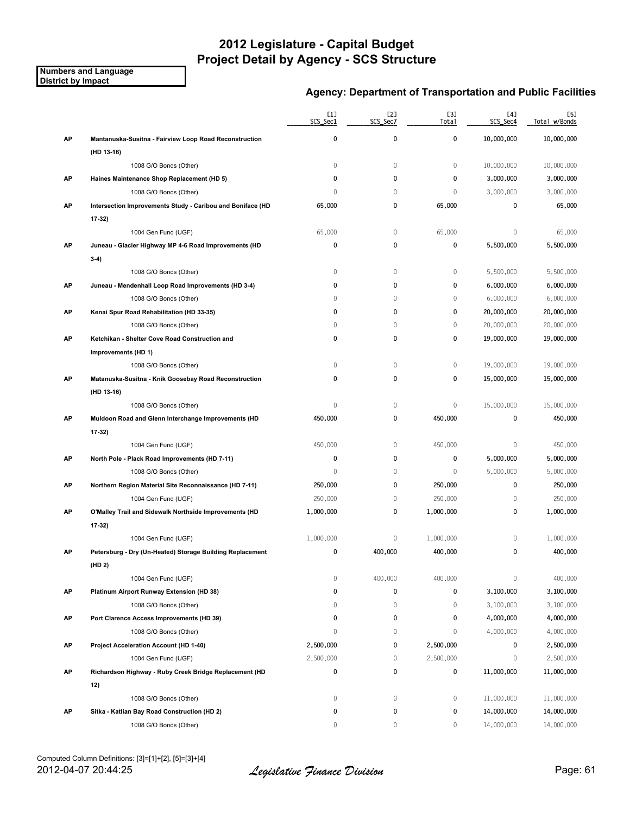**Numbers and Language District by Impact**

|    |                                                            | [1]<br>SCS_Sec1 | [2]<br>SCS_Sec7 | [3]<br>Total | [4]<br>SCS_Sec4 | [5]<br>Total w/Bonds |
|----|------------------------------------------------------------|-----------------|-----------------|--------------|-----------------|----------------------|
| AP | Mantanuska-Susitna - Fairview Loop Road Reconstruction     | 0               | $\pmb{0}$       | 0            | 10,000,000      | 10,000,000           |
|    | (HD 13-16)                                                 |                 |                 |              |                 |                      |
|    | 1008 G/O Bonds (Other)                                     | 0               | $\mathbb O$     | $\mathbb O$  | 10,000,000      | 10,000,000           |
| AP | Haines Maintenance Shop Replacement (HD 5)                 | 0               | 0               | 0            | 3,000,000       | 3,000,000            |
|    | 1008 G/O Bonds (Other)                                     | 0               | $\mathbb O$     | $\mathbb O$  | 3,000,000       | 3,000,000            |
| AP | Intersection Improvements Study - Caribou and Boniface (HD | 65,000          | 0               | 65,000       | 0               | 65,000               |
|    | $17-32$                                                    |                 |                 |              |                 |                      |
|    | 1004 Gen Fund (UGF)                                        | 65,000          | $\mathbb O$     | 65,000       | $\mathbf{0}$    | 65,000               |
| AP | Juneau - Glacier Highway MP 4-6 Road Improvements (HD      | 0               | 0               | 0            | 5,500,000       | 5,500,000            |
|    | $3-4)$                                                     |                 |                 |              |                 |                      |
|    | 1008 G/O Bonds (Other)                                     | 0               | $\mathbb O$     | $\mathbf 0$  | 5,500,000       | 5,500,000            |
| AP | Juneau - Mendenhall Loop Road Improvements (HD 3-4)        | 0               | 0               | 0            | 6,000,000       | 6,000,000            |
|    | 1008 G/O Bonds (Other)                                     | $\Omega$        | $\mathbf 0$     | $\mathbf{0}$ | 6,000,000       | 6,000,000            |
| AP | Kenai Spur Road Rehabilitation (HD 33-35)                  | 0               | 0               | 0            | 20,000,000      | 20,000,000           |
|    | 1008 G/O Bonds (Other)                                     | 0               | $\mathbb O$     | $\mathbb O$  | 20,000,000      | 20,000,000           |
| AP | Ketchikan - Shelter Cove Road Construction and             | 0               | 0               | 0            | 19,000,000      | 19,000,000           |
|    | Improvements (HD 1)                                        |                 |                 |              |                 |                      |
|    | 1008 G/O Bonds (Other)                                     | 0               | $\mathbb O$     | $\mathbb O$  | 19,000,000      | 19,000,000           |
| AP | Matanuska-Susitna - Knik Goosebay Road Reconstruction      | 0               | 0               | 0            | 15,000,000      | 15,000,000           |
|    | (HD 13-16)                                                 |                 |                 |              |                 |                      |
|    | 1008 G/O Bonds (Other)                                     | 0               | $\mathbb O$     | $\mathbb O$  | 15,000,000      | 15,000,000           |
| AP | Muldoon Road and Glenn Interchange Improvements (HD        | 450,000         | 0               | 450,000      | $\mathbf 0$     | 450,000              |
|    | $17-32$                                                    |                 |                 |              |                 |                      |
|    | 1004 Gen Fund (UGF)                                        | 450,000         | $\mathbb O$     | 450,000      | $\mathbf 0$     | 450,000              |
| AP | North Pole - Plack Road Improvements (HD 7-11)             | 0               | 0               | 0            | 5,000,000       | 5,000,000            |
|    | 1008 G/O Bonds (Other)                                     | 0               | $\mathbf 0$     | $\mathbf{0}$ | 5,000,000       | 5,000,000            |
| AP | Northern Region Material Site Reconnaissance (HD 7-11)     | 250,000         | 0               | 250,000      | 0               | 250,000              |
|    | 1004 Gen Fund (UGF)                                        | 250,000         | $\mathbb O$     | 250,000      | $\mathbb O$     | 250,000              |
| AP | O'Malley Trail and Sidewalk Northside Improvements (HD     | 1,000,000       | 0               | 1,000,000    | 0               | 1,000,000            |
|    | 17-32)                                                     |                 |                 |              |                 |                      |
|    | 1004 Gen Fund (UGF)                                        | 1,000,000       | $\mathbb O$     | 1,000,000    | $\mathbf 0$     | 1,000,000            |
| АP | Petersburg - Dry (Un-Heated) Storage Building Replacement  | 0               | 400,000         | 400,000      | 0               | 400,000              |
|    | (HD 2)                                                     |                 |                 |              |                 |                      |
|    | 1004 Gen Fund (UGF)                                        | $\mathbb O$     | 400,000         | 400,000      | $\mathbb O$     | 400,000              |
| AP | Platinum Airport Runway Extension (HD 38)                  | 0               | 0               | 0            | 3,100,000       | 3,100,000            |
|    | 1008 G/O Bonds (Other)                                     | 0               | $\mathbb O$     | $\mathbf 0$  | 3,100,000       | 3,100,000            |
| AP | Port Clarence Access Improvements (HD 39)                  | 0               | 0               | 0            | 4,000,000       | 4,000,000            |
|    | 1008 G/O Bonds (Other)                                     | 0               | 0               | $\mathbf 0$  | 4,000,000       | 4,000,000            |
| AP | Project Acceleration Account (HD 1-40)                     | 2,500,000       | 0               | 2,500,000    | 0               | 2,500,000            |
|    |                                                            | 2,500,000       | $\mathbb O$     | 2,500,000    | $\mathbb O$     |                      |
|    | 1004 Gen Fund (UGF)                                        | 0               | 0               |              |                 | 2,500,000            |
| AP | Richardson Highway - Ruby Creek Bridge Replacement (HD     |                 |                 | 0            | 11,000,000      | 11,000,000           |
|    | 12)                                                        |                 |                 |              |                 |                      |
|    | 1008 G/O Bonds (Other)                                     | 0               | 0               | $\mathbb O$  | 11,000,000      | 11,000,000           |
| AP | Sitka - Katlian Bay Road Construction (HD 2)               | 0               | 0               | 0            | 14,000,000      | 14,000,000           |
|    | 1008 G/O Bonds (Other)                                     | 0               | 0               | $\mathbf 0$  | 14,000,000      | 14,000,000           |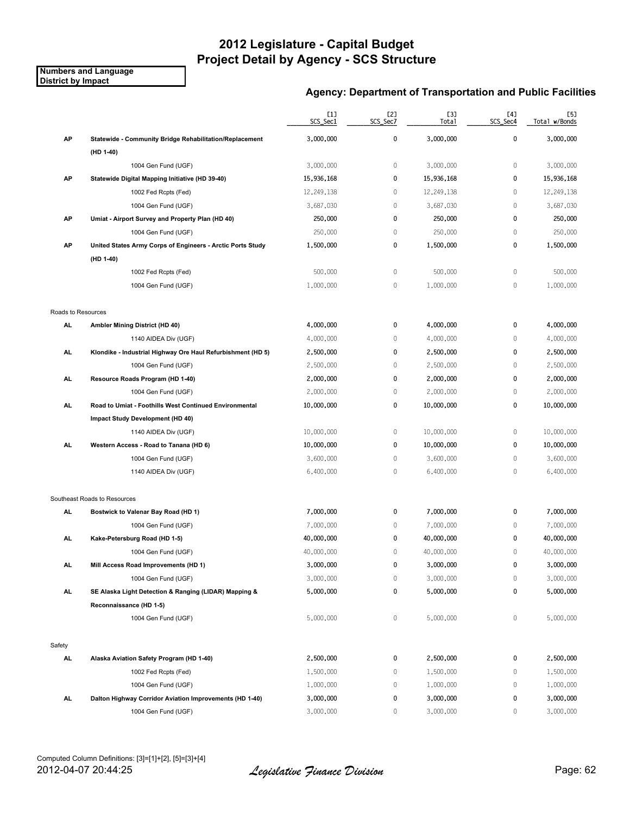**Numbers and Language District by Impact**

|                    |                                                             | [1]<br>SCS_Sec1 | [2]<br>SCS_Sec7 | [3]<br>Total | [4]<br>SCS_Sec4 | [5]<br>Total w/Bonds |
|--------------------|-------------------------------------------------------------|-----------------|-----------------|--------------|-----------------|----------------------|
| AP                 | Statewide - Community Bridge Rehabilitation/Replacement     | 3,000,000       | 0               | 3,000,000    | $\pmb{0}$       | 3,000,000            |
|                    | (HD 1-40)                                                   |                 |                 |              |                 |                      |
|                    | 1004 Gen Fund (UGF)                                         | 3,000,000       | $\mathbf 0$     | 3,000,000    | 0               | 3,000,000            |
| АP                 | Statewide Digital Mapping Initiative (HD 39-40)             | 15,936,168      | 0               | 15,936,168   | 0               | 15,936,168           |
|                    | 1002 Fed Rcpts (Fed)                                        | 12,249,138      | $\mathbb O$     | 12,249,138   | 0               | 12,249,138           |
|                    | 1004 Gen Fund (UGF)                                         | 3,687,030       | $\mathbf 0$     | 3,687,030    | $\mathbf 0$     | 3,687,030            |
| АP                 | Umiat - Airport Survey and Property Plan (HD 40)            | 250,000         | 0               | 250,000      | 0               | 250,000              |
|                    | 1004 Gen Fund (UGF)                                         | 250,000         | $\mathbb O$     | 250,000      | 0               | 250,000              |
| AP                 | United States Army Corps of Engineers - Arctic Ports Study  | 1,500,000       | 0               | 1,500,000    | 0               | 1,500,000            |
|                    | (HD 1-40)                                                   |                 |                 |              |                 |                      |
|                    | 1002 Fed Rcpts (Fed)                                        | 500,000         | $\mathbb O$     | 500,000      | $\mathbb O$     | 500,000              |
|                    | 1004 Gen Fund (UGF)                                         | 1,000,000       | $\mathbb O$     | 1,000,000    | 0               | 1,000,000            |
| Roads to Resources |                                                             |                 |                 |              |                 |                      |
| AL                 | Ambler Mining District (HD 40)                              | 4,000,000       | 0               | 4,000,000    | 0               | 4,000,000            |
|                    | 1140 AIDEA Div (UGF)                                        | 4,000,000       | $\mathbb O$     | 4,000,000    | 0               | 4,000,000            |
| AL                 | Klondike - Industrial Highway Ore Haul Refurbishment (HD 5) | 2,500,000       | 0               | 2,500,000    | 0               | 2,500,000            |
|                    | 1004 Gen Fund (UGF)                                         | 2,500,000       | 0               | 2,500,000    | 0               | 2,500,000            |
| AL.                | Resource Roads Program (HD 1-40)                            | 2,000,000       | 0               | 2,000,000    | 0               | 2,000,000            |
|                    | 1004 Gen Fund (UGF)                                         | 2,000,000       | $\mathbf 0$     | 2,000,000    | 0               | 2,000,000            |
| AL.                | Road to Umiat - Foothills West Continued Environmental      | 10,000,000      | 0               | 10,000,000   | 0               | 10,000,000           |
|                    | Impact Study Development (HD 40)                            |                 |                 |              |                 |                      |
|                    | 1140 AIDEA Div (UGF)                                        | 10,000,000      | $\mathbb O$     | 10,000,000   | $\,0\,$         | 10,000,000           |
| AL                 | Western Access - Road to Tanana (HD 6)                      | 10,000,000      | 0               | 10,000,000   | 0               | 10,000,000           |
|                    | 1004 Gen Fund (UGF)                                         | 3,600,000       | $\mathbb O$     | 3,600,000    | 0               | 3,600,000            |
|                    | 1140 AIDEA Div (UGF)                                        | 6,400,000       | $\mathbf 0$     | 6,400,000    | 0               | 6,400,000            |
|                    | Southeast Roads to Resources                                |                 |                 |              |                 |                      |
| AL                 | Bostwick to Valenar Bay Road (HD 1)                         | 7,000,000       | 0               | 7,000,000    | 0               | 7,000,000            |
|                    | 1004 Gen Fund (UGF)                                         | 7,000,000       | 0               | 7,000,000    | 0               | 7,000,000            |
| AL                 | Kake-Petersburg Road (HD 1-5)                               | 40,000,000      | 0               | 40,000,000   | 0               | 40,000,000           |
|                    | 1004 Gen Fund (UGF)                                         | 40,000,000      | $\mathbf 0$     | 40,000,000   | 0               | 40,000,000           |
| AL                 | Mill Access Road Improvements (HD 1)                        | 3,000,000       | 0               | 3,000,000    | 0               | 3,000,000            |
|                    | 1004 Gen Fund (UGF)                                         | 3,000,000       | 0               | 3,000,000    | $\mathbb O$     | 3,000,000            |
| AL.                | SE Alaska Light Detection & Ranging (LIDAR) Mapping &       | 5,000,000       | 0               | 5,000,000    | 0               | 5,000,000            |
|                    | Reconnaissance (HD 1-5)                                     |                 |                 |              |                 |                      |
|                    | 1004 Gen Fund (UGF)                                         | 5,000,000       | 0               | 5,000,000    | 0               | 5,000,000            |
| Safety             |                                                             |                 |                 |              |                 |                      |
| <b>AL</b>          | Alaska Aviation Safety Program (HD 1-40)                    | 2,500,000       | 0               | 2,500,000    | 0               | 2,500,000            |
|                    | 1002 Fed Rcpts (Fed)                                        | 1,500,000       | 0               | 1,500,000    | 0               | 1,500,000            |
|                    | 1004 Gen Fund (UGF)                                         | 1,000,000       | 0               | 1,000,000    | 0               | 1,000,000            |
| AL.                | Dalton Highway Corridor Aviation Improvements (HD 1-40)     | 3,000,000       | 0               | 3,000,000    | 0               | 3,000,000            |
|                    | 1004 Gen Fund (UGF)                                         | 3,000,000       | 0               | 3,000,000    | 0               | 3,000,000            |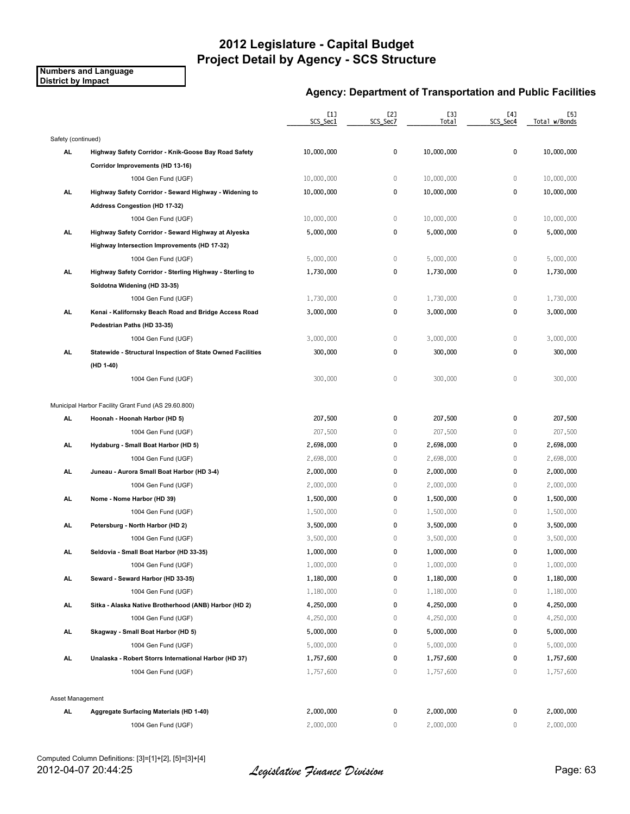**Numbers and Language District by Impact**

|                    |                                                             | [1]<br>SCS_Sec1 | [2]<br>SCS Sec7 | [3]<br>Total    | [4]<br>SCS_Sec4 | [5]<br>Total w/Bonds |
|--------------------|-------------------------------------------------------------|-----------------|-----------------|-----------------|-----------------|----------------------|
| Safety (continued) |                                                             |                 |                 |                 |                 |                      |
| AL                 | Highway Safety Corridor - Knik-Goose Bay Road Safety        | 10,000,000      | 0               | 10,000,000      | 0               | 10,000,000           |
|                    | Corridor Improvements (HD 13-16)                            |                 |                 |                 |                 |                      |
|                    | 1004 Gen Fund (UGF)                                         | 10,000,000      | 0               | 10,000,000      | $\mathbf 0$     | 10,000,000           |
| AL.                | Highway Safety Corridor - Seward Highway - Widening to      | 10,000,000      | 0               | 10,000,000      | 0               | 10,000,000           |
|                    | Address Congestion (HD 17-32)                               |                 |                 |                 |                 |                      |
|                    | 1004 Gen Fund (UGF)                                         | 10,000,000      | 0               | 10,000,000      | $\mathbb O$     | 10,000,000           |
| AL.                | Highway Safety Corridor - Seward Highway at Alyeska         | 5,000,000       | 0               | 5,000,000       | $\mathbf 0$     | 5,000,000            |
|                    | Highway Intersection Improvements (HD 17-32)                |                 |                 |                 |                 |                      |
|                    | 1004 Gen Fund (UGF)                                         | 5,000,000       | $\mathbb O$     | 5,000,000       | $\mathbb O$     | 5,000,000            |
| AL.                | Highway Safety Corridor - Sterling Highway - Sterling to    | 1,730,000       | 0               | 1,730,000       | 0               | 1,730,000            |
|                    | Soldotna Widening (HD 33-35)                                |                 |                 |                 |                 |                      |
|                    | 1004 Gen Fund (UGF)                                         | 1,730,000       | 0               | 1,730,000       | 0               | 1,730,000            |
| AL.                | Kenai - Kalifornsky Beach Road and Bridge Access Road       | 3,000,000       | 0               | 3,000,000       | 0               | 3,000,000            |
|                    | Pedestrian Paths (HD 33-35)                                 |                 |                 |                 |                 |                      |
|                    | 1004 Gen Fund (UGF)                                         | 3,000,000       | 0               | 3,000,000       | $\mathbf 0$     | 3,000,000            |
| AL.                | Statewide - Structural Inspection of State Owned Facilities | 300,000         | 0               | 300,000         | 0               | 300,000              |
|                    | (HD 1-40)                                                   |                 |                 |                 |                 |                      |
|                    | 1004 Gen Fund (UGF)                                         | 300,000         | $\mathbf 0$     | 300,000         | $\mathbf 0$     | 300,000              |
|                    | Municipal Harbor Facility Grant Fund (AS 29.60.800)         |                 |                 |                 |                 |                      |
| AL                 | Hoonah - Hoonah Harbor (HD 5)                               | 207,500         | 0               | 207,500         | $\mathbf 0$     | 207,500              |
|                    | 1004 Gen Fund (UGF)                                         | 207,500         | $\,0\,$         | 207,500         | $\mathbf 0$     | 207,500              |
| AL                 | Hydaburg - Small Boat Harbor (HD 5)                         | 2,698,000       | 0               | 2,698,000       | 0               | 2,698,000            |
|                    | 1004 Gen Fund (UGF)                                         | 2,698,000       | 0               | 2,698,000       | $\mathbf{0}$    | 2,698,000            |
| AL.                | Juneau - Aurora Small Boat Harbor (HD 3-4)                  | 2,000,000       | 0               | 2,000,000       | 0               | 2,000,000            |
|                    | 1004 Gen Fund (UGF)                                         | 2,000,000       | 0               | 2,000,000       | 0               | 2,000,000            |
| AL.                | Nome - Nome Harbor (HD 39)                                  | 1,500,000       | 0               | 1,500,000       | 0               | 1,500,000            |
|                    | 1004 Gen Fund (UGF)                                         | 1,500,000       | 0               | 1,500,000       | $\mathbf 0$     | 1,500,000            |
| AL                 | Petersburg - North Harbor (HD 2)                            | 3,500,000       | 0               | 3,500,000       | 0               | 3,500,000            |
|                    | 1004 Gen Fund (UGF)                                         | 3,500,000       | 0               | 3,500,000       | $\mathbf 0$     | 3,500,000            |
| AL                 | Seldovia - Small Boat Harbor (HD 33-35)                     | 1,000,000       | 0               | 1,000,000       | 0               | 1,000,000            |
|                    | 1004 Gen Fund (UGF)                                         | $1\,,000\,,000$ | 0               | $1\,,000\,,000$ | 0               | 1,000,000            |
| AL.                | Seward - Seward Harbor (HD 33-35)                           | 1,180,000       | 0               | 1,180,000       | 0               | 1,180,000            |
|                    | 1004 Gen Fund (UGF)                                         | 1,180,000       | 0               | 1,180,000       | $\mathbf 0$     | 1,180,000            |
| AL.                | Sitka - Alaska Native Brotherhood (ANB) Harbor (HD 2)       | 4,250,000       | 0               | 4,250,000       | 0               | 4,250,000            |
|                    | 1004 Gen Fund (UGF)                                         | 4,250,000       | 0               | 4,250,000       | 0               | 4,250,000            |
| AL.                | Skagway - Small Boat Harbor (HD 5)                          | 5,000,000       | 0               | 5,000,000       | 0               | 5,000,000            |
|                    | 1004 Gen Fund (UGF)                                         | 5,000,000       | 0               | 5,000,000       | 0               | 5,000,000            |
| AL.                | Unalaska - Robert Storrs International Harbor (HD 37)       | 1,757,600       | 0               | 1,757,600       | 0               | 1,757,600            |
|                    | 1004 Gen Fund (UGF)                                         | 1,757,600       | $\mathbb O$     | 1,757,600       | $\mathbf 0$     | 1,757,600            |
| Asset Management   |                                                             |                 |                 |                 |                 |                      |
| AL                 | Aggregate Surfacing Materials (HD 1-40)                     | 2,000,000       | 0               | 2,000,000       | 0               | 2,000,000            |
|                    | 1004 Gen Fund (UGF)                                         | 2,000,000       | 0               | 2,000,000       | 0               | 2,000,000            |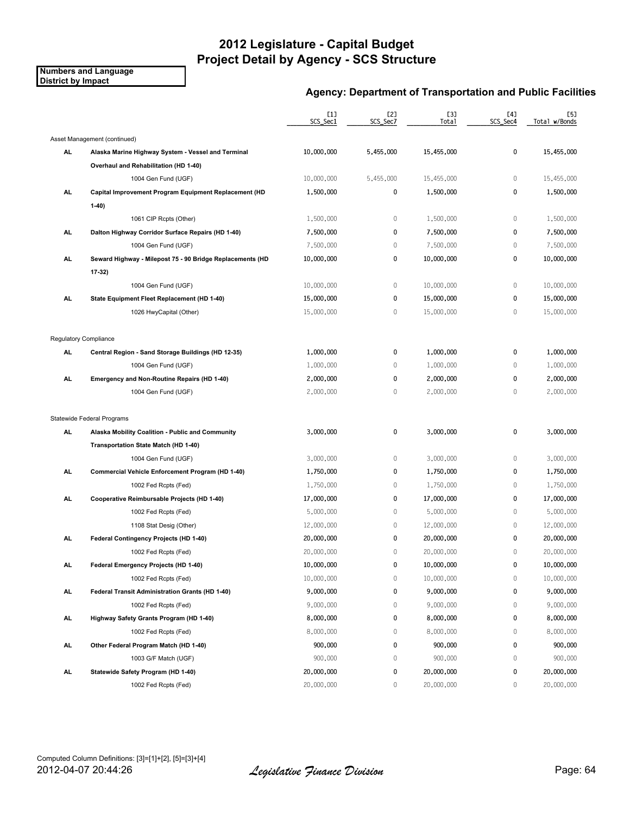**Numbers and Language District by Impact**

|     |                                                           | [1]<br>SCS_Sec1 | [2]<br>SCS_Sec7 | [3]<br>Total | [4]<br>SCS Sec4 | [5]<br>Total w/Bonds |
|-----|-----------------------------------------------------------|-----------------|-----------------|--------------|-----------------|----------------------|
|     | Asset Management (continued)                              |                 |                 |              |                 |                      |
| AL  | Alaska Marine Highway System - Vessel and Terminal        | 10,000,000      | 5,455,000       | 15,455,000   | 0               | 15,455,000           |
|     | Overhaul and Rehabilitation (HD 1-40)                     |                 |                 |              |                 |                      |
|     | 1004 Gen Fund (UGF)                                       | 10,000,000      | 5,455,000       | 15,455,000   | $\mathbf 0$     | 15,455,000           |
| AL  | Capital Improvement Program Equipment Replacement (HD     | 1,500,000       | 0               | 1,500,000    | 0               | 1,500,000            |
|     | $1-40)$                                                   |                 |                 |              |                 |                      |
|     | 1061 CIP Rcpts (Other)                                    | 1,500,000       | $\,0\,$         | 1,500,000    | $\mathbf 0$     | 1,500,000            |
| AL. | Dalton Highway Corridor Surface Repairs (HD 1-40)         | 7,500,000       | 0               | 7,500,000    | 0               | 7,500,000            |
|     | 1004 Gen Fund (UGF)                                       | 7,500,000       | 0               | 7,500,000    | 0               | 7,500,000            |
| AL. | Seward Highway - Milepost 75 - 90 Bridge Replacements (HD | 10,000,000      | 0               | 10,000,000   | $\mathbf 0$     | 10,000,000           |
|     | $17-32$                                                   |                 |                 |              |                 |                      |
|     | 1004 Gen Fund (UGF)                                       | 10,000,000      | 0               | 10,000,000   | $\mathbf 0$     | 10,000,000           |
| AL. | State Equipment Fleet Replacement (HD 1-40)               | 15,000,000      | 0               | 15,000,000   | 0               | 15,000,000           |
|     | 1026 HwyCapital (Other)                                   | 15,000,000      | 0               | 15,000,000   | $\mathbf{0}$    | 15,000,000           |
|     | Regulatory Compliance                                     |                 |                 |              |                 |                      |
| AL  | Central Region - Sand Storage Buildings (HD 12-35)        | 1,000,000       | 0               | 1,000,000    | 0               | 1,000,000            |
|     | 1004 Gen Fund (UGF)                                       | 1,000,000       | $\,0\,$         | 1,000,000    | $\mathbf 0$     | 1,000,000            |
| AL. | Emergency and Non-Routine Repairs (HD 1-40)               | 2,000,000       | 0               | 2,000,000    | 0               | 2,000,000            |
|     | 1004 Gen Fund (UGF)                                       | 2,000,000       | 0               | 2,000,000    | $\mathbf{0}$    | 2,000,000            |
|     | Statewide Federal Programs                                |                 |                 |              |                 |                      |
| AL  | Alaska Mobility Coalition - Public and Community          | 3,000,000       | 0               | 3,000,000    | 0               | 3,000,000            |
|     | Transportation State Match (HD 1-40)                      |                 |                 |              |                 |                      |
|     | 1004 Gen Fund (UGF)                                       | 3,000,000       | 0               | 3,000,000    | 0               | 3,000,000            |
| AL  | Commercial Vehicle Enforcement Program (HD 1-40)          | 1,750,000       | 0               | 1,750,000    | 0               | 1,750,000            |
|     | 1002 Fed Rcpts (Fed)                                      | 1,750,000       | 0               | 1,750,000    | 0               | 1,750,000            |
| AL  | Cooperative Reimbursable Projects (HD 1-40)               | 17,000,000      | 0               | 17,000,000   | 0               | 17,000,000           |
|     | 1002 Fed Rcpts (Fed)                                      | 5,000,000       | $\mathbb O$     | 5,000,000    | $\mathbf 0$     | 5,000,000            |
|     | 1108 Stat Desig (Other)                                   | 12,000,000      | 0               | 12,000,000   | $\mathbf 0$     | 12,000,000           |
| AL. | Federal Contingency Projects (HD 1-40)                    | 20,000,000      | 0               | 20,000,000   | 0               | 20,000,000           |
|     | 1002 Fed Rcpts (Fed)                                      | 20,000,000      | 0               | 20,000,000   | $\mathbf{0}$    | 20,000,000           |
| AL  | Federal Emergency Projects (HD 1-40)                      | 10,000,000      | 0               | 10,000,000   | 0               | 10,000,000           |
|     | 1002 Fed Rcpts (Fed)                                      | 10,000,000      | 0               | 10,000,000   | $\mathbf 0$     | 10,000,000           |
| AL. | Federal Transit Administration Grants (HD 1-40)           | 9,000,000       | 0               | 9,000,000    | 0               | 9,000,000            |
|     | 1002 Fed Rcpts (Fed)                                      | 9,000,000       | 0               | 9,000,000    | 0               | 9,000,000            |
| AL. | Highway Safety Grants Program (HD 1-40)                   | 8,000,000       | 0               | 8,000,000    | 0               | 8,000,000            |
|     | 1002 Fed Rcpts (Fed)                                      | 8,000,000       | 0               | 8,000,000    | 0               | 8,000,000            |
| AL. | Other Federal Program Match (HD 1-40)                     | 900,000         | 0               | 900,000      | 0               | 900,000              |
|     | 1003 G/F Match (UGF)                                      | 900,000         | 0               | 900,000      | $\mathbf 0$     | 900,000              |
| AL. | Statewide Safety Program (HD 1-40)                        | 20,000,000      | 0               | 20,000,000   | 0               | 20,000,000           |
|     | 1002 Fed Rcpts (Fed)                                      | 20,000,000      | 0               | 20,000,000   | 0               | 20,000,000           |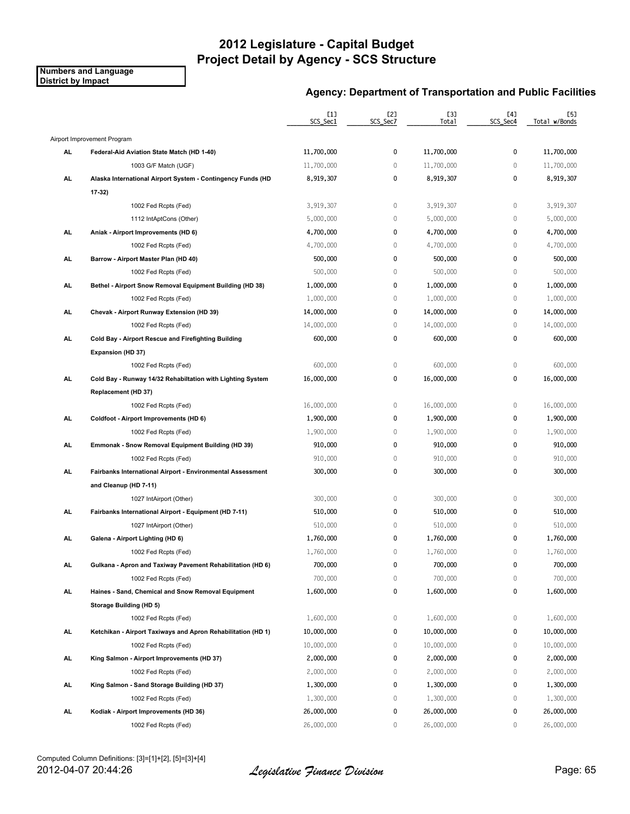**Numbers and Language District by Impact**

|           |                                                              | [1]<br>SCS_Sec1 | [2]<br>SCS_Sec7 | [3]<br>Total | [4]<br>SCS_Sec4 | [5]<br>Total w/Bonds |
|-----------|--------------------------------------------------------------|-----------------|-----------------|--------------|-----------------|----------------------|
|           | Airport Improvement Program                                  |                 |                 |              |                 |                      |
| AL        | Federal-Aid Aviation State Match (HD 1-40)                   | 11,700,000      | 0               | 11,700,000   | $\pmb{0}$       | 11,700,000           |
|           | 1003 G/F Match (UGF)                                         | 11,700,000      | $\mathbb O$     | 11,700,000   | $\mathbf 0$     | 11,700,000           |
| AL        | Alaska International Airport System - Contingency Funds (HD  | 8,919,307       | 0               | 8,919,307    | 0               | 8,919,307            |
|           | $17-32$                                                      |                 |                 |              |                 |                      |
|           | 1002 Fed Rcpts (Fed)                                         | 3,919,307       | $\mathbb O$     | 3,919,307    | $\mathbb O$     | 3,919,307            |
|           | 1112 IntAptCons (Other)                                      | 5,000,000       | $\mathbb O$     | 5,000,000    | $\mathbf 0$     | 5,000,000            |
| <b>AL</b> | Aniak - Airport Improvements (HD 6)                          | 4,700,000       | 0               | 4,700,000    | 0               | 4,700,000            |
|           | 1002 Fed Rcpts (Fed)                                         | 4,700,000       | $\mathbb O$     | 4,700,000    | $\mathbf 0$     | 4,700,000            |
| AL        | Barrow - Airport Master Plan (HD 40)                         | 500,000         | 0               | 500,000      | $\pmb{0}$       | 500,000              |
|           | 1002 Fed Rcpts (Fed)                                         | 500,000         | $\,0\,$         | 500,000      | $\mathbb O$     | 500,000              |
| AL.       | Bethel - Airport Snow Removal Equipment Building (HD 38)     | 1,000,000       | 0               | 1,000,000    | 0               | 1,000,000            |
|           | 1002 Fed Rcpts (Fed)                                         | 1,000,000       | $\mathbb O$     | 1,000,000    | $\mathbf 0$     | 1,000,000            |
| AL        | Chevak - Airport Runway Extension (HD 39)                    | 14,000,000      | 0               | 14,000,000   | 0               | 14,000,000           |
|           | 1002 Fed Rcpts (Fed)                                         | 14,000,000      | $\mathbb O$     | 14,000,000   | $\mathbf 0$     | 14,000,000           |
| AL        | Cold Bay - Airport Rescue and Firefighting Building          | 600,000         | 0               | 600,000      | $\mathbf 0$     | 600,000              |
|           | Expansion (HD 37)                                            |                 |                 |              |                 |                      |
|           | 1002 Fed Rcpts (Fed)                                         | 600,000         | $\,0\,$         | 600,000      | $\mathbb O$     | 600,000              |
| AL.       | Cold Bay - Runway 14/32 Rehabiltation with Lighting System   | 16,000,000      | 0               | 16,000,000   | $\pmb{0}$       | 16,000,000           |
|           | Replacement (HD 37)                                          |                 |                 |              |                 |                      |
|           | 1002 Fed Rcpts (Fed)                                         | 16,000,000      | $\,0\,$         | 16,000,000   | $\mathbb O$     | 16,000,000           |
| <b>AL</b> | Coldfoot - Airport Improvements (HD 6)                       | 1,900,000       | 0               | 1,900,000    | $\mathbf 0$     | 1,900,000            |
|           | 1002 Fed Rcpts (Fed)                                         | 1,900,000       | $\,0\,$         | 1,900,000    | $\mathbb O$     | 1,900,000            |
| AL.       | Emmonak - Snow Removal Equipment Building (HD 39)            | 910,000         | 0               | 910,000      | $\pmb{0}$       | 910,000              |
|           | 1002 Fed Rcpts (Fed)                                         | 910,000         | $\mathbb O$     | 910,000      | $\mathbb O$     | 910,000              |
| AL.       | Fairbanks International Airport - Environmental Assessment   | 300,000         | 0               | 300,000      | 0               | 300,000              |
|           | and Cleanup (HD 7-11)                                        |                 |                 |              |                 |                      |
|           | 1027 IntAirport (Other)                                      | 300,000         | $\mathbb O$     | 300,000      | $\mathbb O$     | 300,000              |
| AL.       | Fairbanks International Airport - Equipment (HD 7-11)        | 510,000         | 0               | 510,000      | $\mathbf 0$     | 510,000              |
|           | 1027 IntAirport (Other)                                      | 510,000         | $\mathbb O$     | 510,000      | $\mathbb O$     | 510,000              |
| AL        | Galena - Airport Lighting (HD 6)                             | 1,760,000       | 0               | 1,760,000    | 0               | 1,760,000            |
|           | 1002 Fed Rcpts (Fed)                                         | 1,760,000       | 0               | 1,760,000    | $\mathbf 0$     | 1,760,000            |
| AL.       | Gulkana - Apron and Taxiway Pavement Rehabilitation (HD 6)   | 700,000         | 0               | 700,000      | 0               | 700,000              |
|           | 1002 Fed Rcpts (Fed)                                         | 700,000         | 0               | 700,000      | $\mathbb O$     | 700,000              |
| AL.       | Haines - Sand, Chemical and Snow Removal Equipment           | 1,600,000       | 0               | 1,600,000    | $\pmb{0}$       | 1,600,000            |
|           | Storage Building (HD 5)                                      |                 |                 |              |                 |                      |
|           | 1002 Fed Rcpts (Fed)                                         | 1,600,000       | 0               | 1,600,000    | $\mathbb O$     | 1,600,000            |
| AL.       | Ketchikan - Airport Taxiways and Apron Rehabilitation (HD 1) | 10,000,000      | 0               | 10,000,000   | 0               | 10,000,000           |
|           | 1002 Fed Rcpts (Fed)                                         | 10,000,000      | 0               | 10,000,000   | $\mathbb O$     | 10,000,000           |
| <b>AL</b> | King Salmon - Airport Improvements (HD 37)                   | 2,000,000       | 0               | 2,000,000    | 0               | 2,000,000            |
|           | 1002 Fed Rcpts (Fed)                                         | 2,000,000       | 0               | 2,000,000    | $\mathbb O$     | 2,000,000            |
| AL.       | King Salmon - Sand Storage Building (HD 37)                  | 1,300,000       | 0               | 1,300,000    | 0               | 1,300,000            |
|           | 1002 Fed Rcpts (Fed)                                         | 1,300,000       | 0               | 1,300,000    | $\mathbb O$     | 1,300,000            |
| AL.       | Kodiak - Airport Improvements (HD 36)                        | 26,000,000      | 0               | 26,000,000   | 0               | 26,000,000           |
|           | 1002 Fed Rcpts (Fed)                                         | 26,000,000      | 0               | 26,000,000   | 0               | 26,000,000           |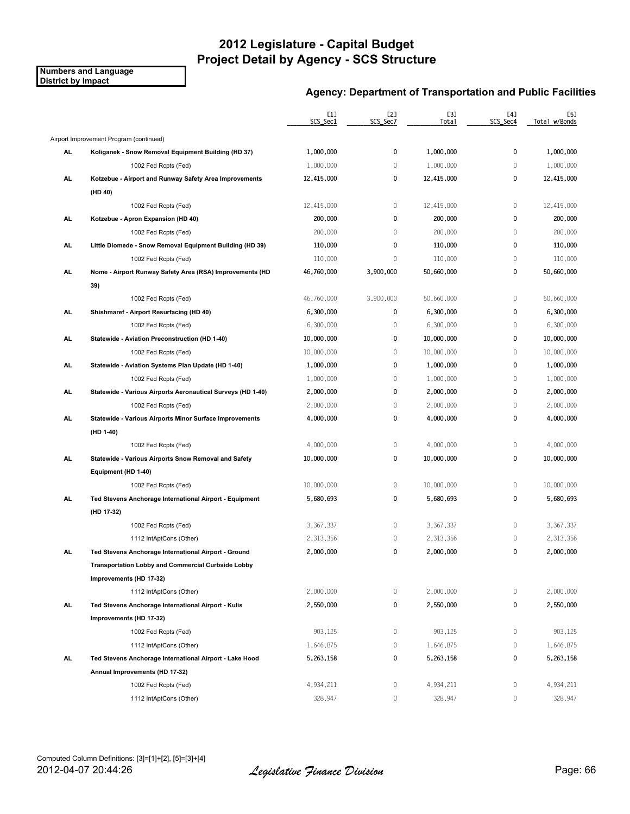**Numbers and Language District by Impact**

|           |                                                                | [1]<br>SCS_Sec1 | [2]<br>SCS_Sec7 | [3]<br>Total | [4]<br>SCS_Sec4 | [5]<br>Total w/Bonds |
|-----------|----------------------------------------------------------------|-----------------|-----------------|--------------|-----------------|----------------------|
|           | Airport Improvement Program (continued)                        |                 |                 |              |                 |                      |
| AL        | Koliganek - Snow Removal Equipment Building (HD 37)            | 1,000,000       | 0               | 1,000,000    | 0               | 1,000,000            |
|           | 1002 Fed Rcpts (Fed)                                           | 1,000,000       | $\mathbb O$     | 1,000,000    | $\mathbf 0$     | 1,000,000            |
| AL        | Kotzebue - Airport and Runway Safety Area Improvements         | 12,415,000      | 0               | 12,415,000   | $\mathbf 0$     | 12,415,000           |
|           | (HD 40)                                                        |                 |                 |              |                 |                      |
|           | 1002 Fed Rcpts (Fed)                                           | 12,415,000      | 0               | 12,415,000   | $\mathbb O$     | 12,415,000           |
| AL.       | Kotzebue - Apron Expansion (HD 40)                             | 200,000         | 0               | 200,000      | $\mathbf 0$     | 200,000              |
|           | 1002 Fed Rcpts (Fed)                                           | 200,000         | $\mathbb O$     | 200,000      | $\mathbb O$     | 200,000              |
| AL        | Little Diomede - Snow Removal Equipment Building (HD 39)       | 110,000         | 0               | 110,000      | 0               | 110,000              |
|           | 1002 Fed Rcpts (Fed)                                           | 110,000         | $\mathbb O$     | 110,000      | $\mathbb O$     | 110,000              |
| AL        | Nome - Airport Runway Safety Area (RSA) Improvements (HD       | 46,760,000      | 3,900,000       | 50,660,000   | 0               | 50,660,000           |
|           | 39)                                                            |                 |                 |              |                 |                      |
|           | 1002 Fed Rcpts (Fed)                                           | 46,760,000      | 3,900,000       | 50,660,000   | $\mathbb O$     | 50,660,000           |
| AL.       | Shishmaref - Airport Resurfacing (HD 40)                       | 6,300,000       | 0               | 6,300,000    | 0               | 6,300,000            |
|           | 1002 Fed Rcpts (Fed)                                           | 6,300,000       | $\mathbb O$     | 6,300,000    | $\mathbf 0$     | 6,300,000            |
| AL        | Statewide - Aviation Preconstruction (HD 1-40)                 | 10,000,000      | 0               | 10,000,000   | $\mathbf 0$     | 10,000,000           |
|           | 1002 Fed Rcpts (Fed)                                           | 10,000,000      | $\,0\,$         | 10,000,000   | $\mathbb O$     | 10,000,000           |
| AL.       | Statewide - Aviation Systems Plan Update (HD 1-40)             | 1,000,000       | 0               | 1,000,000    | 0               | 1,000,000            |
|           | 1002 Fed Rcpts (Fed)                                           | 1,000,000       | $\mathbb O$     | 1,000,000    | $\mathbf 0$     | 1,000,000            |
| <b>AL</b> | Statewide - Various Airports Aeronautical Surveys (HD 1-40)    | 2,000,000       | 0               | 2,000,000    | 0               | 2,000,000            |
|           | 1002 Fed Rcpts (Fed)                                           | 2,000,000       | $\mathbb O$     | 2,000,000    | $\mathbb O$     | 2,000,000            |
| AL        | <b>Statewide - Various Airports Minor Surface Improvements</b> | 4,000,000       | 0               | 4,000,000    | 0               | 4,000,000            |
|           | (HD 1-40)                                                      |                 |                 |              |                 |                      |
|           | 1002 Fed Rcpts (Fed)                                           | 4,000,000       | 0               | 4,000,000    | $\mathbb O$     | 4,000,000            |
| AL.       | Statewide - Various Airports Snow Removal and Safety           | 10,000,000      | 0               | 10,000,000   | $\pmb{0}$       | 10,000,000           |
|           | Equipment (HD 1-40)                                            |                 |                 |              |                 |                      |
|           | 1002 Fed Rcpts (Fed)                                           | 10,000,000      | 0               | 10,000,000   | $\mathbb O$     | 10,000,000           |
| AL.       | Ted Stevens Anchorage International Airport - Equipment        | 5,680,693       | 0               | 5,680,693    | 0               | 5,680,693            |
|           | (HD 17-32)                                                     |                 |                 |              |                 |                      |
|           | 1002 Fed Rcpts (Fed)                                           | 3,367,337       | $\mathbb O$     | 3,367,337    | $\mathbb O$     | 3,367,337            |
|           | 1112 IntAptCons (Other)                                        | 2,313,356       | 0               | 2,313,356    | $\mathbf 0$     | 2,313,356            |
| AL        | Ted Stevens Anchorage International Airport - Ground           | 2,000,000       | 0               | 2,000,000    | 0               | 2,000,000            |
|           | Transportation Lobby and Commercial Curbside Lobby             |                 |                 |              |                 |                      |
|           | Improvements (HD 17-32)                                        |                 |                 |              |                 |                      |
|           | 1112 IntAptCons (Other)                                        | 2,000,000       | $\mathbb O$     | 2,000,000    | $\mathbb O$     | 2,000,000            |
| <b>AL</b> | Ted Stevens Anchorage International Airport - Kulis            | 2,550,000       | 0               | 2,550,000    | 0               | 2,550,000            |
|           | Improvements (HD 17-32)                                        |                 |                 |              |                 |                      |
|           | 1002 Fed Rcpts (Fed)                                           | 903,125         | $\mathbb O$     | 903,125      | $\mathbb O$     | 903,125              |
|           | 1112 IntAptCons (Other)                                        | 1,646,875       | $\mathbb O$     | 1,646,875    | $\mathbb O$     | 1,646,875            |
| AL.       | Ted Stevens Anchorage International Airport - Lake Hood        | 5,263,158       | 0               | 5,263,158    | 0               | 5,263,158            |
|           | Annual Improvements (HD 17-32)                                 |                 |                 |              |                 |                      |
|           | 1002 Fed Rcpts (Fed)                                           | 4,934,211       | 0               | 4,934,211    | 0               | 4,934,211            |
|           | 1112 IntAptCons (Other)                                        | 328,947         | $\overline{0}$  | 328,947      | $\mathbb O$     | 328,947              |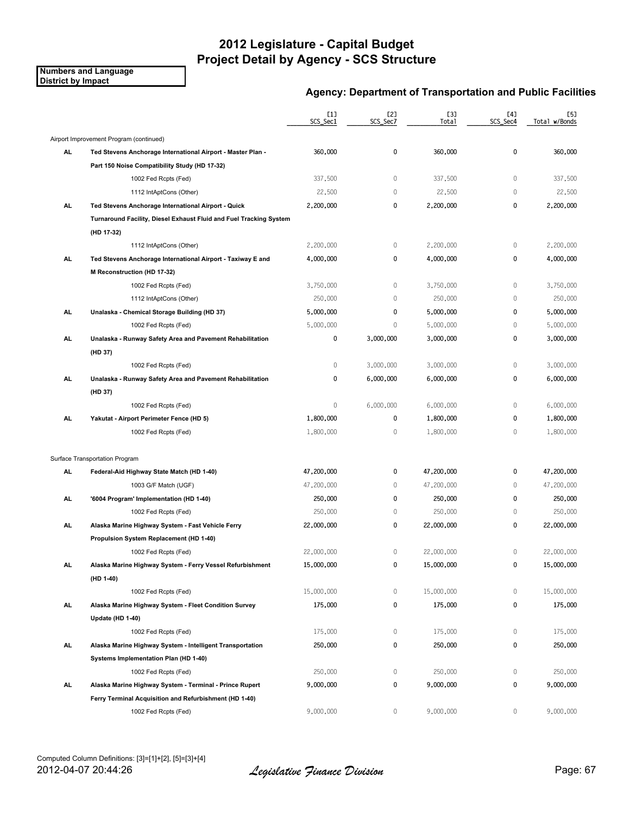**Numbers and Language District by Impact**

|           |                                                                    | [1]<br>SCS_Sec1 | [2]<br>SCS_Sec7 | [3]<br>Total | [4]<br>SCS_Sec4 | [5]<br>Total w/Bonds |
|-----------|--------------------------------------------------------------------|-----------------|-----------------|--------------|-----------------|----------------------|
|           | Airport Improvement Program (continued)                            |                 |                 |              |                 |                      |
| AL        | Ted Stevens Anchorage International Airport - Master Plan -        | 360,000         | 0               | 360,000      | 0               | 360,000              |
|           | Part 150 Noise Compatibility Study (HD 17-32)                      |                 |                 |              |                 |                      |
|           | 1002 Fed Rcpts (Fed)                                               | 337,500         | $\mathbb O$     | 337,500      | $\mathbb O$     | 337,500              |
|           | 1112 IntAptCons (Other)                                            | 22,500          | $\mathbb O$     | 22,500       | $\mathbb O$     | 22,500               |
| AL        | Ted Stevens Anchorage International Airport - Quick                | 2,200,000       | 0               | 2,200,000    | 0               | 2,200,000            |
|           | Turnaround Facility, Diesel Exhaust Fluid and Fuel Tracking System |                 |                 |              |                 |                      |
|           | (HD 17-32)                                                         |                 |                 |              |                 |                      |
|           | 1112 IntAptCons (Other)                                            | 2,200,000       | 0               | 2,200,000    | $\mathbf 0$     | 2,200,000            |
| AL        | Ted Stevens Anchorage International Airport - Taxiway E and        | 4,000,000       | 0               | 4,000,000    | 0               | 4,000,000            |
|           | M Reconstruction (HD 17-32)                                        |                 |                 |              |                 |                      |
|           | 1002 Fed Rcpts (Fed)                                               | 3,750,000       | $\mathbb O$     | 3,750,000    | $\mathbf 0$     | 3,750,000            |
|           | 1112 IntAptCons (Other)                                            | 250,000         | $\mathbb O$     | 250,000      | $\mathbb O$     | 250,000              |
| AL        | Unalaska - Chemical Storage Building (HD 37)                       | 5,000,000       | 0               | 5,000,000    | 0               | 5,000,000            |
|           | 1002 Fed Rcpts (Fed)                                               | 5,000,000       | $\mathbf 0$     | 5,000,000    | $\mathbf 0$     | 5,000,000            |
| AL        | Unalaska - Runway Safety Area and Pavement Rehabilitation          | 0               | 3,000,000       | 3,000,000    | 0               | 3,000,000            |
|           | (HD 37)                                                            |                 |                 |              |                 |                      |
|           | 1002 Fed Rcpts (Fed)                                               | 0               | 3,000,000       | 3,000,000    | $\mathbb O$     | 3,000,000            |
| AL        | Unalaska - Runway Safety Area and Pavement Rehabilitation          | 0               | 6,000,000       | 6,000,000    | 0               | 6,000,000            |
|           | (HD 37)                                                            |                 |                 |              |                 |                      |
|           | 1002 Fed Rcpts (Fed)                                               | 0               | 6,000,000       | 6,000,000    | $\mathbf 0$     | 6,000,000            |
| <b>AL</b> | Yakutat - Airport Perimeter Fence (HD 5)                           | 1,800,000       | 0               | 1,800,000    | 0               | 1,800,000            |
|           | 1002 Fed Rcpts (Fed)                                               | 1,800,000       | $\,0\,$         | 1,800,000    | $\mathbb O$     | 1,800,000            |
|           | Surface Transportation Program                                     |                 |                 |              |                 |                      |
| AL        | Federal Aid Highway State Match (HD 1-40)                          | 47,200,000      | 0               | 47,200,000   | 0               | 47,200,000           |
|           | 1003 G/F Match (UGF)                                               | 47,200,000      | 0               | 47,200,000   | $\mathbf 0$     | 47,200,000           |
| AL        | '6004 Program' Implementation (HD 1-40)                            | 250,000         | 0               | 250,000      | 0               | 250,000              |
|           | 1002 Fed Rcpts (Fed)                                               | 250,000         | $\,0\,$         | 250,000      | $\mathbb O$     | 250,000              |
| AL.       | Alaska Marine Highway System - Fast Vehicle Ferry                  | 22,000,000      | 0               | 22,000,000   | 0               | 22,000,000           |
|           | Propulsion System Replacement (HD 1-40)                            |                 |                 |              |                 |                      |
|           | 1002 Fed Rcpts (Fed)                                               | 22,000,000      | 0               | 22,000,000   | $\mathbf 0$     | 22,000,000           |
| <u>AL</u> | Alaska Marine Highway System - Ferry Vessel Refurbishment          | 15,000,000      | 0               | 15,000,000   | 0               | 15,000,000           |
|           | (HD 1-40)                                                          |                 |                 |              |                 |                      |
|           | 1002 Fed Rcpts (Fed)                                               | 15,000,000      | $\mathbb O$     | 15,000,000   | $\mathbb O$     | 15,000,000           |
| AL.       | Alaska Marine Highway System - Fleet Condition Survey              | 175,000         | 0               | 175,000      | 0               | 175,000              |
|           | Update (HD 1-40)                                                   |                 |                 |              |                 |                      |
|           | 1002 Fed Rcpts (Fed)                                               | 175,000         | $\mathbb O$     | 175,000      | $\mathbb O$     | 175,000              |
| <b>AL</b> | Alaska Marine Highway System - Intelligent Transportation          | 250,000         | 0               | 250,000      | 0               | 250,000              |
|           | Systems Implementation Plan (HD 1-40)                              |                 |                 |              |                 |                      |
|           | 1002 Fed Rcpts (Fed)                                               | 250,000         | $\mathbb O$     | 250,000      | $\mathbb O$     | 250,000              |
| <b>AL</b> | Alaska Marine Highway System - Terminal - Prince Rupert            | 9,000,000       | 0               | 9,000,000    | 0               | 9,000,000            |
|           | Ferry Terminal Acquisition and Refurbishment (HD 1-40)             |                 |                 |              |                 |                      |
|           | 1002 Fed Rcpts (Fed)                                               | 9,000,000       | 0               | 9,000,000    | $\mathbf{0}$    | 9,000,000            |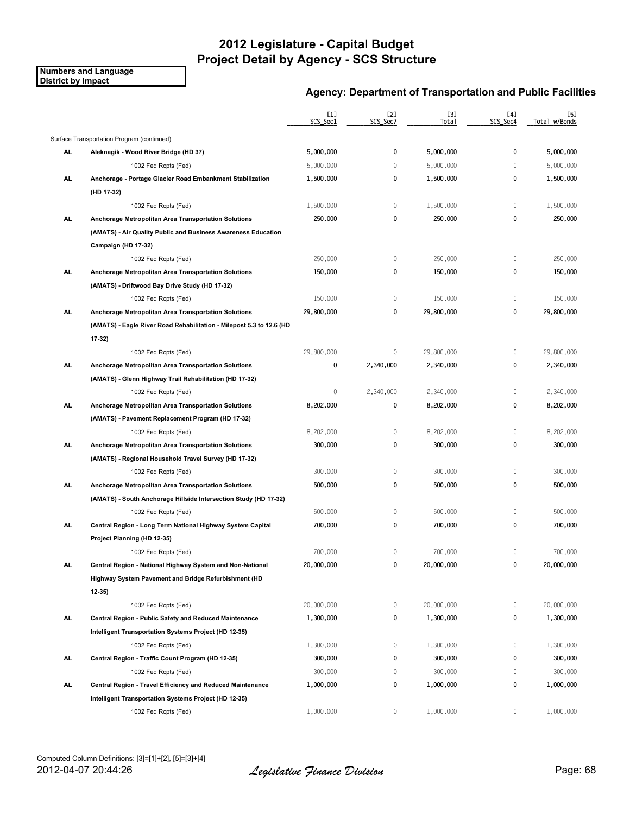**Numbers and Language District by Impact**

|           |                                                                      | [1]<br>SCS_Sec1 | [2]<br>SCS Sec7 | [3]<br>Total | [4]<br>SCS_Sec4 | [5]<br>Total w/Bonds |
|-----------|----------------------------------------------------------------------|-----------------|-----------------|--------------|-----------------|----------------------|
|           | Surface Transportation Program (continued)                           |                 |                 |              |                 |                      |
| AL        | Aleknagik - Wood River Bridge (HD 37)                                | 5,000,000       | 0               | 5,000,000    | 0               | 5,000,000            |
|           | 1002 Fed Rcpts (Fed)                                                 | 5,000,000       | $\mathbf 0$     | 5,000,000    | 0               | 5,000,000            |
| AL        | Anchorage - Portage Glacier Road Embankment Stabilization            | 1,500,000       | 0               | 1,500,000    | 0               | 1,500,000            |
|           | (HD 17-32)                                                           |                 |                 |              |                 |                      |
|           | 1002 Fed Rcpts (Fed)                                                 | 1,500,000       | 0               | 1,500,000    | 0               | 1,500,000            |
| AL.       | Anchorage Metropolitan Area Transportation Solutions                 | 250,000         | 0               | 250,000      | $\mathbf 0$     | 250,000              |
|           | (AMATS) - Air Quality Public and Business Awareness Education        |                 |                 |              |                 |                      |
|           | Campaign (HD 17-32)                                                  |                 |                 |              |                 |                      |
|           | 1002 Fed Rcpts (Fed)                                                 | 250,000         | $\,0\,$         | 250,000      | $\mathbb O$     | 250,000              |
| AL.       | Anchorage Metropolitan Area Transportation Solutions                 | 150,000         | 0               | 150,000      | 0               | 150,000              |
|           | (AMATS) - Driftwood Bay Drive Study (HD 17-32)                       |                 |                 |              |                 |                      |
|           | 1002 Fed Rcpts (Fed)                                                 | 150,000         | $\mathbb O$     | 150,000      | $\mathbb O$     | 150,000              |
| AL.       | Anchorage Metropolitan Area Transportation Solutions                 | 29,800,000      | 0               | 29,800,000   | 0               | 29,800,000           |
|           | (AMATS) - Eagle River Road Rehabilitation - Milepost 5.3 to 12.6 (HD |                 |                 |              |                 |                      |
|           | 17 32)                                                               |                 |                 |              |                 |                      |
|           | 1002 Fed Rcpts (Fed)                                                 | 29,800,000      | 0               | 29,800,000   | 0               | 29,800,000           |
| AL        | Anchorage Metropolitan Area Transportation Solutions                 | 0               | 2,340,000       | 2,340,000    | 0               | 2,340,000            |
|           | (AMATS) - Glenn Highway Trail Rehabilitation (HD 17-32)              |                 |                 |              |                 |                      |
|           | 1002 Fed Rcpts (Fed)                                                 | 0               | 2,340,000       | 2,340,000    | 0               | 2,340,000            |
| AL.       | Anchorage Metropolitan Area Transportation Solutions                 | 8,202,000       | 0               | 8,202,000    | 0               | 8,202,000            |
|           | (AMATS) - Pavement Replacement Program (HD 17-32)                    |                 |                 |              |                 |                      |
|           | 1002 Fed Rcpts (Fed)                                                 | 8,202,000       | $\mathbb O$     | 8,202,000    | 0               | 8,202,000            |
| AL.       | Anchorage Metropolitan Area Transportation Solutions                 | 300,000         | 0               | 300,000      | 0               | 300,000              |
|           | (AMATS) Regional Household Travel Survey (HD 17-32)                  |                 |                 |              |                 |                      |
|           | 1002 Fed Rcpts (Fed)                                                 | 300,000         | $\mathbb O$     | 300,000      | 0               | 300,000              |
| AL        | Anchorage Metropolitan Area Transportation Solutions                 | 500,000         | 0               | 500,000      | 0               | 500,000              |
|           | (AMATS) South Anchorage Hillside Intersection Study (HD 17-32)       |                 |                 |              |                 |                      |
|           | 1002 Fed Rcpts (Fed)                                                 | 500,000         | $\,0\,$         | 500,000      | $\mathbf 0$     | 500,000              |
| AL.       | Central Region - Long Term National Highway System Capital           | 700,000         | 0               | 700,000      | 0               | 700,000              |
|           | Project Planning (HD 12-35)                                          |                 |                 |              |                 |                      |
|           | 1002 Fed Rcpts (Fed)                                                 | 700,000         | 0               | 700,000      | 0               | 700,000              |
| AL.       | Central Region - National Highway System and Non-National            | 20,000,000      | 0               | 20,000,000   | 0               | 20,000,000           |
|           | Highway System Pavement and Bridge Refurbishment (HD                 |                 |                 |              |                 |                      |
|           | $12-35$                                                              |                 |                 |              |                 |                      |
|           | 1002 Fed Rcpts (Fed)                                                 | 20,000,000      | 0               | 20,000,000   | 0               | 20,000,000           |
| <b>AL</b> | Central Region - Public Safety and Reduced Maintenance               | 1,300,000       | 0               | 1,300,000    | 0               | 1,300,000            |
|           | Intelligent Transportation Systems Project (HD 12-35)                |                 |                 |              |                 |                      |
|           | 1002 Fed Rcpts (Fed)                                                 | 1,300,000       | 0               | 1,300,000    | 0               | 1,300,000            |
| AL.       | Central Region - Traffic Count Program (HD 12-35)                    | 300,000         | 0               | 300,000      | 0               | 300,000              |
|           | 1002 Fed Rcpts (Fed)                                                 | 300,000         | 0               | 300,000      | 0               | 300,000              |
| AL.       | Central Region - Travel Efficiency and Reduced Maintenance           | 1,000,000       | 0               | 1,000,000    | 0               | 1,000,000            |
|           | Intelligent Transportation Systems Project (HD 12-35)                |                 |                 |              |                 |                      |
|           | 1002 Fed Rcpts (Fed)                                                 | 1,000,000       | 0               | 1,000,000    | 0               | 1,000,000            |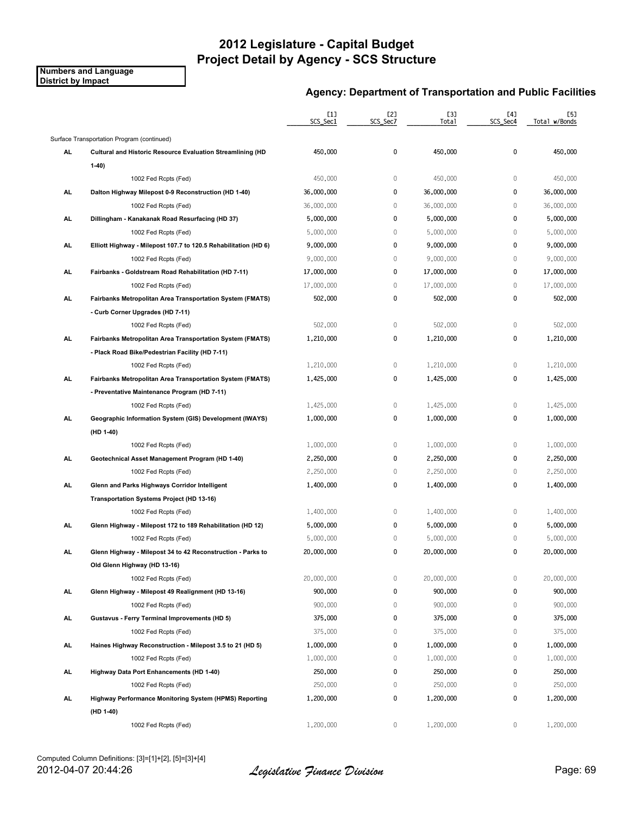**Numbers and Language District by Impact**

|           |                                                                  | [1]<br>SCS_Sec1 | [2]<br>SCS_Sec7 | [3]<br><b>Total</b> | [4]<br>SCS_Sec4 | [5]<br>Total w/Bonds |
|-----------|------------------------------------------------------------------|-----------------|-----------------|---------------------|-----------------|----------------------|
|           | Surface Transportation Program (continued)                       |                 |                 |                     |                 |                      |
| AL        | Cultural and Historic Resource Evaluation Streamlining (HD       | 450,000         | 0               | 450,000             | 0               | 450,000              |
|           | $1-40$                                                           |                 |                 |                     |                 |                      |
|           | 1002 Fed Rcpts (Fed)                                             | 450,000         | $\mathbb O$     | 450,000             | $\mathbf 0$     | 450,000              |
| AL        | Dalton Highway Milepost 0-9 Reconstruction (HD 1-40)             | 36,000,000      | 0               | 36,000,000          | $\mathbf 0$     | 36,000,000           |
|           | 1002 Fed Rcpts (Fed)                                             | 36,000,000      | 0               | 36,000,000          | $\mathbf 0$     | 36,000,000           |
| AL        | Dillingham - Kanakanak Road Resurfacing (HD 37)                  | 5,000,000       | 0               | 5,000,000           | 0               | 5,000,000            |
|           | 1002 Fed Rcpts (Fed)                                             | 5,000,000       | $\mathbb O$     | 5,000,000           | $\mathbf 0$     | 5,000,000            |
| <b>AL</b> | Elliott Highway - Milepost 107.7 to 120.5 Rehabilitation (HD 6)  | 9,000,000       | 0               | 9,000,000           | 0               | 9,000,000            |
|           | 1002 Fed Rcpts (Fed)                                             | 9,000,000       | $\mathbb O$     | 9,000,000           | $\mathbb O$     | 9,000,000            |
| AL.       | Fairbanks - Goldstream Road Rehabilitation (HD 7-11)             | 17,000,000      | 0               | 17,000,000          | $\pmb{0}$       | 17,000,000           |
|           | 1002 Fed Rcpts (Fed)                                             | 17,000,000      | $\mathbb O$     | 17,000,000          | $\mathbb O$     | 17,000,000           |
| AL.       | <b>Fairbanks Metropolitan Area Transportation System (FMATS)</b> | 502,000         | 0               | 502,000             | $\pmb{0}$       | 502,000              |
|           | - Curb Corner Upgrades (HD 7-11)                                 |                 |                 |                     |                 |                      |
|           | 1002 Fed Rcpts (Fed)                                             | 502,000         | $\mathbb O$     | 502,000             | $\mathbb O$     | 502,000              |
| AL        | Fairbanks Metropolitan Area Transportation System (FMATS)        | 1,210,000       | 0               | 1,210,000           | 0               | 1,210,000            |
|           | - Plack Road Bike/Pedestrian Facility (HD 7-11)                  |                 |                 |                     |                 |                      |
|           | 1002 Fed Rcpts (Fed)                                             | 1,210,000       | 0               | 1,210,000           | $\mathbb O$     | 1,210,000            |
| AL.       | Fairbanks Metropolitan Area Transportation System (FMATS)        | 1,425,000       | 0               | 1,425,000           | 0               | 1,425,000            |
|           | - Preventative Maintenance Program (HD 7-11)                     |                 |                 |                     |                 |                      |
|           | 1002 Fed Rcpts (Fed)                                             | 1,425,000       | $\mathbb O$     | 1,425,000           | $\mathbf 0$     | 1,425,000            |
| <b>AL</b> | Geographic Information System (GIS) Development (IWAYS)          | 1,000,000       | 0               | 1,000,000           | 0               | 1,000,000            |
|           | (HD 1-40)                                                        |                 |                 |                     |                 |                      |
|           | 1002 Fed Rcpts (Fed)                                             | 1,000,000       | $\mathbb O$     | 1,000,000           | $\mathbb O$     | 1,000,000            |
| AL.       | Geotechnical Asset Management Program (HD 1-40)                  | 2,250,000       | 0               | 2,250,000           | 0               | 2,250,000            |
|           | 1002 Fed Rcpts (Fed)                                             | 2,250,000       | $\mathbb O$     | 2,250,000           | $\mathbf 0$     | 2,250,000            |
| AL        | Glenn and Parks Highways Corridor Intelligent                    | 1,400,000       | 0               | 1,400,000           | 0               | 1,400,000            |
|           | Transportation Systems Project (HD 13-16)                        |                 |                 |                     |                 |                      |
|           | 1002 Fed Rcpts (Fed)                                             | 1,400,000       | 0               | 1,400,000           | $\mathbf 0$     | 1,400,000            |
| AL        | Glenn Highway - Milepost 172 to 189 Rehabilitation (HD 12)       | 5,000,000       | 0               | 5,000,000           | 0               | 5,000,000            |
|           | 1002 Fed Rcpts (Fed)                                             | 5,000,000       | 0               | 5,000,000           | $\mathbb O$     | 5,000,000            |
| AL        | Glenn Highway - Milepost 34 to 42 Reconstruction - Parks to      | 20,000,000      | 0               | 20,000,000          | 0               | 20,000,000           |
|           | Old Glenn Highway (HD 13-16)                                     |                 |                 |                     |                 |                      |
|           | 1002 Fed Rcpts (Fed)                                             | 20,000,000      | 0               | 20,000,000          | 0               | 20,000,000           |
| AL.       | Glenn Highway - Milepost 49 Realignment (HD 13-16)               | 900,000         | 0               | 900,000             | 0               | 900,000              |
|           | 1002 Fed Rcpts (Fed)                                             | 900,000         | $\,0\,$         | 900,000             | $\mathbb O$     | 900,000              |
| <b>AL</b> | <b>Gustavus - Ferry Terminal Improvements (HD 5)</b>             | 375,000         | 0               | 375,000             | 0               | 375,000              |
|           | 1002 Fed Rcpts (Fed)                                             | 375,000         | 0               | 375,000             | $\mathbb O$     | 375,000              |
| AL.       | Haines Highway Reconstruction - Milepost 3.5 to 21 (HD 5)        | 1,000,000       | 0               | 1,000,000           | 0               | 1,000,000            |
|           | 1002 Fed Rcpts (Fed)                                             | 1,000,000       | 0               | 1,000,000           | 0               | 1,000,000            |
| AL.       | Highway Data Port Enhancements (HD 1-40)                         | 250,000         | 0               | 250,000             | 0               | 250,000              |
|           | 1002 Fed Rcpts (Fed)                                             | 250,000         | $\mathbb O$     | 250,000             | 0               | 250,000              |
| AL.       | Highway Performance Monitoring System (HPMS) Reporting           | 1,200,000       | 0               | 1,200,000           | 0               | 1,200,000            |
|           | (HD 1-40)                                                        |                 |                 |                     |                 |                      |
|           | 1002 Fed Rcpts (Fed)                                             | 1,200,000       | 0               | 1,200,000           | 0               | 1,200,000            |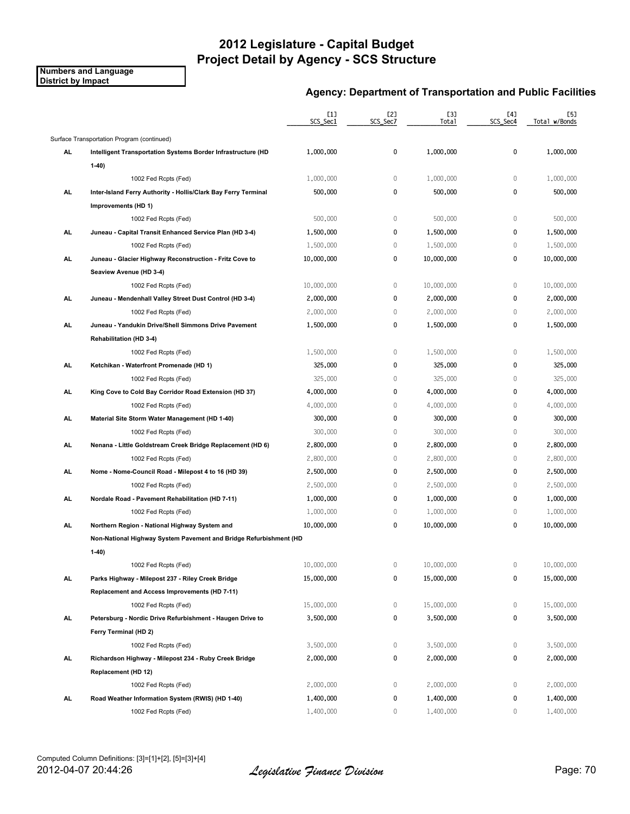**Numbers and Language District by Impact**

|           |                                                                               | $[1]$<br>SCS_Sec1 | [2]<br>SCS_Sec7 | [3]<br>Tota1 | [4]<br>SCS_Sec4 | [5]<br>Total w/Bonds |
|-----------|-------------------------------------------------------------------------------|-------------------|-----------------|--------------|-----------------|----------------------|
|           | Surface Transportation Program (continued)                                    |                   |                 |              |                 |                      |
| AL        | Intelligent Transportation Systems Border Infrastructure (HD                  | 1,000,000         | 0               | 1,000,000    | 0               | 1,000,000            |
|           | $1-40$                                                                        |                   |                 |              |                 |                      |
|           | 1002 Fed Rcpts (Fed)                                                          | 1,000,000         | 0               | 1,000,000    | $\mathbb O$     | 1,000,000            |
| AL        | Inter-Island Ferry Authority - Hollis/Clark Bay Ferry Terminal                | 500,000           | 0               | 500,000      | $\mathbf 0$     | 500,000              |
|           | Improvements (HD 1)                                                           |                   |                 |              |                 |                      |
|           | 1002 Fed Rcpts (Fed)                                                          | 500,000           | 0               | 500,000      | $\mathbf 0$     | 500,000              |
| AL        | Juneau - Capital Transit Enhanced Service Plan (HD 3-4)                       | 1,500,000         | 0               | 1,500,000    | 0               | 1,500,000            |
|           | 1002 Fed Rcpts (Fed)                                                          | 1,500,000         | 0               | 1,500,000    | $\mathbf 0$     | 1,500,000            |
| AL.       | Juneau - Glacier Highway Reconstruction - Fritz Cove to                       | 10,000,000        | 0               | 10,000,000   | 0               | 10,000,000           |
|           | Seaview Avenue (HD 3-4)                                                       |                   |                 |              |                 |                      |
|           | 1002 Fed Rcpts (Fed)                                                          | 10,000,000        | 0               | 10,000,000   | $\mathbb O$     | 10,000,000           |
| AL.       | Juneau - Mendenhall Valley Street Dust Control (HD 3-4)                       | 2,000,000         | 0               | 2,000,000    | 0               | 2,000,000            |
|           | 1002 Fed Rcpts (Fed)                                                          | 2,000,000         | $\mathbb O$     | 2,000,000    | $\mathbf 0$     | 2,000,000            |
| AL        | Juneau - Yandukin Drive/Shell Simmons Drive Pavement                          | 1,500,000         | 0               | 1,500,000    | 0               | 1,500,000            |
|           | <b>Rehabilitation (HD 3-4)</b>                                                |                   |                 |              |                 |                      |
|           | 1002 Fed Rcpts (Fed)                                                          | 1,500,000         | $\,0\,$         | 1,500,000    | $\mathbb O$     | 1,500,000            |
| AL        | Ketchikan - Waterfront Promenade (HD 1)                                       | 325,000           | 0               | 325,000      | 0               | 325,000              |
|           |                                                                               | 325,000           | 0               | 325,000      | $\mathbb O$     | 325,000              |
| AL.       | 1002 Fed Rcpts (Fed)<br>King Cove to Cold Bay Corridor Road Extension (HD 37) | 4,000,000         | 0               | 4,000,000    | 0               | 4,000,000            |
|           |                                                                               | 4,000,000         | 0               | 4,000,000    | $\mathbf 0$     | 4,000,000            |
|           | 1002 Fed Rcpts (Fed)                                                          |                   | 0               |              | 0               |                      |
| AL.       | Material Site Storm Water Management (HD 1-40)                                | 300,000           |                 | 300,000      |                 | 300,000              |
|           | 1002 Fed Rcpts (Fed)                                                          | 300,000           | $\mathbb O$     | 300,000      | $\mathbf 0$     | 300,000              |
| AL        | Nenana - Little Goldstream Creek Bridge Replacement (HD 6)                    | 2,800,000         | 0               | 2,800,000    | 0               | 2,800,000            |
|           | 1002 Fed Rcpts (Fed)                                                          | 2,800,000         | 0               | 2,800,000    | $\mathbb O$     | 2,800,000            |
| AL.       | Nome - Nome Council Road - Milepost 4 to 16 (HD 39)                           | 2,500,000         | 0               | 2,500,000    | 0               | 2,500,000            |
|           | 1002 Fed Rcpts (Fed)                                                          | 2,500,000         | $\mathbf 0$     | 2,500,000    | $\mathbf 0$     | 2,500,000            |
| AL        | Nordale Road - Pavement Rehabilitation (HD 7-11)                              | 1,000,000         | 0               | 1,000,000    | 0               | 1,000,000            |
|           | 1002 Fed Rcpts (Fed)                                                          | 1,000,000         | 0               | 1,000,000    | $\mathbf 0$     | 1,000,000            |
| AL        | Northern Region - National Highway System and                                 | 10,000,000        | 0               | 10,000,000   | 0               | 10,000,000           |
|           | Non-National Highway System Pavement and Bridge Refurbishment (HD             |                   |                 |              |                 |                      |
|           | $1-40)$                                                                       |                   |                 |              |                 |                      |
|           | 1002 Fed Rcpts (Fed)                                                          | 10,000,000        | 0               | 10,000,000   | 0               | 10,000,000           |
| <b>AL</b> | Parks Highway - Milepost 237 - Riley Creek Bridge                             | 15,000,000        | 0               | 15,000,000   | 0               | 15,000,000           |
|           | Replacement and Access Improvements (HD 7-11)                                 |                   |                 |              |                 |                      |
|           | 1002 Fed Rcpts (Fed)                                                          | 15,000,000        | $\mathbb O$     | 15,000,000   | $\mathbb O$     | 15,000,000           |
| AL.       | Petersburg - Nordic Drive Refurbishment - Haugen Drive to                     | 3,500,000         | 0               | 3,500,000    | 0               | 3,500,000            |
|           | Ferry Terminal (HD 2)                                                         |                   |                 |              |                 |                      |
|           | 1002 Fed Rcpts (Fed)                                                          | 3,500,000         | $\mathbb O$     | 3,500,000    | 0               | 3,500,000            |
| <b>AL</b> | Richardson Highway - Milepost 234 - Ruby Creek Bridge                         | 2,000,000         | 0               | 2,000,000    | 0               | 2,000,000            |
|           | Replacement (HD 12)                                                           |                   |                 |              |                 |                      |
|           | 1002 Fed Rcpts (Fed)                                                          | 2,000,000         | $\mathbb O$     | 2,000,000    | $\mathbb O$     | 2,000,000            |
| AL.       | Road Weather Information System (RWIS) (HD 1-40)                              | 1,400,000         | 0               | 1,400,000    | 0               | 1,400,000            |
|           | 1002 Fed Rcpts (Fed)                                                          | 1,400,000         | 0               | 1,400,000    | 0               | 1,400,000            |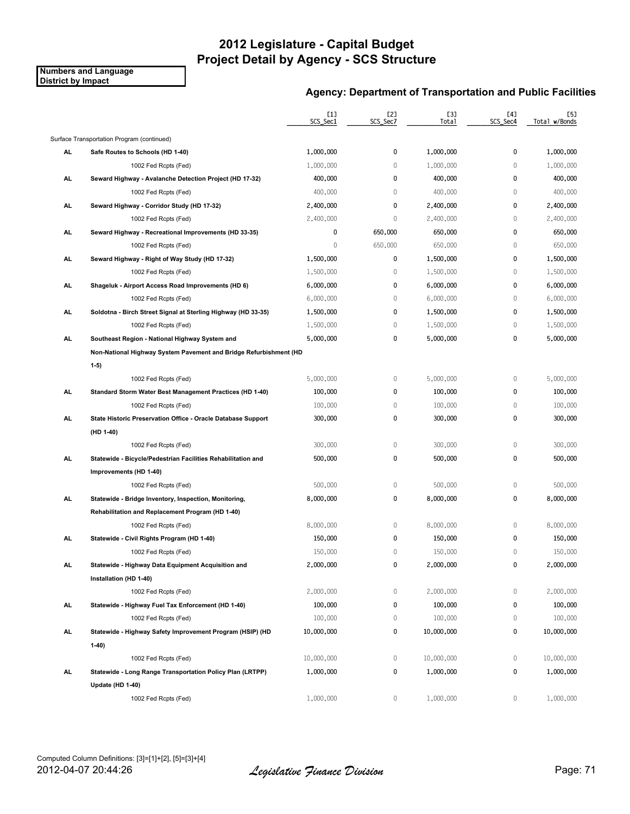**Numbers and Language District by Impact**

|           |                                                                   | [1]<br>SCS Sec1 | [2]<br>SCS Sec7 | [3]<br>Total | [4]<br>SCS_Sec4 | [5]<br>Total w/Bonds |
|-----------|-------------------------------------------------------------------|-----------------|-----------------|--------------|-----------------|----------------------|
|           | Surface Transportation Program (continued)                        |                 |                 |              |                 |                      |
| AL        | Safe Routes to Schools (HD 1-40)                                  | 1,000,000       | 0               | 1,000,000    | 0               | 1,000,000            |
|           | 1002 Fed Rcpts (Fed)                                              | 1,000,000       | $\mathbb O$     | 1,000,000    | $\mathbf 0$     | 1,000,000            |
| AL        | Seward Highway - Avalanche Detection Project (HD 17-32)           | 400,000         | 0               | 400,000      | 0               | 400,000              |
|           | 1002 Fed Rcpts (Fed)                                              | 400,000         | $\mathbf 0$     | 400,000      | $\mathbf 0$     | 400,000              |
| AL        | Seward Highway - Corridor Study (HD 17-32)                        | 2,400,000       | 0               | 2,400,000    | 0               | 2,400,000            |
|           | 1002 Fed Rcpts (Fed)                                              | 2,400,000       | $\mathbb O$     | 2,400,000    | 0               | 2,400,000            |
| AL.       | Seward Highway - Recreational Improvements (HD 33-35)             | 0               | 650,000         | 650,000      | $\mathbf 0$     | 650,000              |
|           | 1002 Fed Rcpts (Fed)                                              | 0               | 650,000         | 650,000      | 0               | 650,000              |
| AL        | Seward Highway - Right of Way Study (HD 17-32)                    | 1,500,000       | 0               | 1,500,000    | 0               | 1,500,000            |
|           | 1002 Fed Rcpts (Fed)                                              | 1,500,000       | $\mathbb O$     | 1,500,000    | $\mathbf 0$     | 1,500,000            |
| AL.       | Shageluk - Airport Access Road Improvements (HD 6)                | 6,000,000       | 0               | 6,000,000    | 0               | 6,000,000            |
|           | 1002 Fed Rcpts (Fed)                                              | 6,000,000       | $\mathbb O$     | 6,000,000    | 0               | 6,000,000            |
| AL        | Soldotna - Birch Street Signal at Sterling Highway (HD 33-35)     | 1,500,000       | 0               | 1,500,000    | $\mathbf 0$     | 1,500,000            |
|           | 1002 Fed Rcpts (Fed)                                              | 1,500,000       | $\mathbf 0$     | 1,500,000    | 0               | 1,500,000            |
| AL        | Southeast Region - National Highway System and                    | 5,000,000       | 0               | 5,000,000    | 0               | 5,000,000            |
|           | Non-National Highway System Pavement and Bridge Refurbishment (HD |                 |                 |              |                 |                      |
|           | $1-5)$                                                            |                 |                 |              |                 |                      |
|           | 1002 Fed Rcpts (Fed)                                              | 5,000,000       | 0               | 5,000,000    | 0               | 5,000,000            |
| <b>AL</b> | Standard Storm Water Best Management Practices (HD 1-40)          | 100,000         | 0               | 100,000      | 0               | 100,000              |
|           | 1002 Fed Rcpts (Fed)                                              | 100,000         | 0               | 100,000      | 0               | 100,000              |
| AL.       | State Historic Preservation Office - Oracle Database Support      | 300,000         | 0               | 300,000      | 0               | 300,000              |
|           | (HD 1-40)                                                         |                 |                 |              |                 |                      |
|           | 1002 Fed Rcpts (Fed)                                              | 300,000         | $\mathbb O$     | 300,000      | $\mathbf 0$     | 300,000              |
| AL        | Statewide - Bicycle/Pedestrian Facilities Rehabilitation and      | 500,000         | 0               | 500,000      | 0               | 500,000              |
|           | Improvements (HD 1-40)                                            |                 |                 |              |                 |                      |
|           | 1002 Fed Rcpts (Fed)                                              | 500,000         | $\mathbb O$     | 500,000      | $\mathbf 0$     | 500,000              |
| AL        | Statewide - Bridge Inventory, Inspection, Monitoring,             | 8,000,000       | 0               | 8,000,000    | 0               | 8,000,000            |
|           | Rehabilitation and Replacement Program (HD 1-40)                  |                 |                 |              |                 |                      |
|           | 1002 Fed Rcpts (Fed)                                              | 8,000,000       | 0               | 8,000,000    | 0               | 8,000,000            |
| AL        | Statewide - Civil Rights Program (HD 1-40)                        | 150,000         | 0               | 150,000      | 0               | 150,000              |
|           | 1002 Fed Rcpts (Fed)                                              | 150,000         | 0               | 150,000      | 0               | 150,000              |
| AL.       | Statewide - Highway Data Equipment Acquisition and                | 2,000,000       | 0               | 2,000,000    | 0               | 2,000,000            |
|           | Installation (HD 1-40)                                            |                 |                 |              |                 |                      |
|           | 1002 Fed Rcpts (Fed)                                              | 2,000,000       | 0               | 2,000,000    | 0               | 2,000,000            |
| AL.       | Statewide - Highway Fuel Tax Enforcement (HD 1-40)                | 100,000         | 0               | 100,000      | 0               | 100,000              |
|           | 1002 Fed Rcpts (Fed)                                              | 100,000         | 0               | 100,000      | 0               | 100,000              |
| AL.       | Statewide - Highway Safety Improvement Program (HSIP) (HD         | 10,000,000      | 0               | 10,000,000   | 0               | 10,000,000           |
|           | $1-40$                                                            |                 |                 |              |                 |                      |
|           | 1002 Fed Rcpts (Fed)                                              | 10,000,000      | 0               | 10,000,000   | 0               | 10,000,000           |
| AL.       | Statewide - Long Range Transportation Policy Plan (LRTPP)         | 1,000,000       | 0               | 1,000,000    | 0               | 1,000,000            |
|           | Update (HD 1-40)                                                  |                 |                 |              |                 |                      |
|           | 1002 Fed Rcpts (Fed)                                              | 1,000,000       | 0               | 1,000,000    | 0               | 1,000,000            |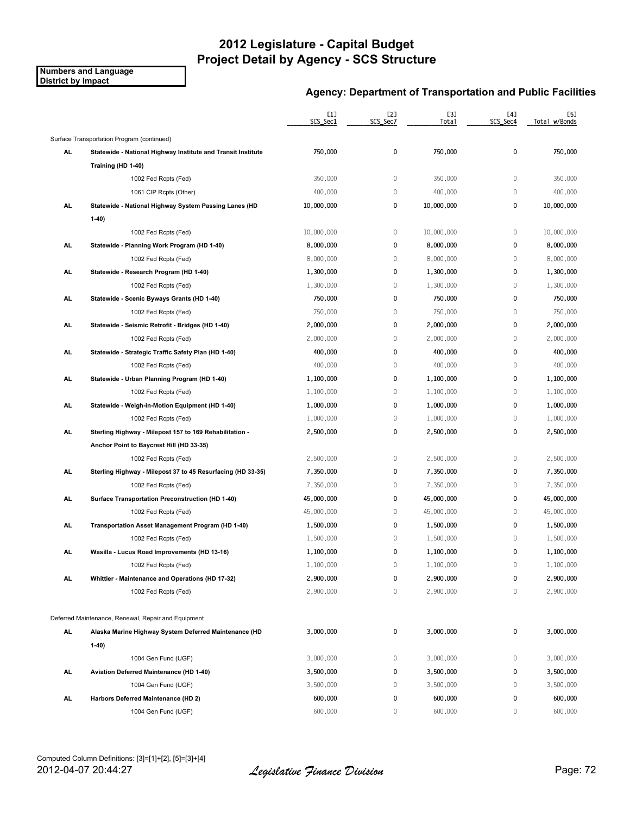**Numbers and Language District by Impact**

|     |                                                              | $[1]$<br>SCS_Sec1 | [2]<br>SCS_Sec7 | [3]<br><b>Total</b> | [4]<br>SCS_Sec4 | [5]<br>Total w/Bonds |
|-----|--------------------------------------------------------------|-------------------|-----------------|---------------------|-----------------|----------------------|
|     | Surface Transportation Program (continued)                   |                   |                 |                     |                 |                      |
| AL  | Statewide - National Highway Institute and Transit Institute | 750,000           | 0               | 750,000             | 0               | 750,000              |
|     | Training (HD 1-40)                                           |                   |                 |                     |                 |                      |
|     | 1002 Fed Rcpts (Fed)                                         | 350,000           | $\,0\,$         | 350,000             | $\mathbb O$     | 350,000              |
|     | 1061 CIP Rcpts (Other)                                       | 400,000           | $\,0\,$         | 400,000             | $\mathbb O$     | 400,000              |
| AL  | Statewide - National Highway System Passing Lanes (HD        | 10,000,000        | 0               | 10,000,000          | 0               | 10,000,000           |
|     | $1-40)$                                                      |                   |                 |                     |                 |                      |
|     | 1002 Fed Rcpts (Fed)                                         | 10,000,000        | 0               | 10,000,000          | $\mathbb O$     | 10,000,000           |
| AL. | Statewide - Planning Work Program (HD 1-40)                  | 8,000,000         | 0               | 8,000,000           | $\mathbf 0$     | 8,000,000            |
|     | 1002 Fed Rcpts (Fed)                                         | 8,000,000         | $\,0\,$         | 8,000,000           | $\mathbb O$     | 8,000,000            |
| AL. | Statewide - Research Program (HD 1-40)                       | 1,300,000         | 0               | 1,300,000           | 0               | 1,300,000            |
|     | 1002 Fed Rcpts (Fed)                                         | 1,300,000         | $\,0\,$         | 1,300,000           | $\mathbb O$     | 1,300,000            |
| AL. | Statewide - Scenic Byways Grants (HD 1-40)                   | 750,000           | 0               | 750,000             | 0               | 750,000              |
|     | 1002 Fed Rcpts (Fed)                                         | 750,000           | $\mathbb O$     | 750,000             | $\mathbf 0$     | 750,000              |
| AL. | Statewide - Seismic Retrofit - Bridges (HD 1-40)             | 2,000,000         | 0               | 2,000,000           | $\pmb{0}$       | 2,000,000            |
|     | 1002 Fed Rcpts (Fed)                                         | 2,000,000         | $\mathbb O$     | 2,000,000           | $\mathbb O$     | 2,000,000            |
| AL. | Statewide - Strategic Traffic Safety Plan (HD 1-40)          | 400,000           | 0               | 400,000             | 0               | 400,000              |
|     | 1002 Fed Rcpts (Fed)                                         | 400,000           | $\,0\,$         | 400,000             | $\mathbb O$     | 400,000              |
| AL. | Statewide - Urban Planning Program (HD 1-40)                 | 1,100,000         | 0               | 1,100,000           | 0               | 1,100,000            |
|     | 1002 Fed Rcpts (Fed)                                         | 1,100,000         | $\mathbb O$     | 1,100,000           | $\mathbf 0$     | 1,100,000            |
| AL. | Statewide - Weigh-in-Motion Equipment (HD 1-40)              | 1,000,000         | 0               | 1,000,000           | $\pmb{0}$       | 1,000,000            |
|     | 1002 Fed Rcpts (Fed)                                         | 1,000,000         | $\mathbb O$     | 1,000,000           | $\mathbb O$     | 1,000,000            |
| AL. | Sterling Highway - Milepost 157 to 169 Rehabilitation -      | 2,500,000         | 0               | 2,500,000           | $\pmb{0}$       | 2,500,000            |
|     | Anchor Point to Baycrest Hill (HD 33-35)                     |                   |                 |                     |                 |                      |
|     | 1002 Fed Rcpts (Fed)                                         | 2,500,000         | $\mathbb O$     | 2,500,000           | $\mathbb O$     | 2,500,000            |
| AL  | Sterling Highway - Milepost 37 to 45 Resurfacing (HD 33-35)  | 7,350,000         | 0               | 7,350,000           | 0               | 7,350,000            |
|     | 1002 Fed Rcpts (Fed)                                         | 7,350,000         | 0               | 7,350,000           | $\mathbf 0$     | 7,350,000            |
| AL  | Surface Transportation Preconstruction (HD 1-40)             | 45,000,000        | 0               | 45,000,000          | 0               | 45,000,000           |
|     | 1002 Fed Rcpts (Fed)                                         | 45,000,000        | $\,0\,$         | 45,000,000          | $\mathbb O$     | 45,000,000           |
| AL. | Transportation Asset Management Program (HD 1-40)            | 1,500,000         | 0               | 1,500,000           | 0               | 1,500,000            |
|     | 1002 Fed Rcpts (Fed)                                         | 1,500,000         | $\,0\,$         | 1,500,000           | $\mathbb O$     | 1,500,000            |
| AL  | Wasilla - Lucus Road Improvements (HD 13-16)                 | 1,100,000         | 0               | 1,100,000           | 0               | 1,100,000            |
|     | 1002 Fed Rcpts (Fed)                                         | 1,100,000         | 0               | 1,100,000           | 0               | 1,100,000            |
| AL. | Whittier - Maintenance and Operations (HD 17-32)             | 2,900,000         | 0               | 2,900,000           | 0               | 2,900,000            |
|     | 1002 Fed Rcpts (Fed)                                         | 2,900,000         | $\,0\,$         | 2,900,000           | $\mathbb O$     | 2,900,000            |
|     | Deferred Maintenance, Renewal, Repair and Equipment          |                   |                 |                     |                 |                      |
| AL  | Alaska Marine Highway System Deferred Maintenance (HD        | 3,000,000         | 0               | 3,000,000           | 0               | 3,000,000            |
|     | $1-40$                                                       |                   |                 |                     |                 |                      |
|     | 1004 Gen Fund (UGF)                                          | 3,000,000         | 0               | 3,000,000           | 0               | 3,000,000            |
| AL. | Aviation Deferred Maintenance (HD 1-40)                      | 3,500,000         | 0               | 3,500,000           | 0               | 3,500,000            |
|     | 1004 Gen Fund (UGF)                                          | 3,500,000         | 0               | 3,500,000           | $\mathbb O$     | 3,500,000            |
| AL. | Harbors Deferred Maintenance (HD 2)                          | 600,000           | 0               | 600,000             | 0               | 600,000              |
|     | 1004 Gen Fund (UGF)                                          | 600,000           | 0               | 600,000             | $\mathbf 0$     | 600,000              |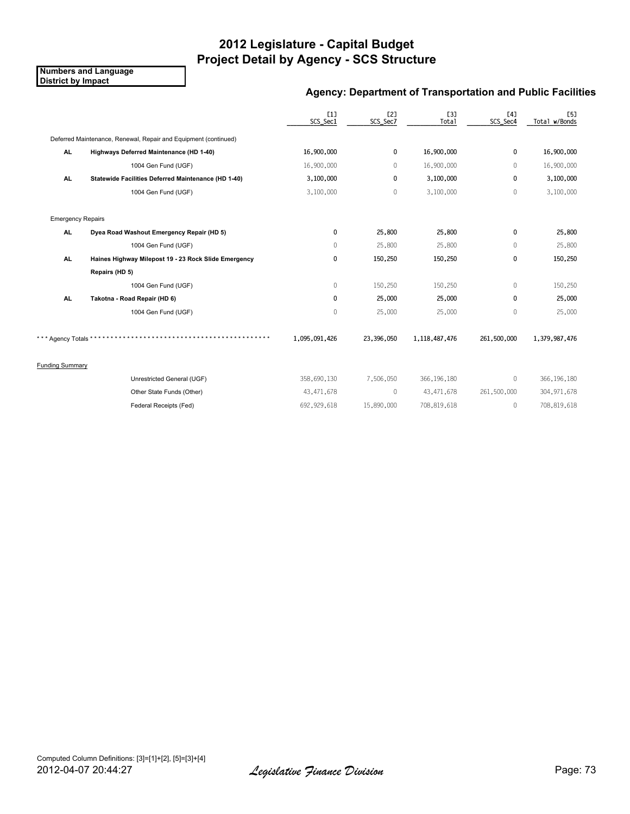**Numbers and Language District by Impact**

#### **Agency: Department of Transportation and Public Facilities**

|                          |                                                                 | [1]<br>SCS_Sec1 | E2]<br>SCS_Sec7 | <b>[3]</b><br>Total | [4]<br>SCS_Sec4 | [5]<br>Total w/Bonds |
|--------------------------|-----------------------------------------------------------------|-----------------|-----------------|---------------------|-----------------|----------------------|
|                          | Deferred Maintenance, Renewal, Repair and Equipment (continued) |                 |                 |                     |                 |                      |
| AL.                      | Highways Deferred Maintenance (HD 1-40)                         | 16,900,000      | 0               | 16,900,000          | 0               | 16,900,000           |
|                          | 1004 Gen Fund (UGF)                                             | 16,900,000      | $\mathbf{0}$    | 16,900,000          | $\mathbf 0$     | 16,900,000           |
| AL.                      | Statewide Facilities Deferred Maintenance (HD 1-40)             | 3,100,000       | 0               | 3,100,000           | 0               | 3,100,000            |
|                          | 1004 Gen Fund (UGF)                                             | 3,100,000       | $\Omega$        | 3,100,000           | $\mathbf{0}$    | 3,100,000            |
| <b>Emergency Repairs</b> |                                                                 |                 |                 |                     |                 |                      |
| AL.                      | Dyea Road Washout Emergency Repair (HD 5)                       | 0               | 25,800          | 25,800              | 0               | 25,800               |
|                          | 1004 Gen Fund (UGF)                                             | $\mathbf{0}$    | 25,800          | 25,800              | $\mathbf{0}$    | 25,800               |
| <b>AL</b>                | Haines Highway Milepost 19 - 23 Rock Slide Emergency            | 0               | 150,250         | 150,250             | 0               | 150,250              |
|                          | Repairs (HD 5)                                                  |                 |                 |                     |                 |                      |
|                          | 1004 Gen Fund (UGF)                                             | $\mathbf{0}$    | 150,250         | 150,250             | $\mathbf{0}$    | 150,250              |
| AL.                      | Takotna - Road Repair (HD 6)                                    | 0               | 25,000          | 25,000              | $\mathbf{0}$    | 25,000               |
|                          | 1004 Gen Fund (UGF)                                             | 0               | 25,000          | 25,000              | $\mathbf{0}$    | 25,000               |
| * Agency Totals *        |                                                                 | 1,095,091,426   | 23,396,050      | 1,118,487,476       | 261,500,000     | 1,379,987,476        |
| <b>Funding Summary</b>   |                                                                 |                 |                 |                     |                 |                      |
|                          | Unrestricted General (UGF)                                      | 358,690,130     | 7,506,050       | 366, 196, 180       | $\mathbf{0}$    | 366, 196, 180        |
|                          | Other State Funds (Other)                                       | 43,471,678      | $\mathbf{0}$    | 43,471,678          | 261,500,000     | 304, 971, 678        |
|                          | Federal Receipts (Fed)                                          | 692, 929, 618   | 15,890,000      | 708,819,618         | $\mathbf{0}$    | 708,819,618          |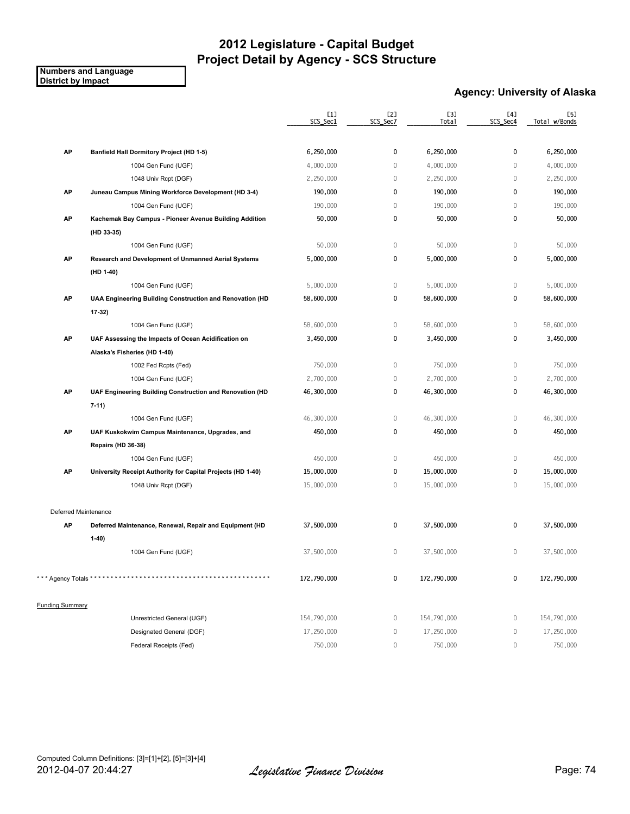**Numbers and Language District by Impact**

#### **Agency: University of Alaska**

|                        |                                                             | [1]<br>SCS_Sec1 | [2]<br>SCS_Sec7 | [3]<br>Total | [4]<br>SCS_Sec4 | [5]<br>Total w/Bonds |
|------------------------|-------------------------------------------------------------|-----------------|-----------------|--------------|-----------------|----------------------|
|                        |                                                             |                 |                 |              |                 |                      |
| AP                     | Banfield Hall Dormitory Project (HD 1-5)                    | 6,250,000       | 0               | 6,250,000    | 0               | 6,250,000            |
|                        | 1004 Gen Fund (UGF)                                         | 4,000,000       | $\mathbf 0$     | 4,000,000    | $\mathbf{0}$    | 4,000,000            |
|                        | 1048 Univ Rcpt (DGF)                                        | 2,250,000       | $\mathbf 0$     | 2,250,000    | $\mathbf{0}$    | 2,250,000            |
| AP                     | Juneau Campus Mining Workforce Development (HD 3-4)         | 190,000         | 0               | 190,000      | 0               | 190,000              |
|                        | 1004 Gen Fund (UGF)                                         | 190,000         | $\mathbf 0$     | 190,000      | $\mathbb O$     | 190,000              |
| AP                     | Kachemak Bay Campus - Pioneer Avenue Building Addition      | 50,000          | 0               | 50,000       | 0               | 50,000               |
|                        | (HD 33-35)                                                  |                 |                 |              |                 |                      |
|                        | 1004 Gen Fund (UGF)                                         | 50,000          | $\mathbb O$     | 50,000       | $\mathbb O$     | 50,000               |
| AP                     | Research and Development of Unmanned Aerial Systems         | 5,000,000       | 0               | 5,000,000    | 0               | 5,000,000            |
|                        | (HD 1-40)                                                   |                 |                 |              |                 |                      |
|                        | 1004 Gen Fund (UGF)                                         | 5,000,000       | $\mathbb O$     | 5,000,000    | $\mathbb O$     | 5,000,000            |
| AP                     | UAA Engineering Building Construction and Renovation (HD    | 58,600,000      | 0               | 58,600,000   | 0               | 58,600,000           |
|                        | 17-32)                                                      |                 |                 |              |                 |                      |
|                        | 1004 Gen Fund (UGF)                                         | 58,600,000      | $\mathbb O$     | 58,600,000   | $\mathbb O$     | 58,600,000           |
| AP                     | UAF Assessing the Impacts of Ocean Acidification on         | 3,450,000       | 0               | 3,450,000    | $\mathbf 0$     | 3,450,000            |
|                        | Alaska's Fisheries (HD 1-40)                                |                 |                 |              |                 |                      |
|                        | 1002 Fed Rcpts (Fed)                                        | 750,000         | $\mathbb O$     | 750,000      | $\mathbb O$     | 750,000              |
|                        | 1004 Gen Fund (UGF)                                         | 2,700,000       | $\mathbb O$     | 2,700,000    | $\mathbb O$     | 2,700,000            |
| AP                     | UAF Engineering Building Construction and Renovation (HD    | 46,300,000      | 0               | 46,300,000   | 0               | 46,300,000           |
|                        | $7-11$                                                      |                 |                 |              |                 |                      |
|                        | 1004 Gen Fund (UGF)                                         | 46,300,000      | $\mathbb O$     | 46,300,000   | $\mathbb O$     | 46,300,000           |
| AP                     | UAF Kuskokwim Campus Maintenance, Upgrades, and             | 450,000         | $\pmb{0}$       | 450,000      | $\mathbf 0$     | 450,000              |
|                        | <b>Repairs (HD 36-38)</b>                                   |                 |                 |              |                 |                      |
|                        | 1004 Gen Fund (UGF)                                         | 450,000         | $\mathbb O$     | 450,000      | $\mathbb O$     | 450,000              |
| AP                     | University Receipt Authority for Capital Projects (HD 1-40) | 15,000,000      | $\pmb{0}$       | 15,000,000   | 0               | 15,000,000           |
|                        | 1048 Univ Rcpt (DGF)                                        | 15,000,000      | 0               | 15,000,000   | $\mathbf 0$     | 15,000,000           |
| Deferred Maintenance   |                                                             |                 |                 |              |                 |                      |
| AP                     | Deferred Maintenance, Renewal, Repair and Equipment (HD     | 37,500,000      | 0               | 37,500,000   | 0               | 37,500,000           |
|                        | $1-40)$                                                     |                 |                 |              |                 |                      |
|                        | 1004 Gen Fund (UGF)                                         | 37,500,000      | $\mathbb O$     | 37,500,000   | $\mathbf 0$     | 37,500,000           |
|                        |                                                             |                 |                 |              |                 |                      |
| *** Agency Totals *    |                                                             | 172,790,000     | 0               | 172,790,000  | 0               | 172,790,000          |
| <b>Funding Summary</b> |                                                             |                 |                 |              |                 |                      |
|                        | Unrestricted General (UGF)                                  | 154,790,000     | $\,0\,$         | 154,790,000  | $\mathbb O$     | 154,790,000          |
|                        | Designated General (DGF)                                    | 17,250,000      | 0               | 17,250,000   | $\mathbb O$     | 17,250,000           |
|                        | Federal Receipts (Fed)                                      | 750,000         | 0               | 750,000      | $\mathbb O$     | 750,000              |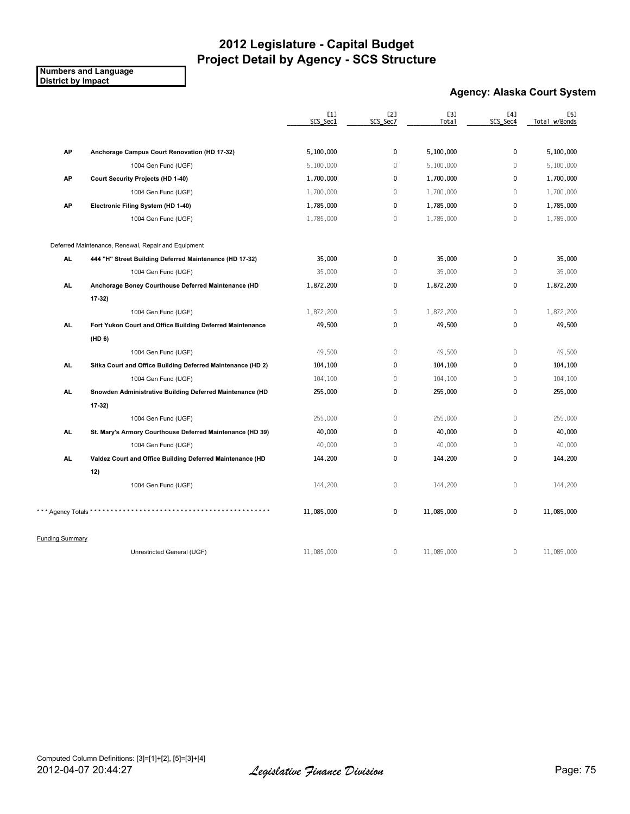**Numbers and Language District by Impact**

#### **Agency: Alaska Court System**

|                        |                                                             | [1]<br>SCS_Sec1 | [2]<br>SCS_Sec7 | [3]<br>Total | [4]<br>SCS_Sec4 | [5]<br>Total w/Bonds |
|------------------------|-------------------------------------------------------------|-----------------|-----------------|--------------|-----------------|----------------------|
|                        |                                                             |                 |                 |              |                 |                      |
| AP                     | Anchorage Campus Court Renovation (HD 17-32)                | 5,100,000       | $\mathbf 0$     | 5,100,000    | 0               | 5,100,000            |
|                        | 1004 Gen Fund (UGF)                                         | 5,100,000       | $\overline{0}$  | 5,100,000    | $\mathbb O$     | 5,100,000            |
| AP                     | <b>Court Security Projects (HD 1-40)</b>                    | 1,700,000       | 0               | 1,700,000    | 0               | 1,700,000            |
|                        | 1004 Gen Fund (UGF)                                         | 1,700,000       | $\overline{0}$  | 1,700,000    | $\mathbf{0}$    | 1,700,000            |
| AP                     | Electronic Filing System (HD 1-40)                          | 1,785,000       | 0               | 1,785,000    | $\mathbf 0$     | 1,785,000            |
|                        | 1004 Gen Fund (UGF)                                         | 1,785,000       | $\overline{0}$  | 1,785,000    | $\mathbb O$     | 1,785,000            |
|                        | Deferred Maintenance, Renewal, Repair and Equipment         |                 |                 |              |                 |                      |
| AL.                    | 444 "H" Street Building Deferred Maintenance (HD 17-32)     | 35,000          | 0               | 35,000       | $\mathbf 0$     | 35,000               |
|                        | 1004 Gen Fund (UGF)                                         | 35,000          | $\mathbf 0$     | 35,000       | $\mathbf{0}$    | 35,000               |
| AL.                    | Anchorage Boney Courthouse Deferred Maintenance (HD         | 1,872,200       | 0               | 1,872,200    | $\mathbf 0$     | 1,872,200            |
|                        | 17-32)                                                      |                 |                 |              |                 |                      |
|                        | 1004 Gen Fund (UGF)                                         | 1,872,200       | $\mathbf 0$     | 1,872,200    | $\mathbb O$     | 1,872,200            |
| AL.                    | Fort Yukon Court and Office Building Deferred Maintenance   | 49,500          | 0               | 49,500       | $\pmb{0}$       | 49,500               |
|                        | (HD <sub>6</sub> )                                          |                 |                 |              |                 |                      |
|                        | 1004 Gen Fund (UGF)                                         | 49,500          | $\mathbb O$     | 49,500       | $\mathbb O$     | 49,500               |
| AL.                    | Sitka Court and Office Building Deferred Maintenance (HD 2) | 104,100         | 0               | 104,100      | $\mathbf 0$     | 104,100              |
|                        | 1004 Gen Fund (UGF)                                         | 104,100         | $\mathbf 0$     | 104,100      | $\mathbb O$     | 104,100              |
| AL.                    | Snowden Administrative Building Deferred Maintenance (HD    | 255,000         | 0               | 255,000      | $\mathbf 0$     | 255,000              |
|                        | 17 32)                                                      |                 |                 |              |                 |                      |
|                        | 1004 Gen Fund (UGF)                                         | 255,000         | $\mathbf 0$     | 255,000      | $\mathbb O$     | 255,000              |
| AL.                    | St. Mary's Armory Courthouse Deferred Maintenance (HD 39)   | 40,000          | 0               | 40,000       | $\mathbf 0$     | 40,000               |
|                        | 1004 Gen Fund (UGF)                                         | 40,000          | $\mathbb O$     | 40,000       | $\mathbb O$     | 40,000               |
| AL.                    | Valdez Court and Office Building Deferred Maintenance (HD   | 144,200         | 0               | 144,200      | 0               | 144,200              |
|                        | 12)                                                         |                 |                 |              |                 |                      |
|                        | 1004 Gen Fund (UGF)                                         | 144,200         | $\mathbf 0$     | 144,200      | $\mathbf{0}$    | 144,200              |
| * Agency Totals * *    |                                                             | 11,085,000      | 0               | 11,085,000   | $\mathbf 0$     | 11,085,000           |
| <b>Funding Summary</b> |                                                             |                 |                 |              |                 |                      |
|                        | Unrestricted General (UGF)                                  | 11,085,000      | $\mathbb O$     | 11,085,000   | $\mathbb O$     | 11,085,000           |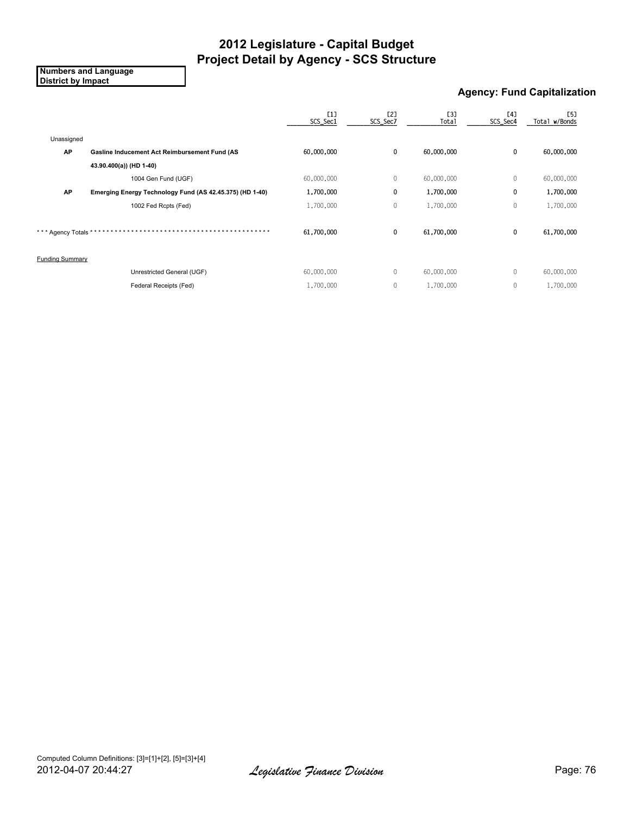**Numbers and Language District by Impact**

#### **Agency: Fund Capitalization**

|                        |                                                          | [1]<br>SCS_Sec1 | [2]<br>SCS_Sec7 | [3]<br><b>Total</b> | [4]<br>SCS_Sec4 | <b>[5]</b><br>Total w/Bonds |
|------------------------|----------------------------------------------------------|-----------------|-----------------|---------------------|-----------------|-----------------------------|
| Unassigned             |                                                          |                 |                 |                     |                 |                             |
| <b>AP</b>              | Gasline Inducement Act Reimbursement Fund (AS            | 60,000,000      | 0               | 60,000,000          | $\mathbf{0}$    | 60,000,000                  |
|                        | 43.90.400(a)) (HD 1-40)                                  |                 |                 |                     |                 |                             |
|                        | 1004 Gen Fund (UGF)                                      | 60,000,000      | 0               | 60,000,000          | 0               | 60,000,000                  |
| <b>AP</b>              | Emerging Energy Technology Fund (AS 42.45.375) (HD 1-40) | 1,700,000       | 0               | 1,700,000           | 0               | 1,700,000                   |
|                        | 1002 Fed Rcpts (Fed)                                     | 1,700,000       | 0               | 1,700,000           | 0               | 1,700,000                   |
| *** Agency Totals *    |                                                          | 61,700,000      | 0               | 61,700,000          | $\mathbf{0}$    | 61,700,000                  |
| <b>Funding Summary</b> |                                                          |                 |                 |                     |                 |                             |
|                        | Unrestricted General (UGF)                               | 60,000,000      | 0               | 60,000,000          | 0               | 60,000,000                  |
|                        | Federal Receipts (Fed)                                   | 1,700,000       | 0               | 1,700,000           | 0               | 1,700,000                   |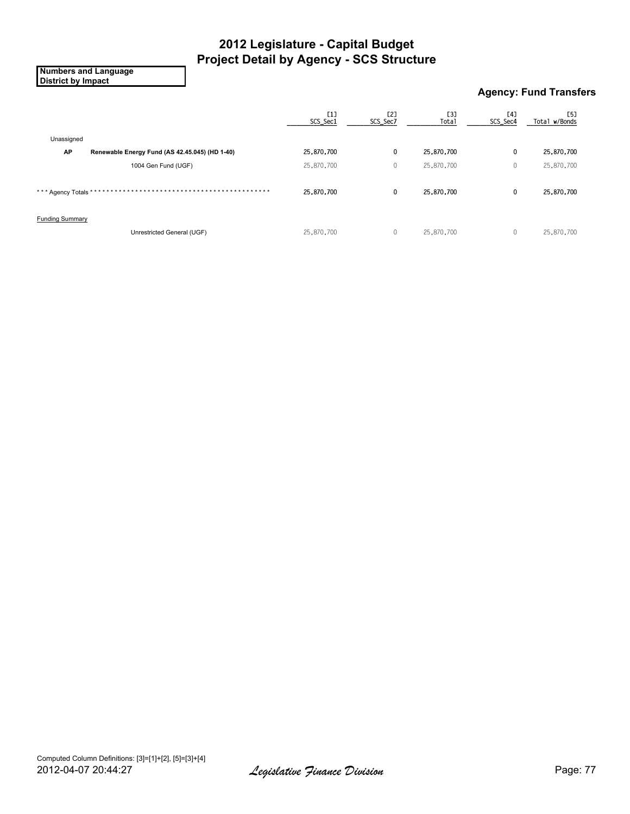**Numbers and Language District by Impact**

### **Agency: Fund Transfers**

|                                                      | [1]<br>SCS_Sec1 | [2]<br>SCS_Sec7 | [3]<br><b>Total</b> | [4]<br>SCS_Sec4 | [5]<br>Total w/Bonds |
|------------------------------------------------------|-----------------|-----------------|---------------------|-----------------|----------------------|
| Unassigned                                           |                 |                 |                     |                 |                      |
| AP<br>Renewable Energy Fund (AS 42.45.045) (HD 1-40) | 25,870,700      | 0               | 25,870,700          | 0               | 25,870,700           |
| 1004 Gen Fund (UGF)                                  | 25,870,700      | $\mathbf{0}$    | 25,870,700          | 0               | 25,870,700           |
| *** Agency Totals *                                  | 25,870,700      | 0               | 25,870,700          | 0               | 25,870,700           |
| <b>Funding Summary</b>                               |                 |                 |                     |                 |                      |
| Unrestricted General (UGF)                           | 25,870,700      | $\mathbf{0}$    | 25,870,700          | $\mathbf{0}$    | 25,870,700           |